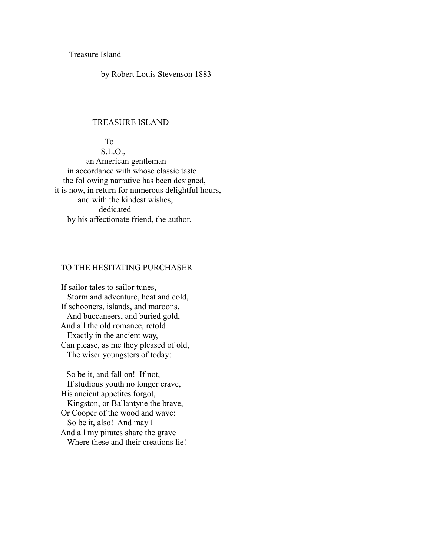Treasure Island

by Robert Louis Stevenson 1883

#### TREASURE ISLAND

 To S.L.O., an American gentleman in accordance with whose classic taste the following narrative has been designed, it is now, in return for numerous delightful hours, and with the kindest wishes, dedicated by his affectionate friend, the author.

# TO THE HESITATING PURCHASER

 If sailor tales to sailor tunes, Storm and adventure, heat and cold, If schooners, islands, and maroons, And buccaneers, and buried gold, And all the old romance, retold Exactly in the ancient way, Can please, as me they pleased of old, The wiser youngsters of today:

 --So be it, and fall on! If not, If studious youth no longer crave, His ancient appetites forgot, Kingston, or Ballantyne the brave, Or Cooper of the wood and wave: So be it, also! And may I And all my pirates share the grave Where these and their creations lie!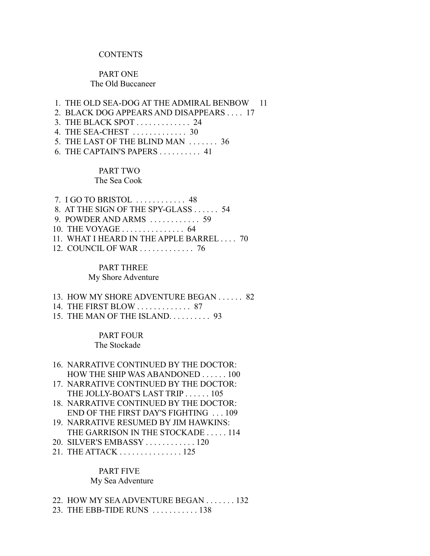#### **CONTENTS**

# PART ONE The Old Buccaneer

 1. THE OLD SEA-DOG AT THE ADMIRAL BENBOW 11 2. BLACK DOG APPEARS AND DISAPPEARS . . . . 17 3. THE BLACK SPOT . . . . . . . . . . . . . 24 4. THE SEA-CHEST . . . . . . . . . . . . . 30 5. THE LAST OF THE BLIND MAN . . . . . . . 36 6. THE CAPTAIN'S PAPERS . . . . . . . . . . 41

#### PART TWO

#### The Sea Cook

| $7. I GO TO BRISTOL$ 48                                 |
|---------------------------------------------------------|
| 8. AT THE SIGN OF THE SPY-GLASS  54                     |
| 9. POWDER AND ARMS $\ldots \ldots \ldots \ldots$ 59     |
| 10. THE VOYAGE $\ldots$ $\ldots$ $\ldots$ $\ldots$ . 64 |
| 11. WHAT I HEARD IN THE APPLE BARREL 70                 |
| 12. COUNCIL OF WAR 76                                   |

# PART THREE

### My Shore Adventure

- 13. HOW MY SHORE ADVENTURE BEGAN . . . . . . 82
- 14. THE FIRST BLOW . . . . . . . . . . . . . 87
- 15. THE MAN OF THE ISLAND. . . . . . . . . . 93

# PART FOUR

# The Stockade

- 16. NARRATIVE CONTINUED BY THE DOCTOR: HOW THE SHIP WAS ABANDONED . . . . . . 100
- 17. NARRATIVE CONTINUED BY THE DOCTOR: THE JOLLY-BOAT'S LAST TRIP . . . . . . 105
- 18. NARRATIVE CONTINUED BY THE DOCTOR: END OF THE FIRST DAY'S FIGHTING . . . 109
- 19. NARRATIVE RESUMED BY JIM HAWKINS: THE GARRISON IN THE STOCKADE . . . . . 114
- 20. SILVER'S EMBASSY . . . . . . . . . . . . 120
- 21. THE ATTACK . . . . . . . . . . . . . . . 125

# PART FIVE

#### My Sea Adventure

- 22. HOW MY SEA ADVENTURE BEGAN . . . . . . . 132
- 23. THE EBB-TIDE RUNS . . . . . . . . . . . 138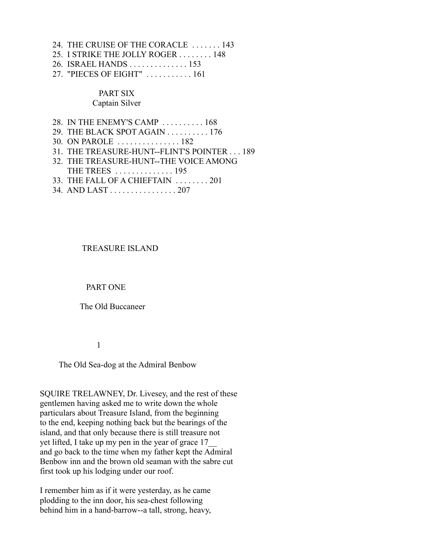- 24. THE CRUISE OF THE CORACLE . . . . . . . 143
- 25. I STRIKE THE JOLLY ROGER . . . . . . . . 148
- 26. ISRAEL HANDS . . . . . . . . . . . . . . 153
- 27. "PIECES OF EIGHT" . . . . . . . . . . . 161

### PART SIX Captain Silver

- 28. IN THE ENEMY'S CAMP . . . . . . . . . . 168
- 29. THE BLACK SPOT AGAIN . . . . . . . . . . 176
- 30. ON PAROLE . . . . . . . . . . . . . . . 182
- 31. THE TREASURE-HUNT--FLINT'S POINTER . . . 189
- 32. THE TREASURE-HUNT--THE VOICE AMONG
- THE TREES . . . . . . . . . . . . . . 195 33. THE FALL OF A CHIEFTAIN . . . . . . . . 201
- 34. AND LAST . . . . . . . . . . . . . . . . 207

#### TREASURE ISLAND

#### PART ONE

The Old Buccaneer

#### 1

#### The Old Sea-dog at the Admiral Benbow

SQUIRE TRELAWNEY, Dr. Livesey, and the rest of these gentlemen having asked me to write down the whole particulars about Treasure Island, from the beginning to the end, keeping nothing back but the bearings of the island, and that only because there is still treasure not yet lifted, I take up my pen in the year of grace 17\_\_ and go back to the time when my father kept the Admiral Benbow inn and the brown old seaman with the sabre cut first took up his lodging under our roof.

I remember him as if it were yesterday, as he came plodding to the inn door, his sea-chest following behind him in a hand-barrow--a tall, strong, heavy,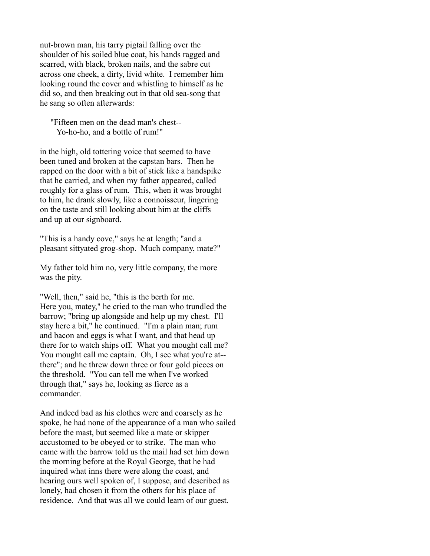nut-brown man, his tarry pigtail falling over the shoulder of his soiled blue coat, his hands ragged and scarred, with black, broken nails, and the sabre cut across one cheek, a dirty, livid white. I remember him looking round the cover and whistling to himself as he did so, and then breaking out in that old sea-song that he sang so often afterwards:

 "Fifteen men on the dead man's chest-- Yo-ho-ho, and a bottle of rum!"

in the high, old tottering voice that seemed to have been tuned and broken at the capstan bars. Then he rapped on the door with a bit of stick like a handspike that he carried, and when my father appeared, called roughly for a glass of rum. This, when it was brought to him, he drank slowly, like a connoisseur, lingering on the taste and still looking about him at the cliffs and up at our signboard.

"This is a handy cove," says he at length; "and a pleasant sittyated grog-shop. Much company, mate?"

My father told him no, very little company, the more was the pity.

"Well, then," said he, "this is the berth for me. Here you, matey," he cried to the man who trundled the barrow; "bring up alongside and help up my chest. I'll stay here a bit," he continued. "I'm a plain man; rum and bacon and eggs is what I want, and that head up there for to watch ships off. What you mought call me? You mought call me captain. Oh, I see what you're at-there"; and he threw down three or four gold pieces on the threshold. "You can tell me when I've worked through that," says he, looking as fierce as a commander.

And indeed bad as his clothes were and coarsely as he spoke, he had none of the appearance of a man who sailed before the mast, but seemed like a mate or skipper accustomed to be obeyed or to strike. The man who came with the barrow told us the mail had set him down the morning before at the Royal George, that he had inquired what inns there were along the coast, and hearing ours well spoken of, I suppose, and described as lonely, had chosen it from the others for his place of residence. And that was all we could learn of our guest.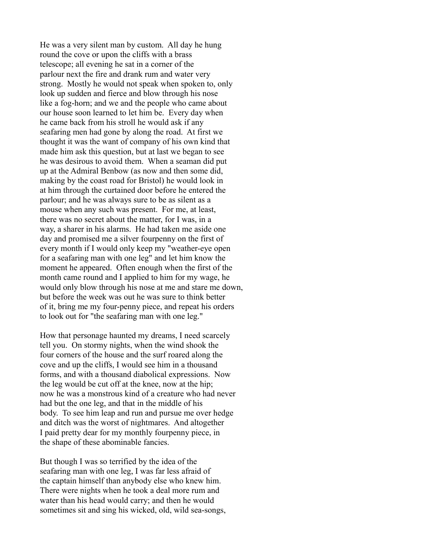He was a very silent man by custom. All day he hung round the cove or upon the cliffs with a brass telescope; all evening he sat in a corner of the parlour next the fire and drank rum and water very strong. Mostly he would not speak when spoken to, only look up sudden and fierce and blow through his nose like a fog-horn; and we and the people who came about our house soon learned to let him be. Every day when he came back from his stroll he would ask if any seafaring men had gone by along the road. At first we thought it was the want of company of his own kind that made him ask this question, but at last we began to see he was desirous to avoid them. When a seaman did put up at the Admiral Benbow (as now and then some did, making by the coast road for Bristol) he would look in at him through the curtained door before he entered the parlour; and he was always sure to be as silent as a mouse when any such was present. For me, at least, there was no secret about the matter, for I was, in a way, a sharer in his alarms. He had taken me aside one day and promised me a silver fourpenny on the first of every month if I would only keep my "weather-eye open for a seafaring man with one leg" and let him know the moment he appeared. Often enough when the first of the month came round and I applied to him for my wage, he would only blow through his nose at me and stare me down, but before the week was out he was sure to think better of it, bring me my four-penny piece, and repeat his orders to look out for "the seafaring man with one leg."

How that personage haunted my dreams, I need scarcely tell you. On stormy nights, when the wind shook the four corners of the house and the surf roared along the cove and up the cliffs, I would see him in a thousand forms, and with a thousand diabolical expressions. Now the leg would be cut off at the knee, now at the hip; now he was a monstrous kind of a creature who had never had but the one leg, and that in the middle of his body. To see him leap and run and pursue me over hedge and ditch was the worst of nightmares. And altogether I paid pretty dear for my monthly fourpenny piece, in the shape of these abominable fancies.

But though I was so terrified by the idea of the seafaring man with one leg, I was far less afraid of the captain himself than anybody else who knew him. There were nights when he took a deal more rum and water than his head would carry; and then he would sometimes sit and sing his wicked, old, wild sea-songs,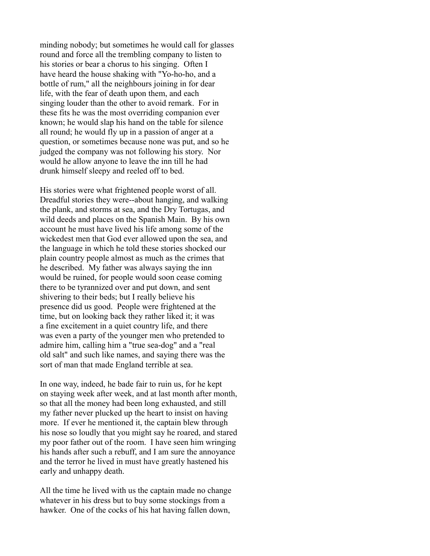minding nobody; but sometimes he would call for glasses round and force all the trembling company to listen to his stories or bear a chorus to his singing. Often I have heard the house shaking with "Yo-ho-ho, and a bottle of rum," all the neighbours joining in for dear life, with the fear of death upon them, and each singing louder than the other to avoid remark. For in these fits he was the most overriding companion ever known; he would slap his hand on the table for silence all round; he would fly up in a passion of anger at a question, or sometimes because none was put, and so he judged the company was not following his story. Nor would he allow anyone to leave the inn till he had drunk himself sleepy and reeled off to bed.

His stories were what frightened people worst of all. Dreadful stories they were--about hanging, and walking the plank, and storms at sea, and the Dry Tortugas, and wild deeds and places on the Spanish Main. By his own account he must have lived his life among some of the wickedest men that God ever allowed upon the sea, and the language in which he told these stories shocked our plain country people almost as much as the crimes that he described. My father was always saying the inn would be ruined, for people would soon cease coming there to be tyrannized over and put down, and sent shivering to their beds; but I really believe his presence did us good. People were frightened at the time, but on looking back they rather liked it; it was a fine excitement in a quiet country life, and there was even a party of the younger men who pretended to admire him, calling him a "true sea-dog" and a "real old salt" and such like names, and saying there was the sort of man that made England terrible at sea.

In one way, indeed, he bade fair to ruin us, for he kept on staying week after week, and at last month after month, so that all the money had been long exhausted, and still my father never plucked up the heart to insist on having more. If ever he mentioned it, the captain blew through his nose so loudly that you might say he roared, and stared my poor father out of the room. I have seen him wringing his hands after such a rebuff, and I am sure the annoyance and the terror he lived in must have greatly hastened his early and unhappy death.

All the time he lived with us the captain made no change whatever in his dress but to buy some stockings from a hawker. One of the cocks of his hat having fallen down,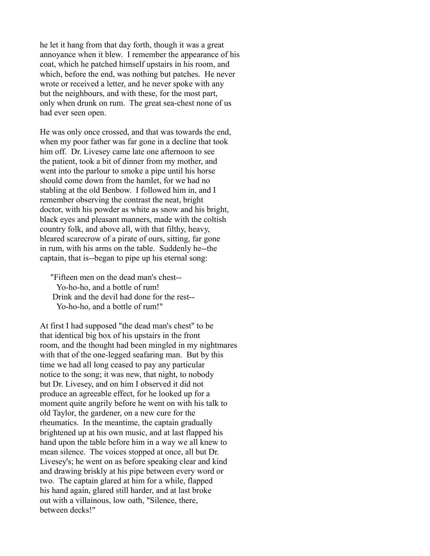he let it hang from that day forth, though it was a great annoyance when it blew. I remember the appearance of his coat, which he patched himself upstairs in his room, and which, before the end, was nothing but patches. He never wrote or received a letter, and he never spoke with any but the neighbours, and with these, for the most part, only when drunk on rum. The great sea-chest none of us had ever seen open.

He was only once crossed, and that was towards the end, when my poor father was far gone in a decline that took him off. Dr. Livesey came late one afternoon to see the patient, took a bit of dinner from my mother, and went into the parlour to smoke a pipe until his horse should come down from the hamlet, for we had no stabling at the old Benbow. I followed him in, and I remember observing the contrast the neat, bright doctor, with his powder as white as snow and his bright, black eyes and pleasant manners, made with the coltish country folk, and above all, with that filthy, heavy, bleared scarecrow of a pirate of ours, sitting, far gone in rum, with his arms on the table. Suddenly he--the captain, that is--began to pipe up his eternal song:

 "Fifteen men on the dead man's chest-- Yo-ho-ho, and a bottle of rum! Drink and the devil had done for the rest-- Yo-ho-ho, and a bottle of rum!"

At first I had supposed "the dead man's chest" to be that identical big box of his upstairs in the front room, and the thought had been mingled in my nightmares with that of the one-legged seafaring man. But by this time we had all long ceased to pay any particular notice to the song; it was new, that night, to nobody but Dr. Livesey, and on him I observed it did not produce an agreeable effect, for he looked up for a moment quite angrily before he went on with his talk to old Taylor, the gardener, on a new cure for the rheumatics. In the meantime, the captain gradually brightened up at his own music, and at last flapped his hand upon the table before him in a way we all knew to mean silence. The voices stopped at once, all but Dr. Livesey's; he went on as before speaking clear and kind and drawing briskly at his pipe between every word or two. The captain glared at him for a while, flapped his hand again, glared still harder, and at last broke out with a villainous, low oath, "Silence, there, between decks!"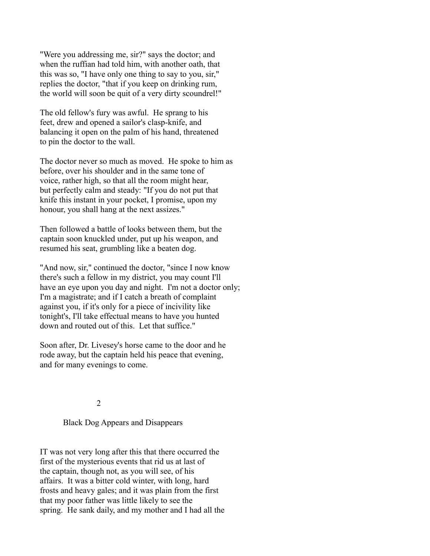"Were you addressing me, sir?" says the doctor; and when the ruffian had told him, with another oath, that this was so, "I have only one thing to say to you, sir," replies the doctor, "that if you keep on drinking rum, the world will soon be quit of a very dirty scoundrel!"

The old fellow's fury was awful. He sprang to his feet, drew and opened a sailor's clasp-knife, and balancing it open on the palm of his hand, threatened to pin the doctor to the wall.

The doctor never so much as moved. He spoke to him as before, over his shoulder and in the same tone of voice, rather high, so that all the room might hear, but perfectly calm and steady: "If you do not put that knife this instant in your pocket, I promise, upon my honour, you shall hang at the next assizes."

Then followed a battle of looks between them, but the captain soon knuckled under, put up his weapon, and resumed his seat, grumbling like a beaten dog.

"And now, sir," continued the doctor, "since I now know there's such a fellow in my district, you may count I'll have an eye upon you day and night. I'm not a doctor only; I'm a magistrate; and if I catch a breath of complaint against you, if it's only for a piece of incivility like tonight's, I'll take effectual means to have you hunted down and routed out of this. Let that suffice."

Soon after, Dr. Livesey's horse came to the door and he rode away, but the captain held his peace that evening, and for many evenings to come.

2

# Black Dog Appears and Disappears

IT was not very long after this that there occurred the first of the mysterious events that rid us at last of the captain, though not, as you will see, of his affairs. It was a bitter cold winter, with long, hard frosts and heavy gales; and it was plain from the first that my poor father was little likely to see the spring. He sank daily, and my mother and I had all the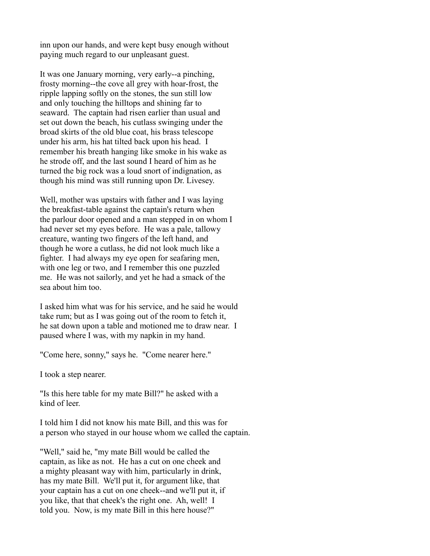inn upon our hands, and were kept busy enough without paying much regard to our unpleasant guest.

It was one January morning, very early--a pinching, frosty morning--the cove all grey with hoar-frost, the ripple lapping softly on the stones, the sun still low and only touching the hilltops and shining far to seaward. The captain had risen earlier than usual and set out down the beach, his cutlass swinging under the broad skirts of the old blue coat, his brass telescope under his arm, his hat tilted back upon his head. I remember his breath hanging like smoke in his wake as he strode off, and the last sound I heard of him as he turned the big rock was a loud snort of indignation, as though his mind was still running upon Dr. Livesey.

Well, mother was upstairs with father and I was laying the breakfast-table against the captain's return when the parlour door opened and a man stepped in on whom I had never set my eyes before. He was a pale, tallowy creature, wanting two fingers of the left hand, and though he wore a cutlass, he did not look much like a fighter. I had always my eye open for seafaring men, with one leg or two, and I remember this one puzzled me. He was not sailorly, and yet he had a smack of the sea about him too.

I asked him what was for his service, and he said he would take rum; but as I was going out of the room to fetch it, he sat down upon a table and motioned me to draw near. I paused where I was, with my napkin in my hand.

"Come here, sonny," says he. "Come nearer here."

I took a step nearer.

"Is this here table for my mate Bill?" he asked with a kind of leer.

I told him I did not know his mate Bill, and this was for a person who stayed in our house whom we called the captain.

"Well," said he, "my mate Bill would be called the captain, as like as not. He has a cut on one cheek and a mighty pleasant way with him, particularly in drink, has my mate Bill. We'll put it, for argument like, that your captain has a cut on one cheek--and we'll put it, if you like, that that cheek's the right one. Ah, well! I told you. Now, is my mate Bill in this here house?"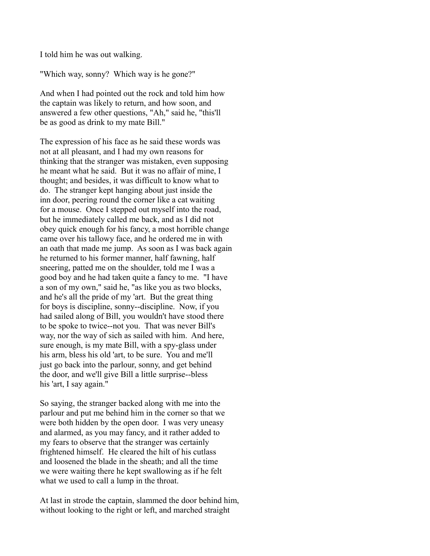I told him he was out walking.

"Which way, sonny? Which way is he gone?"

And when I had pointed out the rock and told him how the captain was likely to return, and how soon, and answered a few other questions, "Ah," said he, "this'll be as good as drink to my mate Bill."

The expression of his face as he said these words was not at all pleasant, and I had my own reasons for thinking that the stranger was mistaken, even supposing he meant what he said. But it was no affair of mine, I thought; and besides, it was difficult to know what to do. The stranger kept hanging about just inside the inn door, peering round the corner like a cat waiting for a mouse. Once I stepped out myself into the road, but he immediately called me back, and as I did not obey quick enough for his fancy, a most horrible change came over his tallowy face, and he ordered me in with an oath that made me jump. As soon as I was back again he returned to his former manner, half fawning, half sneering, patted me on the shoulder, told me I was a good boy and he had taken quite a fancy to me. "I have a son of my own," said he, "as like you as two blocks, and he's all the pride of my 'art. But the great thing for boys is discipline, sonny--discipline. Now, if you had sailed along of Bill, you wouldn't have stood there to be spoke to twice--not you. That was never Bill's way, nor the way of sich as sailed with him. And here, sure enough, is my mate Bill, with a spy-glass under his arm, bless his old 'art, to be sure. You and me'll just go back into the parlour, sonny, and get behind the door, and we'll give Bill a little surprise--bless his 'art, I say again."

So saying, the stranger backed along with me into the parlour and put me behind him in the corner so that we were both hidden by the open door. I was very uneasy and alarmed, as you may fancy, and it rather added to my fears to observe that the stranger was certainly frightened himself. He cleared the hilt of his cutlass and loosened the blade in the sheath; and all the time we were waiting there he kept swallowing as if he felt what we used to call a lump in the throat.

At last in strode the captain, slammed the door behind him, without looking to the right or left, and marched straight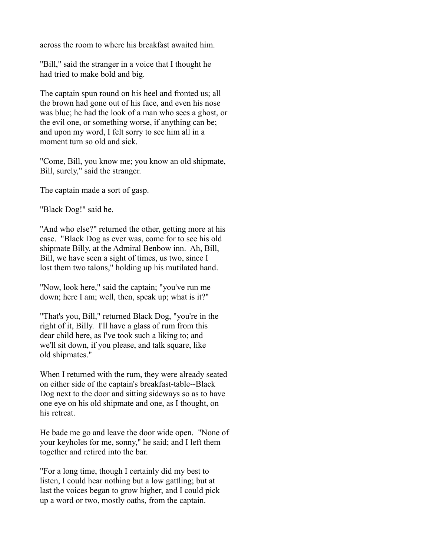across the room to where his breakfast awaited him.

"Bill," said the stranger in a voice that I thought he had tried to make bold and big.

The captain spun round on his heel and fronted us; all the brown had gone out of his face, and even his nose was blue; he had the look of a man who sees a ghost, or the evil one, or something worse, if anything can be; and upon my word, I felt sorry to see him all in a moment turn so old and sick.

"Come, Bill, you know me; you know an old shipmate, Bill, surely," said the stranger.

The captain made a sort of gasp.

"Black Dog!" said he.

"And who else?" returned the other, getting more at his ease. "Black Dog as ever was, come for to see his old shipmate Billy, at the Admiral Benbow inn. Ah, Bill, Bill, we have seen a sight of times, us two, since I lost them two talons," holding up his mutilated hand.

"Now, look here," said the captain; "you've run me down; here I am; well, then, speak up; what is it?"

"That's you, Bill," returned Black Dog, "you're in the right of it, Billy. I'll have a glass of rum from this dear child here, as I've took such a liking to; and we'll sit down, if you please, and talk square, like old shipmates."

When I returned with the rum, they were already seated on either side of the captain's breakfast-table--Black Dog next to the door and sitting sideways so as to have one eye on his old shipmate and one, as I thought, on his retreat.

He bade me go and leave the door wide open. "None of your keyholes for me, sonny," he said; and I left them together and retired into the bar.

"For a long time, though I certainly did my best to listen, I could hear nothing but a low gattling; but at last the voices began to grow higher, and I could pick up a word or two, mostly oaths, from the captain.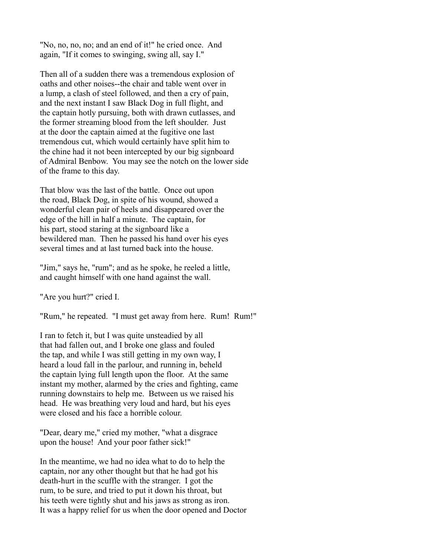"No, no, no, no; and an end of it!" he cried once. And again, "If it comes to swinging, swing all, say I."

Then all of a sudden there was a tremendous explosion of oaths and other noises--the chair and table went over in a lump, a clash of steel followed, and then a cry of pain, and the next instant I saw Black Dog in full flight, and the captain hotly pursuing, both with drawn cutlasses, and the former streaming blood from the left shoulder. Just at the door the captain aimed at the fugitive one last tremendous cut, which would certainly have split him to the chine had it not been intercepted by our big signboard of Admiral Benbow. You may see the notch on the lower side of the frame to this day.

That blow was the last of the battle. Once out upon the road, Black Dog, in spite of his wound, showed a wonderful clean pair of heels and disappeared over the edge of the hill in half a minute. The captain, for his part, stood staring at the signboard like a bewildered man. Then he passed his hand over his eyes several times and at last turned back into the house.

"Jim," says he, "rum"; and as he spoke, he reeled a little, and caught himself with one hand against the wall.

"Are you hurt?" cried I.

"Rum," he repeated. "I must get away from here. Rum! Rum!"

I ran to fetch it, but I was quite unsteadied by all that had fallen out, and I broke one glass and fouled the tap, and while I was still getting in my own way, I heard a loud fall in the parlour, and running in, beheld the captain lying full length upon the floor. At the same instant my mother, alarmed by the cries and fighting, came running downstairs to help me. Between us we raised his head. He was breathing very loud and hard, but his eyes were closed and his face a horrible colour.

"Dear, deary me," cried my mother, "what a disgrace upon the house! And your poor father sick!"

In the meantime, we had no idea what to do to help the captain, nor any other thought but that he had got his death-hurt in the scuffle with the stranger. I got the rum, to be sure, and tried to put it down his throat, but his teeth were tightly shut and his jaws as strong as iron. It was a happy relief for us when the door opened and Doctor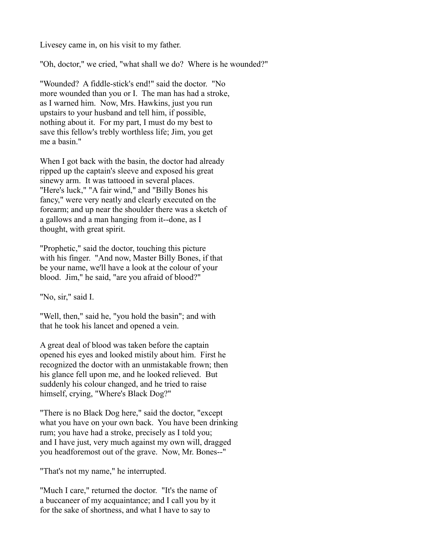Livesey came in, on his visit to my father.

"Oh, doctor," we cried, "what shall we do? Where is he wounded?"

"Wounded? A fiddle-stick's end!" said the doctor. "No more wounded than you or I. The man has had a stroke, as I warned him. Now, Mrs. Hawkins, just you run upstairs to your husband and tell him, if possible, nothing about it. For my part, I must do my best to save this fellow's trebly worthless life; Jim, you get me a basin."

When I got back with the basin, the doctor had already ripped up the captain's sleeve and exposed his great sinewy arm. It was tattooed in several places. "Here's luck," "A fair wind," and "Billy Bones his fancy," were very neatly and clearly executed on the forearm; and up near the shoulder there was a sketch of a gallows and a man hanging from it--done, as I thought, with great spirit.

"Prophetic," said the doctor, touching this picture with his finger. "And now, Master Billy Bones, if that be your name, we'll have a look at the colour of your blood. Jim," he said, "are you afraid of blood?"

"No, sir," said I.

"Well, then," said he, "you hold the basin"; and with that he took his lancet and opened a vein.

A great deal of blood was taken before the captain opened his eyes and looked mistily about him. First he recognized the doctor with an unmistakable frown; then his glance fell upon me, and he looked relieved. But suddenly his colour changed, and he tried to raise himself, crying, "Where's Black Dog?"

"There is no Black Dog here," said the doctor, "except what you have on your own back. You have been drinking rum; you have had a stroke, precisely as I told you; and I have just, very much against my own will, dragged you headforemost out of the grave. Now, Mr. Bones--"

"That's not my name," he interrupted.

"Much I care," returned the doctor. "It's the name of a buccaneer of my acquaintance; and I call you by it for the sake of shortness, and what I have to say to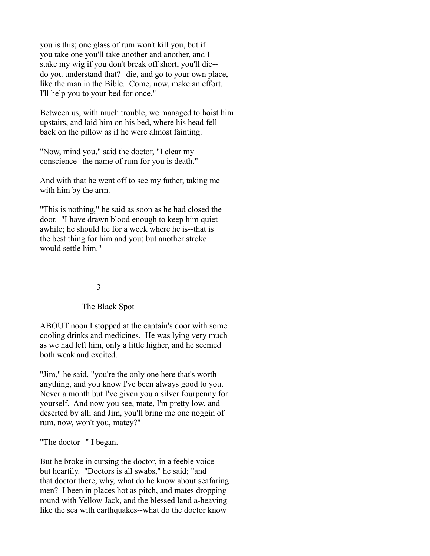you is this; one glass of rum won't kill you, but if you take one you'll take another and another, and I stake my wig if you don't break off short, you'll die- do you understand that?--die, and go to your own place, like the man in the Bible. Come, now, make an effort. I'll help you to your bed for once."

Between us, with much trouble, we managed to hoist him upstairs, and laid him on his bed, where his head fell back on the pillow as if he were almost fainting.

"Now, mind you," said the doctor, "I clear my conscience--the name of rum for you is death."

And with that he went off to see my father, taking me with him by the arm.

"This is nothing," he said as soon as he had closed the door. "I have drawn blood enough to keep him quiet awhile; he should lie for a week where he is--that is the best thing for him and you; but another stroke would settle him."

# 3

# The Black Spot

ABOUT noon I stopped at the captain's door with some cooling drinks and medicines. He was lying very much as we had left him, only a little higher, and he seemed both weak and excited.

"Jim," he said, "you're the only one here that's worth anything, and you know I've been always good to you. Never a month but I've given you a silver fourpenny for yourself. And now you see, mate, I'm pretty low, and deserted by all; and Jim, you'll bring me one noggin of rum, now, won't you, matey?"

"The doctor--" I began.

But he broke in cursing the doctor, in a feeble voice but heartily. "Doctors is all swabs," he said; "and that doctor there, why, what do he know about seafaring men? I been in places hot as pitch, and mates dropping round with Yellow Jack, and the blessed land a-heaving like the sea with earthquakes--what do the doctor know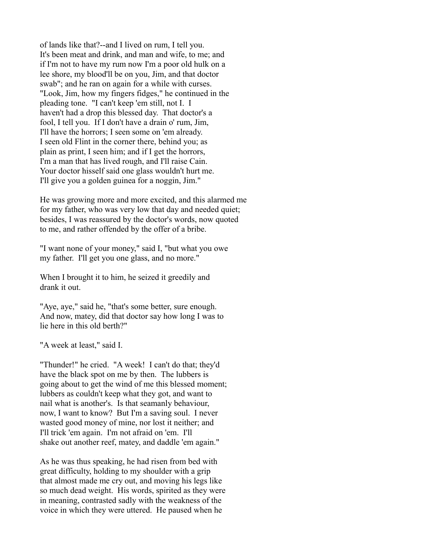of lands like that?--and I lived on rum, I tell you. It's been meat and drink, and man and wife, to me; and if I'm not to have my rum now I'm a poor old hulk on a lee shore, my blood'll be on you, Jim, and that doctor swab"; and he ran on again for a while with curses. "Look, Jim, how my fingers fidges," he continued in the pleading tone. "I can't keep 'em still, not I. I haven't had a drop this blessed day. That doctor's a fool, I tell you. If I don't have a drain o' rum, Jim, I'll have the horrors; I seen some on 'em already. I seen old Flint in the corner there, behind you; as plain as print, I seen him; and if I get the horrors, I'm a man that has lived rough, and I'll raise Cain. Your doctor hisself said one glass wouldn't hurt me. I'll give you a golden guinea for a noggin, Jim."

He was growing more and more excited, and this alarmed me for my father, who was very low that day and needed quiet; besides, I was reassured by the doctor's words, now quoted to me, and rather offended by the offer of a bribe.

"I want none of your money," said I, "but what you owe my father. I'll get you one glass, and no more."

When I brought it to him, he seized it greedily and drank it out.

"Aye, aye," said he, "that's some better, sure enough. And now, matey, did that doctor say how long I was to lie here in this old berth?"

"A week at least," said I.

"Thunder!" he cried. "A week! I can't do that; they'd have the black spot on me by then. The lubbers is going about to get the wind of me this blessed moment; lubbers as couldn't keep what they got, and want to nail what is another's. Is that seamanly behaviour, now, I want to know? But I'm a saving soul. I never wasted good money of mine, nor lost it neither; and I'll trick 'em again. I'm not afraid on 'em. I'll shake out another reef, matey, and daddle 'em again."

As he was thus speaking, he had risen from bed with great difficulty, holding to my shoulder with a grip that almost made me cry out, and moving his legs like so much dead weight. His words, spirited as they were in meaning, contrasted sadly with the weakness of the voice in which they were uttered. He paused when he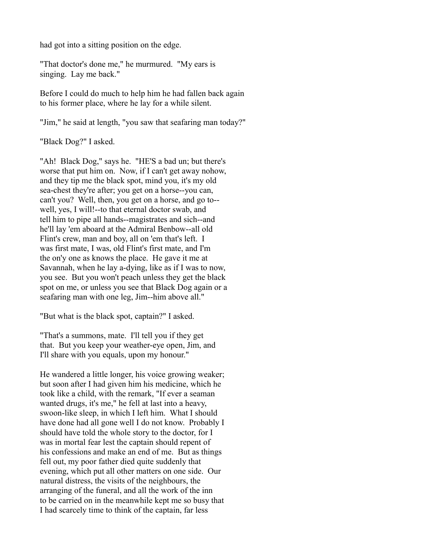had got into a sitting position on the edge.

"That doctor's done me," he murmured. "My ears is singing. Lay me back."

Before I could do much to help him he had fallen back again to his former place, where he lay for a while silent.

"Jim," he said at length, "you saw that seafaring man today?"

"Black Dog?" I asked.

"Ah! Black Dog," says he. "HE'S a bad un; but there's worse that put him on. Now, if I can't get away nohow, and they tip me the black spot, mind you, it's my old sea-chest they're after; you get on a horse--you can, can't you? Well, then, you get on a horse, and go to- well, yes, I will!--to that eternal doctor swab, and tell him to pipe all hands--magistrates and sich--and he'll lay 'em aboard at the Admiral Benbow--all old Flint's crew, man and boy, all on 'em that's left. I was first mate, I was, old Flint's first mate, and I'm the on'y one as knows the place. He gave it me at Savannah, when he lay a-dying, like as if I was to now, you see. But you won't peach unless they get the black spot on me, or unless you see that Black Dog again or a seafaring man with one leg, Jim--him above all."

"But what is the black spot, captain?" I asked.

"That's a summons, mate. I'll tell you if they get that. But you keep your weather-eye open, Jim, and I'll share with you equals, upon my honour."

He wandered a little longer, his voice growing weaker; but soon after I had given him his medicine, which he took like a child, with the remark, "If ever a seaman wanted drugs, it's me," he fell at last into a heavy, swoon-like sleep, in which I left him. What I should have done had all gone well I do not know. Probably I should have told the whole story to the doctor, for I was in mortal fear lest the captain should repent of his confessions and make an end of me. But as things fell out, my poor father died quite suddenly that evening, which put all other matters on one side. Our natural distress, the visits of the neighbours, the arranging of the funeral, and all the work of the inn to be carried on in the meanwhile kept me so busy that I had scarcely time to think of the captain, far less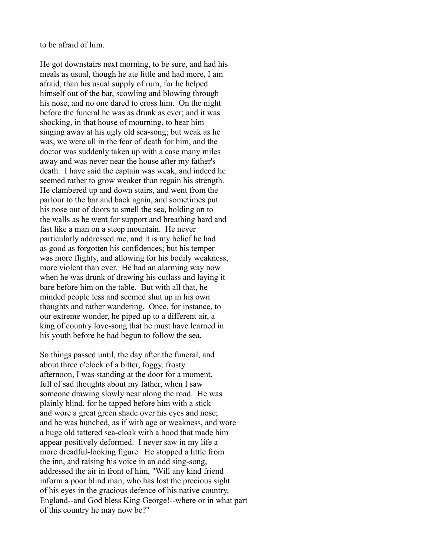to be afraid of him.

He got downstairs next morning, to be sure, and had his meals as usual, though he ate little and had more, I am afraid, than his usual supply of rum, for he helped himself out of the bar, scowling and blowing through his nose, and no one dared to cross him. On the night before the funeral he was as drunk as ever; and it was shocking, in that house of mourning, to hear him singing away at his ugly old sea-song; but weak as he was, we were all in the fear of death for him, and the doctor was suddenly taken up with a case many miles away and was never near the house after my father's death. I have said the captain was weak, and indeed he seemed rather to grow weaker than regain his strength. He clambered up and down stairs, and went from the parlour to the bar and back again, and sometimes put his nose out of doors to smell the sea, holding on to the walls as he went for support and breathing hard and fast like a man on a steep mountain. He never particularly addressed me, and it is my belief he had as good as forgotten his confidences; but his temper was more flighty, and allowing for his bodily weakness, more violent than ever. He had an alarming way now when he was drunk of drawing his cutlass and laying it bare before him on the table. But with all that, he minded people less and seemed shut up in his own thoughts and rather wandering. Once, for instance, to our extreme wonder, he piped up to a different air, a king of country love-song that he must have learned in his youth before he had begun to follow the sea.

So things passed until, the day after the funeral, and about three o'clock of a bitter, foggy, frosty afternoon, I was standing at the door for a moment, full of sad thoughts about my father, when I saw someone drawing slowly near along the road. He was plainly blind, for he tapped before him with a stick and wore a great green shade over his eyes and nose; and he was hunched, as if with age or weakness, and wore a huge old tattered sea-cloak with a hood that made him appear positively deformed. I never saw in my life a more dreadful-looking figure. He stopped a little from the inn, and raising his voice in an odd sing-song, addressed the air in front of him, "Will any kind friend inform a poor blind man, who has lost the precious sight of his eyes in the gracious defence of his native country, England--and God bless King George!--where or in what part of this country he may now be?"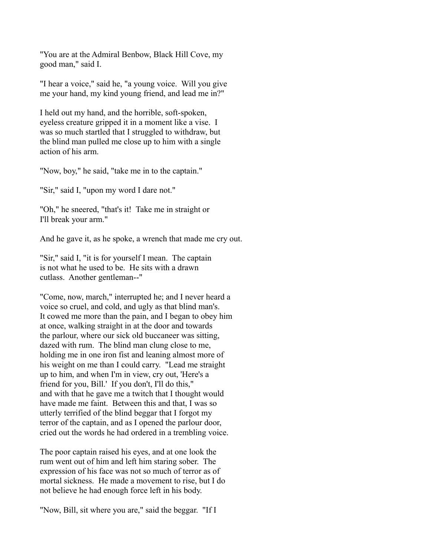"You are at the Admiral Benbow, Black Hill Cove, my good man," said I.

"I hear a voice," said he, "a young voice. Will you give me your hand, my kind young friend, and lead me in?"

I held out my hand, and the horrible, soft-spoken, eyeless creature gripped it in a moment like a vise. I was so much startled that I struggled to withdraw, but the blind man pulled me close up to him with a single action of his arm.

"Now, boy," he said, "take me in to the captain."

"Sir," said I, "upon my word I dare not."

"Oh," he sneered, "that's it! Take me in straight or I'll break your arm."

And he gave it, as he spoke, a wrench that made me cry out.

"Sir," said I, "it is for yourself I mean. The captain is not what he used to be. He sits with a drawn cutlass. Another gentleman--"

"Come, now, march," interrupted he; and I never heard a voice so cruel, and cold, and ugly as that blind man's. It cowed me more than the pain, and I began to obey him at once, walking straight in at the door and towards the parlour, where our sick old buccaneer was sitting, dazed with rum. The blind man clung close to me, holding me in one iron fist and leaning almost more of his weight on me than I could carry. "Lead me straight up to him, and when I'm in view, cry out, 'Here's a friend for you, Bill.' If you don't, I'll do this," and with that he gave me a twitch that I thought would have made me faint. Between this and that, I was so utterly terrified of the blind beggar that I forgot my terror of the captain, and as I opened the parlour door, cried out the words he had ordered in a trembling voice.

The poor captain raised his eyes, and at one look the rum went out of him and left him staring sober. The expression of his face was not so much of terror as of mortal sickness. He made a movement to rise, but I do not believe he had enough force left in his body.

"Now, Bill, sit where you are," said the beggar. "If I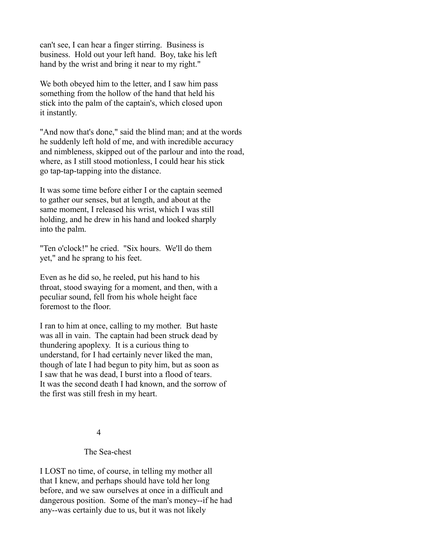can't see, I can hear a finger stirring. Business is business. Hold out your left hand. Boy, take his left hand by the wrist and bring it near to my right."

We both obeyed him to the letter, and I saw him pass something from the hollow of the hand that held his stick into the palm of the captain's, which closed upon it instantly.

"And now that's done," said the blind man; and at the words he suddenly left hold of me, and with incredible accuracy and nimbleness, skipped out of the parlour and into the road, where, as I still stood motionless, I could hear his stick go tap-tap-tapping into the distance.

It was some time before either I or the captain seemed to gather our senses, but at length, and about at the same moment, I released his wrist, which I was still holding, and he drew in his hand and looked sharply into the palm.

"Ten o'clock!" he cried. "Six hours. We'll do them yet," and he sprang to his feet.

Even as he did so, he reeled, put his hand to his throat, stood swaying for a moment, and then, with a peculiar sound, fell from his whole height face foremost to the floor.

I ran to him at once, calling to my mother. But haste was all in vain. The captain had been struck dead by thundering apoplexy. It is a curious thing to understand, for I had certainly never liked the man, though of late I had begun to pity him, but as soon as I saw that he was dead, I burst into a flood of tears. It was the second death I had known, and the sorrow of the first was still fresh in my heart.

# 4

# The Sea-chest

I LOST no time, of course, in telling my mother all that I knew, and perhaps should have told her long before, and we saw ourselves at once in a difficult and dangerous position. Some of the man's money--if he had any--was certainly due to us, but it was not likely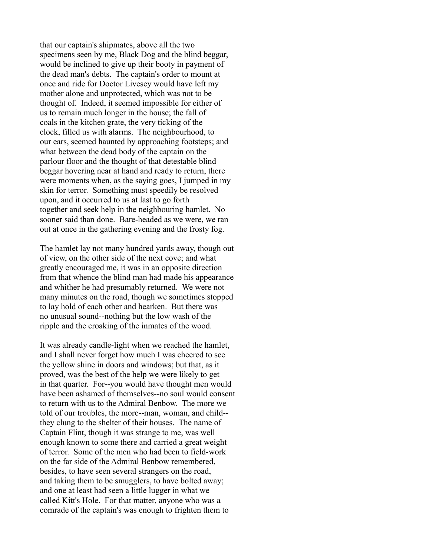that our captain's shipmates, above all the two specimens seen by me, Black Dog and the blind beggar, would be inclined to give up their booty in payment of the dead man's debts. The captain's order to mount at once and ride for Doctor Livesey would have left my mother alone and unprotected, which was not to be thought of. Indeed, it seemed impossible for either of us to remain much longer in the house; the fall of coals in the kitchen grate, the very ticking of the clock, filled us with alarms. The neighbourhood, to our ears, seemed haunted by approaching footsteps; and what between the dead body of the captain on the parlour floor and the thought of that detestable blind beggar hovering near at hand and ready to return, there were moments when, as the saying goes, I jumped in my skin for terror. Something must speedily be resolved upon, and it occurred to us at last to go forth together and seek help in the neighbouring hamlet. No sooner said than done. Bare-headed as we were, we ran out at once in the gathering evening and the frosty fog.

The hamlet lay not many hundred yards away, though out of view, on the other side of the next cove; and what greatly encouraged me, it was in an opposite direction from that whence the blind man had made his appearance and whither he had presumably returned. We were not many minutes on the road, though we sometimes stopped to lay hold of each other and hearken. But there was no unusual sound--nothing but the low wash of the ripple and the croaking of the inmates of the wood.

It was already candle-light when we reached the hamlet, and I shall never forget how much I was cheered to see the yellow shine in doors and windows; but that, as it proved, was the best of the help we were likely to get in that quarter. For--you would have thought men would have been ashamed of themselves--no soul would consent to return with us to the Admiral Benbow. The more we told of our troubles, the more--man, woman, and child- they clung to the shelter of their houses. The name of Captain Flint, though it was strange to me, was well enough known to some there and carried a great weight of terror. Some of the men who had been to field-work on the far side of the Admiral Benbow remembered, besides, to have seen several strangers on the road, and taking them to be smugglers, to have bolted away; and one at least had seen a little lugger in what we called Kitt's Hole. For that matter, anyone who was a comrade of the captain's was enough to frighten them to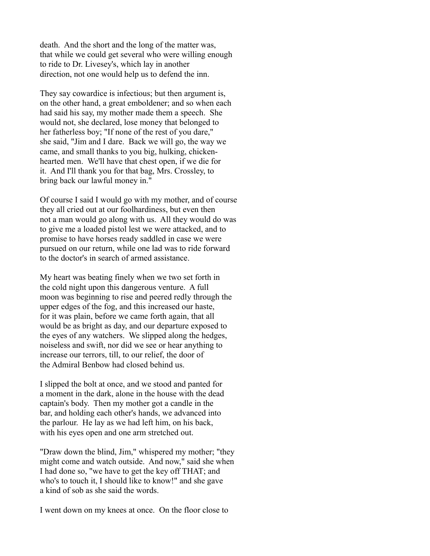death. And the short and the long of the matter was, that while we could get several who were willing enough to ride to Dr. Livesey's, which lay in another direction, not one would help us to defend the inn.

They say cowardice is infectious; but then argument is, on the other hand, a great emboldener; and so when each had said his say, my mother made them a speech. She would not, she declared, lose money that belonged to her fatherless boy; "If none of the rest of you dare," she said, "Jim and I dare. Back we will go, the way we came, and small thanks to you big, hulking, chickenhearted men. We'll have that chest open, if we die for it. And I'll thank you for that bag, Mrs. Crossley, to bring back our lawful money in."

Of course I said I would go with my mother, and of course they all cried out at our foolhardiness, but even then not a man would go along with us. All they would do was to give me a loaded pistol lest we were attacked, and to promise to have horses ready saddled in case we were pursued on our return, while one lad was to ride forward to the doctor's in search of armed assistance.

My heart was beating finely when we two set forth in the cold night upon this dangerous venture. A full moon was beginning to rise and peered redly through the upper edges of the fog, and this increased our haste, for it was plain, before we came forth again, that all would be as bright as day, and our departure exposed to the eyes of any watchers. We slipped along the hedges, noiseless and swift, nor did we see or hear anything to increase our terrors, till, to our relief, the door of the Admiral Benbow had closed behind us.

I slipped the bolt at once, and we stood and panted for a moment in the dark, alone in the house with the dead captain's body. Then my mother got a candle in the bar, and holding each other's hands, we advanced into the parlour. He lay as we had left him, on his back, with his eyes open and one arm stretched out.

"Draw down the blind, Jim," whispered my mother; "they might come and watch outside. And now," said she when I had done so, "we have to get the key off THAT; and who's to touch it, I should like to know!" and she gave a kind of sob as she said the words.

I went down on my knees at once. On the floor close to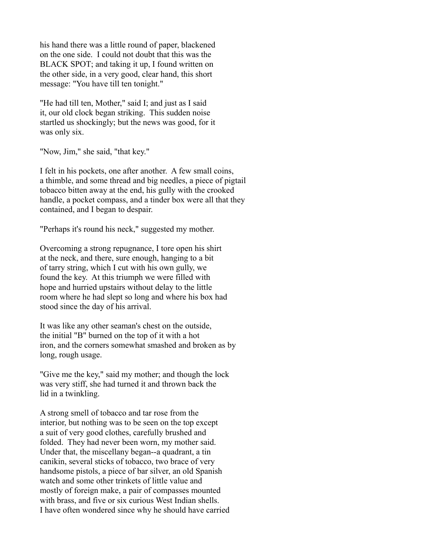his hand there was a little round of paper, blackened on the one side. I could not doubt that this was the BLACK SPOT; and taking it up, I found written on the other side, in a very good, clear hand, this short message: "You have till ten tonight."

"He had till ten, Mother," said I; and just as I said it, our old clock began striking. This sudden noise startled us shockingly; but the news was good, for it was only six.

"Now, Jim," she said, "that key."

I felt in his pockets, one after another. A few small coins, a thimble, and some thread and big needles, a piece of pigtail tobacco bitten away at the end, his gully with the crooked handle, a pocket compass, and a tinder box were all that they contained, and I began to despair.

"Perhaps it's round his neck," suggested my mother.

Overcoming a strong repugnance, I tore open his shirt at the neck, and there, sure enough, hanging to a bit of tarry string, which I cut with his own gully, we found the key. At this triumph we were filled with hope and hurried upstairs without delay to the little room where he had slept so long and where his box had stood since the day of his arrival.

It was like any other seaman's chest on the outside, the initial "B" burned on the top of it with a hot iron, and the corners somewhat smashed and broken as by long, rough usage.

"Give me the key," said my mother; and though the lock was very stiff, she had turned it and thrown back the lid in a twinkling.

A strong smell of tobacco and tar rose from the interior, but nothing was to be seen on the top except a suit of very good clothes, carefully brushed and folded. They had never been worn, my mother said. Under that, the miscellany began--a quadrant, a tin canikin, several sticks of tobacco, two brace of very handsome pistols, a piece of bar silver, an old Spanish watch and some other trinkets of little value and mostly of foreign make, a pair of compasses mounted with brass, and five or six curious West Indian shells. I have often wondered since why he should have carried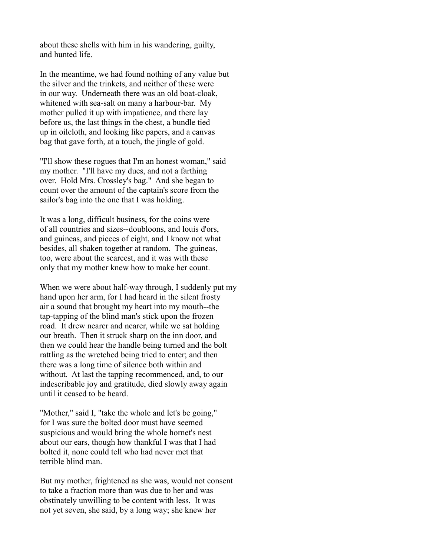about these shells with him in his wandering, guilty, and hunted life.

In the meantime, we had found nothing of any value but the silver and the trinkets, and neither of these were in our way. Underneath there was an old boat-cloak, whitened with sea-salt on many a harbour-bar. My mother pulled it up with impatience, and there lay before us, the last things in the chest, a bundle tied up in oilcloth, and looking like papers, and a canvas bag that gave forth, at a touch, the jingle of gold.

"I'll show these rogues that I'm an honest woman," said my mother. "I'll have my dues, and not a farthing over. Hold Mrs. Crossley's bag." And she began to count over the amount of the captain's score from the sailor's bag into the one that I was holding.

It was a long, difficult business, for the coins were of all countries and sizes--doubloons, and louis d'ors, and guineas, and pieces of eight, and I know not what besides, all shaken together at random. The guineas, too, were about the scarcest, and it was with these only that my mother knew how to make her count.

When we were about half-way through, I suddenly put my hand upon her arm, for I had heard in the silent frosty air a sound that brought my heart into my mouth--the tap-tapping of the blind man's stick upon the frozen road. It drew nearer and nearer, while we sat holding our breath. Then it struck sharp on the inn door, and then we could hear the handle being turned and the bolt rattling as the wretched being tried to enter; and then there was a long time of silence both within and without. At last the tapping recommenced, and, to our indescribable joy and gratitude, died slowly away again until it ceased to be heard.

"Mother," said I, "take the whole and let's be going," for I was sure the bolted door must have seemed suspicious and would bring the whole hornet's nest about our ears, though how thankful I was that I had bolted it, none could tell who had never met that terrible blind man.

But my mother, frightened as she was, would not consent to take a fraction more than was due to her and was obstinately unwilling to be content with less. It was not yet seven, she said, by a long way; she knew her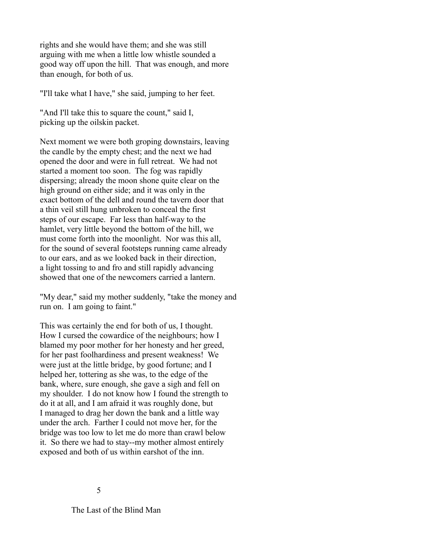rights and she would have them; and she was still arguing with me when a little low whistle sounded a good way off upon the hill. That was enough, and more than enough, for both of us.

"I'll take what I have," she said, jumping to her feet.

"And I'll take this to square the count," said I, picking up the oilskin packet.

Next moment we were both groping downstairs, leaving the candle by the empty chest; and the next we had opened the door and were in full retreat. We had not started a moment too soon. The fog was rapidly dispersing; already the moon shone quite clear on the high ground on either side; and it was only in the exact bottom of the dell and round the tavern door that a thin veil still hung unbroken to conceal the first steps of our escape. Far less than half-way to the hamlet, very little beyond the bottom of the hill, we must come forth into the moonlight. Nor was this all, for the sound of several footsteps running came already to our ears, and as we looked back in their direction, a light tossing to and fro and still rapidly advancing showed that one of the newcomers carried a lantern.

"My dear," said my mother suddenly, "take the money and run on. I am going to faint."

This was certainly the end for both of us, I thought. How I cursed the cowardice of the neighbours; how I blamed my poor mother for her honesty and her greed, for her past foolhardiness and present weakness! We were just at the little bridge, by good fortune; and I helped her, tottering as she was, to the edge of the bank, where, sure enough, she gave a sigh and fell on my shoulder. I do not know how I found the strength to do it at all, and I am afraid it was roughly done, but I managed to drag her down the bank and a little way under the arch. Farther I could not move her, for the bridge was too low to let me do more than crawl below it. So there we had to stay--my mother almost entirely exposed and both of us within earshot of the inn.

The Last of the Blind Man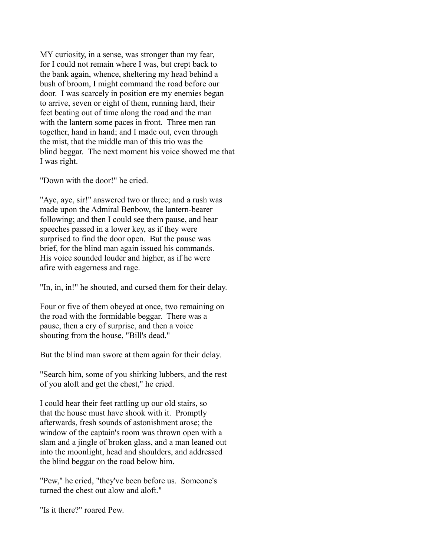MY curiosity, in a sense, was stronger than my fear, for I could not remain where I was, but crept back to the bank again, whence, sheltering my head behind a bush of broom, I might command the road before our door. I was scarcely in position ere my enemies began to arrive, seven or eight of them, running hard, their feet beating out of time along the road and the man with the lantern some paces in front. Three men ran together, hand in hand; and I made out, even through the mist, that the middle man of this trio was the blind beggar. The next moment his voice showed me that I was right.

"Down with the door!" he cried.

"Aye, aye, sir!" answered two or three; and a rush was made upon the Admiral Benbow, the lantern-bearer following; and then I could see them pause, and hear speeches passed in a lower key, as if they were surprised to find the door open. But the pause was brief, for the blind man again issued his commands. His voice sounded louder and higher, as if he were afire with eagerness and rage.

"In, in, in!" he shouted, and cursed them for their delay.

Four or five of them obeyed at once, two remaining on the road with the formidable beggar. There was a pause, then a cry of surprise, and then a voice shouting from the house, "Bill's dead."

But the blind man swore at them again for their delay.

"Search him, some of you shirking lubbers, and the rest of you aloft and get the chest," he cried.

I could hear their feet rattling up our old stairs, so that the house must have shook with it. Promptly afterwards, fresh sounds of astonishment arose; the window of the captain's room was thrown open with a slam and a jingle of broken glass, and a man leaned out into the moonlight, head and shoulders, and addressed the blind beggar on the road below him.

"Pew," he cried, "they've been before us. Someone's turned the chest out alow and aloft."

"Is it there?" roared Pew.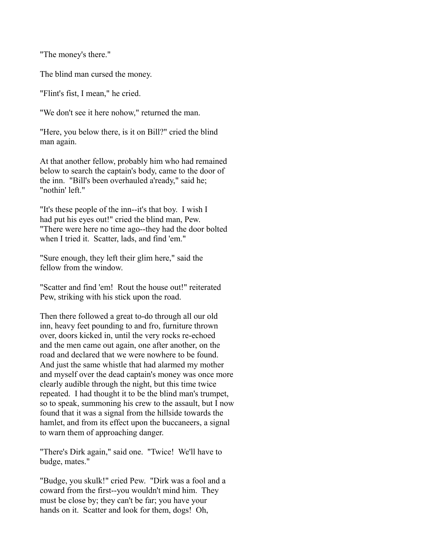"The money's there."

The blind man cursed the money.

"Flint's fist, I mean," he cried.

"We don't see it here nohow," returned the man.

"Here, you below there, is it on Bill?" cried the blind man again.

At that another fellow, probably him who had remained below to search the captain's body, came to the door of the inn. "Bill's been overhauled a'ready," said he; "nothin' left."

"It's these people of the inn--it's that boy. I wish I had put his eyes out!" cried the blind man, Pew. "There were here no time ago--they had the door bolted when I tried it. Scatter, lads, and find 'em."

"Sure enough, they left their glim here," said the fellow from the window.

"Scatter and find 'em! Rout the house out!" reiterated Pew, striking with his stick upon the road.

Then there followed a great to-do through all our old inn, heavy feet pounding to and fro, furniture thrown over, doors kicked in, until the very rocks re-echoed and the men came out again, one after another, on the road and declared that we were nowhere to be found. And just the same whistle that had alarmed my mother and myself over the dead captain's money was once more clearly audible through the night, but this time twice repeated. I had thought it to be the blind man's trumpet, so to speak, summoning his crew to the assault, but I now found that it was a signal from the hillside towards the hamlet, and from its effect upon the buccaneers, a signal to warn them of approaching danger.

"There's Dirk again," said one. "Twice! We'll have to budge, mates."

"Budge, you skulk!" cried Pew. "Dirk was a fool and a coward from the first--you wouldn't mind him. They must be close by; they can't be far; you have your hands on it. Scatter and look for them, dogs! Oh,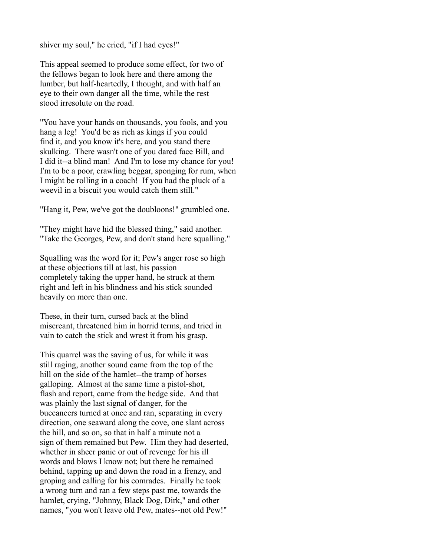shiver my soul," he cried, "if I had eyes!"

This appeal seemed to produce some effect, for two of the fellows began to look here and there among the lumber, but half-heartedly, I thought, and with half an eye to their own danger all the time, while the rest stood irresolute on the road.

"You have your hands on thousands, you fools, and you hang a leg! You'd be as rich as kings if you could find it, and you know it's here, and you stand there skulking. There wasn't one of you dared face Bill, and I did it--a blind man! And I'm to lose my chance for you! I'm to be a poor, crawling beggar, sponging for rum, when I might be rolling in a coach! If you had the pluck of a weevil in a biscuit you would catch them still."

"Hang it, Pew, we've got the doubloons!" grumbled one.

"They might have hid the blessed thing," said another. "Take the Georges, Pew, and don't stand here squalling."

Squalling was the word for it; Pew's anger rose so high at these objections till at last, his passion completely taking the upper hand, he struck at them right and left in his blindness and his stick sounded heavily on more than one.

These, in their turn, cursed back at the blind miscreant, threatened him in horrid terms, and tried in vain to catch the stick and wrest it from his grasp.

This quarrel was the saving of us, for while it was still raging, another sound came from the top of the hill on the side of the hamlet--the tramp of horses galloping. Almost at the same time a pistol-shot, flash and report, came from the hedge side. And that was plainly the last signal of danger, for the buccaneers turned at once and ran, separating in every direction, one seaward along the cove, one slant across the hill, and so on, so that in half a minute not a sign of them remained but Pew. Him they had deserted, whether in sheer panic or out of revenge for his ill words and blows I know not; but there he remained behind, tapping up and down the road in a frenzy, and groping and calling for his comrades. Finally he took a wrong turn and ran a few steps past me, towards the hamlet, crying, "Johnny, Black Dog, Dirk," and other names, "you won't leave old Pew, mates--not old Pew!"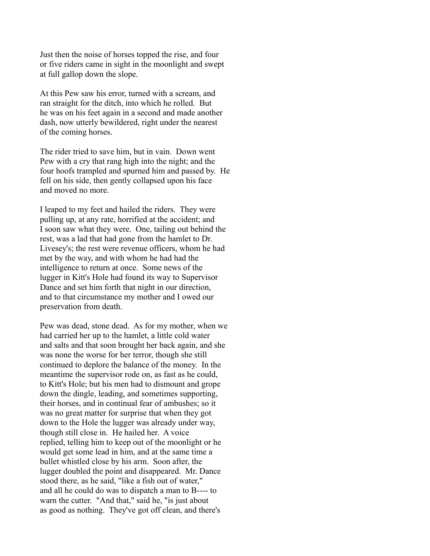Just then the noise of horses topped the rise, and four or five riders came in sight in the moonlight and swept at full gallop down the slope.

At this Pew saw his error, turned with a scream, and ran straight for the ditch, into which he rolled. But he was on his feet again in a second and made another dash, now utterly bewildered, right under the nearest of the coming horses.

The rider tried to save him, but in vain. Down went Pew with a cry that rang high into the night; and the four hoofs trampled and spurned him and passed by. He fell on his side, then gently collapsed upon his face and moved no more.

I leaped to my feet and hailed the riders. They were pulling up, at any rate, horrified at the accident; and I soon saw what they were. One, tailing out behind the rest, was a lad that had gone from the hamlet to Dr. Livesey's; the rest were revenue officers, whom he had met by the way, and with whom he had had the intelligence to return at once. Some news of the lugger in Kitt's Hole had found its way to Supervisor Dance and set him forth that night in our direction, and to that circumstance my mother and I owed our preservation from death.

Pew was dead, stone dead. As for my mother, when we had carried her up to the hamlet, a little cold water and salts and that soon brought her back again, and she was none the worse for her terror, though she still continued to deplore the balance of the money. In the meantime the supervisor rode on, as fast as he could, to Kitt's Hole; but his men had to dismount and grope down the dingle, leading, and sometimes supporting, their horses, and in continual fear of ambushes; so it was no great matter for surprise that when they got down to the Hole the lugger was already under way, though still close in. He hailed her. A voice replied, telling him to keep out of the moonlight or he would get some lead in him, and at the same time a bullet whistled close by his arm. Soon after, the lugger doubled the point and disappeared. Mr. Dance stood there, as he said, "like a fish out of water," and all he could do was to dispatch a man to B---- to warn the cutter. "And that," said he, "is just about as good as nothing. They've got off clean, and there's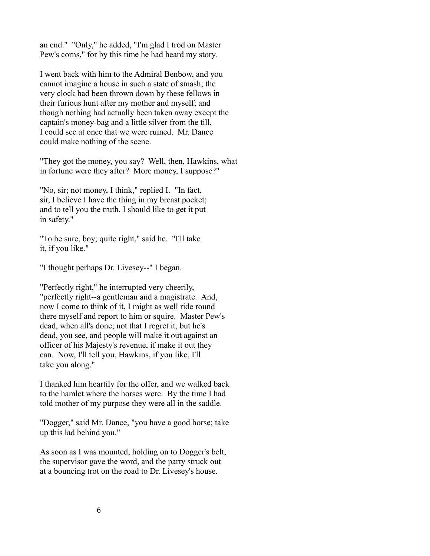an end." "Only," he added, "I'm glad I trod on Master Pew's corns," for by this time he had heard my story.

I went back with him to the Admiral Benbow, and you cannot imagine a house in such a state of smash; the very clock had been thrown down by these fellows in their furious hunt after my mother and myself; and though nothing had actually been taken away except the captain's money-bag and a little silver from the till, I could see at once that we were ruined. Mr. Dance could make nothing of the scene.

"They got the money, you say? Well, then, Hawkins, what in fortune were they after? More money, I suppose?"

"No, sir; not money, I think," replied I. "In fact, sir, I believe I have the thing in my breast pocket; and to tell you the truth, I should like to get it put in safety."

"To be sure, boy; quite right," said he. "I'll take it, if you like."

"I thought perhaps Dr. Livesey--" I began.

"Perfectly right," he interrupted very cheerily, "perfectly right--a gentleman and a magistrate. And, now I come to think of it, I might as well ride round there myself and report to him or squire. Master Pew's dead, when all's done; not that I regret it, but he's dead, you see, and people will make it out against an officer of his Majesty's revenue, if make it out they can. Now, I'll tell you, Hawkins, if you like, I'll take you along."

I thanked him heartily for the offer, and we walked back to the hamlet where the horses were. By the time I had told mother of my purpose they were all in the saddle.

"Dogger," said Mr. Dance, "you have a good horse; take up this lad behind you."

As soon as I was mounted, holding on to Dogger's belt, the supervisor gave the word, and the party struck out at a bouncing trot on the road to Dr. Livesey's house.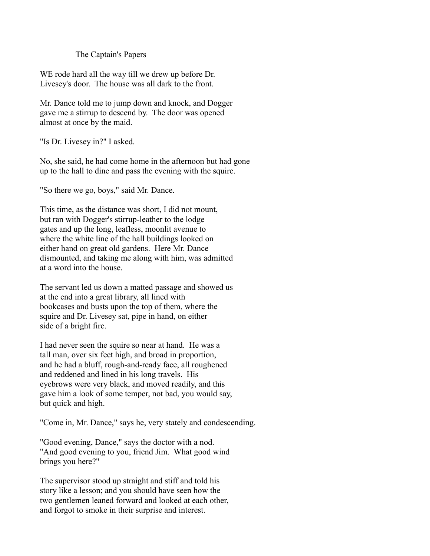# The Captain's Papers

WE rode hard all the way till we drew up before Dr. Livesey's door. The house was all dark to the front.

Mr. Dance told me to jump down and knock, and Dogger gave me a stirrup to descend by. The door was opened almost at once by the maid.

"Is Dr. Livesey in?" I asked.

No, she said, he had come home in the afternoon but had gone up to the hall to dine and pass the evening with the squire.

"So there we go, boys," said Mr. Dance.

This time, as the distance was short, I did not mount, but ran with Dogger's stirrup-leather to the lodge gates and up the long, leafless, moonlit avenue to where the white line of the hall buildings looked on either hand on great old gardens. Here Mr. Dance dismounted, and taking me along with him, was admitted at a word into the house.

The servant led us down a matted passage and showed us at the end into a great library, all lined with bookcases and busts upon the top of them, where the squire and Dr. Livesey sat, pipe in hand, on either side of a bright fire.

I had never seen the squire so near at hand. He was a tall man, over six feet high, and broad in proportion, and he had a bluff, rough-and-ready face, all roughened and reddened and lined in his long travels. His eyebrows were very black, and moved readily, and this gave him a look of some temper, not bad, you would say, but quick and high.

"Come in, Mr. Dance," says he, very stately and condescending.

"Good evening, Dance," says the doctor with a nod. "And good evening to you, friend Jim. What good wind brings you here?"

The supervisor stood up straight and stiff and told his story like a lesson; and you should have seen how the two gentlemen leaned forward and looked at each other, and forgot to smoke in their surprise and interest.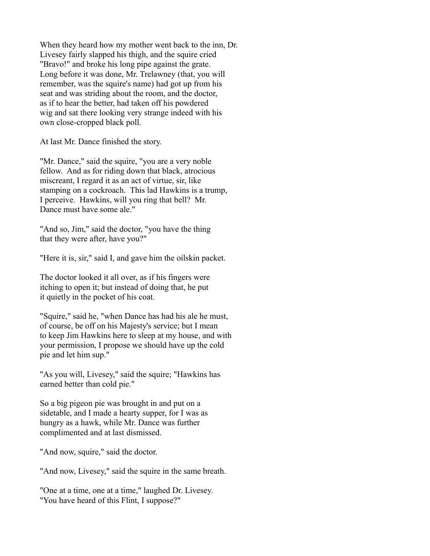When they heard how my mother went back to the inn, Dr. Livesey fairly slapped his thigh, and the squire cried "Bravo!" and broke his long pipe against the grate. Long before it was done, Mr. Trelawney (that, you will remember, was the squire's name) had got up from his seat and was striding about the room, and the doctor, as if to hear the better, had taken off his powdered wig and sat there looking very strange indeed with his own close-cropped black poll.

At last Mr. Dance finished the story.

"Mr. Dance," said the squire, "you are a very noble fellow. And as for riding down that black, atrocious miscreant, I regard it as an act of virtue, sir, like stamping on a cockroach. This lad Hawkins is a trump, I perceive. Hawkins, will you ring that bell? Mr. Dance must have some ale."

"And so, Jim," said the doctor, "you have the thing that they were after, have you?"

"Here it is, sir," said I, and gave him the oilskin packet.

The doctor looked it all over, as if his fingers were itching to open it; but instead of doing that, he put it quietly in the pocket of his coat.

"Squire," said he, "when Dance has had his ale he must, of course, be off on his Majesty's service; but I mean to keep Jim Hawkins here to sleep at my house, and with your permission, I propose we should have up the cold pie and let him sup."

"As you will, Livesey," said the squire; "Hawkins has earned better than cold pie."

So a big pigeon pie was brought in and put on a sidetable, and I made a hearty supper, for I was as hungry as a hawk, while Mr. Dance was further complimented and at last dismissed.

"And now, squire," said the doctor.

"And now, Livesey," said the squire in the same breath.

"One at a time, one at a time," laughed Dr. Livesey. "You have heard of this Flint, I suppose?"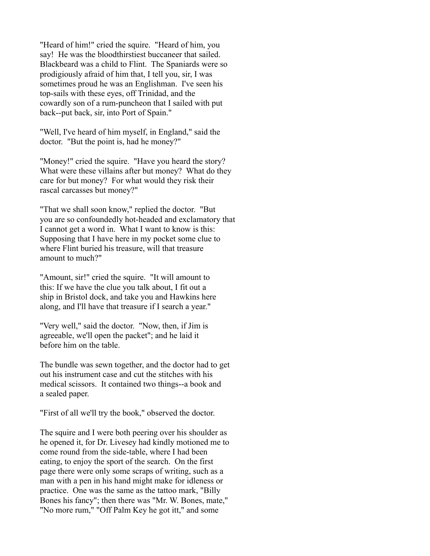"Heard of him!" cried the squire. "Heard of him, you say! He was the bloodthirstiest buccaneer that sailed. Blackbeard was a child to Flint. The Spaniards were so prodigiously afraid of him that, I tell you, sir, I was sometimes proud he was an Englishman. I've seen his top-sails with these eyes, off Trinidad, and the cowardly son of a rum-puncheon that I sailed with put back--put back, sir, into Port of Spain."

"Well, I've heard of him myself, in England," said the doctor. "But the point is, had he money?"

"Money!" cried the squire. "Have you heard the story? What were these villains after but money? What do they care for but money? For what would they risk their rascal carcasses but money?"

"That we shall soon know," replied the doctor. "But you are so confoundedly hot-headed and exclamatory that I cannot get a word in. What I want to know is this: Supposing that I have here in my pocket some clue to where Flint buried his treasure, will that treasure amount to much?"

"Amount, sir!" cried the squire. "It will amount to this: If we have the clue you talk about, I fit out a ship in Bristol dock, and take you and Hawkins here along, and I'll have that treasure if I search a year."

"Very well," said the doctor. "Now, then, if Jim is agreeable, we'll open the packet"; and he laid it before him on the table.

The bundle was sewn together, and the doctor had to get out his instrument case and cut the stitches with his medical scissors. It contained two things--a book and a sealed paper.

"First of all we'll try the book," observed the doctor.

The squire and I were both peering over his shoulder as he opened it, for Dr. Livesey had kindly motioned me to come round from the side-table, where I had been eating, to enjoy the sport of the search. On the first page there were only some scraps of writing, such as a man with a pen in his hand might make for idleness or practice. One was the same as the tattoo mark, "Billy Bones his fancy"; then there was "Mr. W. Bones, mate," "No more rum," "Off Palm Key he got itt," and some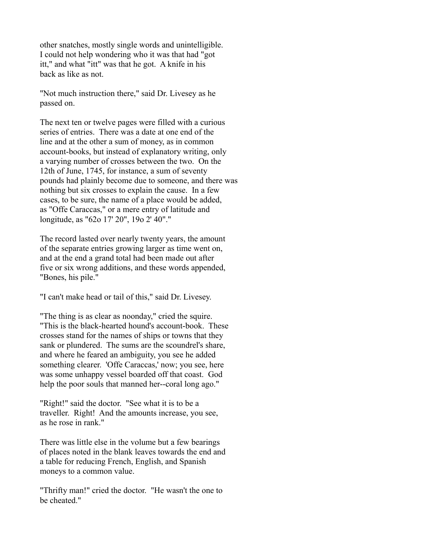other snatches, mostly single words and unintelligible. I could not help wondering who it was that had "got itt," and what "itt" was that he got. A knife in his back as like as not.

"Not much instruction there," said Dr. Livesey as he passed on.

The next ten or twelve pages were filled with a curious series of entries. There was a date at one end of the line and at the other a sum of money, as in common account-books, but instead of explanatory writing, only a varying number of crosses between the two. On the 12th of June, 1745, for instance, a sum of seventy pounds had plainly become due to someone, and there was nothing but six crosses to explain the cause. In a few cases, to be sure, the name of a place would be added, as "Offe Caraccas," or a mere entry of latitude and longitude, as "62o 17' 20", 19o 2' 40"."

The record lasted over nearly twenty years, the amount of the separate entries growing larger as time went on, and at the end a grand total had been made out after five or six wrong additions, and these words appended, "Bones, his pile."

"I can't make head or tail of this," said Dr. Livesey.

"The thing is as clear as noonday," cried the squire. "This is the black-hearted hound's account-book. These crosses stand for the names of ships or towns that they sank or plundered. The sums are the scoundrel's share, and where he feared an ambiguity, you see he added something clearer. 'Offe Caraccas,' now; you see, here was some unhappy vessel boarded off that coast. God help the poor souls that manned her--coral long ago."

"Right!" said the doctor. "See what it is to be a traveller. Right! And the amounts increase, you see, as he rose in rank."

There was little else in the volume but a few bearings of places noted in the blank leaves towards the end and a table for reducing French, English, and Spanish moneys to a common value.

"Thrifty man!" cried the doctor. "He wasn't the one to be cheated."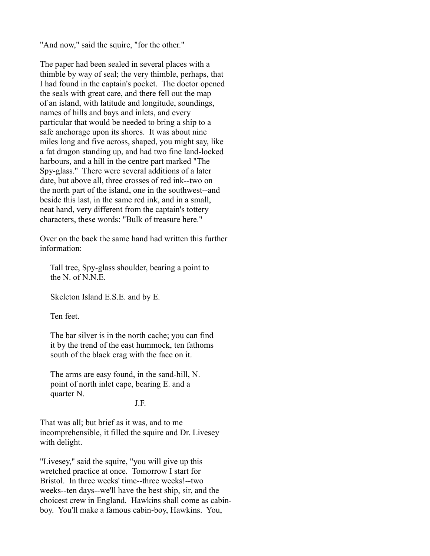"And now," said the squire, "for the other."

The paper had been sealed in several places with a thimble by way of seal; the very thimble, perhaps, that I had found in the captain's pocket. The doctor opened the seals with great care, and there fell out the map of an island, with latitude and longitude, soundings, names of hills and bays and inlets, and every particular that would be needed to bring a ship to a safe anchorage upon its shores. It was about nine miles long and five across, shaped, you might say, like a fat dragon standing up, and had two fine land-locked harbours, and a hill in the centre part marked "The Spy-glass." There were several additions of a later date, but above all, three crosses of red ink--two on the north part of the island, one in the southwest--and beside this last, in the same red ink, and in a small, neat hand, very different from the captain's tottery characters, these words: "Bulk of treasure here."

Over on the back the same hand had written this further information:

 Tall tree, Spy-glass shoulder, bearing a point to the N. of N.N.E.

Skeleton Island E.S.E. and by E.

Ten feet.

 The bar silver is in the north cache; you can find it by the trend of the east hummock, ten fathoms south of the black crag with the face on it.

 The arms are easy found, in the sand-hill, N. point of north inlet cape, bearing E. and a quarter N.

J.F.

That was all; but brief as it was, and to me incomprehensible, it filled the squire and Dr. Livesey with delight.

"Livesey," said the squire, "you will give up this wretched practice at once. Tomorrow I start for Bristol. In three weeks' time--three weeks!--two weeks--ten days--we'll have the best ship, sir, and the choicest crew in England. Hawkins shall come as cabinboy. You'll make a famous cabin-boy, Hawkins. You,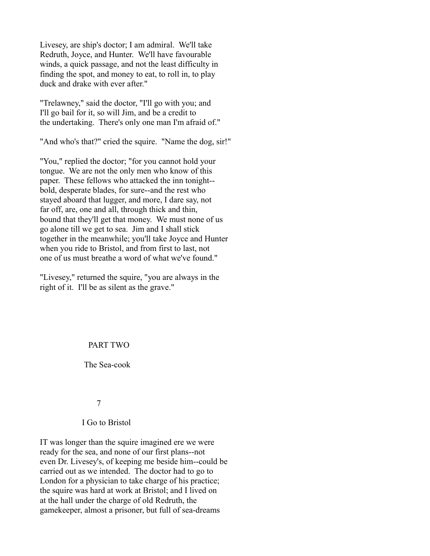Livesey, are ship's doctor; I am admiral. We'll take Redruth, Joyce, and Hunter. We'll have favourable winds, a quick passage, and not the least difficulty in finding the spot, and money to eat, to roll in, to play duck and drake with ever after."

"Trelawney," said the doctor, "I'll go with you; and I'll go bail for it, so will Jim, and be a credit to the undertaking. There's only one man I'm afraid of."

"And who's that?" cried the squire. "Name the dog, sir!"

"You," replied the doctor; "for you cannot hold your tongue. We are not the only men who know of this paper. These fellows who attacked the inn tonight- bold, desperate blades, for sure--and the rest who stayed aboard that lugger, and more, I dare say, not far off, are, one and all, through thick and thin, bound that they'll get that money. We must none of us go alone till we get to sea. Jim and I shall stick together in the meanwhile; you'll take Joyce and Hunter when you ride to Bristol, and from first to last, not one of us must breathe a word of what we've found."

"Livesey," returned the squire, "you are always in the right of it. I'll be as silent as the grave."

# PART TWO

The Sea-cook

7

# I Go to Bristol

IT was longer than the squire imagined ere we were ready for the sea, and none of our first plans--not even Dr. Livesey's, of keeping me beside him--could be carried out as we intended. The doctor had to go to London for a physician to take charge of his practice; the squire was hard at work at Bristol; and I lived on at the hall under the charge of old Redruth, the gamekeeper, almost a prisoner, but full of sea-dreams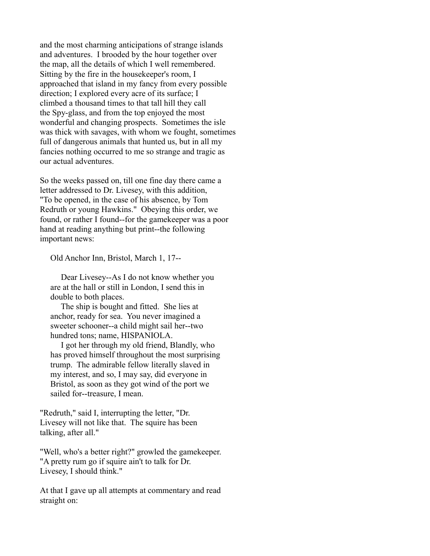and the most charming anticipations of strange islands and adventures. I brooded by the hour together over the map, all the details of which I well remembered. Sitting by the fire in the housekeeper's room, I approached that island in my fancy from every possible direction; I explored every acre of its surface; I climbed a thousand times to that tall hill they call the Spy-glass, and from the top enjoyed the most wonderful and changing prospects. Sometimes the isle was thick with savages, with whom we fought, sometimes full of dangerous animals that hunted us, but in all my fancies nothing occurred to me so strange and tragic as our actual adventures.

So the weeks passed on, till one fine day there came a letter addressed to Dr. Livesey, with this addition, "To be opened, in the case of his absence, by Tom Redruth or young Hawkins." Obeying this order, we found, or rather I found--for the gamekeeper was a poor hand at reading anything but print--the following important news:

Old Anchor Inn, Bristol, March 1, 17--

 Dear Livesey--As I do not know whether you are at the hall or still in London, I send this in double to both places.

 The ship is bought and fitted. She lies at anchor, ready for sea. You never imagined a sweeter schooner--a child might sail her--two hundred tons; name, HISPANIOLA.

 I got her through my old friend, Blandly, who has proved himself throughout the most surprising trump. The admirable fellow literally slaved in my interest, and so, I may say, did everyone in Bristol, as soon as they got wind of the port we sailed for--treasure, I mean.

"Redruth," said I, interrupting the letter, "Dr. Livesey will not like that. The squire has been talking, after all."

"Well, who's a better right?" growled the gamekeeper. "A pretty rum go if squire ain't to talk for Dr. Livesey, I should think."

At that I gave up all attempts at commentary and read straight on: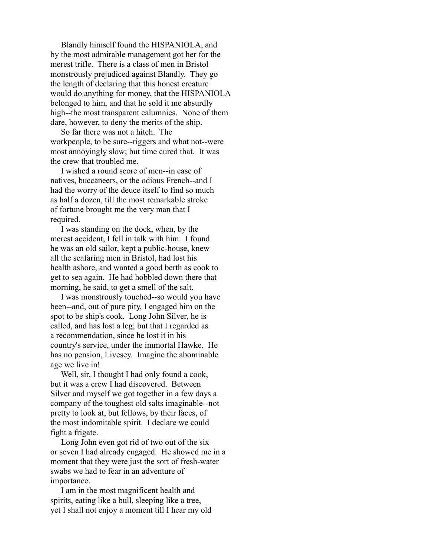Blandly himself found the HISPANIOLA, and by the most admirable management got her for the merest trifle. There is a class of men in Bristol monstrously prejudiced against Blandly. They go the length of declaring that this honest creature would do anything for money, that the HISPANIOLA belonged to him, and that he sold it me absurdly high--the most transparent calumnies. None of them dare, however, to deny the merits of the ship.

 So far there was not a hitch. The workpeople, to be sure--riggers and what not--were most annoyingly slow; but time cured that. It was the crew that troubled me.

 I wished a round score of men--in case of natives, buccaneers, or the odious French--and I had the worry of the deuce itself to find so much as half a dozen, till the most remarkable stroke of fortune brought me the very man that I required.

 I was standing on the dock, when, by the merest accident, I fell in talk with him. I found he was an old sailor, kept a public-house, knew all the seafaring men in Bristol, had lost his health ashore, and wanted a good berth as cook to get to sea again. He had hobbled down there that morning, he said, to get a smell of the salt.

 I was monstrously touched--so would you have been--and, out of pure pity, I engaged him on the spot to be ship's cook. Long John Silver, he is called, and has lost a leg; but that I regarded as a recommendation, since he lost it in his country's service, under the immortal Hawke. He has no pension, Livesey. Imagine the abominable age we live in!

 Well, sir, I thought I had only found a cook, but it was a crew I had discovered. Between Silver and myself we got together in a few days a company of the toughest old salts imaginable--not pretty to look at, but fellows, by their faces, of the most indomitable spirit. I declare we could fight a frigate.

 Long John even got rid of two out of the six or seven I had already engaged. He showed me in a moment that they were just the sort of fresh-water swabs we had to fear in an adventure of importance.

 I am in the most magnificent health and spirits, eating like a bull, sleeping like a tree, yet I shall not enjoy a moment till I hear my old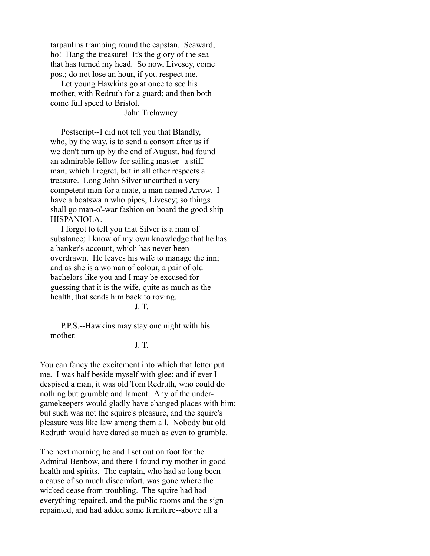tarpaulins tramping round the capstan. Seaward, ho! Hang the treasure! It's the glory of the sea that has turned my head. So now, Livesey, come post; do not lose an hour, if you respect me.

 Let young Hawkins go at once to see his mother, with Redruth for a guard; and then both come full speed to Bristol.

John Trelawney

 Postscript--I did not tell you that Blandly, who, by the way, is to send a consort after us if we don't turn up by the end of August, had found an admirable fellow for sailing master--a stiff man, which I regret, but in all other respects a treasure. Long John Silver unearthed a very competent man for a mate, a man named Arrow. I have a boatswain who pipes, Livesey; so things shall go man-o'-war fashion on board the good ship HISPANIOLA.

 I forgot to tell you that Silver is a man of substance; I know of my own knowledge that he has a banker's account, which has never been overdrawn. He leaves his wife to manage the inn; and as she is a woman of colour, a pair of old bachelors like you and I may be excused for guessing that it is the wife, quite as much as the health, that sends him back to roving.

 $J. T.$ 

 P.P.S.--Hawkins may stay one night with his mother.

J. T.

You can fancy the excitement into which that letter put me. I was half beside myself with glee; and if ever I despised a man, it was old Tom Redruth, who could do nothing but grumble and lament. Any of the undergamekeepers would gladly have changed places with him; but such was not the squire's pleasure, and the squire's pleasure was like law among them all. Nobody but old Redruth would have dared so much as even to grumble.

The next morning he and I set out on foot for the Admiral Benbow, and there I found my mother in good health and spirits. The captain, who had so long been a cause of so much discomfort, was gone where the wicked cease from troubling. The squire had had everything repaired, and the public rooms and the sign repainted, and had added some furniture--above all a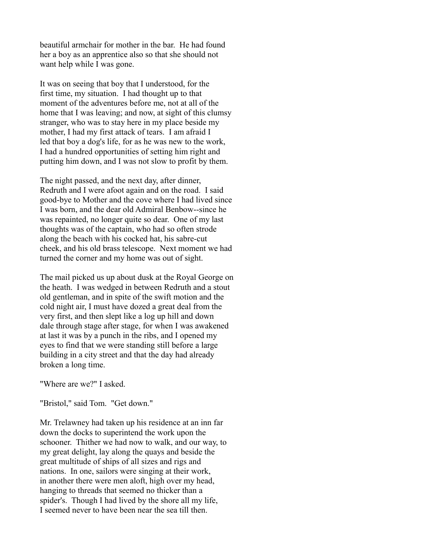beautiful armchair for mother in the bar. He had found her a boy as an apprentice also so that she should not want help while I was gone.

It was on seeing that boy that I understood, for the first time, my situation. I had thought up to that moment of the adventures before me, not at all of the home that I was leaving; and now, at sight of this clumsy stranger, who was to stay here in my place beside my mother, I had my first attack of tears. I am afraid I led that boy a dog's life, for as he was new to the work, I had a hundred opportunities of setting him right and putting him down, and I was not slow to profit by them.

The night passed, and the next day, after dinner, Redruth and I were afoot again and on the road. I said good-bye to Mother and the cove where I had lived since I was born, and the dear old Admiral Benbow--since he was repainted, no longer quite so dear. One of my last thoughts was of the captain, who had so often strode along the beach with his cocked hat, his sabre-cut cheek, and his old brass telescope. Next moment we had turned the corner and my home was out of sight.

The mail picked us up about dusk at the Royal George on the heath. I was wedged in between Redruth and a stout old gentleman, and in spite of the swift motion and the cold night air, I must have dozed a great deal from the very first, and then slept like a log up hill and down dale through stage after stage, for when I was awakened at last it was by a punch in the ribs, and I opened my eyes to find that we were standing still before a large building in a city street and that the day had already broken a long time.

"Where are we?" I asked.

"Bristol," said Tom. "Get down."

Mr. Trelawney had taken up his residence at an inn far down the docks to superintend the work upon the schooner. Thither we had now to walk, and our way, to my great delight, lay along the quays and beside the great multitude of ships of all sizes and rigs and nations. In one, sailors were singing at their work, in another there were men aloft, high over my head, hanging to threads that seemed no thicker than a spider's. Though I had lived by the shore all my life, I seemed never to have been near the sea till then.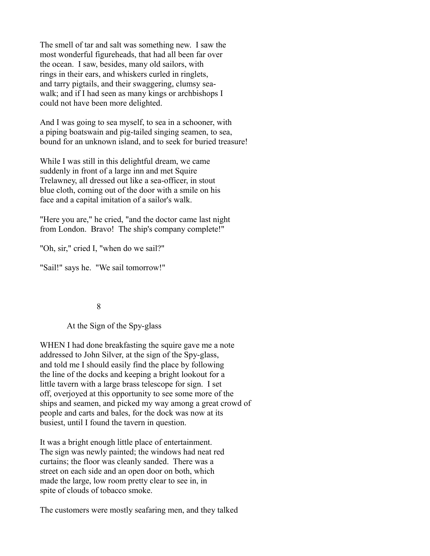The smell of tar and salt was something new. I saw the most wonderful figureheads, that had all been far over the ocean. I saw, besides, many old sailors, with rings in their ears, and whiskers curled in ringlets, and tarry pigtails, and their swaggering, clumsy seawalk; and if I had seen as many kings or archbishops I could not have been more delighted.

And I was going to sea myself, to sea in a schooner, with a piping boatswain and pig-tailed singing seamen, to sea, bound for an unknown island, and to seek for buried treasure!

While I was still in this delightful dream, we came suddenly in front of a large inn and met Squire Trelawney, all dressed out like a sea-officer, in stout blue cloth, coming out of the door with a smile on his face and a capital imitation of a sailor's walk.

"Here you are," he cried, "and the doctor came last night from London. Bravo! The ship's company complete!"

"Oh, sir," cried I, "when do we sail?"

"Sail!" says he. "We sail tomorrow!"

8

At the Sign of the Spy-glass

WHEN I had done breakfasting the squire gave me a note addressed to John Silver, at the sign of the Spy-glass, and told me I should easily find the place by following the line of the docks and keeping a bright lookout for a little tavern with a large brass telescope for sign. I set off, overjoyed at this opportunity to see some more of the ships and seamen, and picked my way among a great crowd of people and carts and bales, for the dock was now at its busiest, until I found the tavern in question.

It was a bright enough little place of entertainment. The sign was newly painted; the windows had neat red curtains; the floor was cleanly sanded. There was a street on each side and an open door on both, which made the large, low room pretty clear to see in, in spite of clouds of tobacco smoke.

The customers were mostly seafaring men, and they talked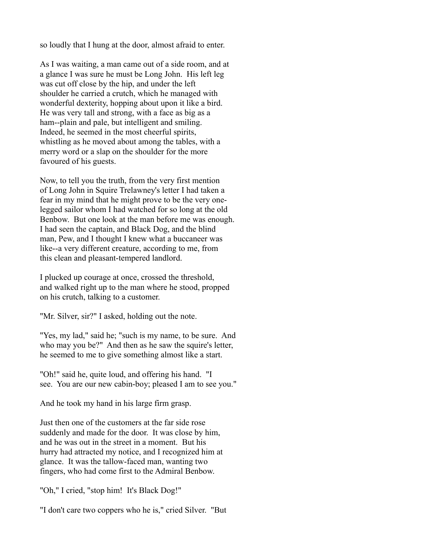so loudly that I hung at the door, almost afraid to enter.

As I was waiting, a man came out of a side room, and at a glance I was sure he must be Long John. His left leg was cut off close by the hip, and under the left shoulder he carried a crutch, which he managed with wonderful dexterity, hopping about upon it like a bird. He was very tall and strong, with a face as big as a ham--plain and pale, but intelligent and smiling. Indeed, he seemed in the most cheerful spirits, whistling as he moved about among the tables, with a merry word or a slap on the shoulder for the more favoured of his guests.

Now, to tell you the truth, from the very first mention of Long John in Squire Trelawney's letter I had taken a fear in my mind that he might prove to be the very onelegged sailor whom I had watched for so long at the old Benbow. But one look at the man before me was enough. I had seen the captain, and Black Dog, and the blind man, Pew, and I thought I knew what a buccaneer was like--a very different creature, according to me, from this clean and pleasant-tempered landlord.

I plucked up courage at once, crossed the threshold, and walked right up to the man where he stood, propped on his crutch, talking to a customer.

"Mr. Silver, sir?" I asked, holding out the note.

"Yes, my lad," said he; "such is my name, to be sure. And who may you be?" And then as he saw the squire's letter, he seemed to me to give something almost like a start.

"Oh!" said he, quite loud, and offering his hand. "I see. You are our new cabin-boy; pleased I am to see you."

And he took my hand in his large firm grasp.

Just then one of the customers at the far side rose suddenly and made for the door. It was close by him, and he was out in the street in a moment. But his hurry had attracted my notice, and I recognized him at glance. It was the tallow-faced man, wanting two fingers, who had come first to the Admiral Benbow.

"Oh," I cried, "stop him! It's Black Dog!"

"I don't care two coppers who he is," cried Silver. "But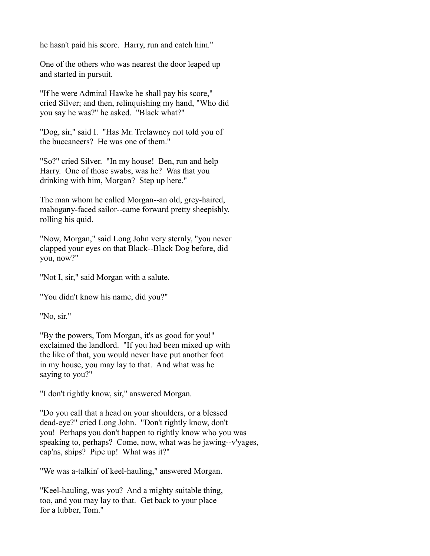he hasn't paid his score. Harry, run and catch him."

One of the others who was nearest the door leaped up and started in pursuit.

"If he were Admiral Hawke he shall pay his score," cried Silver; and then, relinquishing my hand, "Who did you say he was?" he asked. "Black what?"

"Dog, sir," said I. "Has Mr. Trelawney not told you of the buccaneers? He was one of them."

"So?" cried Silver. "In my house! Ben, run and help Harry. One of those swabs, was he? Was that you drinking with him, Morgan? Step up here."

The man whom he called Morgan--an old, grey-haired, mahogany-faced sailor--came forward pretty sheepishly, rolling his quid.

"Now, Morgan," said Long John very sternly, "you never clapped your eyes on that Black--Black Dog before, did you, now?"

"Not I, sir," said Morgan with a salute.

"You didn't know his name, did you?"

"No, sir."

"By the powers, Tom Morgan, it's as good for you!" exclaimed the landlord. "If you had been mixed up with the like of that, you would never have put another foot in my house, you may lay to that. And what was he saying to you?"

"I don't rightly know, sir," answered Morgan.

"Do you call that a head on your shoulders, or a blessed dead-eye?" cried Long John. "Don't rightly know, don't you! Perhaps you don't happen to rightly know who you was speaking to, perhaps? Come, now, what was he jawing--v'yages, cap'ns, ships? Pipe up! What was it?"

"We was a-talkin' of keel-hauling," answered Morgan.

"Keel-hauling, was you? And a mighty suitable thing, too, and you may lay to that. Get back to your place for a lubber, Tom."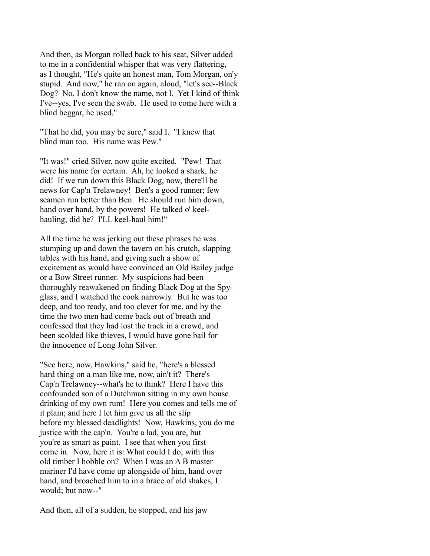And then, as Morgan rolled back to his seat, Silver added to me in a confidential whisper that was very flattering, as I thought, "He's quite an honest man, Tom Morgan, on'y stupid. And now," he ran on again, aloud, "let's see--Black Dog? No, I don't know the name, not I. Yet I kind of think I've--yes, I've seen the swab. He used to come here with a blind beggar, he used."

"That he did, you may be sure," said I. "I knew that blind man too. His name was Pew."

"It was!" cried Silver, now quite excited. "Pew! That were his name for certain. Ah, he looked a shark, he did! If we run down this Black Dog, now, there'll be news for Cap'n Trelawney! Ben's a good runner; few seamen run better than Ben. He should run him down, hand over hand, by the powers! He talked o' keelhauling, did he? I'LL keel-haul him!"

All the time he was jerking out these phrases he was stumping up and down the tavern on his crutch, slapping tables with his hand, and giving such a show of excitement as would have convinced an Old Bailey judge or a Bow Street runner. My suspicions had been thoroughly reawakened on finding Black Dog at the Spyglass, and I watched the cook narrowly. But he was too deep, and too ready, and too clever for me, and by the time the two men had come back out of breath and confessed that they had lost the track in a crowd, and been scolded like thieves, I would have gone bail for the innocence of Long John Silver.

"See here, now, Hawkins," said he, "here's a blessed hard thing on a man like me, now, ain't it? There's Cap'n Trelawney--what's he to think? Here I have this confounded son of a Dutchman sitting in my own house drinking of my own rum! Here you comes and tells me of it plain; and here I let him give us all the slip before my blessed deadlights! Now, Hawkins, you do me justice with the cap'n. You're a lad, you are, but you're as smart as paint. I see that when you first come in. Now, here it is: What could I do, with this old timber I hobble on? When I was an A B master mariner I'd have come up alongside of him, hand over hand, and broached him to in a brace of old shakes, I would; but now--"

And then, all of a sudden, he stopped, and his jaw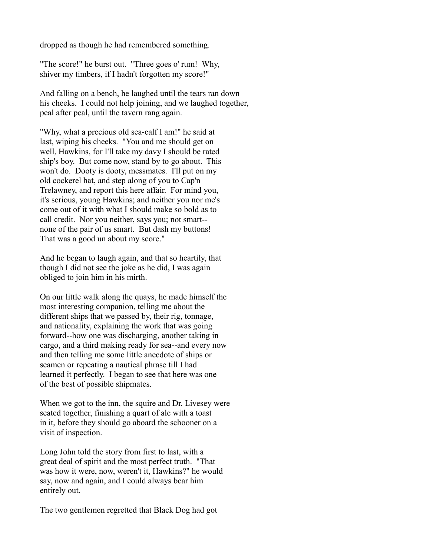dropped as though he had remembered something.

"The score!" he burst out. "Three goes o' rum! Why, shiver my timbers, if I hadn't forgotten my score!"

And falling on a bench, he laughed until the tears ran down his cheeks. I could not help joining, and we laughed together, peal after peal, until the tavern rang again.

"Why, what a precious old sea-calf I am!" he said at last, wiping his cheeks. "You and me should get on well, Hawkins, for I'll take my davy I should be rated ship's boy. But come now, stand by to go about. This won't do. Dooty is dooty, messmates. I'll put on my old cockerel hat, and step along of you to Cap'n Trelawney, and report this here affair. For mind you, it's serious, young Hawkins; and neither you nor me's come out of it with what I should make so bold as to call credit. Nor you neither, says you; not smart- none of the pair of us smart. But dash my buttons! That was a good un about my score."

And he began to laugh again, and that so heartily, that though I did not see the joke as he did, I was again obliged to join him in his mirth.

On our little walk along the quays, he made himself the most interesting companion, telling me about the different ships that we passed by, their rig, tonnage, and nationality, explaining the work that was going forward--how one was discharging, another taking in cargo, and a third making ready for sea--and every now and then telling me some little anecdote of ships or seamen or repeating a nautical phrase till I had learned it perfectly. I began to see that here was one of the best of possible shipmates.

When we got to the inn, the squire and Dr. Livesey were seated together, finishing a quart of ale with a toast in it, before they should go aboard the schooner on a visit of inspection.

Long John told the story from first to last, with a great deal of spirit and the most perfect truth. "That was how it were, now, weren't it, Hawkins?" he would say, now and again, and I could always bear him entirely out.

The two gentlemen regretted that Black Dog had got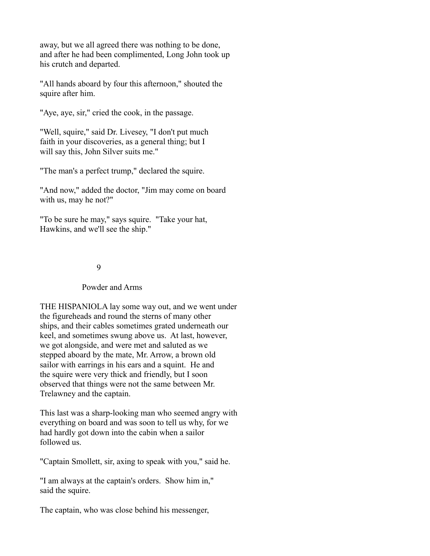away, but we all agreed there was nothing to be done, and after he had been complimented, Long John took up his crutch and departed.

"All hands aboard by four this afternoon," shouted the squire after him.

"Aye, aye, sir," cried the cook, in the passage.

"Well, squire," said Dr. Livesey, "I don't put much faith in your discoveries, as a general thing; but I will say this, John Silver suits me."

"The man's a perfect trump," declared the squire.

"And now," added the doctor, "Jim may come on board with us, may he not?"

"To be sure he may," says squire. "Take your hat, Hawkins, and we'll see the ship."

# 9

### Powder and Arms

THE HISPANIOLA lay some way out, and we went under the figureheads and round the sterns of many other ships, and their cables sometimes grated underneath our keel, and sometimes swung above us. At last, however, we got alongside, and were met and saluted as we stepped aboard by the mate, Mr. Arrow, a brown old sailor with earrings in his ears and a squint. He and the squire were very thick and friendly, but I soon observed that things were not the same between Mr. Trelawney and the captain.

This last was a sharp-looking man who seemed angry with everything on board and was soon to tell us why, for we had hardly got down into the cabin when a sailor followed us.

"Captain Smollett, sir, axing to speak with you," said he.

"I am always at the captain's orders. Show him in," said the squire.

The captain, who was close behind his messenger,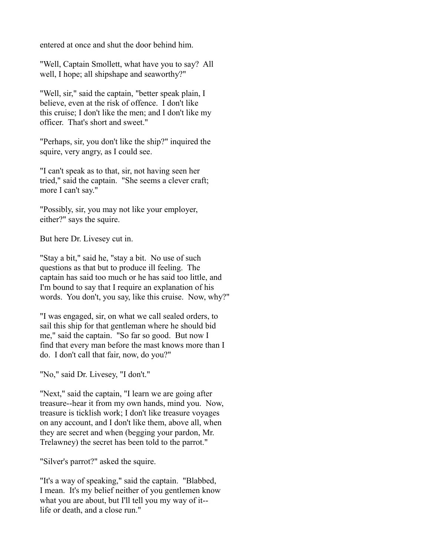entered at once and shut the door behind him.

"Well, Captain Smollett, what have you to say? All well, I hope; all shipshape and seaworthy?"

"Well, sir," said the captain, "better speak plain, I believe, even at the risk of offence. I don't like this cruise; I don't like the men; and I don't like my officer. That's short and sweet."

"Perhaps, sir, you don't like the ship?" inquired the squire, very angry, as I could see.

"I can't speak as to that, sir, not having seen her tried," said the captain. "She seems a clever craft; more I can't say."

"Possibly, sir, you may not like your employer, either?" says the squire.

But here Dr. Livesey cut in.

"Stay a bit," said he, "stay a bit. No use of such questions as that but to produce ill feeling. The captain has said too much or he has said too little, and I'm bound to say that I require an explanation of his words. You don't, you say, like this cruise. Now, why?"

"I was engaged, sir, on what we call sealed orders, to sail this ship for that gentleman where he should bid me," said the captain. "So far so good. But now I find that every man before the mast knows more than I do. I don't call that fair, now, do you?"

"No," said Dr. Livesey, "I don't."

"Next," said the captain, "I learn we are going after treasure--hear it from my own hands, mind you. Now, treasure is ticklish work; I don't like treasure voyages on any account, and I don't like them, above all, when they are secret and when (begging your pardon, Mr. Trelawney) the secret has been told to the parrot."

"Silver's parrot?" asked the squire.

"It's a way of speaking," said the captain. "Blabbed, I mean. It's my belief neither of you gentlemen know what you are about, but I'll tell you my way of it- life or death, and a close run."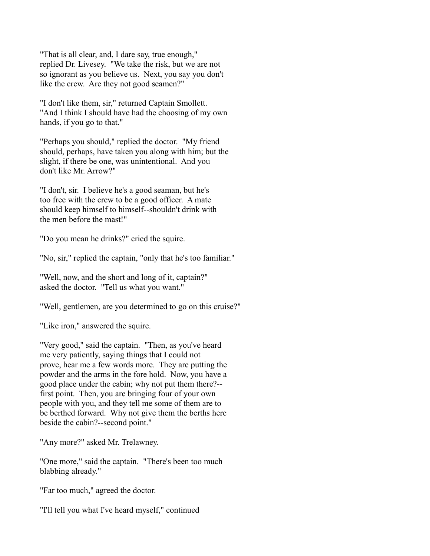"That is all clear, and, I dare say, true enough," replied Dr. Livesey. "We take the risk, but we are not so ignorant as you believe us. Next, you say you don't like the crew. Are they not good seamen?"

"I don't like them, sir," returned Captain Smollett. "And I think I should have had the choosing of my own hands, if you go to that."

"Perhaps you should," replied the doctor. "My friend should, perhaps, have taken you along with him; but the slight, if there be one, was unintentional. And you don't like Mr. Arrow?"

"I don't, sir. I believe he's a good seaman, but he's too free with the crew to be a good officer. A mate should keep himself to himself--shouldn't drink with the men before the mast!"

"Do you mean he drinks?" cried the squire.

"No, sir," replied the captain, "only that he's too familiar."

"Well, now, and the short and long of it, captain?" asked the doctor. "Tell us what you want."

"Well, gentlemen, are you determined to go on this cruise?"

"Like iron," answered the squire.

"Very good," said the captain. "Then, as you've heard me very patiently, saying things that I could not prove, hear me a few words more. They are putting the powder and the arms in the fore hold. Now, you have a good place under the cabin; why not put them there?- first point. Then, you are bringing four of your own people with you, and they tell me some of them are to be berthed forward. Why not give them the berths here beside the cabin?--second point."

"Any more?" asked Mr. Trelawney.

"One more," said the captain. "There's been too much blabbing already."

"Far too much," agreed the doctor.

"I'll tell you what I've heard myself," continued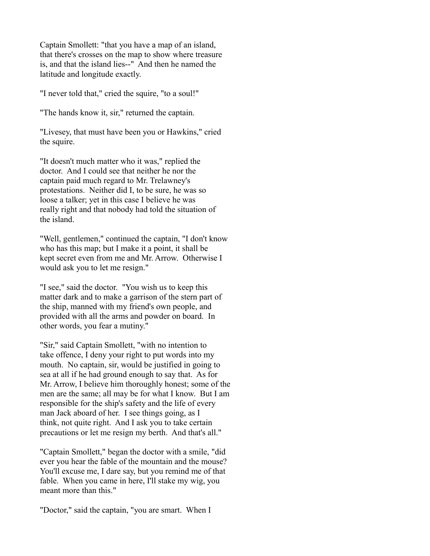Captain Smollett: "that you have a map of an island, that there's crosses on the map to show where treasure is, and that the island lies--" And then he named the latitude and longitude exactly.

"I never told that," cried the squire, "to a soul!"

"The hands know it, sir," returned the captain.

"Livesey, that must have been you or Hawkins," cried the squire.

"It doesn't much matter who it was," replied the doctor. And I could see that neither he nor the captain paid much regard to Mr. Trelawney's protestations. Neither did I, to be sure, he was so loose a talker; yet in this case I believe he was really right and that nobody had told the situation of the island.

"Well, gentlemen," continued the captain, "I don't know who has this map; but I make it a point, it shall be kept secret even from me and Mr. Arrow. Otherwise I would ask you to let me resign."

"I see," said the doctor. "You wish us to keep this matter dark and to make a garrison of the stern part of the ship, manned with my friend's own people, and provided with all the arms and powder on board. In other words, you fear a mutiny."

"Sir," said Captain Smollett, "with no intention to take offence, I deny your right to put words into my mouth. No captain, sir, would be justified in going to sea at all if he had ground enough to say that. As for Mr. Arrow, I believe him thoroughly honest; some of the men are the same; all may be for what I know. But I am responsible for the ship's safety and the life of every man Jack aboard of her. I see things going, as I think, not quite right. And I ask you to take certain precautions or let me resign my berth. And that's all."

"Captain Smollett," began the doctor with a smile, "did ever you hear the fable of the mountain and the mouse? You'll excuse me, I dare say, but you remind me of that fable. When you came in here, I'll stake my wig, you meant more than this."

"Doctor," said the captain, "you are smart. When I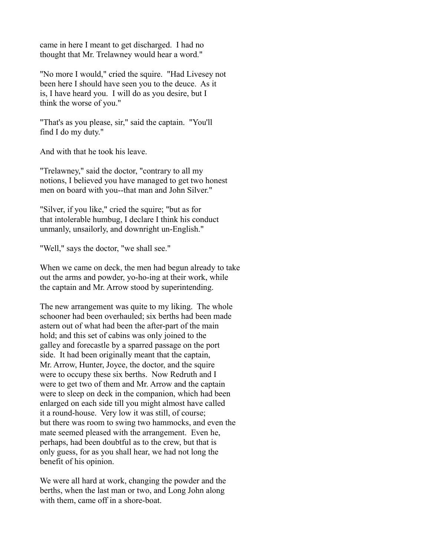came in here I meant to get discharged. I had no thought that Mr. Trelawney would hear a word."

"No more I would," cried the squire. "Had Livesey not been here I should have seen you to the deuce. As it is, I have heard you. I will do as you desire, but I think the worse of you."

"That's as you please, sir," said the captain. "You'll find I do my duty."

And with that he took his leave.

"Trelawney," said the doctor, "contrary to all my notions, I believed you have managed to get two honest men on board with you--that man and John Silver."

"Silver, if you like," cried the squire; "but as for that intolerable humbug, I declare I think his conduct unmanly, unsailorly, and downright un-English."

"Well," says the doctor, "we shall see."

When we came on deck, the men had begun already to take out the arms and powder, yo-ho-ing at their work, while the captain and Mr. Arrow stood by superintending.

The new arrangement was quite to my liking. The whole schooner had been overhauled; six berths had been made astern out of what had been the after-part of the main hold; and this set of cabins was only joined to the galley and forecastle by a sparred passage on the port side. It had been originally meant that the captain, Mr. Arrow, Hunter, Joyce, the doctor, and the squire were to occupy these six berths. Now Redruth and I were to get two of them and Mr. Arrow and the captain were to sleep on deck in the companion, which had been enlarged on each side till you might almost have called it a round-house. Very low it was still, of course; but there was room to swing two hammocks, and even the mate seemed pleased with the arrangement. Even he, perhaps, had been doubtful as to the crew, but that is only guess, for as you shall hear, we had not long the benefit of his opinion.

We were all hard at work, changing the powder and the berths, when the last man or two, and Long John along with them, came off in a shore-boat.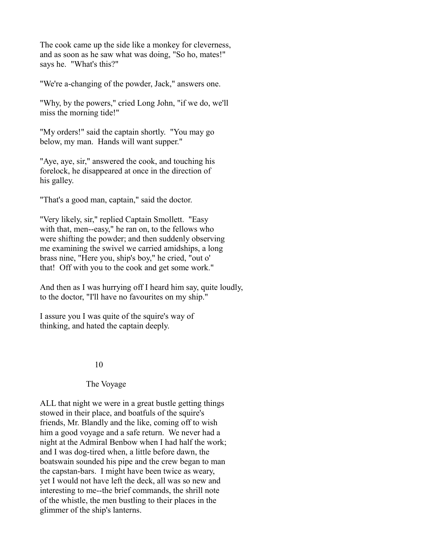The cook came up the side like a monkey for cleverness, and as soon as he saw what was doing, "So ho, mates!" says he. "What's this?"

"We're a-changing of the powder, Jack," answers one.

"Why, by the powers," cried Long John, "if we do, we'll miss the morning tide!"

"My orders!" said the captain shortly. "You may go below, my man. Hands will want supper."

"Aye, aye, sir," answered the cook, and touching his forelock, he disappeared at once in the direction of his galley.

"That's a good man, captain," said the doctor.

"Very likely, sir," replied Captain Smollett. "Easy with that, men--easy," he ran on, to the fellows who were shifting the powder; and then suddenly observing me examining the swivel we carried amidships, a long brass nine, "Here you, ship's boy," he cried, "out o' that! Off with you to the cook and get some work."

And then as I was hurrying off I heard him say, quite loudly, to the doctor, "I'll have no favourites on my ship."

I assure you I was quite of the squire's way of thinking, and hated the captain deeply.

#### 10

#### The Voyage

ALL that night we were in a great bustle getting things stowed in their place, and boatfuls of the squire's friends, Mr. Blandly and the like, coming off to wish him a good voyage and a safe return. We never had a night at the Admiral Benbow when I had half the work; and I was dog-tired when, a little before dawn, the boatswain sounded his pipe and the crew began to man the capstan-bars. I might have been twice as weary, yet I would not have left the deck, all was so new and interesting to me--the brief commands, the shrill note of the whistle, the men bustling to their places in the glimmer of the ship's lanterns.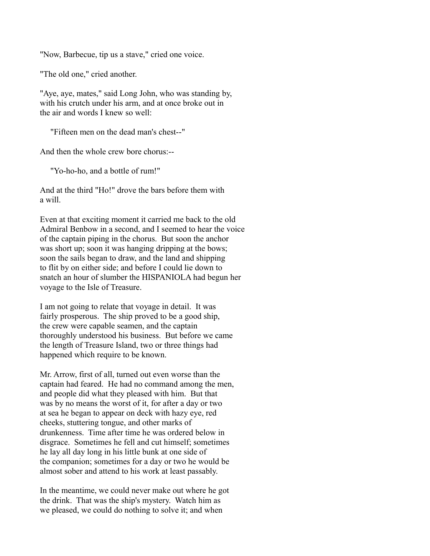"Now, Barbecue, tip us a stave," cried one voice.

"The old one," cried another.

"Aye, aye, mates," said Long John, who was standing by, with his crutch under his arm, and at once broke out in the air and words I knew so well:

"Fifteen men on the dead man's chest--"

And then the whole crew bore chorus:--

"Yo-ho-ho, and a bottle of rum!"

And at the third "Ho!" drove the bars before them with a will.

Even at that exciting moment it carried me back to the old Admiral Benbow in a second, and I seemed to hear the voice of the captain piping in the chorus. But soon the anchor was short up; soon it was hanging dripping at the bows; soon the sails began to draw, and the land and shipping to flit by on either side; and before I could lie down to snatch an hour of slumber the HISPANIOLA had begun her voyage to the Isle of Treasure.

I am not going to relate that voyage in detail. It was fairly prosperous. The ship proved to be a good ship, the crew were capable seamen, and the captain thoroughly understood his business. But before we came the length of Treasure Island, two or three things had happened which require to be known.

Mr. Arrow, first of all, turned out even worse than the captain had feared. He had no command among the men, and people did what they pleased with him. But that was by no means the worst of it, for after a day or two at sea he began to appear on deck with hazy eye, red cheeks, stuttering tongue, and other marks of drunkenness. Time after time he was ordered below in disgrace. Sometimes he fell and cut himself; sometimes he lay all day long in his little bunk at one side of the companion; sometimes for a day or two he would be almost sober and attend to his work at least passably.

In the meantime, we could never make out where he got the drink. That was the ship's mystery. Watch him as we pleased, we could do nothing to solve it; and when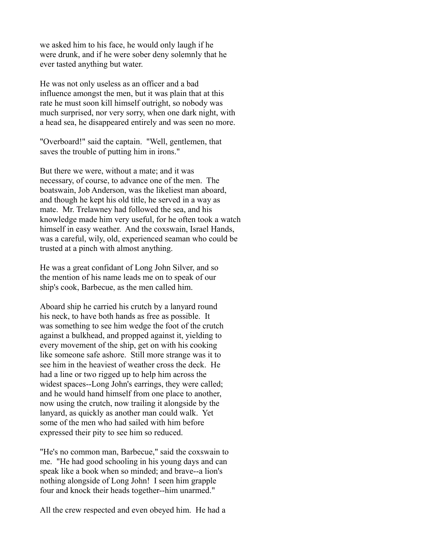we asked him to his face, he would only laugh if he were drunk, and if he were sober deny solemnly that he ever tasted anything but water.

He was not only useless as an officer and a bad influence amongst the men, but it was plain that at this rate he must soon kill himself outright, so nobody was much surprised, nor very sorry, when one dark night, with a head sea, he disappeared entirely and was seen no more.

"Overboard!" said the captain. "Well, gentlemen, that saves the trouble of putting him in irons."

But there we were, without a mate; and it was necessary, of course, to advance one of the men. The boatswain, Job Anderson, was the likeliest man aboard, and though he kept his old title, he served in a way as mate. Mr. Trelawney had followed the sea, and his knowledge made him very useful, for he often took a watch himself in easy weather. And the coxswain, Israel Hands, was a careful, wily, old, experienced seaman who could be trusted at a pinch with almost anything.

He was a great confidant of Long John Silver, and so the mention of his name leads me on to speak of our ship's cook, Barbecue, as the men called him.

Aboard ship he carried his crutch by a lanyard round his neck, to have both hands as free as possible. It was something to see him wedge the foot of the crutch against a bulkhead, and propped against it, yielding to every movement of the ship, get on with his cooking like someone safe ashore. Still more strange was it to see him in the heaviest of weather cross the deck. He had a line or two rigged up to help him across the widest spaces--Long John's earrings, they were called; and he would hand himself from one place to another, now using the crutch, now trailing it alongside by the lanyard, as quickly as another man could walk. Yet some of the men who had sailed with him before expressed their pity to see him so reduced.

"He's no common man, Barbecue," said the coxswain to me. "He had good schooling in his young days and can speak like a book when so minded; and brave--a lion's nothing alongside of Long John! I seen him grapple four and knock their heads together--him unarmed."

All the crew respected and even obeyed him. He had a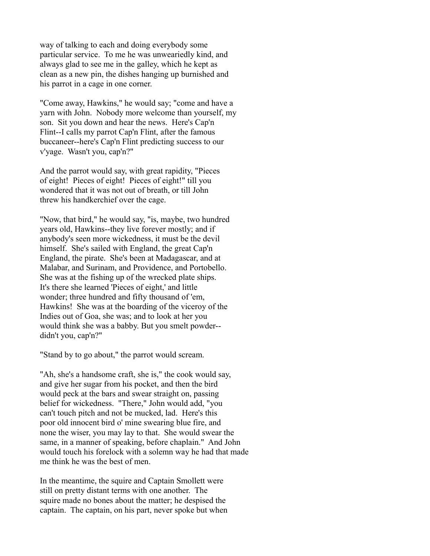way of talking to each and doing everybody some particular service. To me he was unweariedly kind, and always glad to see me in the galley, which he kept as clean as a new pin, the dishes hanging up burnished and his parrot in a cage in one corner.

"Come away, Hawkins," he would say; "come and have a yarn with John. Nobody more welcome than yourself, my son. Sit you down and hear the news. Here's Cap'n Flint--I calls my parrot Cap'n Flint, after the famous buccaneer--here's Cap'n Flint predicting success to our v'yage. Wasn't you, cap'n?"

And the parrot would say, with great rapidity, "Pieces of eight! Pieces of eight! Pieces of eight!" till you wondered that it was not out of breath, or till John threw his handkerchief over the cage.

"Now, that bird," he would say, "is, maybe, two hundred years old, Hawkins--they live forever mostly; and if anybody's seen more wickedness, it must be the devil himself. She's sailed with England, the great Cap'n England, the pirate. She's been at Madagascar, and at Malabar, and Surinam, and Providence, and Portobello. She was at the fishing up of the wrecked plate ships. It's there she learned 'Pieces of eight,' and little wonder; three hundred and fifty thousand of 'em, Hawkins! She was at the boarding of the viceroy of the Indies out of Goa, she was; and to look at her you would think she was a babby. But you smelt powder- didn't you, cap'n?"

"Stand by to go about," the parrot would scream.

"Ah, she's a handsome craft, she is," the cook would say, and give her sugar from his pocket, and then the bird would peck at the bars and swear straight on, passing belief for wickedness. "There," John would add, "you can't touch pitch and not be mucked, lad. Here's this poor old innocent bird o' mine swearing blue fire, and none the wiser, you may lay to that. She would swear the same, in a manner of speaking, before chaplain." And John would touch his forelock with a solemn way he had that made me think he was the best of men.

In the meantime, the squire and Captain Smollett were still on pretty distant terms with one another. The squire made no bones about the matter; he despised the captain. The captain, on his part, never spoke but when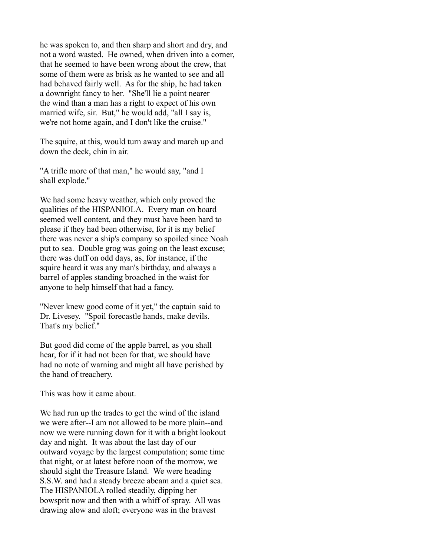he was spoken to, and then sharp and short and dry, and not a word wasted. He owned, when driven into a corner, that he seemed to have been wrong about the crew, that some of them were as brisk as he wanted to see and all had behaved fairly well. As for the ship, he had taken a downright fancy to her. "She'll lie a point nearer the wind than a man has a right to expect of his own married wife, sir. But," he would add, "all I say is, we're not home again, and I don't like the cruise."

The squire, at this, would turn away and march up and down the deck, chin in air.

"A trifle more of that man," he would say, "and I shall explode."

We had some heavy weather, which only proved the qualities of the HISPANIOLA. Every man on board seemed well content, and they must have been hard to please if they had been otherwise, for it is my belief there was never a ship's company so spoiled since Noah put to sea. Double grog was going on the least excuse; there was duff on odd days, as, for instance, if the squire heard it was any man's birthday, and always a barrel of apples standing broached in the waist for anyone to help himself that had a fancy.

"Never knew good come of it yet," the captain said to Dr. Livesey. "Spoil forecastle hands, make devils. That's my belief."

But good did come of the apple barrel, as you shall hear, for if it had not been for that, we should have had no note of warning and might all have perished by the hand of treachery.

This was how it came about.

We had run up the trades to get the wind of the island we were after--I am not allowed to be more plain--and now we were running down for it with a bright lookout day and night. It was about the last day of our outward voyage by the largest computation; some time that night, or at latest before noon of the morrow, we should sight the Treasure Island. We were heading S.S.W. and had a steady breeze abeam and a quiet sea. The HISPANIOLA rolled steadily, dipping her bowsprit now and then with a whiff of spray. All was drawing alow and aloft; everyone was in the bravest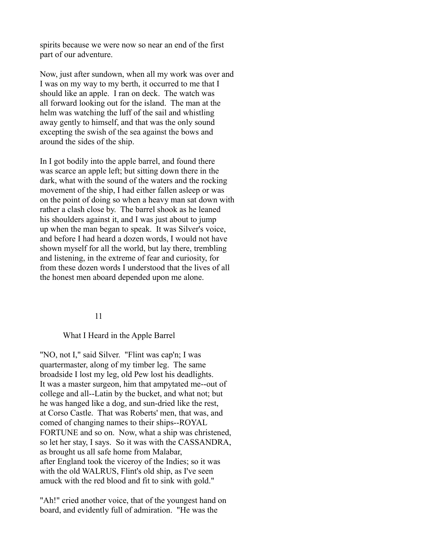spirits because we were now so near an end of the first part of our adventure.

Now, just after sundown, when all my work was over and I was on my way to my berth, it occurred to me that I should like an apple. I ran on deck. The watch was all forward looking out for the island. The man at the helm was watching the luff of the sail and whistling away gently to himself, and that was the only sound excepting the swish of the sea against the bows and around the sides of the ship.

In I got bodily into the apple barrel, and found there was scarce an apple left; but sitting down there in the dark, what with the sound of the waters and the rocking movement of the ship, I had either fallen asleep or was on the point of doing so when a heavy man sat down with rather a clash close by. The barrel shook as he leaned his shoulders against it, and I was just about to jump up when the man began to speak. It was Silver's voice, and before I had heard a dozen words, I would not have shown myself for all the world, but lay there, trembling and listening, in the extreme of fear and curiosity, for from these dozen words I understood that the lives of all the honest men aboard depended upon me alone.

#### 11

#### What I Heard in the Apple Barrel

"NO, not I," said Silver. "Flint was cap'n; I was quartermaster, along of my timber leg. The same broadside I lost my leg, old Pew lost his deadlights. It was a master surgeon, him that ampytated me--out of college and all--Latin by the bucket, and what not; but he was hanged like a dog, and sun-dried like the rest, at Corso Castle. That was Roberts' men, that was, and comed of changing names to their ships--ROYAL FORTUNE and so on. Now, what a ship was christened, so let her stay, I says. So it was with the CASSANDRA, as brought us all safe home from Malabar, after England took the viceroy of the Indies; so it was with the old WALRUS, Flint's old ship, as I've seen amuck with the red blood and fit to sink with gold."

"Ah!" cried another voice, that of the youngest hand on board, and evidently full of admiration. "He was the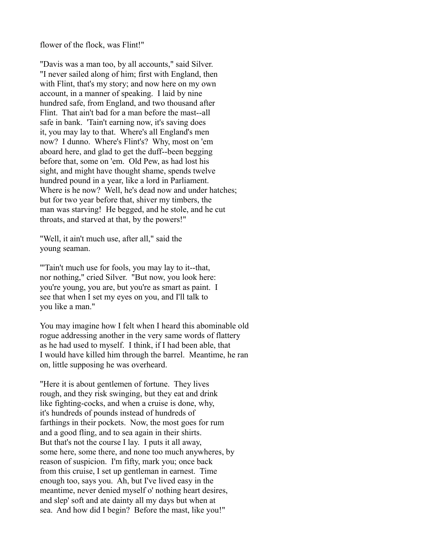flower of the flock, was Flint!"

"Davis was a man too, by all accounts," said Silver. "I never sailed along of him; first with England, then with Flint, that's my story; and now here on my own account, in a manner of speaking. I laid by nine hundred safe, from England, and two thousand after Flint. That ain't bad for a man before the mast--all safe in bank. 'Tain't earning now, it's saving does it, you may lay to that. Where's all England's men now? I dunno. Where's Flint's? Why, most on 'em aboard here, and glad to get the duff--been begging before that, some on 'em. Old Pew, as had lost his sight, and might have thought shame, spends twelve hundred pound in a year, like a lord in Parliament. Where is he now? Well, he's dead now and under hatches; but for two year before that, shiver my timbers, the man was starving! He begged, and he stole, and he cut throats, and starved at that, by the powers!"

"Well, it ain't much use, after all," said the young seaman.

"'Tain't much use for fools, you may lay to it--that, nor nothing," cried Silver. "But now, you look here: you're young, you are, but you're as smart as paint. I see that when I set my eyes on you, and I'll talk to you like a man."

You may imagine how I felt when I heard this abominable old rogue addressing another in the very same words of flattery as he had used to myself. I think, if I had been able, that I would have killed him through the barrel. Meantime, he ran on, little supposing he was overheard.

"Here it is about gentlemen of fortune. They lives rough, and they risk swinging, but they eat and drink like fighting-cocks, and when a cruise is done, why, it's hundreds of pounds instead of hundreds of farthings in their pockets. Now, the most goes for rum and a good fling, and to sea again in their shirts. But that's not the course I lay. I puts it all away, some here, some there, and none too much anywheres, by reason of suspicion. I'm fifty, mark you; once back from this cruise, I set up gentleman in earnest. Time enough too, says you. Ah, but I've lived easy in the meantime, never denied myself o' nothing heart desires, and slep' soft and ate dainty all my days but when at sea. And how did I begin? Before the mast, like you!"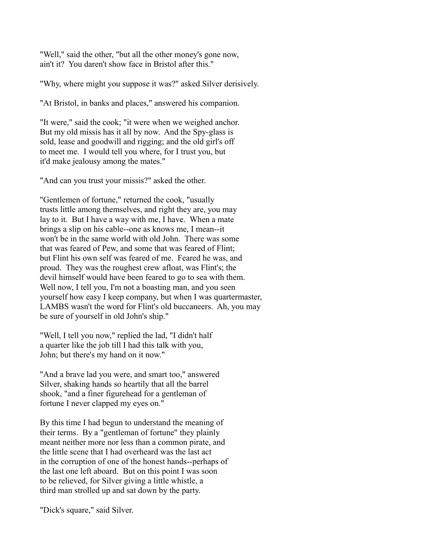"Well," said the other, "but all the other money's gone now, ain't it? You daren't show face in Bristol after this."

"Why, where might you suppose it was?" asked Silver derisively.

"At Bristol, in banks and places," answered his companion.

"It were," said the cook; "it were when we weighed anchor. But my old missis has it all by now. And the Spy-glass is sold, lease and goodwill and rigging; and the old girl's off to meet me. I would tell you where, for I trust you, but it'd make jealousy among the mates."

"And can you trust your missis?" asked the other.

"Gentlemen of fortune," returned the cook, "usually trusts little among themselves, and right they are, you may lay to it. But I have a way with me, I have. When a mate brings a slip on his cable--one as knows me, I mean--it won't be in the same world with old John. There was some that was feared of Pew, and some that was feared of Flint; but Flint his own self was feared of me. Feared he was, and proud. They was the roughest crew afloat, was Flint's; the devil himself would have been feared to go to sea with them. Well now, I tell you, I'm not a boasting man, and you seen yourself how easy I keep company, but when I was quartermaster, LAMBS wasn't the word for Flint's old buccaneers. Ah, you may be sure of yourself in old John's ship."

"Well, I tell you now," replied the lad, "I didn't half a quarter like the job till I had this talk with you, John; but there's my hand on it now."

"And a brave lad you were, and smart too," answered Silver, shaking hands so heartily that all the barrel shook, "and a finer figurehead for a gentleman of fortune I never clapped my eyes on."

By this time I had begun to understand the meaning of their terms. By a "gentleman of fortune" they plainly meant neither more nor less than a common pirate, and the little scene that I had overheard was the last act in the corruption of one of the honest hands--perhaps of the last one left aboard. But on this point I was soon to be relieved, for Silver giving a little whistle, a third man strolled up and sat down by the party.

"Dick's square," said Silver.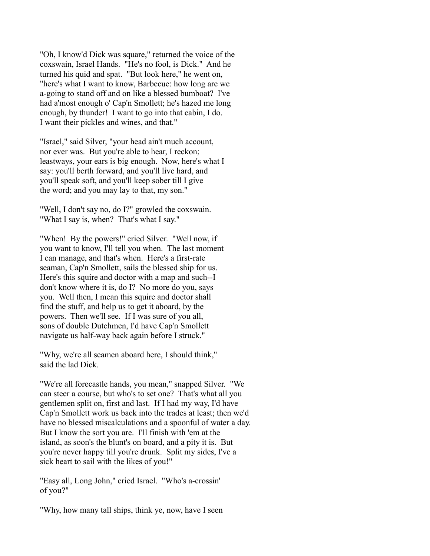"Oh, I know'd Dick was square," returned the voice of the coxswain, Israel Hands. "He's no fool, is Dick." And he turned his quid and spat. "But look here," he went on, "here's what I want to know, Barbecue: how long are we a-going to stand off and on like a blessed bumboat? I've had a'most enough o' Cap'n Smollett; he's hazed me long enough, by thunder! I want to go into that cabin, I do. I want their pickles and wines, and that."

"Israel," said Silver, "your head ain't much account, nor ever was. But you're able to hear, I reckon; leastways, your ears is big enough. Now, here's what I say: you'll berth forward, and you'll live hard, and you'll speak soft, and you'll keep sober till I give the word; and you may lay to that, my son."

"Well, I don't say no, do I?" growled the coxswain. "What I say is, when? That's what I say."

"When! By the powers!" cried Silver. "Well now, if you want to know, I'll tell you when. The last moment I can manage, and that's when. Here's a first-rate seaman, Cap'n Smollett, sails the blessed ship for us. Here's this squire and doctor with a map and such--I don't know where it is, do I? No more do you, says you. Well then, I mean this squire and doctor shall find the stuff, and help us to get it aboard, by the powers. Then we'll see. If I was sure of you all, sons of double Dutchmen, I'd have Cap'n Smollett navigate us half-way back again before I struck."

"Why, we're all seamen aboard here, I should think," said the lad Dick.

"We're all forecastle hands, you mean," snapped Silver. "We can steer a course, but who's to set one? That's what all you gentlemen split on, first and last. If I had my way, I'd have Cap'n Smollett work us back into the trades at least; then we'd have no blessed miscalculations and a spoonful of water a day. But I know the sort you are. I'll finish with 'em at the island, as soon's the blunt's on board, and a pity it is. But you're never happy till you're drunk. Split my sides, I've a sick heart to sail with the likes of you!"

"Easy all, Long John," cried Israel. "Who's a-crossin' of you?"

"Why, how many tall ships, think ye, now, have I seen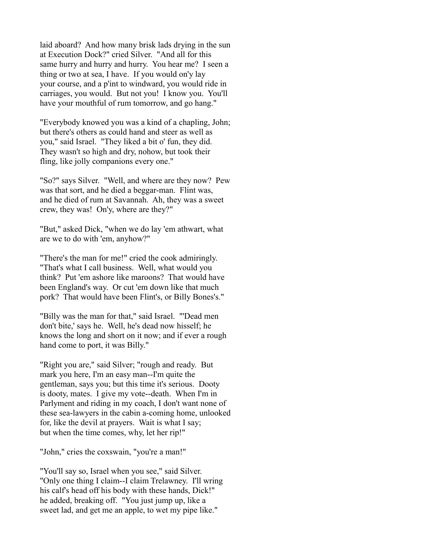laid aboard? And how many brisk lads drying in the sun at Execution Dock?" cried Silver. "And all for this same hurry and hurry and hurry. You hear me? I seen a thing or two at sea, I have. If you would on'y lay your course, and a p'int to windward, you would ride in carriages, you would. But not you! I know you. You'll have your mouthful of rum tomorrow, and go hang."

"Everybody knowed you was a kind of a chapling, John; but there's others as could hand and steer as well as you," said Israel. "They liked a bit o' fun, they did. They wasn't so high and dry, nohow, but took their fling, like jolly companions every one."

"So?" says Silver. "Well, and where are they now? Pew was that sort, and he died a beggar-man. Flint was, and he died of rum at Savannah. Ah, they was a sweet crew, they was! On'y, where are they?"

"But," asked Dick, "when we do lay 'em athwart, what are we to do with 'em, anyhow?"

"There's the man for me!" cried the cook admiringly. "That's what I call business. Well, what would you think? Put 'em ashore like maroons? That would have been England's way. Or cut 'em down like that much pork? That would have been Flint's, or Billy Bones's."

"Billy was the man for that," said Israel. "'Dead men don't bite,' says he. Well, he's dead now hisself; he knows the long and short on it now; and if ever a rough hand come to port, it was Billy."

"Right you are," said Silver; "rough and ready. But mark you here, I'm an easy man--I'm quite the gentleman, says you; but this time it's serious. Dooty is dooty, mates. I give my vote--death. When I'm in Parlyment and riding in my coach, I don't want none of these sea-lawyers in the cabin a-coming home, unlooked for, like the devil at prayers. Wait is what I say; but when the time comes, why, let her rip!"

"John," cries the coxswain, "you're a man!"

"You'll say so, Israel when you see," said Silver. "Only one thing I claim--I claim Trelawney. I'll wring his calf's head off his body with these hands, Dick!" he added, breaking off. "You just jump up, like a sweet lad, and get me an apple, to wet my pipe like."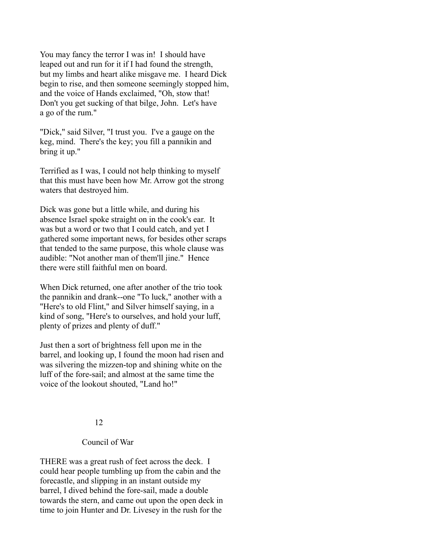You may fancy the terror I was in! I should have leaped out and run for it if I had found the strength, but my limbs and heart alike misgave me. I heard Dick begin to rise, and then someone seemingly stopped him, and the voice of Hands exclaimed, "Oh, stow that! Don't you get sucking of that bilge, John. Let's have a go of the rum."

"Dick," said Silver, "I trust you. I've a gauge on the keg, mind. There's the key; you fill a pannikin and bring it up."

Terrified as I was, I could not help thinking to myself that this must have been how Mr. Arrow got the strong waters that destroyed him.

Dick was gone but a little while, and during his absence Israel spoke straight on in the cook's ear. It was but a word or two that I could catch, and yet I gathered some important news, for besides other scraps that tended to the same purpose, this whole clause was audible: "Not another man of them'll jine." Hence there were still faithful men on board.

When Dick returned, one after another of the trio took the pannikin and drank--one "To luck," another with a "Here's to old Flint," and Silver himself saying, in a kind of song, "Here's to ourselves, and hold your luff, plenty of prizes and plenty of duff."

Just then a sort of brightness fell upon me in the barrel, and looking up, I found the moon had risen and was silvering the mizzen-top and shining white on the luff of the fore-sail; and almost at the same time the voice of the lookout shouted, "Land ho!"

### 12

### Council of War

THERE was a great rush of feet across the deck. I could hear people tumbling up from the cabin and the forecastle, and slipping in an instant outside my barrel, I dived behind the fore-sail, made a double towards the stern, and came out upon the open deck in time to join Hunter and Dr. Livesey in the rush for the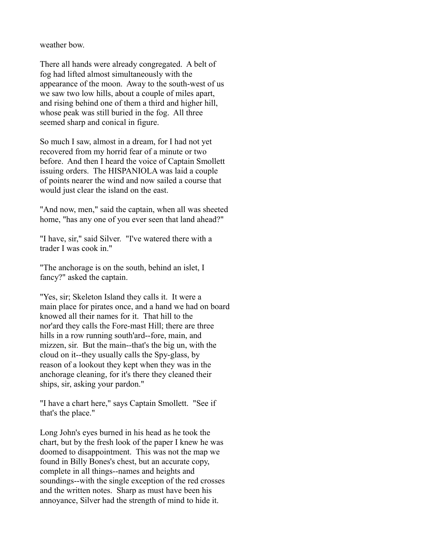weather bow.

There all hands were already congregated. A belt of fog had lifted almost simultaneously with the appearance of the moon. Away to the south-west of us we saw two low hills, about a couple of miles apart, and rising behind one of them a third and higher hill, whose peak was still buried in the fog. All three seemed sharp and conical in figure.

So much I saw, almost in a dream, for I had not yet recovered from my horrid fear of a minute or two before. And then I heard the voice of Captain Smollett issuing orders. The HISPANIOLA was laid a couple of points nearer the wind and now sailed a course that would just clear the island on the east.

"And now, men," said the captain, when all was sheeted home, "has any one of you ever seen that land ahead?"

"I have, sir," said Silver. "I've watered there with a trader I was cook in."

"The anchorage is on the south, behind an islet, I fancy?" asked the captain.

"Yes, sir; Skeleton Island they calls it. It were a main place for pirates once, and a hand we had on board knowed all their names for it. That hill to the nor'ard they calls the Fore-mast Hill; there are three hills in a row running south'ard--fore, main, and mizzen, sir. But the main--that's the big un, with the cloud on it--they usually calls the Spy-glass, by reason of a lookout they kept when they was in the anchorage cleaning, for it's there they cleaned their ships, sir, asking your pardon."

"I have a chart here," says Captain Smollett. "See if that's the place."

Long John's eyes burned in his head as he took the chart, but by the fresh look of the paper I knew he was doomed to disappointment. This was not the map we found in Billy Bones's chest, but an accurate copy, complete in all things--names and heights and soundings--with the single exception of the red crosses and the written notes. Sharp as must have been his annoyance, Silver had the strength of mind to hide it.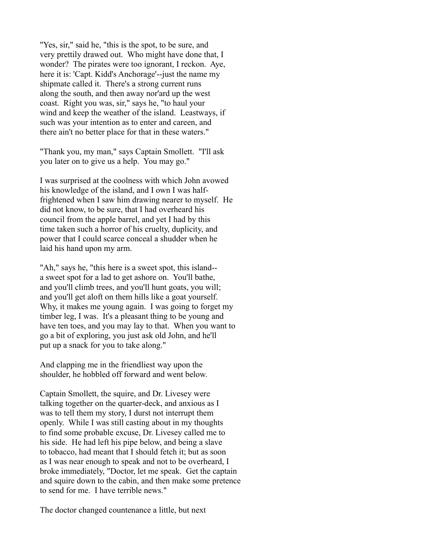"Yes, sir," said he, "this is the spot, to be sure, and very prettily drawed out. Who might have done that, I wonder? The pirates were too ignorant, I reckon. Aye, here it is: 'Capt. Kidd's Anchorage'--just the name my shipmate called it. There's a strong current runs along the south, and then away nor'ard up the west coast. Right you was, sir," says he, "to haul your wind and keep the weather of the island. Leastways, if such was your intention as to enter and careen, and there ain't no better place for that in these waters."

"Thank you, my man," says Captain Smollett. "I'll ask you later on to give us a help. You may go."

I was surprised at the coolness with which John avowed his knowledge of the island, and I own I was halffrightened when I saw him drawing nearer to myself. He did not know, to be sure, that I had overheard his council from the apple barrel, and yet I had by this time taken such a horror of his cruelty, duplicity, and power that I could scarce conceal a shudder when he laid his hand upon my arm.

"Ah," says he, "this here is a sweet spot, this island- a sweet spot for a lad to get ashore on. You'll bathe, and you'll climb trees, and you'll hunt goats, you will; and you'll get aloft on them hills like a goat yourself. Why, it makes me young again. I was going to forget my timber leg, I was. It's a pleasant thing to be young and have ten toes, and you may lay to that. When you want to go a bit of exploring, you just ask old John, and he'll put up a snack for you to take along."

And clapping me in the friendliest way upon the shoulder, he hobbled off forward and went below.

Captain Smollett, the squire, and Dr. Livesey were talking together on the quarter-deck, and anxious as I was to tell them my story, I durst not interrupt them openly. While I was still casting about in my thoughts to find some probable excuse, Dr. Livesey called me to his side. He had left his pipe below, and being a slave to tobacco, had meant that I should fetch it; but as soon as I was near enough to speak and not to be overheard, I broke immediately, "Doctor, let me speak. Get the captain and squire down to the cabin, and then make some pretence to send for me. I have terrible news."

The doctor changed countenance a little, but next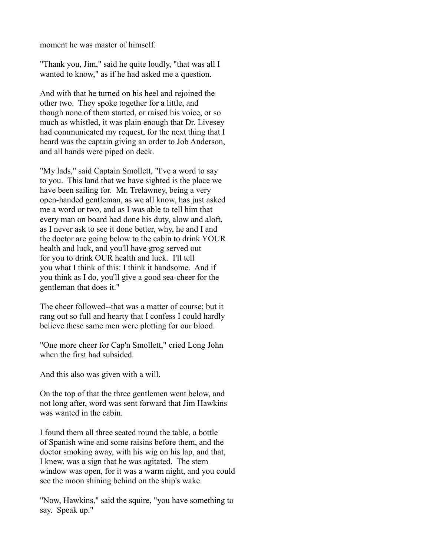moment he was master of himself.

"Thank you, Jim," said he quite loudly, "that was all I wanted to know," as if he had asked me a question.

And with that he turned on his heel and rejoined the other two. They spoke together for a little, and though none of them started, or raised his voice, or so much as whistled, it was plain enough that Dr. Livesey had communicated my request, for the next thing that I heard was the captain giving an order to Job Anderson, and all hands were piped on deck.

"My lads," said Captain Smollett, "I've a word to say to you. This land that we have sighted is the place we have been sailing for. Mr. Trelawney, being a very open-handed gentleman, as we all know, has just asked me a word or two, and as I was able to tell him that every man on board had done his duty, alow and aloft, as I never ask to see it done better, why, he and I and the doctor are going below to the cabin to drink YOUR health and luck, and you'll have grog served out for you to drink OUR health and luck. I'll tell you what I think of this: I think it handsome. And if you think as I do, you'll give a good sea-cheer for the gentleman that does it."

The cheer followed--that was a matter of course; but it rang out so full and hearty that I confess I could hardly believe these same men were plotting for our blood.

"One more cheer for Cap'n Smollett," cried Long John when the first had subsided.

And this also was given with a will.

On the top of that the three gentlemen went below, and not long after, word was sent forward that Jim Hawkins was wanted in the cabin.

I found them all three seated round the table, a bottle of Spanish wine and some raisins before them, and the doctor smoking away, with his wig on his lap, and that, I knew, was a sign that he was agitated. The stern window was open, for it was a warm night, and you could see the moon shining behind on the ship's wake.

"Now, Hawkins," said the squire, "you have something to say. Speak up."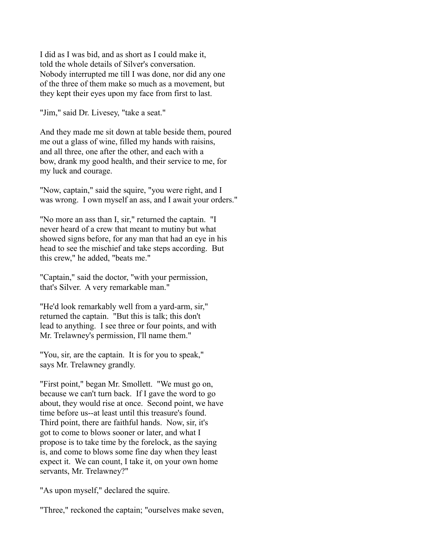I did as I was bid, and as short as I could make it, told the whole details of Silver's conversation. Nobody interrupted me till I was done, nor did any one of the three of them make so much as a movement, but they kept their eyes upon my face from first to last.

"Jim," said Dr. Livesey, "take a seat."

And they made me sit down at table beside them, poured me out a glass of wine, filled my hands with raisins, and all three, one after the other, and each with a bow, drank my good health, and their service to me, for my luck and courage.

"Now, captain," said the squire, "you were right, and I was wrong. I own myself an ass, and I await your orders."

"No more an ass than I, sir," returned the captain. "I never heard of a crew that meant to mutiny but what showed signs before, for any man that had an eye in his head to see the mischief and take steps according. But this crew," he added, "beats me."

"Captain," said the doctor, "with your permission, that's Silver. A very remarkable man."

"He'd look remarkably well from a yard-arm, sir," returned the captain. "But this is talk; this don't lead to anything. I see three or four points, and with Mr. Trelawney's permission, I'll name them."

"You, sir, are the captain. It is for you to speak," says Mr. Trelawney grandly.

"First point," began Mr. Smollett. "We must go on, because we can't turn back. If I gave the word to go about, they would rise at once. Second point, we have time before us--at least until this treasure's found. Third point, there are faithful hands. Now, sir, it's got to come to blows sooner or later, and what I propose is to take time by the forelock, as the saying is, and come to blows some fine day when they least expect it. We can count, I take it, on your own home servants, Mr. Trelawney?"

"As upon myself," declared the squire.

"Three," reckoned the captain; "ourselves make seven,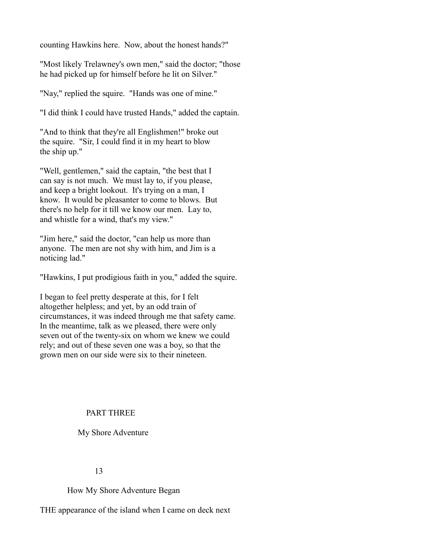counting Hawkins here. Now, about the honest hands?"

"Most likely Trelawney's own men," said the doctor; "those he had picked up for himself before he lit on Silver."

"Nay," replied the squire. "Hands was one of mine."

"I did think I could have trusted Hands," added the captain.

"And to think that they're all Englishmen!" broke out the squire. "Sir, I could find it in my heart to blow the ship up."

"Well, gentlemen," said the captain, "the best that I can say is not much. We must lay to, if you please, and keep a bright lookout. It's trying on a man, I know. It would be pleasanter to come to blows. But there's no help for it till we know our men. Lay to, and whistle for a wind, that's my view."

"Jim here," said the doctor, "can help us more than anyone. The men are not shy with him, and Jim is a noticing lad."

"Hawkins, I put prodigious faith in you," added the squire.

I began to feel pretty desperate at this, for I felt altogether helpless; and yet, by an odd train of circumstances, it was indeed through me that safety came. In the meantime, talk as we pleased, there were only seven out of the twenty-six on whom we knew we could rely; and out of these seven one was a boy, so that the grown men on our side were six to their nineteen.

# PART THREE

### My Shore Adventure

#### 13

How My Shore Adventure Began

THE appearance of the island when I came on deck next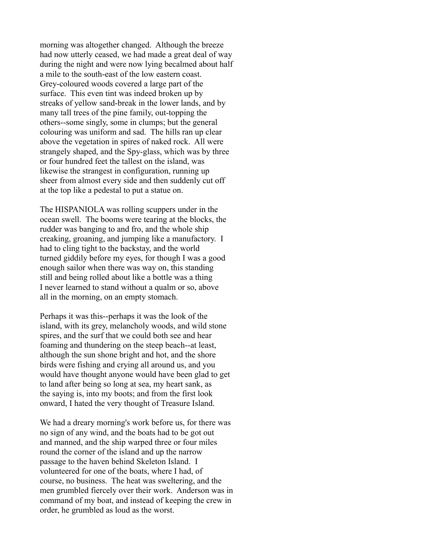morning was altogether changed. Although the breeze had now utterly ceased, we had made a great deal of way during the night and were now lying becalmed about half a mile to the south-east of the low eastern coast. Grey-coloured woods covered a large part of the surface. This even tint was indeed broken up by streaks of yellow sand-break in the lower lands, and by many tall trees of the pine family, out-topping the others--some singly, some in clumps; but the general colouring was uniform and sad. The hills ran up clear above the vegetation in spires of naked rock. All were strangely shaped, and the Spy-glass, which was by three or four hundred feet the tallest on the island, was likewise the strangest in configuration, running up sheer from almost every side and then suddenly cut off at the top like a pedestal to put a statue on.

The HISPANIOLA was rolling scuppers under in the ocean swell. The booms were tearing at the blocks, the rudder was banging to and fro, and the whole ship creaking, groaning, and jumping like a manufactory. I had to cling tight to the backstay, and the world turned giddily before my eyes, for though I was a good enough sailor when there was way on, this standing still and being rolled about like a bottle was a thing I never learned to stand without a qualm or so, above all in the morning, on an empty stomach.

Perhaps it was this--perhaps it was the look of the island, with its grey, melancholy woods, and wild stone spires, and the surf that we could both see and hear foaming and thundering on the steep beach--at least, although the sun shone bright and hot, and the shore birds were fishing and crying all around us, and you would have thought anyone would have been glad to get to land after being so long at sea, my heart sank, as the saying is, into my boots; and from the first look onward, I hated the very thought of Treasure Island.

We had a dreary morning's work before us, for there was no sign of any wind, and the boats had to be got out and manned, and the ship warped three or four miles round the corner of the island and up the narrow passage to the haven behind Skeleton Island. I volunteered for one of the boats, where I had, of course, no business. The heat was sweltering, and the men grumbled fiercely over their work. Anderson was in command of my boat, and instead of keeping the crew in order, he grumbled as loud as the worst.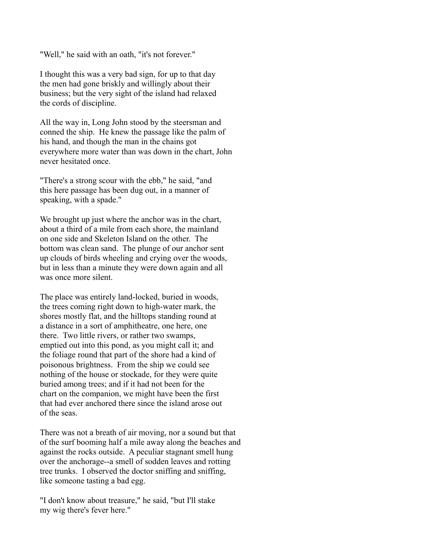"Well," he said with an oath, "it's not forever."

I thought this was a very bad sign, for up to that day the men had gone briskly and willingly about their business; but the very sight of the island had relaxed the cords of discipline.

All the way in, Long John stood by the steersman and conned the ship. He knew the passage like the palm of his hand, and though the man in the chains got everywhere more water than was down in the chart, John never hesitated once.

"There's a strong scour with the ebb," he said, "and this here passage has been dug out, in a manner of speaking, with a spade."

We brought up just where the anchor was in the chart, about a third of a mile from each shore, the mainland on one side and Skeleton Island on the other. The bottom was clean sand. The plunge of our anchor sent up clouds of birds wheeling and crying over the woods, but in less than a minute they were down again and all was once more silent.

The place was entirely land-locked, buried in woods, the trees coming right down to high-water mark, the shores mostly flat, and the hilltops standing round at a distance in a sort of amphitheatre, one here, one there. Two little rivers, or rather two swamps, emptied out into this pond, as you might call it; and the foliage round that part of the shore had a kind of poisonous brightness. From the ship we could see nothing of the house or stockade, for they were quite buried among trees; and if it had not been for the chart on the companion, we might have been the first that had ever anchored there since the island arose out of the seas.

There was not a breath of air moving, nor a sound but that of the surf booming half a mile away along the beaches and against the rocks outside. A peculiar stagnant smell hung over the anchorage--a smell of sodden leaves and rotting tree trunks. I observed the doctor sniffing and sniffing, like someone tasting a bad egg.

"I don't know about treasure," he said, "but I'll stake my wig there's fever here."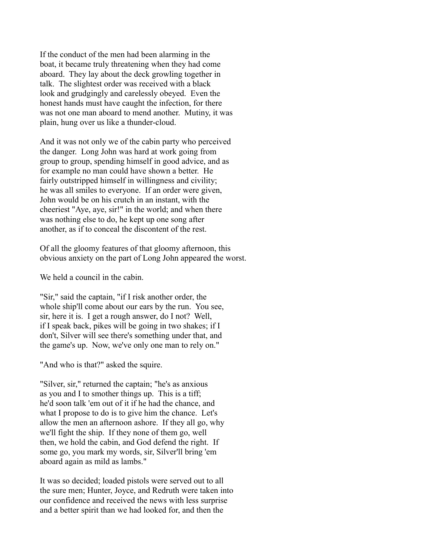If the conduct of the men had been alarming in the boat, it became truly threatening when they had come aboard. They lay about the deck growling together in talk. The slightest order was received with a black look and grudgingly and carelessly obeyed. Even the honest hands must have caught the infection, for there was not one man aboard to mend another. Mutiny, it was plain, hung over us like a thunder-cloud.

And it was not only we of the cabin party who perceived the danger. Long John was hard at work going from group to group, spending himself in good advice, and as for example no man could have shown a better. He fairly outstripped himself in willingness and civility; he was all smiles to everyone. If an order were given, John would be on his crutch in an instant, with the cheeriest "Aye, aye, sir!" in the world; and when there was nothing else to do, he kept up one song after another, as if to conceal the discontent of the rest.

Of all the gloomy features of that gloomy afternoon, this obvious anxiety on the part of Long John appeared the worst.

We held a council in the cabin.

"Sir," said the captain, "if I risk another order, the whole ship'll come about our ears by the run. You see, sir, here it is. I get a rough answer, do I not? Well, if I speak back, pikes will be going in two shakes; if I don't, Silver will see there's something under that, and the game's up. Now, we've only one man to rely on."

"And who is that?" asked the squire.

"Silver, sir," returned the captain; "he's as anxious as you and I to smother things up. This is a tiff; he'd soon talk 'em out of it if he had the chance, and what I propose to do is to give him the chance. Let's allow the men an afternoon ashore. If they all go, why we'll fight the ship. If they none of them go, well then, we hold the cabin, and God defend the right. If some go, you mark my words, sir, Silver'll bring 'em aboard again as mild as lambs."

It was so decided; loaded pistols were served out to all the sure men; Hunter, Joyce, and Redruth were taken into our confidence and received the news with less surprise and a better spirit than we had looked for, and then the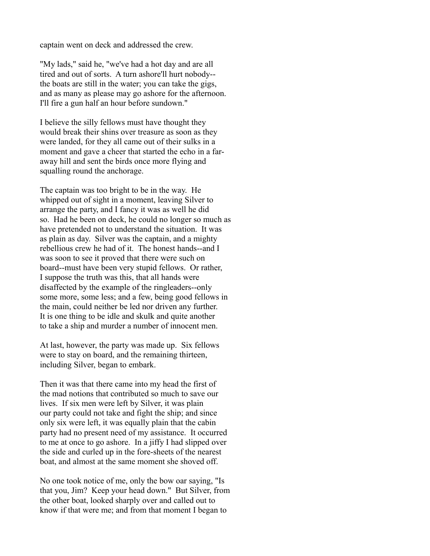captain went on deck and addressed the crew.

"My lads," said he, "we've had a hot day and are all tired and out of sorts. A turn ashore'll hurt nobody- the boats are still in the water; you can take the gigs, and as many as please may go ashore for the afternoon. I'll fire a gun half an hour before sundown."

I believe the silly fellows must have thought they would break their shins over treasure as soon as they were landed, for they all came out of their sulks in a moment and gave a cheer that started the echo in a faraway hill and sent the birds once more flying and squalling round the anchorage.

The captain was too bright to be in the way. He whipped out of sight in a moment, leaving Silver to arrange the party, and I fancy it was as well he did so. Had he been on deck, he could no longer so much as have pretended not to understand the situation. It was as plain as day. Silver was the captain, and a mighty rebellious crew he had of it. The honest hands--and I was soon to see it proved that there were such on board--must have been very stupid fellows. Or rather, I suppose the truth was this, that all hands were disaffected by the example of the ringleaders--only some more, some less; and a few, being good fellows in the main, could neither be led nor driven any further. It is one thing to be idle and skulk and quite another to take a ship and murder a number of innocent men.

At last, however, the party was made up. Six fellows were to stay on board, and the remaining thirteen, including Silver, began to embark.

Then it was that there came into my head the first of the mad notions that contributed so much to save our lives. If six men were left by Silver, it was plain our party could not take and fight the ship; and since only six were left, it was equally plain that the cabin party had no present need of my assistance. It occurred to me at once to go ashore. In a jiffy I had slipped over the side and curled up in the fore-sheets of the nearest boat, and almost at the same moment she shoved off.

No one took notice of me, only the bow oar saying, "Is that you, Jim? Keep your head down." But Silver, from the other boat, looked sharply over and called out to know if that were me; and from that moment I began to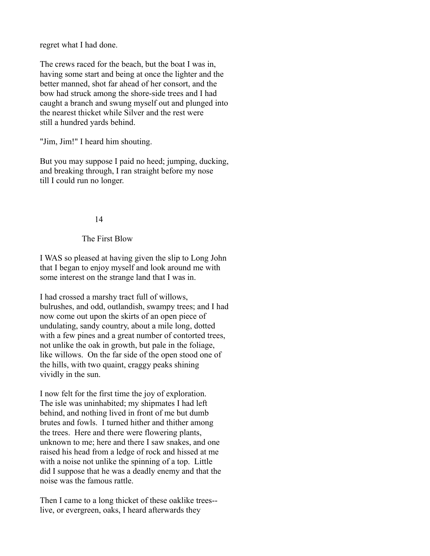regret what I had done.

The crews raced for the beach, but the boat I was in, having some start and being at once the lighter and the better manned, shot far ahead of her consort, and the bow had struck among the shore-side trees and I had caught a branch and swung myself out and plunged into the nearest thicket while Silver and the rest were still a hundred yards behind.

"Jim, Jim!" I heard him shouting.

But you may suppose I paid no heed; jumping, ducking, and breaking through, I ran straight before my nose till I could run no longer.

### 14

## The First Blow

I WAS so pleased at having given the slip to Long John that I began to enjoy myself and look around me with some interest on the strange land that I was in.

I had crossed a marshy tract full of willows, bulrushes, and odd, outlandish, swampy trees; and I had now come out upon the skirts of an open piece of undulating, sandy country, about a mile long, dotted with a few pines and a great number of contorted trees, not unlike the oak in growth, but pale in the foliage, like willows. On the far side of the open stood one of the hills, with two quaint, craggy peaks shining vividly in the sun.

I now felt for the first time the joy of exploration. The isle was uninhabited; my shipmates I had left behind, and nothing lived in front of me but dumb brutes and fowls. I turned hither and thither among the trees. Here and there were flowering plants, unknown to me; here and there I saw snakes, and one raised his head from a ledge of rock and hissed at me with a noise not unlike the spinning of a top. Little did I suppose that he was a deadly enemy and that the noise was the famous rattle.

Then I came to a long thicket of these oaklike trees- live, or evergreen, oaks, I heard afterwards they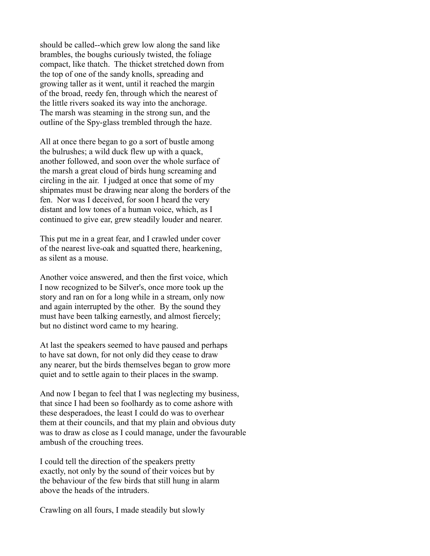should be called--which grew low along the sand like brambles, the boughs curiously twisted, the foliage compact, like thatch. The thicket stretched down from the top of one of the sandy knolls, spreading and growing taller as it went, until it reached the margin of the broad, reedy fen, through which the nearest of the little rivers soaked its way into the anchorage. The marsh was steaming in the strong sun, and the outline of the Spy-glass trembled through the haze.

All at once there began to go a sort of bustle among the bulrushes; a wild duck flew up with a quack, another followed, and soon over the whole surface of the marsh a great cloud of birds hung screaming and circling in the air. I judged at once that some of my shipmates must be drawing near along the borders of the fen. Nor was I deceived, for soon I heard the very distant and low tones of a human voice, which, as I continued to give ear, grew steadily louder and nearer.

This put me in a great fear, and I crawled under cover of the nearest live-oak and squatted there, hearkening, as silent as a mouse.

Another voice answered, and then the first voice, which I now recognized to be Silver's, once more took up the story and ran on for a long while in a stream, only now and again interrupted by the other. By the sound they must have been talking earnestly, and almost fiercely; but no distinct word came to my hearing.

At last the speakers seemed to have paused and perhaps to have sat down, for not only did they cease to draw any nearer, but the birds themselves began to grow more quiet and to settle again to their places in the swamp.

And now I began to feel that I was neglecting my business, that since I had been so foolhardy as to come ashore with these desperadoes, the least I could do was to overhear them at their councils, and that my plain and obvious duty was to draw as close as I could manage, under the favourable ambush of the crouching trees.

I could tell the direction of the speakers pretty exactly, not only by the sound of their voices but by the behaviour of the few birds that still hung in alarm above the heads of the intruders.

Crawling on all fours, I made steadily but slowly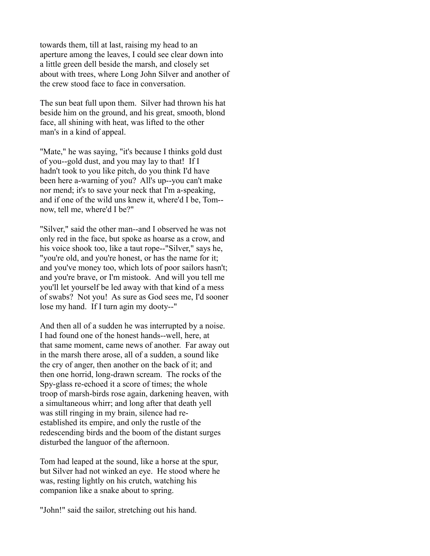towards them, till at last, raising my head to an aperture among the leaves, I could see clear down into a little green dell beside the marsh, and closely set about with trees, where Long John Silver and another of the crew stood face to face in conversation.

The sun beat full upon them. Silver had thrown his hat beside him on the ground, and his great, smooth, blond face, all shining with heat, was lifted to the other man's in a kind of appeal.

"Mate," he was saying, "it's because I thinks gold dust of you--gold dust, and you may lay to that! If I hadn't took to you like pitch, do you think I'd have been here a-warning of you? All's up--you can't make nor mend; it's to save your neck that I'm a-speaking, and if one of the wild uns knew it, where'd I be, Tom- now, tell me, where'd I be?"

"Silver," said the other man--and I observed he was not only red in the face, but spoke as hoarse as a crow, and his voice shook too, like a taut rope--"Silver," says he, "you're old, and you're honest, or has the name for it; and you've money too, which lots of poor sailors hasn't; and you're brave, or I'm mistook. And will you tell me you'll let yourself be led away with that kind of a mess of swabs? Not you! As sure as God sees me, I'd sooner lose my hand. If I turn agin my dooty--"

And then all of a sudden he was interrupted by a noise. I had found one of the honest hands--well, here, at that same moment, came news of another. Far away out in the marsh there arose, all of a sudden, a sound like the cry of anger, then another on the back of it; and then one horrid, long-drawn scream. The rocks of the Spy-glass re-echoed it a score of times; the whole troop of marsh-birds rose again, darkening heaven, with a simultaneous whirr; and long after that death yell was still ringing in my brain, silence had reestablished its empire, and only the rustle of the redescending birds and the boom of the distant surges disturbed the languor of the afternoon.

Tom had leaped at the sound, like a horse at the spur, but Silver had not winked an eye. He stood where he was, resting lightly on his crutch, watching his companion like a snake about to spring.

"John!" said the sailor, stretching out his hand.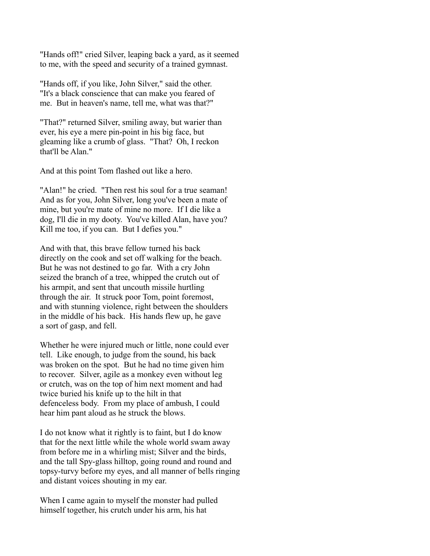"Hands off!" cried Silver, leaping back a yard, as it seemed to me, with the speed and security of a trained gymnast.

"Hands off, if you like, John Silver," said the other. "It's a black conscience that can make you feared of me. But in heaven's name, tell me, what was that?"

"That?" returned Silver, smiling away, but warier than ever, his eye a mere pin-point in his big face, but gleaming like a crumb of glass. "That? Oh, I reckon that'll be Alan."

And at this point Tom flashed out like a hero.

"Alan!" he cried. "Then rest his soul for a true seaman! And as for you, John Silver, long you've been a mate of mine, but you're mate of mine no more. If I die like a dog, I'll die in my dooty. You've killed Alan, have you? Kill me too, if you can. But I defies you."

And with that, this brave fellow turned his back directly on the cook and set off walking for the beach. But he was not destined to go far. With a cry John seized the branch of a tree, whipped the crutch out of his armpit, and sent that uncouth missile hurtling through the air. It struck poor Tom, point foremost, and with stunning violence, right between the shoulders in the middle of his back. His hands flew up, he gave a sort of gasp, and fell.

Whether he were injured much or little, none could ever tell. Like enough, to judge from the sound, his back was broken on the spot. But he had no time given him to recover. Silver, agile as a monkey even without leg or crutch, was on the top of him next moment and had twice buried his knife up to the hilt in that defenceless body. From my place of ambush, I could hear him pant aloud as he struck the blows.

I do not know what it rightly is to faint, but I do know that for the next little while the whole world swam away from before me in a whirling mist; Silver and the birds, and the tall Spy-glass hilltop, going round and round and topsy-turvy before my eyes, and all manner of bells ringing and distant voices shouting in my ear.

When I came again to myself the monster had pulled himself together, his crutch under his arm, his hat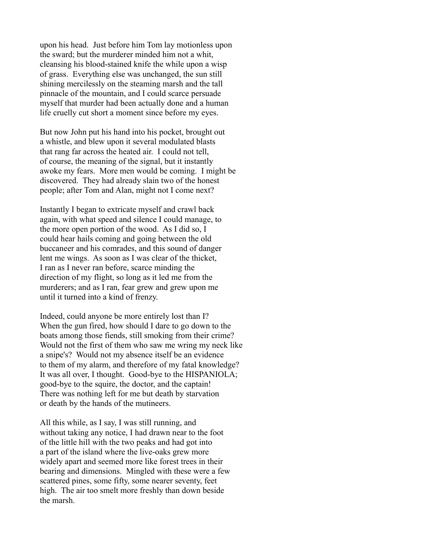upon his head. Just before him Tom lay motionless upon the sward; but the murderer minded him not a whit, cleansing his blood-stained knife the while upon a wisp of grass. Everything else was unchanged, the sun still shining mercilessly on the steaming marsh and the tall pinnacle of the mountain, and I could scarce persuade myself that murder had been actually done and a human life cruelly cut short a moment since before my eyes.

But now John put his hand into his pocket, brought out a whistle, and blew upon it several modulated blasts that rang far across the heated air. I could not tell, of course, the meaning of the signal, but it instantly awoke my fears. More men would be coming. I might be discovered. They had already slain two of the honest people; after Tom and Alan, might not I come next?

Instantly I began to extricate myself and crawl back again, with what speed and silence I could manage, to the more open portion of the wood. As I did so, I could hear hails coming and going between the old buccaneer and his comrades, and this sound of danger lent me wings. As soon as I was clear of the thicket, I ran as I never ran before, scarce minding the direction of my flight, so long as it led me from the murderers; and as I ran, fear grew and grew upon me until it turned into a kind of frenzy.

Indeed, could anyone be more entirely lost than I? When the gun fired, how should I dare to go down to the boats among those fiends, still smoking from their crime? Would not the first of them who saw me wring my neck like a snipe's? Would not my absence itself be an evidence to them of my alarm, and therefore of my fatal knowledge? It was all over, I thought. Good-bye to the HISPANIOLA; good-bye to the squire, the doctor, and the captain! There was nothing left for me but death by starvation or death by the hands of the mutineers.

All this while, as I say, I was still running, and without taking any notice, I had drawn near to the foot of the little hill with the two peaks and had got into a part of the island where the live-oaks grew more widely apart and seemed more like forest trees in their bearing and dimensions. Mingled with these were a few scattered pines, some fifty, some nearer seventy, feet high. The air too smelt more freshly than down beside the marsh.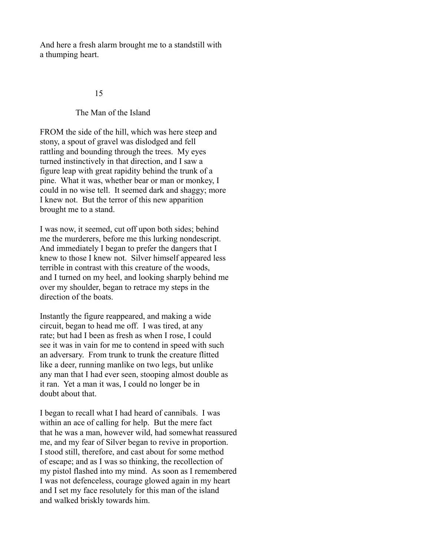And here a fresh alarm brought me to a standstill with a thumping heart.

#### 15

#### The Man of the Island

FROM the side of the hill, which was here steep and stony, a spout of gravel was dislodged and fell rattling and bounding through the trees. My eyes turned instinctively in that direction, and I saw a figure leap with great rapidity behind the trunk of a pine. What it was, whether bear or man or monkey, I could in no wise tell. It seemed dark and shaggy; more I knew not. But the terror of this new apparition brought me to a stand.

I was now, it seemed, cut off upon both sides; behind me the murderers, before me this lurking nondescript. And immediately I began to prefer the dangers that I knew to those I knew not. Silver himself appeared less terrible in contrast with this creature of the woods, and I turned on my heel, and looking sharply behind me over my shoulder, began to retrace my steps in the direction of the boats.

Instantly the figure reappeared, and making a wide circuit, began to head me off. I was tired, at any rate; but had I been as fresh as when I rose, I could see it was in vain for me to contend in speed with such an adversary. From trunk to trunk the creature flitted like a deer, running manlike on two legs, but unlike any man that I had ever seen, stooping almost double as it ran. Yet a man it was, I could no longer be in doubt about that.

I began to recall what I had heard of cannibals. I was within an ace of calling for help. But the mere fact that he was a man, however wild, had somewhat reassured me, and my fear of Silver began to revive in proportion. I stood still, therefore, and cast about for some method of escape; and as I was so thinking, the recollection of my pistol flashed into my mind. As soon as I remembered I was not defenceless, courage glowed again in my heart and I set my face resolutely for this man of the island and walked briskly towards him.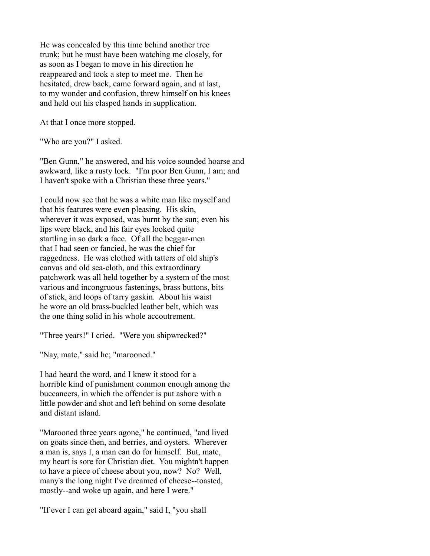He was concealed by this time behind another tree trunk; but he must have been watching me closely, for as soon as I began to move in his direction he reappeared and took a step to meet me. Then he hesitated, drew back, came forward again, and at last, to my wonder and confusion, threw himself on his knees and held out his clasped hands in supplication.

At that I once more stopped.

"Who are you?" I asked.

"Ben Gunn," he answered, and his voice sounded hoarse and awkward, like a rusty lock. "I'm poor Ben Gunn, I am; and I haven't spoke with a Christian these three years."

I could now see that he was a white man like myself and that his features were even pleasing. His skin, wherever it was exposed, was burnt by the sun; even his lips were black, and his fair eyes looked quite startling in so dark a face. Of all the beggar-men that I had seen or fancied, he was the chief for raggedness. He was clothed with tatters of old ship's canvas and old sea-cloth, and this extraordinary patchwork was all held together by a system of the most various and incongruous fastenings, brass buttons, bits of stick, and loops of tarry gaskin. About his waist he wore an old brass-buckled leather belt, which was the one thing solid in his whole accoutrement.

"Three years!" I cried. "Were you shipwrecked?"

"Nay, mate," said he; "marooned."

I had heard the word, and I knew it stood for a horrible kind of punishment common enough among the buccaneers, in which the offender is put ashore with a little powder and shot and left behind on some desolate and distant island.

"Marooned three years agone," he continued, "and lived on goats since then, and berries, and oysters. Wherever a man is, says I, a man can do for himself. But, mate, my heart is sore for Christian diet. You mightn't happen to have a piece of cheese about you, now? No? Well, many's the long night I've dreamed of cheese--toasted, mostly--and woke up again, and here I were."

"If ever I can get aboard again," said I, "you shall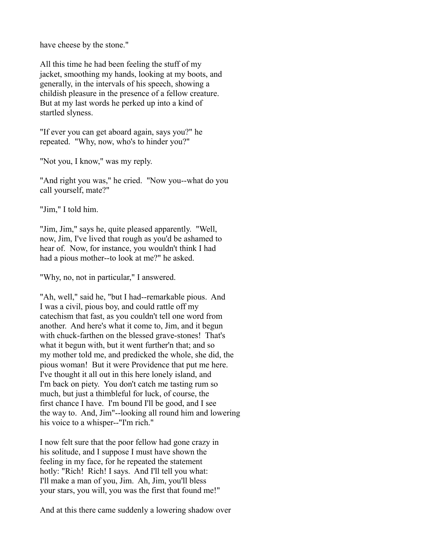have cheese by the stone."

All this time he had been feeling the stuff of my jacket, smoothing my hands, looking at my boots, and generally, in the intervals of his speech, showing a childish pleasure in the presence of a fellow creature. But at my last words he perked up into a kind of startled slyness.

"If ever you can get aboard again, says you?" he repeated. "Why, now, who's to hinder you?"

"Not you, I know," was my reply.

"And right you was," he cried. "Now you--what do you call yourself, mate?"

"Jim," I told him.

"Jim, Jim," says he, quite pleased apparently. "Well, now, Jim, I've lived that rough as you'd be ashamed to hear of. Now, for instance, you wouldn't think I had had a pious mother--to look at me?" he asked.

"Why, no, not in particular," I answered.

"Ah, well," said he, "but I had--remarkable pious. And I was a civil, pious boy, and could rattle off my catechism that fast, as you couldn't tell one word from another. And here's what it come to, Jim, and it begun with chuck-farthen on the blessed grave-stones! That's what it begun with, but it went further'n that; and so my mother told me, and predicked the whole, she did, the pious woman! But it were Providence that put me here. I've thought it all out in this here lonely island, and I'm back on piety. You don't catch me tasting rum so much, but just a thimbleful for luck, of course, the first chance I have. I'm bound I'll be good, and I see the way to. And, Jim"--looking all round him and lowering his voice to a whisper--"I'm rich."

I now felt sure that the poor fellow had gone crazy in his solitude, and I suppose I must have shown the feeling in my face, for he repeated the statement hotly: "Rich! Rich! I says. And I'll tell you what: I'll make a man of you, Jim. Ah, Jim, you'll bless your stars, you will, you was the first that found me!"

And at this there came suddenly a lowering shadow over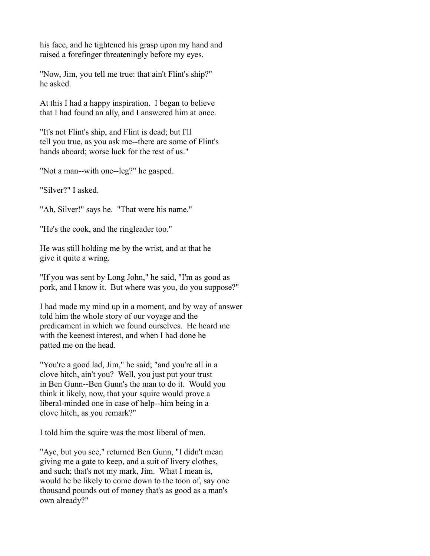his face, and he tightened his grasp upon my hand and raised a forefinger threateningly before my eyes.

"Now, Jim, you tell me true: that ain't Flint's ship?" he asked.

At this I had a happy inspiration. I began to believe that I had found an ally, and I answered him at once.

"It's not Flint's ship, and Flint is dead; but I'll tell you true, as you ask me--there are some of Flint's hands aboard; worse luck for the rest of us."

"Not a man--with one--leg?" he gasped.

"Silver?" I asked.

"Ah, Silver!" says he. "That were his name."

"He's the cook, and the ringleader too."

He was still holding me by the wrist, and at that he give it quite a wring.

"If you was sent by Long John," he said, "I'm as good as pork, and I know it. But where was you, do you suppose?"

I had made my mind up in a moment, and by way of answer told him the whole story of our voyage and the predicament in which we found ourselves. He heard me with the keenest interest, and when I had done he patted me on the head.

"You're a good lad, Jim," he said; "and you're all in a clove hitch, ain't you? Well, you just put your trust in Ben Gunn--Ben Gunn's the man to do it. Would you think it likely, now, that your squire would prove a liberal-minded one in case of help--him being in a clove hitch, as you remark?"

I told him the squire was the most liberal of men.

"Aye, but you see," returned Ben Gunn, "I didn't mean giving me a gate to keep, and a suit of livery clothes, and such; that's not my mark, Jim. What I mean is, would he be likely to come down to the toon of, say one thousand pounds out of money that's as good as a man's own already?"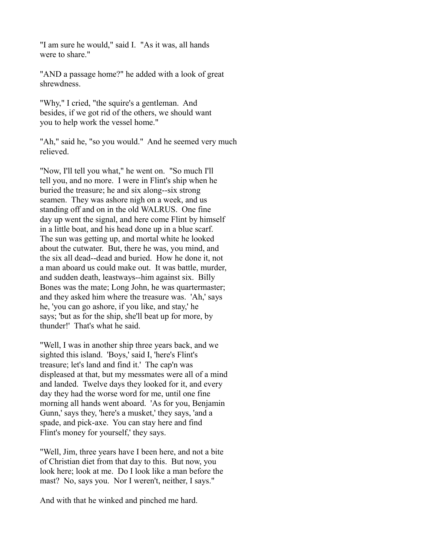"I am sure he would," said I. "As it was, all hands were to share."

"AND a passage home?" he added with a look of great shrewdness.

"Why," I cried, "the squire's a gentleman. And besides, if we got rid of the others, we should want you to help work the vessel home."

"Ah," said he, "so you would." And he seemed very much relieved.

"Now, I'll tell you what," he went on. "So much I'll tell you, and no more. I were in Flint's ship when he buried the treasure; he and six along--six strong seamen. They was ashore nigh on a week, and us standing off and on in the old WALRUS. One fine day up went the signal, and here come Flint by himself in a little boat, and his head done up in a blue scarf. The sun was getting up, and mortal white he looked about the cutwater. But, there he was, you mind, and the six all dead--dead and buried. How he done it, not a man aboard us could make out. It was battle, murder, and sudden death, leastways--him against six. Billy Bones was the mate; Long John, he was quartermaster; and they asked him where the treasure was. 'Ah,' says he, 'you can go ashore, if you like, and stay,' he says; 'but as for the ship, she'll beat up for more, by thunder!' That's what he said.

"Well, I was in another ship three years back, and we sighted this island. 'Boys,' said I, 'here's Flint's treasure; let's land and find it.' The cap'n was displeased at that, but my messmates were all of a mind and landed. Twelve days they looked for it, and every day they had the worse word for me, until one fine morning all hands went aboard. 'As for you, Benjamin Gunn,' says they, 'here's a musket,' they says, 'and a spade, and pick-axe. You can stay here and find Flint's money for yourself,' they says.

"Well, Jim, three years have I been here, and not a bite of Christian diet from that day to this. But now, you look here; look at me. Do I look like a man before the mast? No, says you. Nor I weren't, neither, I says."

And with that he winked and pinched me hard.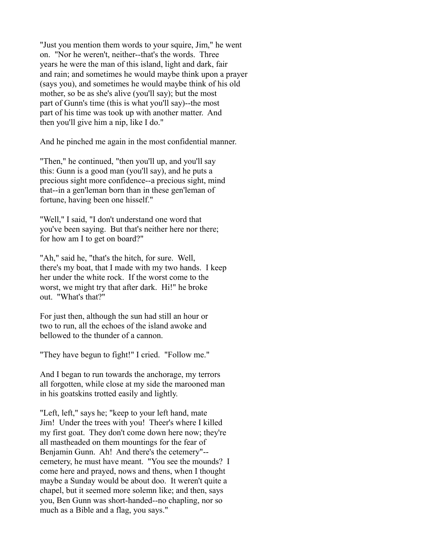"Just you mention them words to your squire, Jim," he went on. "Nor he weren't, neither--that's the words. Three years he were the man of this island, light and dark, fair and rain; and sometimes he would maybe think upon a prayer (says you), and sometimes he would maybe think of his old mother, so be as she's alive (you'll say); but the most part of Gunn's time (this is what you'll say)--the most part of his time was took up with another matter. And then you'll give him a nip, like I do."

And he pinched me again in the most confidential manner.

"Then," he continued, "then you'll up, and you'll say this: Gunn is a good man (you'll say), and he puts a precious sight more confidence--a precious sight, mind that--in a gen'leman born than in these gen'leman of fortune, having been one hisself."

"Well," I said, "I don't understand one word that you've been saying. But that's neither here nor there; for how am I to get on board?"

"Ah," said he, "that's the hitch, for sure. Well, there's my boat, that I made with my two hands. I keep her under the white rock. If the worst come to the worst, we might try that after dark. Hi!" he broke out. "What's that?"

For just then, although the sun had still an hour or two to run, all the echoes of the island awoke and bellowed to the thunder of a cannon.

"They have begun to fight!" I cried. "Follow me."

And I began to run towards the anchorage, my terrors all forgotten, while close at my side the marooned man in his goatskins trotted easily and lightly.

"Left, left," says he; "keep to your left hand, mate Jim! Under the trees with you! Theer's where I killed my first goat. They don't come down here now; they're all mastheaded on them mountings for the fear of Benjamin Gunn. Ah! And there's the cetemery"- cemetery, he must have meant. "You see the mounds? I come here and prayed, nows and thens, when I thought maybe a Sunday would be about doo. It weren't quite a chapel, but it seemed more solemn like; and then, says you, Ben Gunn was short-handed--no chapling, nor so much as a Bible and a flag, you says."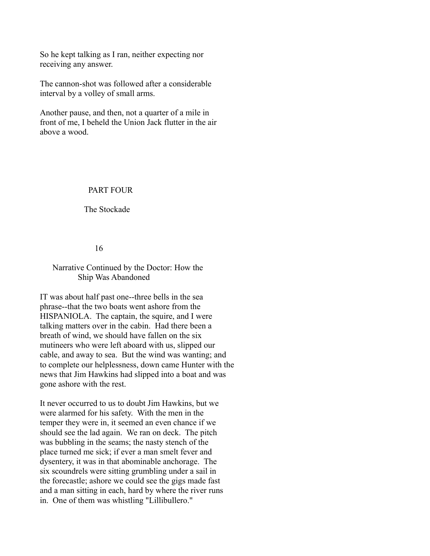So he kept talking as I ran, neither expecting nor receiving any answer.

The cannon-shot was followed after a considerable interval by a volley of small arms.

Another pause, and then, not a quarter of a mile in front of me, I beheld the Union Jack flutter in the air above a wood.

## PART FOUR

The Stockade

16

## Narrative Continued by the Doctor: How the Ship Was Abandoned

IT was about half past one--three bells in the sea phrase--that the two boats went ashore from the HISPANIOLA. The captain, the squire, and I were talking matters over in the cabin. Had there been a breath of wind, we should have fallen on the six mutineers who were left aboard with us, slipped our cable, and away to sea. But the wind was wanting; and to complete our helplessness, down came Hunter with the news that Jim Hawkins had slipped into a boat and was gone ashore with the rest.

It never occurred to us to doubt Jim Hawkins, but we were alarmed for his safety. With the men in the temper they were in, it seemed an even chance if we should see the lad again. We ran on deck. The pitch was bubbling in the seams; the nasty stench of the place turned me sick; if ever a man smelt fever and dysentery, it was in that abominable anchorage. The six scoundrels were sitting grumbling under a sail in the forecastle; ashore we could see the gigs made fast and a man sitting in each, hard by where the river runs in. One of them was whistling "Lillibullero."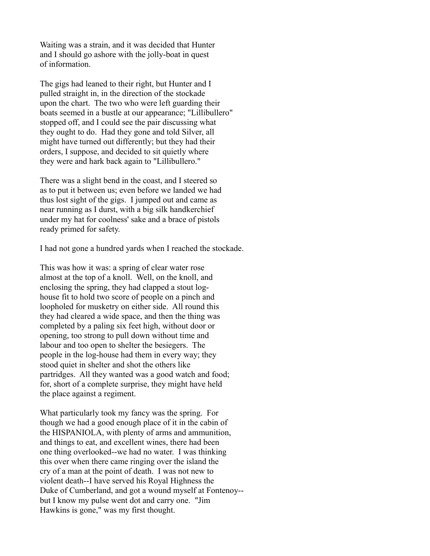Waiting was a strain, and it was decided that Hunter and I should go ashore with the jolly-boat in quest of information.

The gigs had leaned to their right, but Hunter and I pulled straight in, in the direction of the stockade upon the chart. The two who were left guarding their boats seemed in a bustle at our appearance; "Lillibullero" stopped off, and I could see the pair discussing what they ought to do. Had they gone and told Silver, all might have turned out differently; but they had their orders, I suppose, and decided to sit quietly where they were and hark back again to "Lillibullero."

There was a slight bend in the coast, and I steered so as to put it between us; even before we landed we had thus lost sight of the gigs. I jumped out and came as near running as I durst, with a big silk handkerchief under my hat for coolness' sake and a brace of pistols ready primed for safety.

I had not gone a hundred yards when I reached the stockade.

This was how it was: a spring of clear water rose almost at the top of a knoll. Well, on the knoll, and enclosing the spring, they had clapped a stout loghouse fit to hold two score of people on a pinch and loopholed for musketry on either side. All round this they had cleared a wide space, and then the thing was completed by a paling six feet high, without door or opening, too strong to pull down without time and labour and too open to shelter the besiegers. The people in the log-house had them in every way; they stood quiet in shelter and shot the others like partridges. All they wanted was a good watch and food; for, short of a complete surprise, they might have held the place against a regiment.

What particularly took my fancy was the spring. For though we had a good enough place of it in the cabin of the HISPANIOLA, with plenty of arms and ammunition, and things to eat, and excellent wines, there had been one thing overlooked--we had no water. I was thinking this over when there came ringing over the island the cry of a man at the point of death. I was not new to violent death--I have served his Royal Highness the Duke of Cumberland, and got a wound myself at Fontenoy- but I know my pulse went dot and carry one. "Jim Hawkins is gone," was my first thought.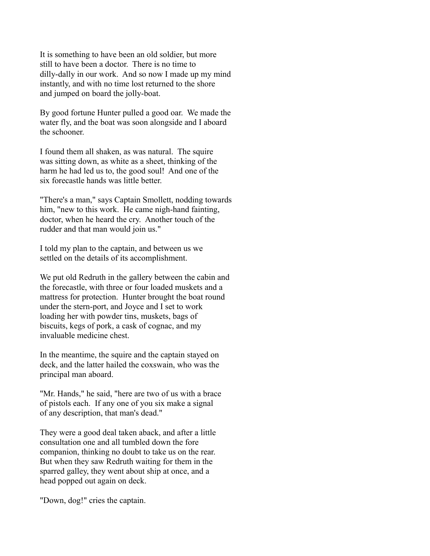It is something to have been an old soldier, but more still to have been a doctor. There is no time to dilly-dally in our work. And so now I made up my mind instantly, and with no time lost returned to the shore and jumped on board the jolly-boat.

By good fortune Hunter pulled a good oar. We made the water fly, and the boat was soon alongside and I aboard the schooner.

I found them all shaken, as was natural. The squire was sitting down, as white as a sheet, thinking of the harm he had led us to, the good soul! And one of the six forecastle hands was little better.

"There's a man," says Captain Smollett, nodding towards him, "new to this work. He came nigh-hand fainting, doctor, when he heard the cry. Another touch of the rudder and that man would join us."

I told my plan to the captain, and between us we settled on the details of its accomplishment.

We put old Redruth in the gallery between the cabin and the forecastle, with three or four loaded muskets and a mattress for protection. Hunter brought the boat round under the stern-port, and Joyce and I set to work loading her with powder tins, muskets, bags of biscuits, kegs of pork, a cask of cognac, and my invaluable medicine chest.

In the meantime, the squire and the captain stayed on deck, and the latter hailed the coxswain, who was the principal man aboard.

"Mr. Hands," he said, "here are two of us with a brace of pistols each. If any one of you six make a signal of any description, that man's dead."

They were a good deal taken aback, and after a little consultation one and all tumbled down the fore companion, thinking no doubt to take us on the rear. But when they saw Redruth waiting for them in the sparred galley, they went about ship at once, and a head popped out again on deck.

"Down, dog!" cries the captain.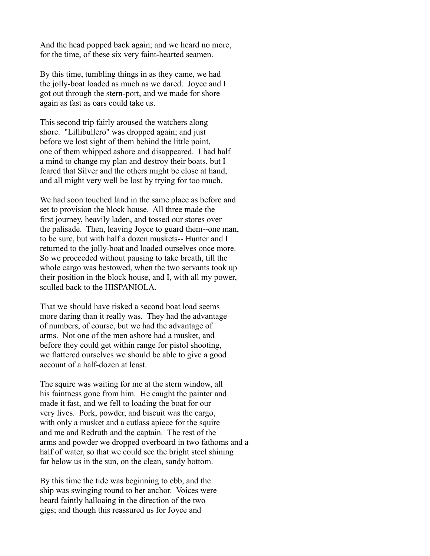And the head popped back again; and we heard no more, for the time, of these six very faint-hearted seamen.

By this time, tumbling things in as they came, we had the jolly-boat loaded as much as we dared. Joyce and I got out through the stern-port, and we made for shore again as fast as oars could take us.

This second trip fairly aroused the watchers along shore. "Lillibullero" was dropped again; and just before we lost sight of them behind the little point, one of them whipped ashore and disappeared. I had half a mind to change my plan and destroy their boats, but I feared that Silver and the others might be close at hand, and all might very well be lost by trying for too much.

We had soon touched land in the same place as before and set to provision the block house. All three made the first journey, heavily laden, and tossed our stores over the palisade. Then, leaving Joyce to guard them--one man, to be sure, but with half a dozen muskets-- Hunter and I returned to the jolly-boat and loaded ourselves once more. So we proceeded without pausing to take breath, till the whole cargo was bestowed, when the two servants took up their position in the block house, and I, with all my power, sculled back to the HISPANIOLA.

That we should have risked a second boat load seems more daring than it really was. They had the advantage of numbers, of course, but we had the advantage of arms. Not one of the men ashore had a musket, and before they could get within range for pistol shooting, we flattered ourselves we should be able to give a good account of a half-dozen at least.

The squire was waiting for me at the stern window, all his faintness gone from him. He caught the painter and made it fast, and we fell to loading the boat for our very lives. Pork, powder, and biscuit was the cargo, with only a musket and a cutlass apiece for the squire and me and Redruth and the captain. The rest of the arms and powder we dropped overboard in two fathoms and a half of water, so that we could see the bright steel shining far below us in the sun, on the clean, sandy bottom.

By this time the tide was beginning to ebb, and the ship was swinging round to her anchor. Voices were heard faintly halloaing in the direction of the two gigs; and though this reassured us for Joyce and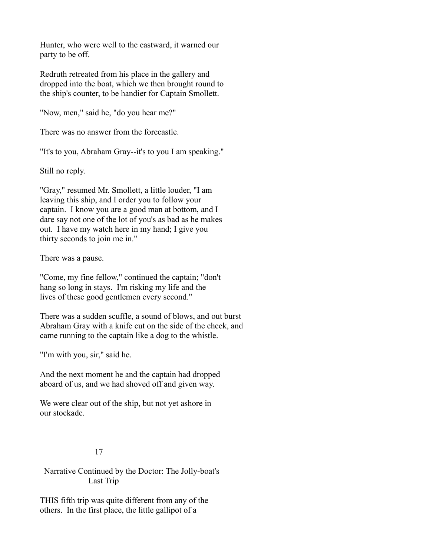Hunter, who were well to the eastward, it warned our party to be off.

Redruth retreated from his place in the gallery and dropped into the boat, which we then brought round to the ship's counter, to be handier for Captain Smollett.

"Now, men," said he, "do you hear me?"

There was no answer from the forecastle.

"It's to you, Abraham Gray--it's to you I am speaking."

Still no reply.

"Gray," resumed Mr. Smollett, a little louder, "I am leaving this ship, and I order you to follow your captain. I know you are a good man at bottom, and I dare say not one of the lot of you's as bad as he makes out. I have my watch here in my hand; I give you thirty seconds to join me in."

There was a pause.

"Come, my fine fellow," continued the captain; "don't hang so long in stays. I'm risking my life and the lives of these good gentlemen every second."

There was a sudden scuffle, a sound of blows, and out burst Abraham Gray with a knife cut on the side of the cheek, and came running to the captain like a dog to the whistle.

"I'm with you, sir," said he.

And the next moment he and the captain had dropped aboard of us, and we had shoved off and given way.

We were clear out of the ship, but not yet ashore in our stockade.

# 17

 Narrative Continued by the Doctor: The Jolly-boat's Last Trip

THIS fifth trip was quite different from any of the others. In the first place, the little gallipot of a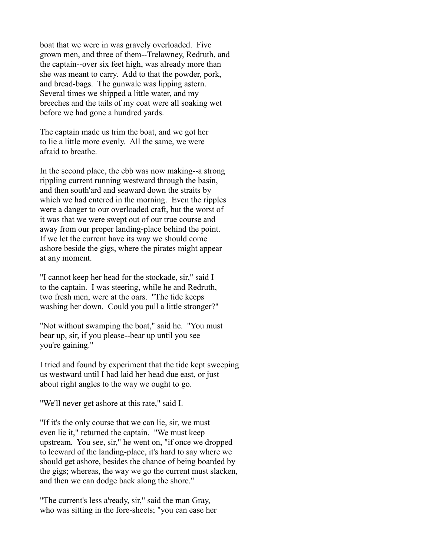boat that we were in was gravely overloaded. Five grown men, and three of them--Trelawney, Redruth, and the captain--over six feet high, was already more than she was meant to carry. Add to that the powder, pork, and bread-bags. The gunwale was lipping astern. Several times we shipped a little water, and my breeches and the tails of my coat were all soaking wet before we had gone a hundred yards.

The captain made us trim the boat, and we got her to lie a little more evenly. All the same, we were afraid to breathe.

In the second place, the ebb was now making--a strong rippling current running westward through the basin, and then south'ard and seaward down the straits by which we had entered in the morning. Even the ripples were a danger to our overloaded craft, but the worst of it was that we were swept out of our true course and away from our proper landing-place behind the point. If we let the current have its way we should come ashore beside the gigs, where the pirates might appear at any moment.

"I cannot keep her head for the stockade, sir," said I to the captain. I was steering, while he and Redruth, two fresh men, were at the oars. "The tide keeps washing her down. Could you pull a little stronger?"

"Not without swamping the boat," said he. "You must bear up, sir, if you please--bear up until you see you're gaining."

I tried and found by experiment that the tide kept sweeping us westward until I had laid her head due east, or just about right angles to the way we ought to go.

"We'll never get ashore at this rate," said I.

"If it's the only course that we can lie, sir, we must even lie it," returned the captain. "We must keep upstream. You see, sir," he went on, "if once we dropped to leeward of the landing-place, it's hard to say where we should get ashore, besides the chance of being boarded by the gigs; whereas, the way we go the current must slacken, and then we can dodge back along the shore."

"The current's less a'ready, sir," said the man Gray, who was sitting in the fore-sheets; "you can ease her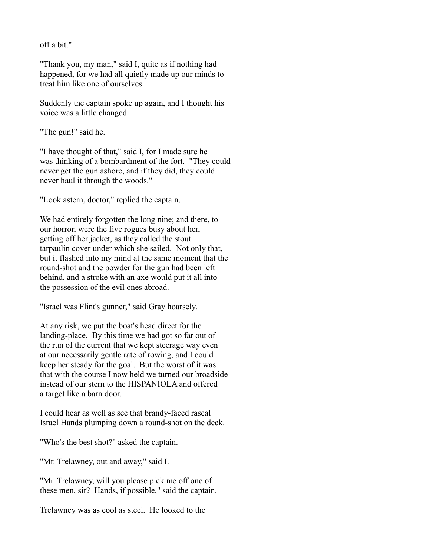off a bit."

"Thank you, my man," said I, quite as if nothing had happened, for we had all quietly made up our minds to treat him like one of ourselves.

Suddenly the captain spoke up again, and I thought his voice was a little changed.

"The gun!" said he.

"I have thought of that," said I, for I made sure he was thinking of a bombardment of the fort. "They could never get the gun ashore, and if they did, they could never haul it through the woods."

"Look astern, doctor," replied the captain.

We had entirely forgotten the long nine; and there, to our horror, were the five rogues busy about her, getting off her jacket, as they called the stout tarpaulin cover under which she sailed. Not only that, but it flashed into my mind at the same moment that the round-shot and the powder for the gun had been left behind, and a stroke with an axe would put it all into the possession of the evil ones abroad.

"Israel was Flint's gunner," said Gray hoarsely.

At any risk, we put the boat's head direct for the landing-place. By this time we had got so far out of the run of the current that we kept steerage way even at our necessarily gentle rate of rowing, and I could keep her steady for the goal. But the worst of it was that with the course I now held we turned our broadside instead of our stern to the HISPANIOLA and offered a target like a barn door.

I could hear as well as see that brandy-faced rascal Israel Hands plumping down a round-shot on the deck.

"Who's the best shot?" asked the captain.

"Mr. Trelawney, out and away," said I.

"Mr. Trelawney, will you please pick me off one of these men, sir? Hands, if possible," said the captain.

Trelawney was as cool as steel. He looked to the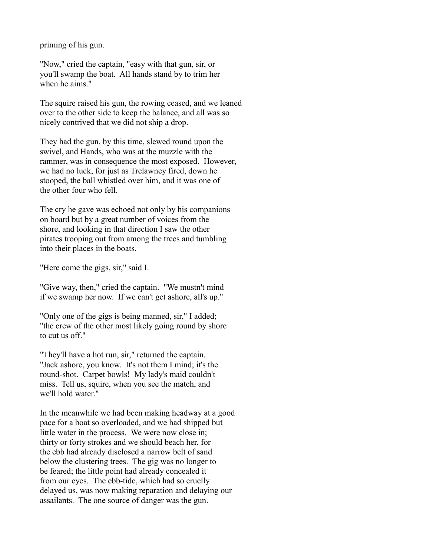priming of his gun.

"Now," cried the captain, "easy with that gun, sir, or you'll swamp the boat. All hands stand by to trim her when he aims."

The squire raised his gun, the rowing ceased, and we leaned over to the other side to keep the balance, and all was so nicely contrived that we did not ship a drop.

They had the gun, by this time, slewed round upon the swivel, and Hands, who was at the muzzle with the rammer, was in consequence the most exposed. However, we had no luck, for just as Trelawney fired, down he stooped, the ball whistled over him, and it was one of the other four who fell.

The cry he gave was echoed not only by his companions on board but by a great number of voices from the shore, and looking in that direction I saw the other pirates trooping out from among the trees and tumbling into their places in the boats.

"Here come the gigs, sir," said I.

"Give way, then," cried the captain. "We mustn't mind if we swamp her now. If we can't get ashore, all's up."

"Only one of the gigs is being manned, sir," I added; "the crew of the other most likely going round by shore to cut us off."

"They'll have a hot run, sir," returned the captain. "Jack ashore, you know. It's not them I mind; it's the round-shot. Carpet bowls! My lady's maid couldn't miss. Tell us, squire, when you see the match, and we'll hold water."

In the meanwhile we had been making headway at a good pace for a boat so overloaded, and we had shipped but little water in the process. We were now close in; thirty or forty strokes and we should beach her, for the ebb had already disclosed a narrow belt of sand below the clustering trees. The gig was no longer to be feared; the little point had already concealed it from our eyes. The ebb-tide, which had so cruelly delayed us, was now making reparation and delaying our assailants. The one source of danger was the gun.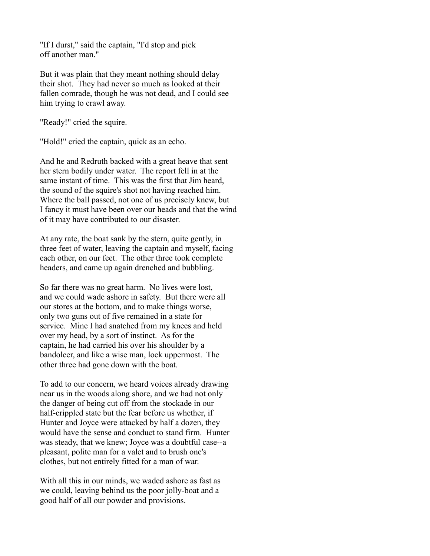"If I durst," said the captain, "I'd stop and pick off another man."

But it was plain that they meant nothing should delay their shot. They had never so much as looked at their fallen comrade, though he was not dead, and I could see him trying to crawl away.

"Ready!" cried the squire.

"Hold!" cried the captain, quick as an echo.

And he and Redruth backed with a great heave that sent her stern bodily under water. The report fell in at the same instant of time. This was the first that Jim heard, the sound of the squire's shot not having reached him. Where the ball passed, not one of us precisely knew, but I fancy it must have been over our heads and that the wind of it may have contributed to our disaster.

At any rate, the boat sank by the stern, quite gently, in three feet of water, leaving the captain and myself, facing each other, on our feet. The other three took complete headers, and came up again drenched and bubbling.

So far there was no great harm. No lives were lost, and we could wade ashore in safety. But there were all our stores at the bottom, and to make things worse, only two guns out of five remained in a state for service. Mine I had snatched from my knees and held over my head, by a sort of instinct. As for the captain, he had carried his over his shoulder by a bandoleer, and like a wise man, lock uppermost. The other three had gone down with the boat.

To add to our concern, we heard voices already drawing near us in the woods along shore, and we had not only the danger of being cut off from the stockade in our half-crippled state but the fear before us whether, if Hunter and Joyce were attacked by half a dozen, they would have the sense and conduct to stand firm. Hunter was steady, that we knew; Joyce was a doubtful case--a pleasant, polite man for a valet and to brush one's clothes, but not entirely fitted for a man of war.

With all this in our minds, we waded ashore as fast as we could, leaving behind us the poor jolly-boat and a good half of all our powder and provisions.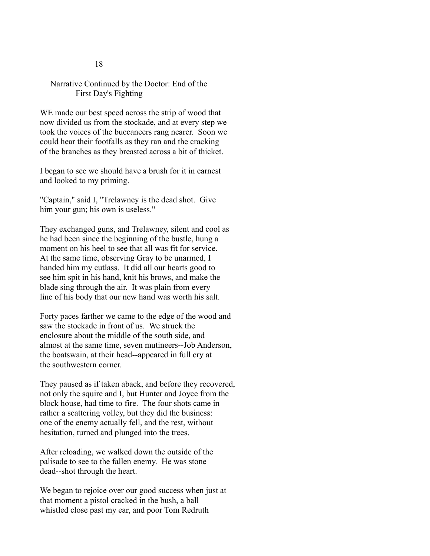# Narrative Continued by the Doctor: End of the First Day's Fighting

WE made our best speed across the strip of wood that now divided us from the stockade, and at every step we took the voices of the buccaneers rang nearer. Soon we could hear their footfalls as they ran and the cracking of the branches as they breasted across a bit of thicket.

I began to see we should have a brush for it in earnest and looked to my priming.

"Captain," said I, "Trelawney is the dead shot. Give him your gun; his own is useless."

They exchanged guns, and Trelawney, silent and cool as he had been since the beginning of the bustle, hung a moment on his heel to see that all was fit for service. At the same time, observing Gray to be unarmed, I handed him my cutlass. It did all our hearts good to see him spit in his hand, knit his brows, and make the blade sing through the air. It was plain from every line of his body that our new hand was worth his salt.

Forty paces farther we came to the edge of the wood and saw the stockade in front of us. We struck the enclosure about the middle of the south side, and almost at the same time, seven mutineers--Job Anderson, the boatswain, at their head--appeared in full cry at the southwestern corner.

They paused as if taken aback, and before they recovered, not only the squire and I, but Hunter and Joyce from the block house, had time to fire. The four shots came in rather a scattering volley, but they did the business: one of the enemy actually fell, and the rest, without hesitation, turned and plunged into the trees.

After reloading, we walked down the outside of the palisade to see to the fallen enemy. He was stone dead--shot through the heart.

We began to rejoice over our good success when just at that moment a pistol cracked in the bush, a ball whistled close past my ear, and poor Tom Redruth

#### 18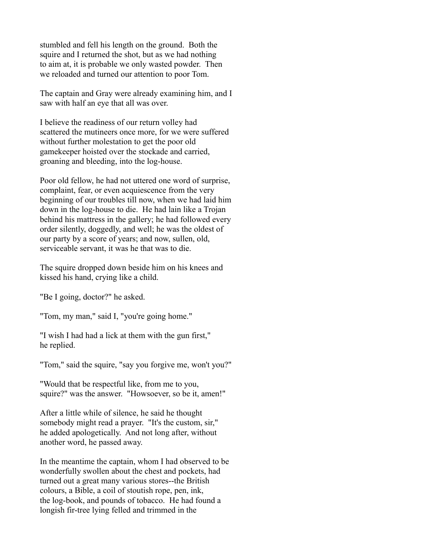stumbled and fell his length on the ground. Both the squire and I returned the shot, but as we had nothing to aim at, it is probable we only wasted powder. Then we reloaded and turned our attention to poor Tom.

The captain and Gray were already examining him, and I saw with half an eye that all was over.

I believe the readiness of our return volley had scattered the mutineers once more, for we were suffered without further molestation to get the poor old gamekeeper hoisted over the stockade and carried, groaning and bleeding, into the log-house.

Poor old fellow, he had not uttered one word of surprise, complaint, fear, or even acquiescence from the very beginning of our troubles till now, when we had laid him down in the log-house to die. He had lain like a Trojan behind his mattress in the gallery; he had followed every order silently, doggedly, and well; he was the oldest of our party by a score of years; and now, sullen, old, serviceable servant, it was he that was to die.

The squire dropped down beside him on his knees and kissed his hand, crying like a child.

"Be I going, doctor?" he asked.

"Tom, my man," said I, "you're going home."

"I wish I had had a lick at them with the gun first," he replied.

"Tom," said the squire, "say you forgive me, won't you?"

"Would that be respectful like, from me to you, squire?" was the answer. "Howsoever, so be it, amen!"

After a little while of silence, he said he thought somebody might read a prayer. "It's the custom, sir," he added apologetically. And not long after, without another word, he passed away.

In the meantime the captain, whom I had observed to be wonderfully swollen about the chest and pockets, had turned out a great many various stores--the British colours, a Bible, a coil of stoutish rope, pen, ink, the log-book, and pounds of tobacco. He had found a longish fir-tree lying felled and trimmed in the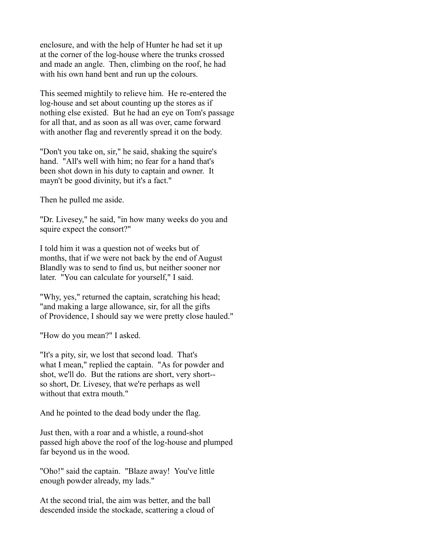enclosure, and with the help of Hunter he had set it up at the corner of the log-house where the trunks crossed and made an angle. Then, climbing on the roof, he had with his own hand bent and run up the colours.

This seemed mightily to relieve him. He re-entered the log-house and set about counting up the stores as if nothing else existed. But he had an eye on Tom's passage for all that, and as soon as all was over, came forward with another flag and reverently spread it on the body.

"Don't you take on, sir," he said, shaking the squire's hand. "All's well with him; no fear for a hand that's been shot down in his duty to captain and owner. It mayn't be good divinity, but it's a fact."

Then he pulled me aside.

"Dr. Livesey," he said, "in how many weeks do you and squire expect the consort?"

I told him it was a question not of weeks but of months, that if we were not back by the end of August Blandly was to send to find us, but neither sooner nor later. "You can calculate for yourself," I said.

"Why, yes," returned the captain, scratching his head; "and making a large allowance, sir, for all the gifts of Providence, I should say we were pretty close hauled."

"How do you mean?" I asked.

"It's a pity, sir, we lost that second load. That's what I mean," replied the captain. "As for powder and shot, we'll do. But the rations are short, very short- so short, Dr. Livesey, that we're perhaps as well without that extra mouth."

And he pointed to the dead body under the flag.

Just then, with a roar and a whistle, a round-shot passed high above the roof of the log-house and plumped far beyond us in the wood.

"Oho!" said the captain. "Blaze away! You've little enough powder already, my lads."

At the second trial, the aim was better, and the ball descended inside the stockade, scattering a cloud of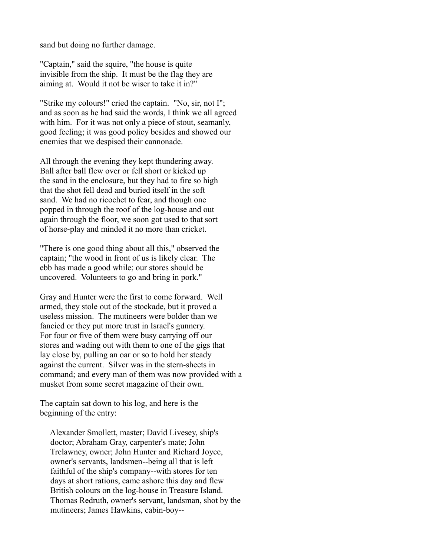sand but doing no further damage.

"Captain," said the squire, "the house is quite invisible from the ship. It must be the flag they are aiming at. Would it not be wiser to take it in?"

"Strike my colours!" cried the captain. "No, sir, not I"; and as soon as he had said the words, I think we all agreed with him. For it was not only a piece of stout, seamanly, good feeling; it was good policy besides and showed our enemies that we despised their cannonade.

All through the evening they kept thundering away. Ball after ball flew over or fell short or kicked up the sand in the enclosure, but they had to fire so high that the shot fell dead and buried itself in the soft sand. We had no ricochet to fear, and though one popped in through the roof of the log-house and out again through the floor, we soon got used to that sort of horse-play and minded it no more than cricket.

"There is one good thing about all this," observed the captain; "the wood in front of us is likely clear. The ebb has made a good while; our stores should be uncovered. Volunteers to go and bring in pork."

Gray and Hunter were the first to come forward. Well armed, they stole out of the stockade, but it proved a useless mission. The mutineers were bolder than we fancied or they put more trust in Israel's gunnery. For four or five of them were busy carrying off our stores and wading out with them to one of the gigs that lay close by, pulling an oar or so to hold her steady against the current. Silver was in the stern-sheets in command; and every man of them was now provided with a musket from some secret magazine of their own.

The captain sat down to his log, and here is the beginning of the entry:

 Alexander Smollett, master; David Livesey, ship's doctor; Abraham Gray, carpenter's mate; John Trelawney, owner; John Hunter and Richard Joyce, owner's servants, landsmen--being all that is left faithful of the ship's company--with stores for ten days at short rations, came ashore this day and flew British colours on the log-house in Treasure Island. Thomas Redruth, owner's servant, landsman, shot by the mutineers; James Hawkins, cabin-boy--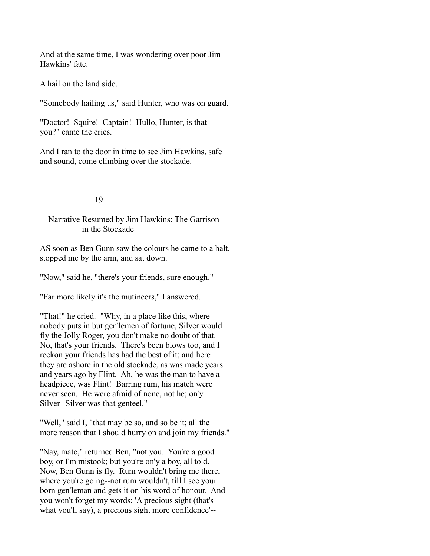And at the same time, I was wondering over poor Jim Hawkins' fate.

A hail on the land side.

"Somebody hailing us," said Hunter, who was on guard.

"Doctor! Squire! Captain! Hullo, Hunter, is that you?" came the cries.

And I ran to the door in time to see Jim Hawkins, safe and sound, come climbing over the stockade.

## 19

# Narrative Resumed by Jim Hawkins: The Garrison in the Stockade

AS soon as Ben Gunn saw the colours he came to a halt, stopped me by the arm, and sat down.

"Now," said he, "there's your friends, sure enough."

"Far more likely it's the mutineers," I answered.

"That!" he cried. "Why, in a place like this, where nobody puts in but gen'lemen of fortune, Silver would fly the Jolly Roger, you don't make no doubt of that. No, that's your friends. There's been blows too, and I reckon your friends has had the best of it; and here they are ashore in the old stockade, as was made years and years ago by Flint. Ah, he was the man to have a headpiece, was Flint! Barring rum, his match were never seen. He were afraid of none, not he; on'y Silver--Silver was that genteel."

"Well," said I, "that may be so, and so be it; all the more reason that I should hurry on and join my friends."

"Nay, mate," returned Ben, "not you. You're a good boy, or I'm mistook; but you're on'y a boy, all told. Now, Ben Gunn is fly. Rum wouldn't bring me there, where you're going--not rum wouldn't, till I see your born gen'leman and gets it on his word of honour. And you won't forget my words; 'A precious sight (that's what you'll say), a precious sight more confidence'--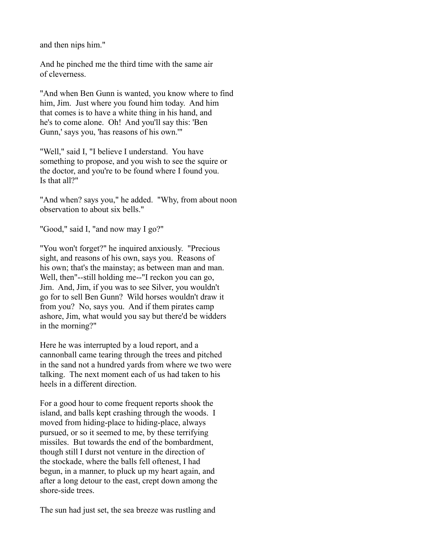and then nips him."

And he pinched me the third time with the same air of cleverness.

"And when Ben Gunn is wanted, you know where to find him, Jim. Just where you found him today. And him that comes is to have a white thing in his hand, and he's to come alone. Oh! And you'll say this: 'Ben Gunn,' says you, 'has reasons of his own.'"

"Well," said I, "I believe I understand. You have something to propose, and you wish to see the squire or the doctor, and you're to be found where I found you. Is that all?"

"And when? says you," he added. "Why, from about noon observation to about six bells."

"Good," said I, "and now may I go?"

"You won't forget?" he inquired anxiously. "Precious sight, and reasons of his own, says you. Reasons of his own; that's the mainstay; as between man and man. Well, then"--still holding me--"I reckon you can go, Jim. And, Jim, if you was to see Silver, you wouldn't go for to sell Ben Gunn? Wild horses wouldn't draw it from you? No, says you. And if them pirates camp ashore, Jim, what would you say but there'd be widders in the morning?"

Here he was interrupted by a loud report, and a cannonball came tearing through the trees and pitched in the sand not a hundred yards from where we two were talking. The next moment each of us had taken to his heels in a different direction.

For a good hour to come frequent reports shook the island, and balls kept crashing through the woods. I moved from hiding-place to hiding-place, always pursued, or so it seemed to me, by these terrifying missiles. But towards the end of the bombardment, though still I durst not venture in the direction of the stockade, where the balls fell oftenest, I had begun, in a manner, to pluck up my heart again, and after a long detour to the east, crept down among the shore-side trees.

The sun had just set, the sea breeze was rustling and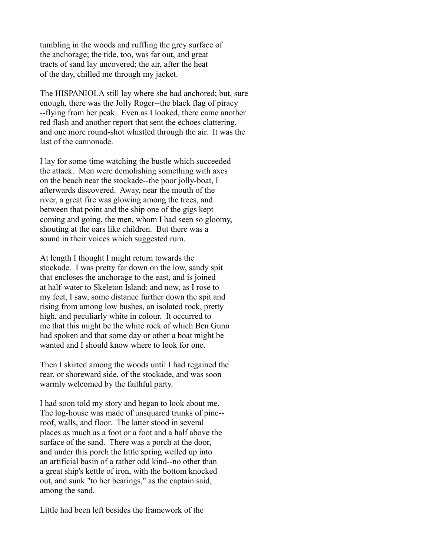tumbling in the woods and ruffling the grey surface of the anchorage; the tide, too, was far out, and great tracts of sand lay uncovered; the air, after the heat of the day, chilled me through my jacket.

The HISPANIOLA still lay where she had anchored; but, sure enough, there was the Jolly Roger--the black flag of piracy --flying from her peak. Even as I looked, there came another red flash and another report that sent the echoes clattering, and one more round-shot whistled through the air. It was the last of the cannonade.

I lay for some time watching the bustle which succeeded the attack. Men were demolishing something with axes on the beach near the stockade--the poor jolly-boat, I afterwards discovered. Away, near the mouth of the river, a great fire was glowing among the trees, and between that point and the ship one of the gigs kept coming and going, the men, whom I had seen so gloomy, shouting at the oars like children. But there was a sound in their voices which suggested rum.

At length I thought I might return towards the stockade. I was pretty far down on the low, sandy spit that encloses the anchorage to the east, and is joined at half-water to Skeleton Island; and now, as I rose to my feet, I saw, some distance further down the spit and rising from among low bushes, an isolated rock, pretty high, and peculiarly white in colour. It occurred to me that this might be the white rock of which Ben Gunn had spoken and that some day or other a boat might be wanted and I should know where to look for one.

Then I skirted among the woods until I had regained the rear, or shoreward side, of the stockade, and was soon warmly welcomed by the faithful party.

I had soon told my story and began to look about me. The log-house was made of unsquared trunks of pine- roof, walls, and floor. The latter stood in several places as much as a foot or a foot and a half above the surface of the sand. There was a porch at the door, and under this porch the little spring welled up into an artificial basin of a rather odd kind--no other than a great ship's kettle of iron, with the bottom knocked out, and sunk "to her bearings," as the captain said, among the sand.

Little had been left besides the framework of the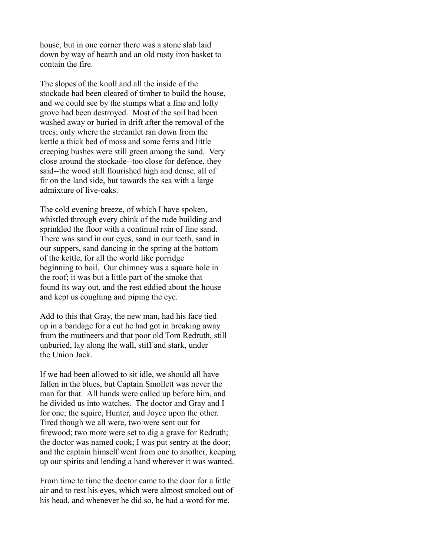house, but in one corner there was a stone slab laid down by way of hearth and an old rusty iron basket to contain the fire.

The slopes of the knoll and all the inside of the stockade had been cleared of timber to build the house, and we could see by the stumps what a fine and lofty grove had been destroyed. Most of the soil had been washed away or buried in drift after the removal of the trees; only where the streamlet ran down from the kettle a thick bed of moss and some ferns and little creeping bushes were still green among the sand. Very close around the stockade--too close for defence, they said--the wood still flourished high and dense, all of fir on the land side, but towards the sea with a large admixture of live-oaks.

The cold evening breeze, of which I have spoken, whistled through every chink of the rude building and sprinkled the floor with a continual rain of fine sand. There was sand in our eyes, sand in our teeth, sand in our suppers, sand dancing in the spring at the bottom of the kettle, for all the world like porridge beginning to boil. Our chimney was a square hole in the roof; it was but a little part of the smoke that found its way out, and the rest eddied about the house and kept us coughing and piping the eye.

Add to this that Gray, the new man, had his face tied up in a bandage for a cut he had got in breaking away from the mutineers and that poor old Tom Redruth, still unburied, lay along the wall, stiff and stark, under the Union Jack.

If we had been allowed to sit idle, we should all have fallen in the blues, but Captain Smollett was never the man for that. All hands were called up before him, and he divided us into watches. The doctor and Gray and I for one; the squire, Hunter, and Joyce upon the other. Tired though we all were, two were sent out for firewood; two more were set to dig a grave for Redruth; the doctor was named cook; I was put sentry at the door; and the captain himself went from one to another, keeping up our spirits and lending a hand wherever it was wanted.

From time to time the doctor came to the door for a little air and to rest his eyes, which were almost smoked out of his head, and whenever he did so, he had a word for me.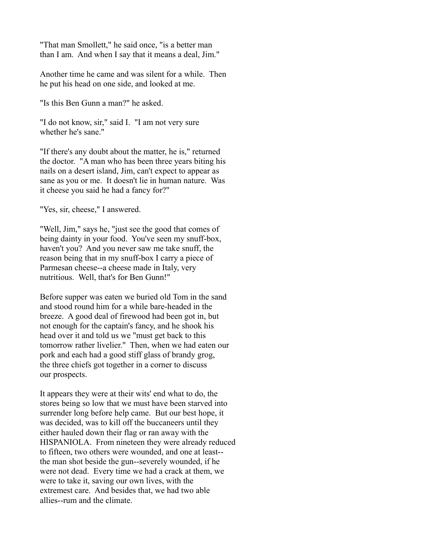"That man Smollett," he said once, "is a better man than I am. And when I say that it means a deal, Jim."

Another time he came and was silent for a while. Then he put his head on one side, and looked at me.

"Is this Ben Gunn a man?" he asked.

"I do not know, sir," said I. "I am not very sure whether he's sane."

"If there's any doubt about the matter, he is," returned the doctor. "A man who has been three years biting his nails on a desert island, Jim, can't expect to appear as sane as you or me. It doesn't lie in human nature. Was it cheese you said he had a fancy for?"

"Yes, sir, cheese," I answered.

"Well, Jim," says he, "just see the good that comes of being dainty in your food. You've seen my snuff-box, haven't you? And you never saw me take snuff, the reason being that in my snuff-box I carry a piece of Parmesan cheese--a cheese made in Italy, very nutritious. Well, that's for Ben Gunn!"

Before supper was eaten we buried old Tom in the sand and stood round him for a while bare-headed in the breeze. A good deal of firewood had been got in, but not enough for the captain's fancy, and he shook his head over it and told us we "must get back to this tomorrow rather livelier." Then, when we had eaten our pork and each had a good stiff glass of brandy grog, the three chiefs got together in a corner to discuss our prospects.

It appears they were at their wits' end what to do, the stores being so low that we must have been starved into surrender long before help came. But our best hope, it was decided, was to kill off the buccaneers until they either hauled down their flag or ran away with the HISPANIOLA. From nineteen they were already reduced to fifteen, two others were wounded, and one at least- the man shot beside the gun--severely wounded, if he were not dead. Every time we had a crack at them, we were to take it, saving our own lives, with the extremest care. And besides that, we had two able allies--rum and the climate.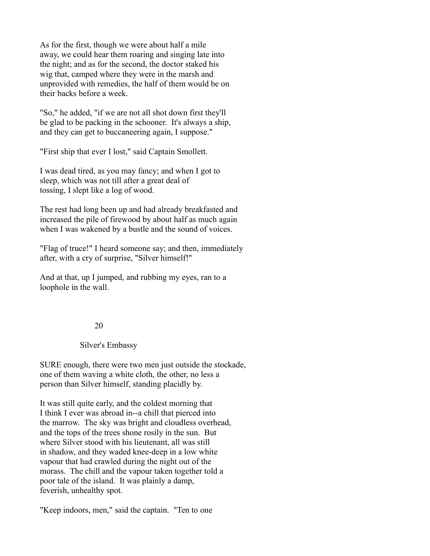As for the first, though we were about half a mile away, we could hear them roaring and singing late into the night; and as for the second, the doctor staked his wig that, camped where they were in the marsh and unprovided with remedies, the half of them would be on their backs before a week.

"So," he added, "if we are not all shot down first they'll be glad to be packing in the schooner. It's always a ship, and they can get to buccaneering again, I suppose."

"First ship that ever I lost," said Captain Smollett.

I was dead tired, as you may fancy; and when I got to sleep, which was not till after a great deal of tossing, I slept like a log of wood.

The rest had long been up and had already breakfasted and increased the pile of firewood by about half as much again when I was wakened by a bustle and the sound of voices.

"Flag of truce!" I heard someone say; and then, immediately after, with a cry of surprise, "Silver himself!"

And at that, up I jumped, and rubbing my eyes, ran to a loophole in the wall.

## 20

# Silver's Embassy

SURE enough, there were two men just outside the stockade, one of them waving a white cloth, the other, no less a person than Silver himself, standing placidly by.

It was still quite early, and the coldest morning that I think I ever was abroad in--a chill that pierced into the marrow. The sky was bright and cloudless overhead, and the tops of the trees shone rosily in the sun. But where Silver stood with his lieutenant, all was still in shadow, and they waded knee-deep in a low white vapour that had crawled during the night out of the morass. The chill and the vapour taken together told a poor tale of the island. It was plainly a damp, feverish, unhealthy spot.

"Keep indoors, men," said the captain. "Ten to one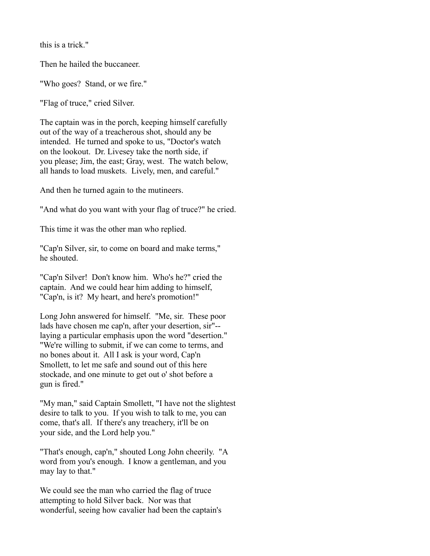this is a trick."

Then he hailed the buccaneer.

"Who goes? Stand, or we fire."

"Flag of truce," cried Silver.

The captain was in the porch, keeping himself carefully out of the way of a treacherous shot, should any be intended. He turned and spoke to us, "Doctor's watch on the lookout. Dr. Livesey take the north side, if you please; Jim, the east; Gray, west. The watch below, all hands to load muskets. Lively, men, and careful."

And then he turned again to the mutineers.

"And what do you want with your flag of truce?" he cried.

This time it was the other man who replied.

"Cap'n Silver, sir, to come on board and make terms," he shouted.

"Cap'n Silver! Don't know him. Who's he?" cried the captain. And we could hear him adding to himself, "Cap'n, is it? My heart, and here's promotion!"

Long John answered for himself. "Me, sir. These poor lads have chosen me cap'n, after your desertion, sir"- laying a particular emphasis upon the word "desertion." "We're willing to submit, if we can come to terms, and no bones about it. All I ask is your word, Cap'n Smollett, to let me safe and sound out of this here stockade, and one minute to get out o' shot before a gun is fired."

"My man," said Captain Smollett, "I have not the slightest desire to talk to you. If you wish to talk to me, you can come, that's all. If there's any treachery, it'll be on your side, and the Lord help you."

"That's enough, cap'n," shouted Long John cheerily. "A word from you's enough. I know a gentleman, and you may lay to that."

We could see the man who carried the flag of truce attempting to hold Silver back. Nor was that wonderful, seeing how cavalier had been the captain's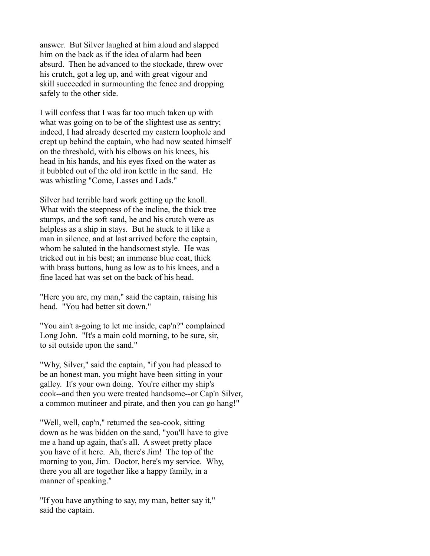answer. But Silver laughed at him aloud and slapped him on the back as if the idea of alarm had been absurd. Then he advanced to the stockade, threw over his crutch, got a leg up, and with great vigour and skill succeeded in surmounting the fence and dropping safely to the other side.

I will confess that I was far too much taken up with what was going on to be of the slightest use as sentry; indeed, I had already deserted my eastern loophole and crept up behind the captain, who had now seated himself on the threshold, with his elbows on his knees, his head in his hands, and his eyes fixed on the water as it bubbled out of the old iron kettle in the sand. He was whistling "Come, Lasses and Lads."

Silver had terrible hard work getting up the knoll. What with the steepness of the incline, the thick tree stumps, and the soft sand, he and his crutch were as helpless as a ship in stays. But he stuck to it like a man in silence, and at last arrived before the captain, whom he saluted in the handsomest style. He was tricked out in his best; an immense blue coat, thick with brass buttons, hung as low as to his knees, and a fine laced hat was set on the back of his head.

"Here you are, my man," said the captain, raising his head. "You had better sit down."

"You ain't a-going to let me inside, cap'n?" complained Long John. "It's a main cold morning, to be sure, sir, to sit outside upon the sand."

"Why, Silver," said the captain, "if you had pleased to be an honest man, you might have been sitting in your galley. It's your own doing. You're either my ship's cook--and then you were treated handsome--or Cap'n Silver, a common mutineer and pirate, and then you can go hang!"

"Well, well, cap'n," returned the sea-cook, sitting down as he was bidden on the sand, "you'll have to give me a hand up again, that's all. A sweet pretty place you have of it here. Ah, there's Jim! The top of the morning to you, Jim. Doctor, here's my service. Why, there you all are together like a happy family, in a manner of speaking."

"If you have anything to say, my man, better say it," said the captain.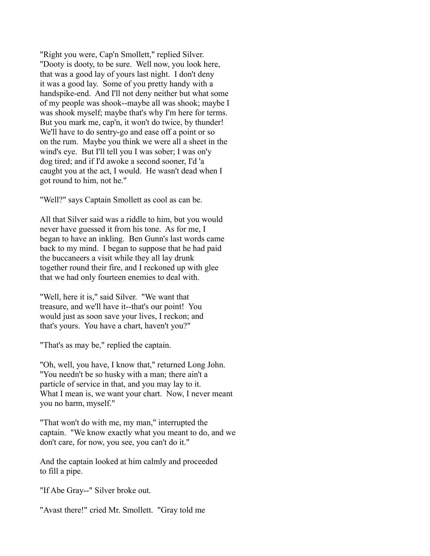"Right you were, Cap'n Smollett," replied Silver. "Dooty is dooty, to be sure. Well now, you look here, that was a good lay of yours last night. I don't deny it was a good lay. Some of you pretty handy with a handspike-end. And I'll not deny neither but what some of my people was shook--maybe all was shook; maybe I was shook myself; maybe that's why I'm here for terms. But you mark me, cap'n, it won't do twice, by thunder! We'll have to do sentry-go and ease off a point or so on the rum. Maybe you think we were all a sheet in the wind's eye. But I'll tell you I was sober; I was on'y dog tired; and if I'd awoke a second sooner, I'd 'a caught you at the act, I would. He wasn't dead when I got round to him, not he."

"Well?" says Captain Smollett as cool as can be.

All that Silver said was a riddle to him, but you would never have guessed it from his tone. As for me, I began to have an inkling. Ben Gunn's last words came back to my mind. I began to suppose that he had paid the buccaneers a visit while they all lay drunk together round their fire, and I reckoned up with glee that we had only fourteen enemies to deal with.

"Well, here it is," said Silver. "We want that treasure, and we'll have it--that's our point! You would just as soon save your lives, I reckon; and that's yours. You have a chart, haven't you?"

"That's as may be," replied the captain.

"Oh, well, you have, I know that," returned Long John. "You needn't be so husky with a man; there ain't a particle of service in that, and you may lay to it. What I mean is, we want your chart. Now, I never meant you no harm, myself."

"That won't do with me, my man," interrupted the captain. "We know exactly what you meant to do, and we don't care, for now, you see, you can't do it."

And the captain looked at him calmly and proceeded to fill a pipe.

"If Abe Gray--" Silver broke out.

"Avast there!" cried Mr. Smollett. "Gray told me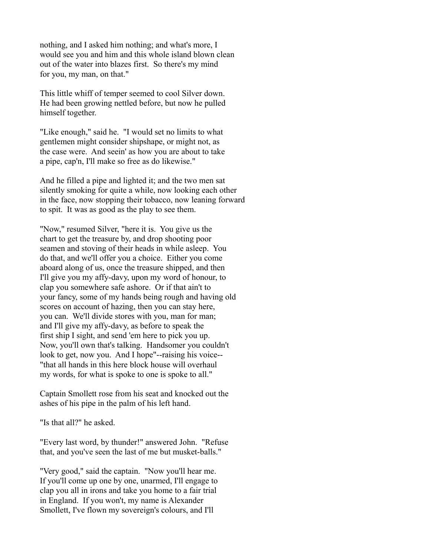nothing, and I asked him nothing; and what's more, I would see you and him and this whole island blown clean out of the water into blazes first. So there's my mind for you, my man, on that."

This little whiff of temper seemed to cool Silver down. He had been growing nettled before, but now he pulled himself together.

"Like enough," said he. "I would set no limits to what gentlemen might consider shipshape, or might not, as the case were. And seein' as how you are about to take a pipe, cap'n, I'll make so free as do likewise."

And he filled a pipe and lighted it; and the two men sat silently smoking for quite a while, now looking each other in the face, now stopping their tobacco, now leaning forward to spit. It was as good as the play to see them.

"Now," resumed Silver, "here it is. You give us the chart to get the treasure by, and drop shooting poor seamen and stoving of their heads in while asleep. You do that, and we'll offer you a choice. Either you come aboard along of us, once the treasure shipped, and then I'll give you my affy-davy, upon my word of honour, to clap you somewhere safe ashore. Or if that ain't to your fancy, some of my hands being rough and having old scores on account of hazing, then you can stay here, you can. We'll divide stores with you, man for man; and I'll give my affy-davy, as before to speak the first ship I sight, and send 'em here to pick you up. Now, you'll own that's talking. Handsomer you couldn't look to get, now you. And I hope"--raising his voice-- "that all hands in this here block house will overhaul my words, for what is spoke to one is spoke to all."

Captain Smollett rose from his seat and knocked out the ashes of his pipe in the palm of his left hand.

"Is that all?" he asked.

"Every last word, by thunder!" answered John. "Refuse that, and you've seen the last of me but musket-balls."

"Very good," said the captain. "Now you'll hear me. If you'll come up one by one, unarmed, I'll engage to clap you all in irons and take you home to a fair trial in England. If you won't, my name is Alexander Smollett, I've flown my sovereign's colours, and I'll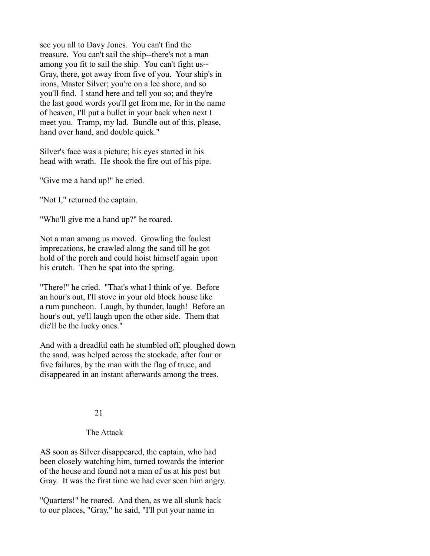see you all to Davy Jones. You can't find the treasure. You can't sail the ship--there's not a man among you fit to sail the ship. You can't fight us-- Gray, there, got away from five of you. Your ship's in irons, Master Silver; you're on a lee shore, and so you'll find. I stand here and tell you so; and they're the last good words you'll get from me, for in the name of heaven, I'll put a bullet in your back when next I meet you. Tramp, my lad. Bundle out of this, please, hand over hand, and double quick."

Silver's face was a picture; his eyes started in his head with wrath. He shook the fire out of his pipe.

"Give me a hand up!" he cried.

"Not I," returned the captain.

"Who'll give me a hand up?" he roared.

Not a man among us moved. Growling the foulest imprecations, he crawled along the sand till he got hold of the porch and could hoist himself again upon his crutch. Then he spat into the spring.

"There!" he cried. "That's what I think of ye. Before an hour's out, I'll stove in your old block house like a rum puncheon. Laugh, by thunder, laugh! Before an hour's out, ye'll laugh upon the other side. Them that die'll be the lucky ones."

And with a dreadful oath he stumbled off, ploughed down the sand, was helped across the stockade, after four or five failures, by the man with the flag of truce, and disappeared in an instant afterwards among the trees.

#### 21

#### The Attack

AS soon as Silver disappeared, the captain, who had been closely watching him, turned towards the interior of the house and found not a man of us at his post but Gray. It was the first time we had ever seen him angry.

"Quarters!" he roared. And then, as we all slunk back to our places, "Gray," he said, "I'll put your name in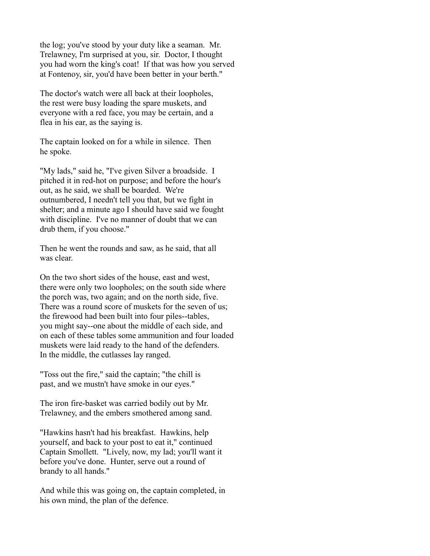the log; you've stood by your duty like a seaman. Mr. Trelawney, I'm surprised at you, sir. Doctor, I thought you had worn the king's coat! If that was how you served at Fontenoy, sir, you'd have been better in your berth."

The doctor's watch were all back at their loopholes, the rest were busy loading the spare muskets, and everyone with a red face, you may be certain, and a flea in his ear, as the saying is.

The captain looked on for a while in silence. Then he spoke.

"My lads," said he, "I've given Silver a broadside. I pitched it in red-hot on purpose; and before the hour's out, as he said, we shall be boarded. We're outnumbered, I needn't tell you that, but we fight in shelter; and a minute ago I should have said we fought with discipline. I've no manner of doubt that we can drub them, if you choose."

Then he went the rounds and saw, as he said, that all was clear.

On the two short sides of the house, east and west, there were only two loopholes; on the south side where the porch was, two again; and on the north side, five. There was a round score of muskets for the seven of us; the firewood had been built into four piles--tables, you might say--one about the middle of each side, and on each of these tables some ammunition and four loaded muskets were laid ready to the hand of the defenders. In the middle, the cutlasses lay ranged.

"Toss out the fire," said the captain; "the chill is past, and we mustn't have smoke in our eyes."

The iron fire-basket was carried bodily out by Mr. Trelawney, and the embers smothered among sand.

"Hawkins hasn't had his breakfast. Hawkins, help yourself, and back to your post to eat it," continued Captain Smollett. "Lively, now, my lad; you'll want it before you've done. Hunter, serve out a round of brandy to all hands."

And while this was going on, the captain completed, in his own mind, the plan of the defence.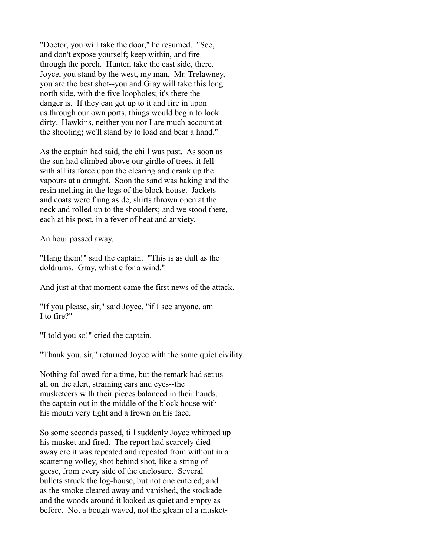"Doctor, you will take the door," he resumed. "See, and don't expose yourself; keep within, and fire through the porch. Hunter, take the east side, there. Joyce, you stand by the west, my man. Mr. Trelawney, you are the best shot--you and Gray will take this long north side, with the five loopholes; it's there the danger is. If they can get up to it and fire in upon us through our own ports, things would begin to look dirty. Hawkins, neither you nor I are much account at the shooting; we'll stand by to load and bear a hand."

As the captain had said, the chill was past. As soon as the sun had climbed above our girdle of trees, it fell with all its force upon the clearing and drank up the vapours at a draught. Soon the sand was baking and the resin melting in the logs of the block house. Jackets and coats were flung aside, shirts thrown open at the neck and rolled up to the shoulders; and we stood there, each at his post, in a fever of heat and anxiety.

An hour passed away.

"Hang them!" said the captain. "This is as dull as the doldrums. Gray, whistle for a wind."

And just at that moment came the first news of the attack.

"If you please, sir," said Joyce, "if I see anyone, am I to fire?"

"I told you so!" cried the captain.

"Thank you, sir," returned Joyce with the same quiet civility.

Nothing followed for a time, but the remark had set us all on the alert, straining ears and eyes--the musketeers with their pieces balanced in their hands, the captain out in the middle of the block house with his mouth very tight and a frown on his face.

So some seconds passed, till suddenly Joyce whipped up his musket and fired. The report had scarcely died away ere it was repeated and repeated from without in a scattering volley, shot behind shot, like a string of geese, from every side of the enclosure. Several bullets struck the log-house, but not one entered; and as the smoke cleared away and vanished, the stockade and the woods around it looked as quiet and empty as before. Not a bough waved, not the gleam of a musket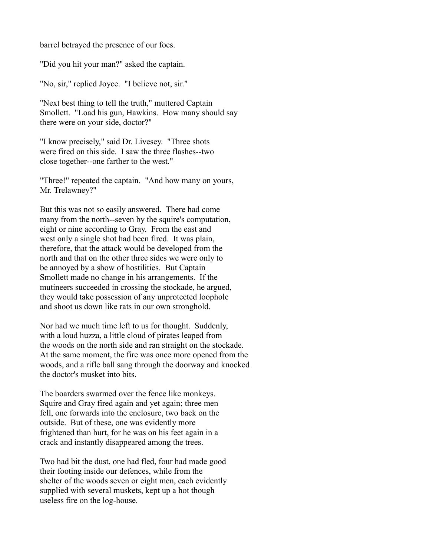barrel betrayed the presence of our foes.

"Did you hit your man?" asked the captain.

"No, sir," replied Joyce. "I believe not, sir."

"Next best thing to tell the truth," muttered Captain Smollett. "Load his gun, Hawkins. How many should say there were on your side, doctor?"

"I know precisely," said Dr. Livesey. "Three shots were fired on this side. I saw the three flashes--two close together--one farther to the west."

"Three!" repeated the captain. "And how many on yours, Mr. Trelawney?"

But this was not so easily answered. There had come many from the north--seven by the squire's computation, eight or nine according to Gray. From the east and west only a single shot had been fired. It was plain, therefore, that the attack would be developed from the north and that on the other three sides we were only to be annoyed by a show of hostilities. But Captain Smollett made no change in his arrangements. If the mutineers succeeded in crossing the stockade, he argued, they would take possession of any unprotected loophole and shoot us down like rats in our own stronghold.

Nor had we much time left to us for thought. Suddenly, with a loud huzza, a little cloud of pirates leaped from the woods on the north side and ran straight on the stockade. At the same moment, the fire was once more opened from the woods, and a rifle ball sang through the doorway and knocked the doctor's musket into bits.

The boarders swarmed over the fence like monkeys. Squire and Gray fired again and yet again; three men fell, one forwards into the enclosure, two back on the outside. But of these, one was evidently more frightened than hurt, for he was on his feet again in a crack and instantly disappeared among the trees.

Two had bit the dust, one had fled, four had made good their footing inside our defences, while from the shelter of the woods seven or eight men, each evidently supplied with several muskets, kept up a hot though useless fire on the log-house.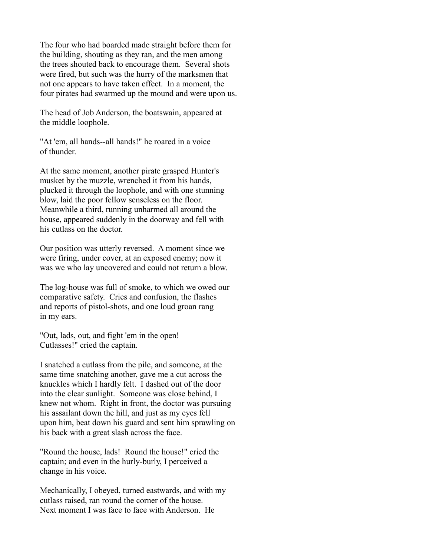The four who had boarded made straight before them for the building, shouting as they ran, and the men among the trees shouted back to encourage them. Several shots were fired, but such was the hurry of the marksmen that not one appears to have taken effect. In a moment, the four pirates had swarmed up the mound and were upon us.

The head of Job Anderson, the boatswain, appeared at the middle loophole.

"At 'em, all hands--all hands!" he roared in a voice of thunder.

At the same moment, another pirate grasped Hunter's musket by the muzzle, wrenched it from his hands, plucked it through the loophole, and with one stunning blow, laid the poor fellow senseless on the floor. Meanwhile a third, running unharmed all around the house, appeared suddenly in the doorway and fell with his cutlass on the doctor.

Our position was utterly reversed. A moment since we were firing, under cover, at an exposed enemy; now it was we who lay uncovered and could not return a blow.

The log-house was full of smoke, to which we owed our comparative safety. Cries and confusion, the flashes and reports of pistol-shots, and one loud groan rang in my ears.

"Out, lads, out, and fight 'em in the open! Cutlasses!" cried the captain.

I snatched a cutlass from the pile, and someone, at the same time snatching another, gave me a cut across the knuckles which I hardly felt. I dashed out of the door into the clear sunlight. Someone was close behind, I knew not whom. Right in front, the doctor was pursuing his assailant down the hill, and just as my eyes fell upon him, beat down his guard and sent him sprawling on his back with a great slash across the face.

"Round the house, lads! Round the house!" cried the captain; and even in the hurly-burly, I perceived a change in his voice.

Mechanically, I obeyed, turned eastwards, and with my cutlass raised, ran round the corner of the house. Next moment I was face to face with Anderson. He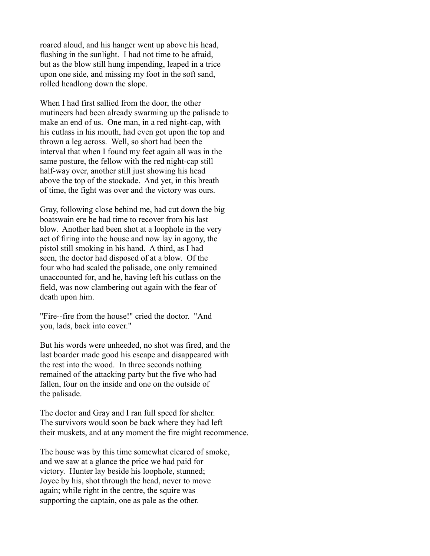roared aloud, and his hanger went up above his head, flashing in the sunlight. I had not time to be afraid, but as the blow still hung impending, leaped in a trice upon one side, and missing my foot in the soft sand, rolled headlong down the slope.

When I had first sallied from the door, the other mutineers had been already swarming up the palisade to make an end of us. One man, in a red night-cap, with his cutlass in his mouth, had even got upon the top and thrown a leg across. Well, so short had been the interval that when I found my feet again all was in the same posture, the fellow with the red night-cap still half-way over, another still just showing his head above the top of the stockade. And yet, in this breath of time, the fight was over and the victory was ours.

Gray, following close behind me, had cut down the big boatswain ere he had time to recover from his last blow. Another had been shot at a loophole in the very act of firing into the house and now lay in agony, the pistol still smoking in his hand. A third, as I had seen, the doctor had disposed of at a blow. Of the four who had scaled the palisade, one only remained unaccounted for, and he, having left his cutlass on the field, was now clambering out again with the fear of death upon him.

"Fire--fire from the house!" cried the doctor. "And you, lads, back into cover."

But his words were unheeded, no shot was fired, and the last boarder made good his escape and disappeared with the rest into the wood. In three seconds nothing remained of the attacking party but the five who had fallen, four on the inside and one on the outside of the palisade.

The doctor and Gray and I ran full speed for shelter. The survivors would soon be back where they had left their muskets, and at any moment the fire might recommence.

The house was by this time somewhat cleared of smoke, and we saw at a glance the price we had paid for victory. Hunter lay beside his loophole, stunned; Joyce by his, shot through the head, never to move again; while right in the centre, the squire was supporting the captain, one as pale as the other.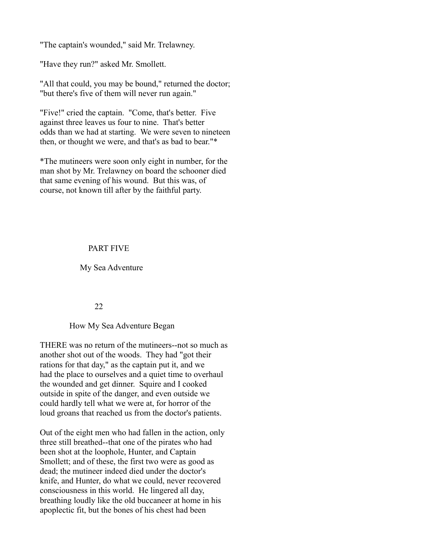"The captain's wounded," said Mr. Trelawney.

"Have they run?" asked Mr. Smollett.

"All that could, you may be bound," returned the doctor; "but there's five of them will never run again."

"Five!" cried the captain. "Come, that's better. Five against three leaves us four to nine. That's better odds than we had at starting. We were seven to nineteen then, or thought we were, and that's as bad to bear."\*

\*The mutineers were soon only eight in number, for the man shot by Mr. Trelawney on board the schooner died that same evening of his wound. But this was, of course, not known till after by the faithful party.

# PART FIVE

My Sea Adventure

#### 22

#### How My Sea Adventure Began

THERE was no return of the mutineers--not so much as another shot out of the woods. They had "got their rations for that day," as the captain put it, and we had the place to ourselves and a quiet time to overhaul the wounded and get dinner. Squire and I cooked outside in spite of the danger, and even outside we could hardly tell what we were at, for horror of the loud groans that reached us from the doctor's patients.

Out of the eight men who had fallen in the action, only three still breathed--that one of the pirates who had been shot at the loophole, Hunter, and Captain Smollett; and of these, the first two were as good as dead; the mutineer indeed died under the doctor's knife, and Hunter, do what we could, never recovered consciousness in this world. He lingered all day, breathing loudly like the old buccaneer at home in his apoplectic fit, but the bones of his chest had been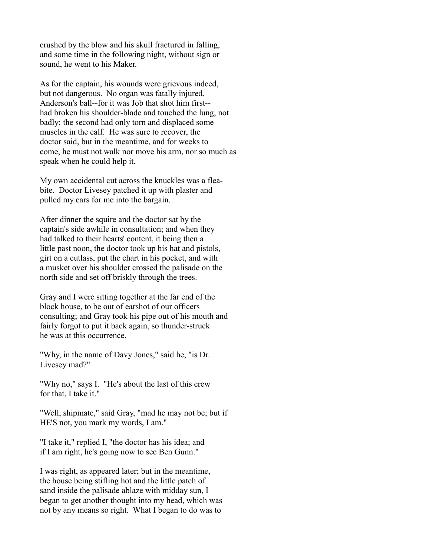crushed by the blow and his skull fractured in falling, and some time in the following night, without sign or sound, he went to his Maker.

As for the captain, his wounds were grievous indeed, but not dangerous. No organ was fatally injured. Anderson's ball--for it was Job that shot him first- had broken his shoulder-blade and touched the lung, not badly; the second had only torn and displaced some muscles in the calf. He was sure to recover, the doctor said, but in the meantime, and for weeks to come, he must not walk nor move his arm, nor so much as speak when he could help it.

My own accidental cut across the knuckles was a fleabite. Doctor Livesey patched it up with plaster and pulled my ears for me into the bargain.

After dinner the squire and the doctor sat by the captain's side awhile in consultation; and when they had talked to their hearts' content, it being then a little past noon, the doctor took up his hat and pistols, girt on a cutlass, put the chart in his pocket, and with a musket over his shoulder crossed the palisade on the north side and set off briskly through the trees.

Gray and I were sitting together at the far end of the block house, to be out of earshot of our officers consulting; and Gray took his pipe out of his mouth and fairly forgot to put it back again, so thunder-struck he was at this occurrence.

"Why, in the name of Davy Jones," said he, "is Dr. Livesey mad?"

"Why no," says I. "He's about the last of this crew for that, I take it."

"Well, shipmate," said Gray, "mad he may not be; but if HE'S not, you mark my words, I am."

"I take it," replied I, "the doctor has his idea; and if I am right, he's going now to see Ben Gunn."

I was right, as appeared later; but in the meantime, the house being stifling hot and the little patch of sand inside the palisade ablaze with midday sun, I began to get another thought into my head, which was not by any means so right. What I began to do was to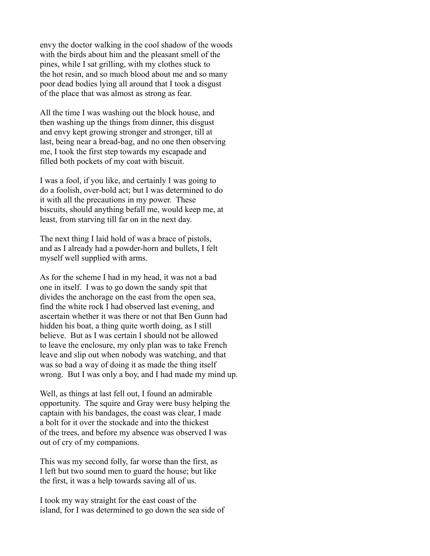envy the doctor walking in the cool shadow of the woods with the birds about him and the pleasant smell of the pines, while I sat grilling, with my clothes stuck to the hot resin, and so much blood about me and so many poor dead bodies lying all around that I took a disgust of the place that was almost as strong as fear.

All the time I was washing out the block house, and then washing up the things from dinner, this disgust and envy kept growing stronger and stronger, till at last, being near a bread-bag, and no one then observing me, I took the first step towards my escapade and filled both pockets of my coat with biscuit.

I was a fool, if you like, and certainly I was going to do a foolish, over-bold act; but I was determined to do it with all the precautions in my power. These biscuits, should anything befall me, would keep me, at least, from starving till far on in the next day.

The next thing I laid hold of was a brace of pistols, and as I already had a powder-horn and bullets, I felt myself well supplied with arms.

As for the scheme I had in my head, it was not a bad one in itself. I was to go down the sandy spit that divides the anchorage on the east from the open sea, find the white rock I had observed last evening, and ascertain whether it was there or not that Ben Gunn had hidden his boat, a thing quite worth doing, as I still believe. But as I was certain I should not be allowed to leave the enclosure, my only plan was to take French leave and slip out when nobody was watching, and that was so bad a way of doing it as made the thing itself wrong. But I was only a boy, and I had made my mind up.

Well, as things at last fell out, I found an admirable opportunity. The squire and Gray were busy helping the captain with his bandages, the coast was clear, I made a bolt for it over the stockade and into the thickest of the trees, and before my absence was observed I was out of cry of my companions.

This was my second folly, far worse than the first, as I left but two sound men to guard the house; but like the first, it was a help towards saving all of us.

I took my way straight for the east coast of the island, for I was determined to go down the sea side of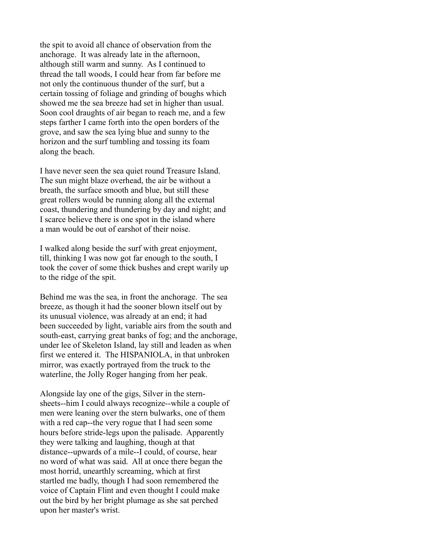the spit to avoid all chance of observation from the anchorage. It was already late in the afternoon, although still warm and sunny. As I continued to thread the tall woods, I could hear from far before me not only the continuous thunder of the surf, but a certain tossing of foliage and grinding of boughs which showed me the sea breeze had set in higher than usual. Soon cool draughts of air began to reach me, and a few steps farther I came forth into the open borders of the grove, and saw the sea lying blue and sunny to the horizon and the surf tumbling and tossing its foam along the beach.

I have never seen the sea quiet round Treasure Island. The sun might blaze overhead, the air be without a breath, the surface smooth and blue, but still these great rollers would be running along all the external coast, thundering and thundering by day and night; and I scarce believe there is one spot in the island where a man would be out of earshot of their noise.

I walked along beside the surf with great enjoyment, till, thinking I was now got far enough to the south, I took the cover of some thick bushes and crept warily up to the ridge of the spit.

Behind me was the sea, in front the anchorage. The sea breeze, as though it had the sooner blown itself out by its unusual violence, was already at an end; it had been succeeded by light, variable airs from the south and south-east, carrying great banks of fog; and the anchorage, under lee of Skeleton Island, lay still and leaden as when first we entered it. The HISPANIOLA, in that unbroken mirror, was exactly portrayed from the truck to the waterline, the Jolly Roger hanging from her peak.

Alongside lay one of the gigs, Silver in the sternsheets--him I could always recognize--while a couple of men were leaning over the stern bulwarks, one of them with a red cap--the very rogue that I had seen some hours before stride-legs upon the palisade. Apparently they were talking and laughing, though at that distance--upwards of a mile--I could, of course, hear no word of what was said. All at once there began the most horrid, unearthly screaming, which at first startled me badly, though I had soon remembered the voice of Captain Flint and even thought I could make out the bird by her bright plumage as she sat perched upon her master's wrist.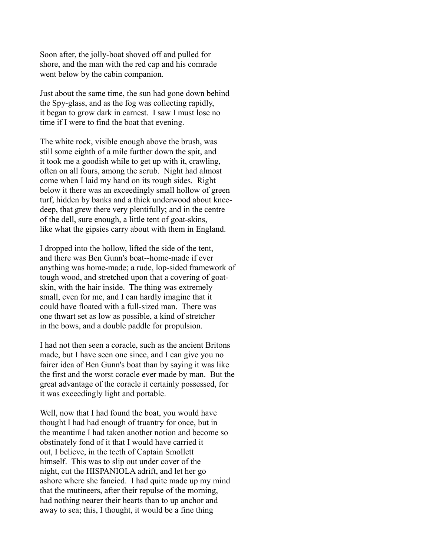Soon after, the jolly-boat shoved off and pulled for shore, and the man with the red cap and his comrade went below by the cabin companion.

Just about the same time, the sun had gone down behind the Spy-glass, and as the fog was collecting rapidly, it began to grow dark in earnest. I saw I must lose no time if I were to find the boat that evening.

The white rock, visible enough above the brush, was still some eighth of a mile further down the spit, and it took me a goodish while to get up with it, crawling, often on all fours, among the scrub. Night had almost come when I laid my hand on its rough sides. Right below it there was an exceedingly small hollow of green turf, hidden by banks and a thick underwood about kneedeep, that grew there very plentifully; and in the centre of the dell, sure enough, a little tent of goat-skins, like what the gipsies carry about with them in England.

I dropped into the hollow, lifted the side of the tent, and there was Ben Gunn's boat--home-made if ever anything was home-made; a rude, lop-sided framework of tough wood, and stretched upon that a covering of goatskin, with the hair inside. The thing was extremely small, even for me, and I can hardly imagine that it could have floated with a full-sized man. There was one thwart set as low as possible, a kind of stretcher in the bows, and a double paddle for propulsion.

I had not then seen a coracle, such as the ancient Britons made, but I have seen one since, and I can give you no fairer idea of Ben Gunn's boat than by saying it was like the first and the worst coracle ever made by man. But the great advantage of the coracle it certainly possessed, for it was exceedingly light and portable.

Well, now that I had found the boat, you would have thought I had had enough of truantry for once, but in the meantime I had taken another notion and become so obstinately fond of it that I would have carried it out, I believe, in the teeth of Captain Smollett himself. This was to slip out under cover of the night, cut the HISPANIOLA adrift, and let her go ashore where she fancied. I had quite made up my mind that the mutineers, after their repulse of the morning, had nothing nearer their hearts than to up anchor and away to sea; this, I thought, it would be a fine thing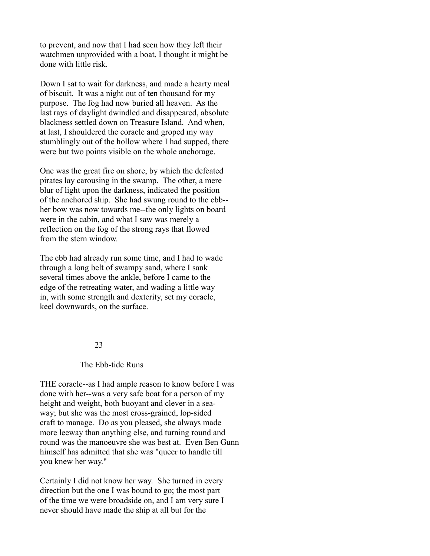to prevent, and now that I had seen how they left their watchmen unprovided with a boat, I thought it might be done with little risk.

Down I sat to wait for darkness, and made a hearty meal of biscuit. It was a night out of ten thousand for my purpose. The fog had now buried all heaven. As the last rays of daylight dwindled and disappeared, absolute blackness settled down on Treasure Island. And when, at last, I shouldered the coracle and groped my way stumblingly out of the hollow where I had supped, there were but two points visible on the whole anchorage.

One was the great fire on shore, by which the defeated pirates lay carousing in the swamp. The other, a mere blur of light upon the darkness, indicated the position of the anchored ship. She had swung round to the ebb- her bow was now towards me--the only lights on board were in the cabin, and what I saw was merely a reflection on the fog of the strong rays that flowed from the stern window.

The ebb had already run some time, and I had to wade through a long belt of swampy sand, where I sank several times above the ankle, before I came to the edge of the retreating water, and wading a little way in, with some strength and dexterity, set my coracle, keel downwards, on the surface.

#### 23

# The Ebb-tide Runs

THE coracle--as I had ample reason to know before I was done with her--was a very safe boat for a person of my height and weight, both buoyant and clever in a seaway; but she was the most cross-grained, lop-sided craft to manage. Do as you pleased, she always made more leeway than anything else, and turning round and round was the manoeuvre she was best at. Even Ben Gunn himself has admitted that she was "queer to handle till you knew her way."

Certainly I did not know her way. She turned in every direction but the one I was bound to go; the most part of the time we were broadside on, and I am very sure I never should have made the ship at all but for the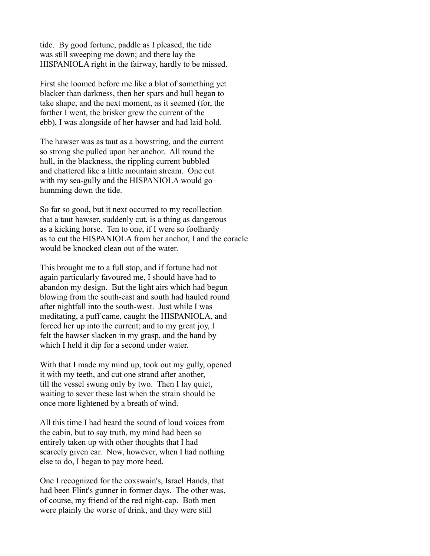tide. By good fortune, paddle as I pleased, the tide was still sweeping me down; and there lay the HISPANIOLA right in the fairway, hardly to be missed.

First she loomed before me like a blot of something yet blacker than darkness, then her spars and hull began to take shape, and the next moment, as it seemed (for, the farther I went, the brisker grew the current of the ebb), I was alongside of her hawser and had laid hold.

The hawser was as taut as a bowstring, and the current so strong she pulled upon her anchor. All round the hull, in the blackness, the rippling current bubbled and chattered like a little mountain stream. One cut with my sea-gully and the HISPANIOLA would go humming down the tide.

So far so good, but it next occurred to my recollection that a taut hawser, suddenly cut, is a thing as dangerous as a kicking horse. Ten to one, if I were so foolhardy as to cut the HISPANIOLA from her anchor, I and the coracle would be knocked clean out of the water.

This brought me to a full stop, and if fortune had not again particularly favoured me, I should have had to abandon my design. But the light airs which had begun blowing from the south-east and south had hauled round after nightfall into the south-west. Just while I was meditating, a puff came, caught the HISPANIOLA, and forced her up into the current; and to my great joy, I felt the hawser slacken in my grasp, and the hand by which I held it dip for a second under water.

With that I made my mind up, took out my gully, opened it with my teeth, and cut one strand after another, till the vessel swung only by two. Then I lay quiet, waiting to sever these last when the strain should be once more lightened by a breath of wind.

All this time I had heard the sound of loud voices from the cabin, but to say truth, my mind had been so entirely taken up with other thoughts that I had scarcely given ear. Now, however, when I had nothing else to do, I began to pay more heed.

One I recognized for the coxswain's, Israel Hands, that had been Flint's gunner in former days. The other was, of course, my friend of the red night-cap. Both men were plainly the worse of drink, and they were still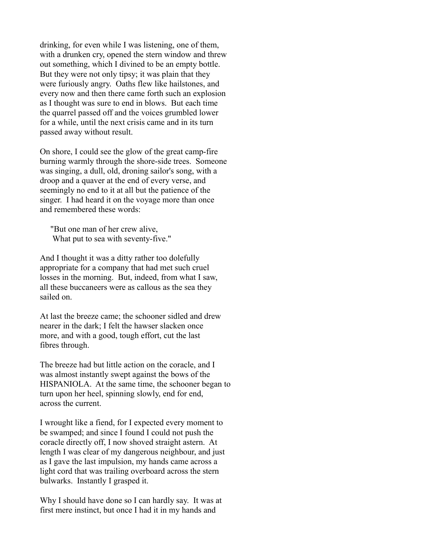drinking, for even while I was listening, one of them, with a drunken cry, opened the stern window and threw out something, which I divined to be an empty bottle. But they were not only tipsy; it was plain that they were furiously angry. Oaths flew like hailstones, and every now and then there came forth such an explosion as I thought was sure to end in blows. But each time the quarrel passed off and the voices grumbled lower for a while, until the next crisis came and in its turn passed away without result.

On shore, I could see the glow of the great camp-fire burning warmly through the shore-side trees. Someone was singing, a dull, old, droning sailor's song, with a droop and a quaver at the end of every verse, and seemingly no end to it at all but the patience of the singer. I had heard it on the voyage more than once and remembered these words:

 "But one man of her crew alive, What put to sea with seventy-five."

And I thought it was a ditty rather too dolefully appropriate for a company that had met such cruel losses in the morning. But, indeed, from what I saw, all these buccaneers were as callous as the sea they sailed on.

At last the breeze came; the schooner sidled and drew nearer in the dark; I felt the hawser slacken once more, and with a good, tough effort, cut the last fibres through.

The breeze had but little action on the coracle, and I was almost instantly swept against the bows of the HISPANIOLA. At the same time, the schooner began to turn upon her heel, spinning slowly, end for end, across the current.

I wrought like a fiend, for I expected every moment to be swamped; and since I found I could not push the coracle directly off, I now shoved straight astern. At length I was clear of my dangerous neighbour, and just as I gave the last impulsion, my hands came across a light cord that was trailing overboard across the stern bulwarks. Instantly I grasped it.

Why I should have done so I can hardly say. It was at first mere instinct, but once I had it in my hands and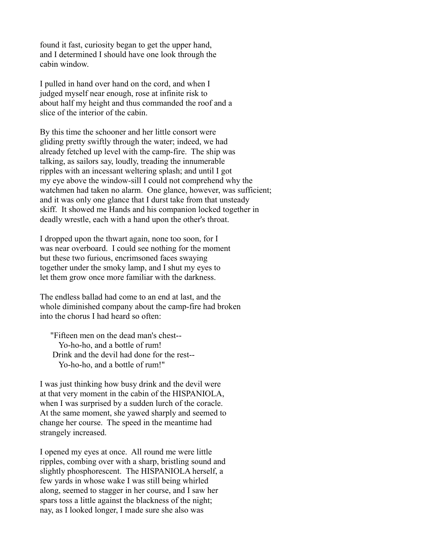found it fast, curiosity began to get the upper hand, and I determined I should have one look through the cabin window.

I pulled in hand over hand on the cord, and when I judged myself near enough, rose at infinite risk to about half my height and thus commanded the roof and a slice of the interior of the cabin.

By this time the schooner and her little consort were gliding pretty swiftly through the water; indeed, we had already fetched up level with the camp-fire. The ship was talking, as sailors say, loudly, treading the innumerable ripples with an incessant weltering splash; and until I got my eye above the window-sill I could not comprehend why the watchmen had taken no alarm. One glance, however, was sufficient; and it was only one glance that I durst take from that unsteady skiff. It showed me Hands and his companion locked together in deadly wrestle, each with a hand upon the other's throat.

I dropped upon the thwart again, none too soon, for I was near overboard. I could see nothing for the moment but these two furious, encrimsoned faces swaying together under the smoky lamp, and I shut my eyes to let them grow once more familiar with the darkness.

The endless ballad had come to an end at last, and the whole diminished company about the camp-fire had broken into the chorus I had heard so often:

 "Fifteen men on the dead man's chest-- Yo-ho-ho, and a bottle of rum! Drink and the devil had done for the rest-- Yo-ho-ho, and a bottle of rum!"

I was just thinking how busy drink and the devil were at that very moment in the cabin of the HISPANIOLA, when I was surprised by a sudden lurch of the coracle. At the same moment, she yawed sharply and seemed to change her course. The speed in the meantime had strangely increased.

I opened my eyes at once. All round me were little ripples, combing over with a sharp, bristling sound and slightly phosphorescent. The HISPANIOLA herself, a few yards in whose wake I was still being whirled along, seemed to stagger in her course, and I saw her spars toss a little against the blackness of the night; nay, as I looked longer, I made sure she also was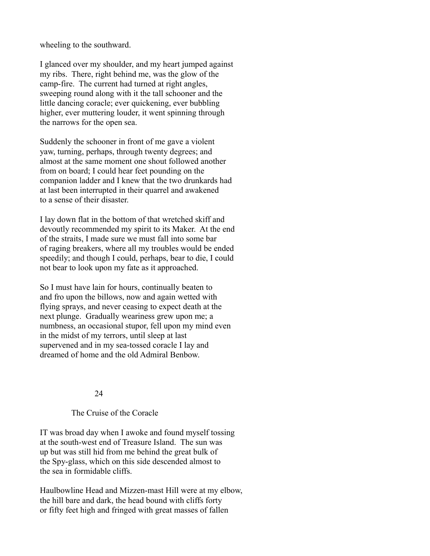wheeling to the southward.

I glanced over my shoulder, and my heart jumped against my ribs. There, right behind me, was the glow of the camp-fire. The current had turned at right angles, sweeping round along with it the tall schooner and the little dancing coracle; ever quickening, ever bubbling higher, ever muttering louder, it went spinning through the narrows for the open sea.

Suddenly the schooner in front of me gave a violent yaw, turning, perhaps, through twenty degrees; and almost at the same moment one shout followed another from on board; I could hear feet pounding on the companion ladder and I knew that the two drunkards had at last been interrupted in their quarrel and awakened to a sense of their disaster.

I lay down flat in the bottom of that wretched skiff and devoutly recommended my spirit to its Maker. At the end of the straits, I made sure we must fall into some bar of raging breakers, where all my troubles would be ended speedily; and though I could, perhaps, bear to die, I could not bear to look upon my fate as it approached.

So I must have lain for hours, continually beaten to and fro upon the billows, now and again wetted with flying sprays, and never ceasing to expect death at the next plunge. Gradually weariness grew upon me; a numbness, an occasional stupor, fell upon my mind even in the midst of my terrors, until sleep at last supervened and in my sea-tossed coracle I lay and dreamed of home and the old Admiral Benbow.

# 24

### The Cruise of the Coracle

IT was broad day when I awoke and found myself tossing at the south-west end of Treasure Island. The sun was up but was still hid from me behind the great bulk of the Spy-glass, which on this side descended almost to the sea in formidable cliffs.

Haulbowline Head and Mizzen-mast Hill were at my elbow, the hill bare and dark, the head bound with cliffs forty or fifty feet high and fringed with great masses of fallen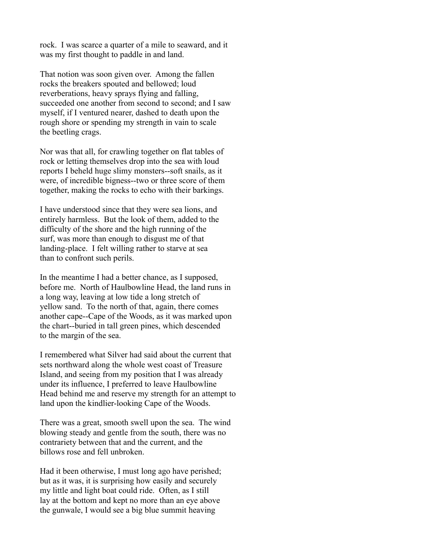rock. I was scarce a quarter of a mile to seaward, and it was my first thought to paddle in and land.

That notion was soon given over. Among the fallen rocks the breakers spouted and bellowed; loud reverberations, heavy sprays flying and falling, succeeded one another from second to second; and I saw myself, if I ventured nearer, dashed to death upon the rough shore or spending my strength in vain to scale the beetling crags.

Nor was that all, for crawling together on flat tables of rock or letting themselves drop into the sea with loud reports I beheld huge slimy monsters--soft snails, as it were, of incredible bigness--two or three score of them together, making the rocks to echo with their barkings.

I have understood since that they were sea lions, and entirely harmless. But the look of them, added to the difficulty of the shore and the high running of the surf, was more than enough to disgust me of that landing-place. I felt willing rather to starve at sea than to confront such perils.

In the meantime I had a better chance, as I supposed, before me. North of Haulbowline Head, the land runs in a long way, leaving at low tide a long stretch of yellow sand. To the north of that, again, there comes another cape--Cape of the Woods, as it was marked upon the chart--buried in tall green pines, which descended to the margin of the sea.

I remembered what Silver had said about the current that sets northward along the whole west coast of Treasure Island, and seeing from my position that I was already under its influence, I preferred to leave Haulbowline Head behind me and reserve my strength for an attempt to land upon the kindlier-looking Cape of the Woods.

There was a great, smooth swell upon the sea. The wind blowing steady and gentle from the south, there was no contrariety between that and the current, and the billows rose and fell unbroken.

Had it been otherwise, I must long ago have perished; but as it was, it is surprising how easily and securely my little and light boat could ride. Often, as I still lay at the bottom and kept no more than an eye above the gunwale, I would see a big blue summit heaving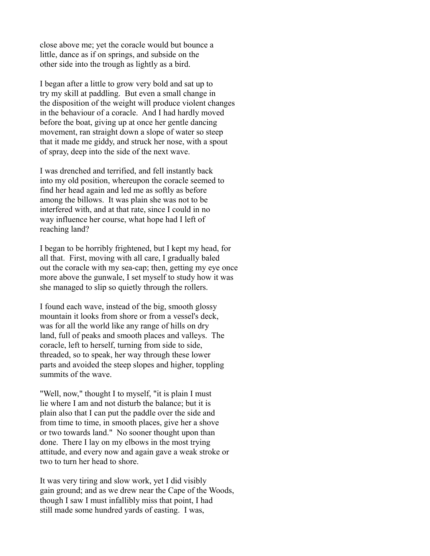close above me; yet the coracle would but bounce a little, dance as if on springs, and subside on the other side into the trough as lightly as a bird.

I began after a little to grow very bold and sat up to try my skill at paddling. But even a small change in the disposition of the weight will produce violent changes in the behaviour of a coracle. And I had hardly moved before the boat, giving up at once her gentle dancing movement, ran straight down a slope of water so steep that it made me giddy, and struck her nose, with a spout of spray, deep into the side of the next wave.

I was drenched and terrified, and fell instantly back into my old position, whereupon the coracle seemed to find her head again and led me as softly as before among the billows. It was plain she was not to be interfered with, and at that rate, since I could in no way influence her course, what hope had I left of reaching land?

I began to be horribly frightened, but I kept my head, for all that. First, moving with all care, I gradually baled out the coracle with my sea-cap; then, getting my eye once more above the gunwale, I set myself to study how it was she managed to slip so quietly through the rollers.

I found each wave, instead of the big, smooth glossy mountain it looks from shore or from a vessel's deck, was for all the world like any range of hills on dry land, full of peaks and smooth places and valleys. The coracle, left to herself, turning from side to side, threaded, so to speak, her way through these lower parts and avoided the steep slopes and higher, toppling summits of the wave.

"Well, now," thought I to myself, "it is plain I must lie where I am and not disturb the balance; but it is plain also that I can put the paddle over the side and from time to time, in smooth places, give her a shove or two towards land." No sooner thought upon than done. There I lay on my elbows in the most trying attitude, and every now and again gave a weak stroke or two to turn her head to shore.

It was very tiring and slow work, yet I did visibly gain ground; and as we drew near the Cape of the Woods, though I saw I must infallibly miss that point, I had still made some hundred yards of easting. I was,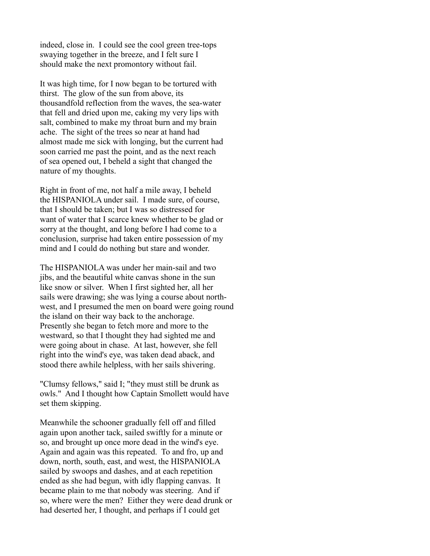indeed, close in. I could see the cool green tree-tops swaying together in the breeze, and I felt sure I should make the next promontory without fail.

It was high time, for I now began to be tortured with thirst. The glow of the sun from above, its thousandfold reflection from the waves, the sea-water that fell and dried upon me, caking my very lips with salt, combined to make my throat burn and my brain ache. The sight of the trees so near at hand had almost made me sick with longing, but the current had soon carried me past the point, and as the next reach of sea opened out, I beheld a sight that changed the nature of my thoughts.

Right in front of me, not half a mile away, I beheld the HISPANIOLA under sail. I made sure, of course, that I should be taken; but I was so distressed for want of water that I scarce knew whether to be glad or sorry at the thought, and long before I had come to a conclusion, surprise had taken entire possession of my mind and I could do nothing but stare and wonder.

The HISPANIOLA was under her main-sail and two jibs, and the beautiful white canvas shone in the sun like snow or silver. When I first sighted her, all her sails were drawing; she was lying a course about northwest, and I presumed the men on board were going round the island on their way back to the anchorage. Presently she began to fetch more and more to the westward, so that I thought they had sighted me and were going about in chase. At last, however, she fell right into the wind's eye, was taken dead aback, and stood there awhile helpless, with her sails shivering.

"Clumsy fellows," said I; "they must still be drunk as owls." And I thought how Captain Smollett would have set them skipping.

Meanwhile the schooner gradually fell off and filled again upon another tack, sailed swiftly for a minute or so, and brought up once more dead in the wind's eye. Again and again was this repeated. To and fro, up and down, north, south, east, and west, the HISPANIOLA sailed by swoops and dashes, and at each repetition ended as she had begun, with idly flapping canvas. It became plain to me that nobody was steering. And if so, where were the men? Either they were dead drunk or had deserted her, I thought, and perhaps if I could get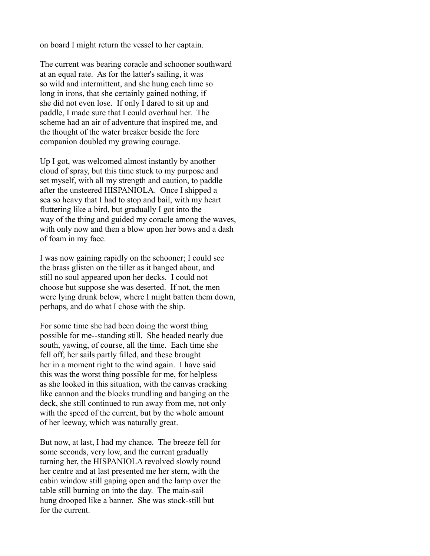on board I might return the vessel to her captain.

The current was bearing coracle and schooner southward at an equal rate. As for the latter's sailing, it was so wild and intermittent, and she hung each time so long in irons, that she certainly gained nothing, if she did not even lose. If only I dared to sit up and paddle, I made sure that I could overhaul her. The scheme had an air of adventure that inspired me, and the thought of the water breaker beside the fore companion doubled my growing courage.

Up I got, was welcomed almost instantly by another cloud of spray, but this time stuck to my purpose and set myself, with all my strength and caution, to paddle after the unsteered HISPANIOLA. Once I shipped a sea so heavy that I had to stop and bail, with my heart fluttering like a bird, but gradually I got into the way of the thing and guided my coracle among the waves, with only now and then a blow upon her bows and a dash of foam in my face.

I was now gaining rapidly on the schooner; I could see the brass glisten on the tiller as it banged about, and still no soul appeared upon her decks. I could not choose but suppose she was deserted. If not, the men were lying drunk below, where I might batten them down, perhaps, and do what I chose with the ship.

For some time she had been doing the worst thing possible for me--standing still. She headed nearly due south, yawing, of course, all the time. Each time she fell off, her sails partly filled, and these brought her in a moment right to the wind again. I have said this was the worst thing possible for me, for helpless as she looked in this situation, with the canvas cracking like cannon and the blocks trundling and banging on the deck, she still continued to run away from me, not only with the speed of the current, but by the whole amount of her leeway, which was naturally great.

But now, at last, I had my chance. The breeze fell for some seconds, very low, and the current gradually turning her, the HISPANIOLA revolved slowly round her centre and at last presented me her stern, with the cabin window still gaping open and the lamp over the table still burning on into the day. The main-sail hung drooped like a banner. She was stock-still but for the current.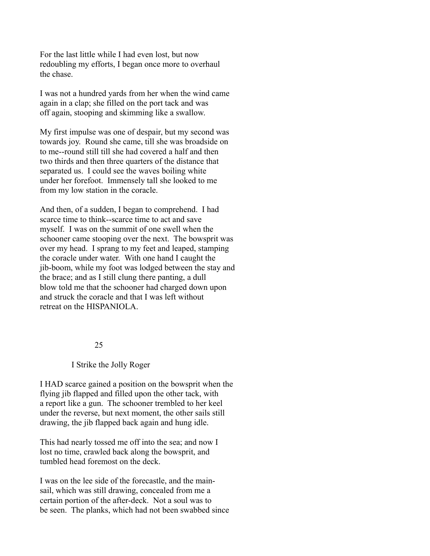For the last little while I had even lost, but now redoubling my efforts, I began once more to overhaul the chase.

I was not a hundred yards from her when the wind came again in a clap; she filled on the port tack and was off again, stooping and skimming like a swallow.

My first impulse was one of despair, but my second was towards joy. Round she came, till she was broadside on to me--round still till she had covered a half and then two thirds and then three quarters of the distance that separated us. I could see the waves boiling white under her forefoot. Immensely tall she looked to me from my low station in the coracle.

And then, of a sudden, I began to comprehend. I had scarce time to think--scarce time to act and save myself. I was on the summit of one swell when the schooner came stooping over the next. The bowsprit was over my head. I sprang to my feet and leaped, stamping the coracle under water. With one hand I caught the jib-boom, while my foot was lodged between the stay and the brace; and as I still clung there panting, a dull blow told me that the schooner had charged down upon and struck the coracle and that I was left without retreat on the HISPANIOLA.

#### 25

# I Strike the Jolly Roger

I HAD scarce gained a position on the bowsprit when the flying jib flapped and filled upon the other tack, with a report like a gun. The schooner trembled to her keel under the reverse, but next moment, the other sails still drawing, the jib flapped back again and hung idle.

This had nearly tossed me off into the sea; and now I lost no time, crawled back along the bowsprit, and tumbled head foremost on the deck.

I was on the lee side of the forecastle, and the mainsail, which was still drawing, concealed from me a certain portion of the after-deck. Not a soul was to be seen. The planks, which had not been swabbed since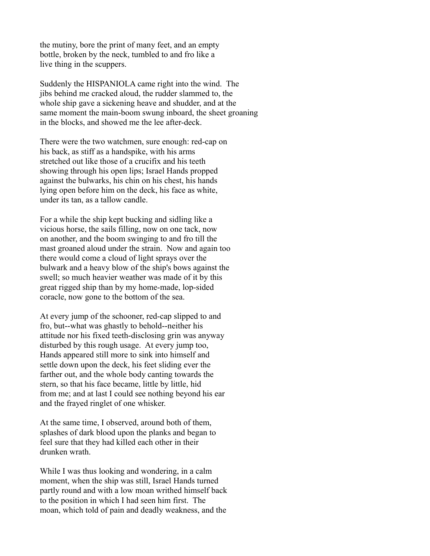the mutiny, bore the print of many feet, and an empty bottle, broken by the neck, tumbled to and fro like a live thing in the scuppers.

Suddenly the HISPANIOLA came right into the wind. The jibs behind me cracked aloud, the rudder slammed to, the whole ship gave a sickening heave and shudder, and at the same moment the main-boom swung inboard, the sheet groaning in the blocks, and showed me the lee after-deck.

There were the two watchmen, sure enough: red-cap on his back, as stiff as a handspike, with his arms stretched out like those of a crucifix and his teeth showing through his open lips; Israel Hands propped against the bulwarks, his chin on his chest, his hands lying open before him on the deck, his face as white, under its tan, as a tallow candle.

For a while the ship kept bucking and sidling like a vicious horse, the sails filling, now on one tack, now on another, and the boom swinging to and fro till the mast groaned aloud under the strain. Now and again too there would come a cloud of light sprays over the bulwark and a heavy blow of the ship's bows against the swell; so much heavier weather was made of it by this great rigged ship than by my home-made, lop-sided coracle, now gone to the bottom of the sea.

At every jump of the schooner, red-cap slipped to and fro, but--what was ghastly to behold--neither his attitude nor his fixed teeth-disclosing grin was anyway disturbed by this rough usage. At every jump too, Hands appeared still more to sink into himself and settle down upon the deck, his feet sliding ever the farther out, and the whole body canting towards the stern, so that his face became, little by little, hid from me; and at last I could see nothing beyond his ear and the frayed ringlet of one whisker.

At the same time, I observed, around both of them, splashes of dark blood upon the planks and began to feel sure that they had killed each other in their drunken wrath.

While I was thus looking and wondering, in a calm moment, when the ship was still, Israel Hands turned partly round and with a low moan writhed himself back to the position in which I had seen him first. The moan, which told of pain and deadly weakness, and the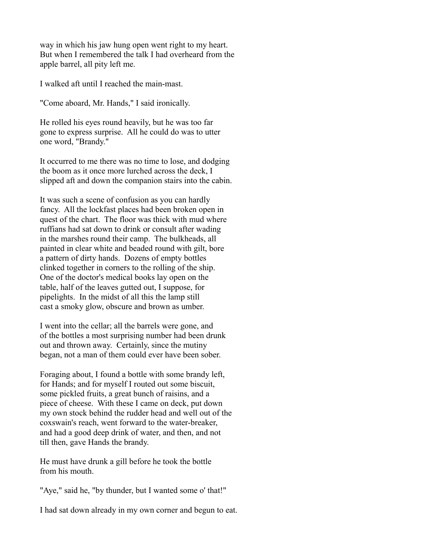way in which his jaw hung open went right to my heart. But when I remembered the talk I had overheard from the apple barrel, all pity left me.

I walked aft until I reached the main-mast.

"Come aboard, Mr. Hands," I said ironically.

He rolled his eyes round heavily, but he was too far gone to express surprise. All he could do was to utter one word, "Brandy."

It occurred to me there was no time to lose, and dodging the boom as it once more lurched across the deck, I slipped aft and down the companion stairs into the cabin.

It was such a scene of confusion as you can hardly fancy. All the lockfast places had been broken open in quest of the chart. The floor was thick with mud where ruffians had sat down to drink or consult after wading in the marshes round their camp. The bulkheads, all painted in clear white and beaded round with gilt, bore a pattern of dirty hands. Dozens of empty bottles clinked together in corners to the rolling of the ship. One of the doctor's medical books lay open on the table, half of the leaves gutted out, I suppose, for pipelights. In the midst of all this the lamp still cast a smoky glow, obscure and brown as umber.

I went into the cellar; all the barrels were gone, and of the bottles a most surprising number had been drunk out and thrown away. Certainly, since the mutiny began, not a man of them could ever have been sober.

Foraging about, I found a bottle with some brandy left, for Hands; and for myself I routed out some biscuit, some pickled fruits, a great bunch of raisins, and a piece of cheese. With these I came on deck, put down my own stock behind the rudder head and well out of the coxswain's reach, went forward to the water-breaker, and had a good deep drink of water, and then, and not till then, gave Hands the brandy.

He must have drunk a gill before he took the bottle from his mouth.

"Aye," said he, "by thunder, but I wanted some o' that!"

I had sat down already in my own corner and begun to eat.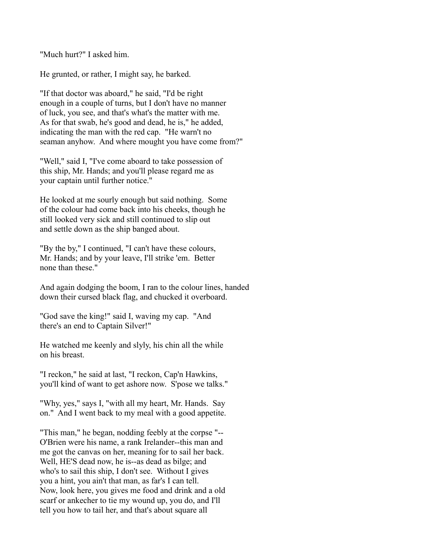"Much hurt?" I asked him.

He grunted, or rather, I might say, he barked.

"If that doctor was aboard," he said, "I'd be right enough in a couple of turns, but I don't have no manner of luck, you see, and that's what's the matter with me. As for that swab, he's good and dead, he is," he added, indicating the man with the red cap. "He warn't no seaman anyhow. And where mought you have come from?"

"Well," said I, "I've come aboard to take possession of this ship, Mr. Hands; and you'll please regard me as your captain until further notice."

He looked at me sourly enough but said nothing. Some of the colour had come back into his cheeks, though he still looked very sick and still continued to slip out and settle down as the ship banged about.

"By the by," I continued, "I can't have these colours, Mr. Hands; and by your leave, I'll strike 'em. Better none than these."

And again dodging the boom, I ran to the colour lines, handed down their cursed black flag, and chucked it overboard.

"God save the king!" said I, waving my cap. "And there's an end to Captain Silver!"

He watched me keenly and slyly, his chin all the while on his breast.

"I reckon," he said at last, "I reckon, Cap'n Hawkins, you'll kind of want to get ashore now. S'pose we talks."

"Why, yes," says I, "with all my heart, Mr. Hands. Say on." And I went back to my meal with a good appetite.

"This man," he began, nodding feebly at the corpse "-- O'Brien were his name, a rank Irelander--this man and me got the canvas on her, meaning for to sail her back. Well, HE'S dead now, he is--as dead as bilge; and who's to sail this ship, I don't see. Without I gives you a hint, you ain't that man, as far's I can tell. Now, look here, you gives me food and drink and a old scarf or ankecher to tie my wound up, you do, and I'll tell you how to tail her, and that's about square all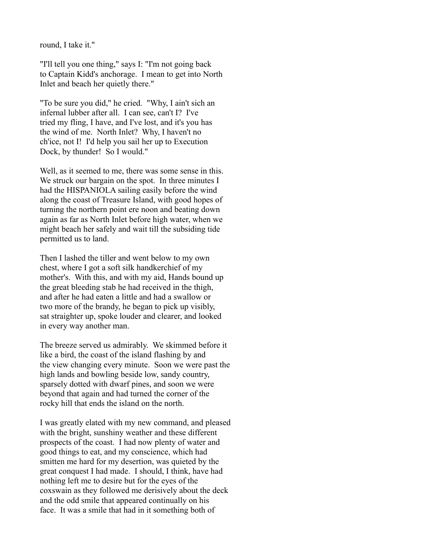round, I take it."

"I'll tell you one thing," says I: "I'm not going back to Captain Kidd's anchorage. I mean to get into North Inlet and beach her quietly there."

"To be sure you did," he cried. "Why, I ain't sich an infernal lubber after all. I can see, can't I? I've tried my fling, I have, and I've lost, and it's you has the wind of me. North Inlet? Why, I haven't no ch'ice, not I! I'd help you sail her up to Execution Dock, by thunder! So I would."

Well, as it seemed to me, there was some sense in this. We struck our bargain on the spot. In three minutes I had the HISPANIOLA sailing easily before the wind along the coast of Treasure Island, with good hopes of turning the northern point ere noon and beating down again as far as North Inlet before high water, when we might beach her safely and wait till the subsiding tide permitted us to land.

Then I lashed the tiller and went below to my own chest, where I got a soft silk handkerchief of my mother's. With this, and with my aid, Hands bound up the great bleeding stab he had received in the thigh, and after he had eaten a little and had a swallow or two more of the brandy, he began to pick up visibly, sat straighter up, spoke louder and clearer, and looked in every way another man.

The breeze served us admirably. We skimmed before it like a bird, the coast of the island flashing by and the view changing every minute. Soon we were past the high lands and bowling beside low, sandy country, sparsely dotted with dwarf pines, and soon we were beyond that again and had turned the corner of the rocky hill that ends the island on the north.

I was greatly elated with my new command, and pleased with the bright, sunshiny weather and these different prospects of the coast. I had now plenty of water and good things to eat, and my conscience, which had smitten me hard for my desertion, was quieted by the great conquest I had made. I should, I think, have had nothing left me to desire but for the eyes of the coxswain as they followed me derisively about the deck and the odd smile that appeared continually on his face. It was a smile that had in it something both of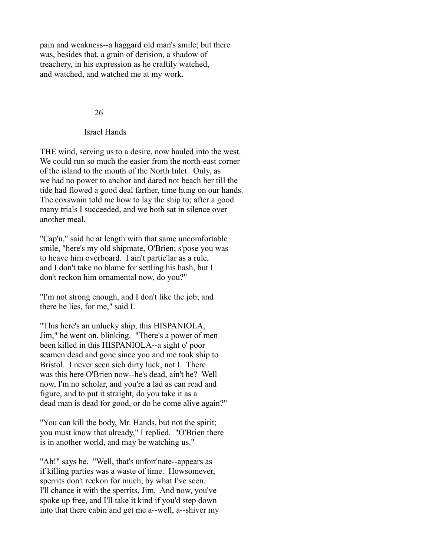pain and weakness--a haggard old man's smile; but there was, besides that, a grain of derision, a shadow of treachery, in his expression as he craftily watched, and watched, and watched me at my work.

#### 26

#### Israel Hands

THE wind, serving us to a desire, now hauled into the west. We could run so much the easier from the north-east corner of the island to the mouth of the North Inlet. Only, as we had no power to anchor and dared not beach her till the tide had flowed a good deal farther, time hung on our hands. The coxswain told me how to lay the ship to; after a good many trials I succeeded, and we both sat in silence over another meal.

"Cap'n," said he at length with that same uncomfortable smile, "here's my old shipmate, O'Brien; s'pose you was to heave him overboard. I ain't partic'lar as a rule, and I don't take no blame for settling his hash, but I don't reckon him ornamental now, do you?"

"I'm not strong enough, and I don't like the job; and there he lies, for me," said I.

"This here's an unlucky ship, this HISPANIOLA, Jim," he went on, blinking. "There's a power of men been killed in this HISPANIOLA--a sight o' poor seamen dead and gone since you and me took ship to Bristol. I never seen sich dirty luck, not I. There was this here O'Brien now--he's dead, ain't he? Well now, I'm no scholar, and you're a lad as can read and figure, and to put it straight, do you take it as a dead man is dead for good, or do he come alive again?"

"You can kill the body, Mr. Hands, but not the spirit; you must know that already," I replied. "O'Brien there is in another world, and may be watching us."

"Ah!" says he. "Well, that's unfort'nate--appears as if killing parties was a waste of time. Howsomever, sperrits don't reckon for much, by what I've seen. I'll chance it with the sperrits, Jim. And now, you've spoke up free, and I'll take it kind if you'd step down into that there cabin and get me a--well, a--shiver my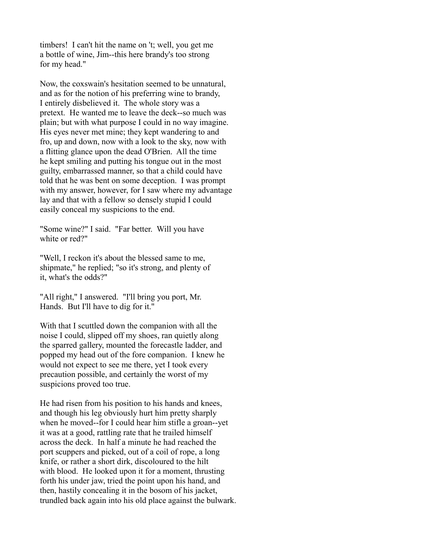timbers! I can't hit the name on 't; well, you get me a bottle of wine, Jim--this here brandy's too strong for my head."

Now, the coxswain's hesitation seemed to be unnatural, and as for the notion of his preferring wine to brandy, I entirely disbelieved it. The whole story was a pretext. He wanted me to leave the deck--so much was plain; but with what purpose I could in no way imagine. His eyes never met mine; they kept wandering to and fro, up and down, now with a look to the sky, now with a flitting glance upon the dead O'Brien. All the time he kept smiling and putting his tongue out in the most guilty, embarrassed manner, so that a child could have told that he was bent on some deception. I was prompt with my answer, however, for I saw where my advantage lay and that with a fellow so densely stupid I could easily conceal my suspicions to the end.

"Some wine?" I said. "Far better. Will you have white or red?"

"Well, I reckon it's about the blessed same to me, shipmate," he replied; "so it's strong, and plenty of it, what's the odds?"

"All right," I answered. "I'll bring you port, Mr. Hands. But I'll have to dig for it."

With that I scuttled down the companion with all the noise I could, slipped off my shoes, ran quietly along the sparred gallery, mounted the forecastle ladder, and popped my head out of the fore companion. I knew he would not expect to see me there, yet I took every precaution possible, and certainly the worst of my suspicions proved too true.

He had risen from his position to his hands and knees, and though his leg obviously hurt him pretty sharply when he moved--for I could hear him stifle a groan--yet it was at a good, rattling rate that he trailed himself across the deck. In half a minute he had reached the port scuppers and picked, out of a coil of rope, a long knife, or rather a short dirk, discoloured to the hilt with blood. He looked upon it for a moment, thrusting forth his under jaw, tried the point upon his hand, and then, hastily concealing it in the bosom of his jacket, trundled back again into his old place against the bulwark.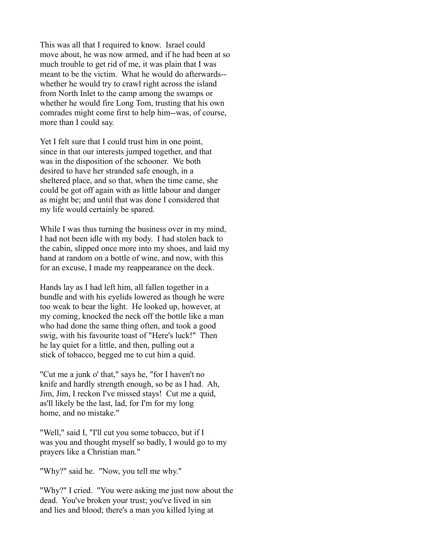This was all that I required to know. Israel could move about, he was now armed, and if he had been at so much trouble to get rid of me, it was plain that I was meant to be the victim. What he would do afterwards- whether he would try to crawl right across the island from North Inlet to the camp among the swamps or whether he would fire Long Tom, trusting that his own comrades might come first to help him--was, of course, more than I could say.

Yet I felt sure that I could trust him in one point, since in that our interests jumped together, and that was in the disposition of the schooner. We both desired to have her stranded safe enough, in a sheltered place, and so that, when the time came, she could be got off again with as little labour and danger as might be; and until that was done I considered that my life would certainly be spared.

While I was thus turning the business over in my mind, I had not been idle with my body. I had stolen back to the cabin, slipped once more into my shoes, and laid my hand at random on a bottle of wine, and now, with this for an excuse, I made my reappearance on the deck.

Hands lay as I had left him, all fallen together in a bundle and with his eyelids lowered as though he were too weak to bear the light. He looked up, however, at my coming, knocked the neck off the bottle like a man who had done the same thing often, and took a good swig, with his favourite toast of "Here's luck!" Then he lay quiet for a little, and then, pulling out a stick of tobacco, begged me to cut him a quid.

"Cut me a junk o' that," says he, "for I haven't no knife and hardly strength enough, so be as I had. Ah, Jim, Jim, I reckon I've missed stays! Cut me a quid, as'll likely be the last, lad, for I'm for my long home, and no mistake."

"Well," said I, "I'll cut you some tobacco, but if I was you and thought myself so badly, I would go to my prayers like a Christian man."

"Why?" said he. "Now, you tell me why."

"Why?" I cried. "You were asking me just now about the dead. You've broken your trust; you've lived in sin and lies and blood; there's a man you killed lying at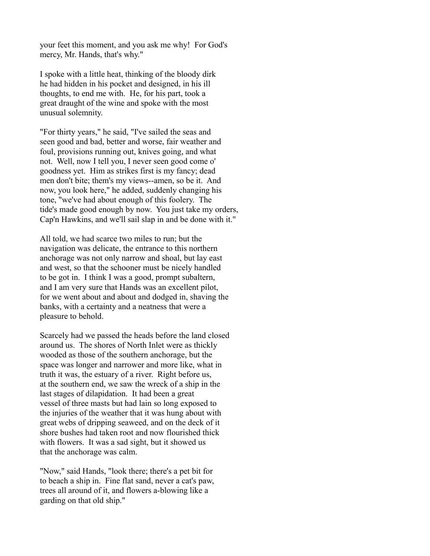your feet this moment, and you ask me why! For God's mercy, Mr. Hands, that's why."

I spoke with a little heat, thinking of the bloody dirk he had hidden in his pocket and designed, in his ill thoughts, to end me with. He, for his part, took a great draught of the wine and spoke with the most unusual solemnity.

"For thirty years," he said, "I've sailed the seas and seen good and bad, better and worse, fair weather and foul, provisions running out, knives going, and what not. Well, now I tell you, I never seen good come o' goodness yet. Him as strikes first is my fancy; dead men don't bite; them's my views--amen, so be it. And now, you look here," he added, suddenly changing his tone, "we've had about enough of this foolery. The tide's made good enough by now. You just take my orders, Cap'n Hawkins, and we'll sail slap in and be done with it."

All told, we had scarce two miles to run; but the navigation was delicate, the entrance to this northern anchorage was not only narrow and shoal, but lay east and west, so that the schooner must be nicely handled to be got in. I think I was a good, prompt subaltern, and I am very sure that Hands was an excellent pilot, for we went about and about and dodged in, shaving the banks, with a certainty and a neatness that were a pleasure to behold.

Scarcely had we passed the heads before the land closed around us. The shores of North Inlet were as thickly wooded as those of the southern anchorage, but the space was longer and narrower and more like, what in truth it was, the estuary of a river. Right before us, at the southern end, we saw the wreck of a ship in the last stages of dilapidation. It had been a great vessel of three masts but had lain so long exposed to the injuries of the weather that it was hung about with great webs of dripping seaweed, and on the deck of it shore bushes had taken root and now flourished thick with flowers. It was a sad sight, but it showed us that the anchorage was calm.

"Now," said Hands, "look there; there's a pet bit for to beach a ship in. Fine flat sand, never a cat's paw, trees all around of it, and flowers a-blowing like a garding on that old ship."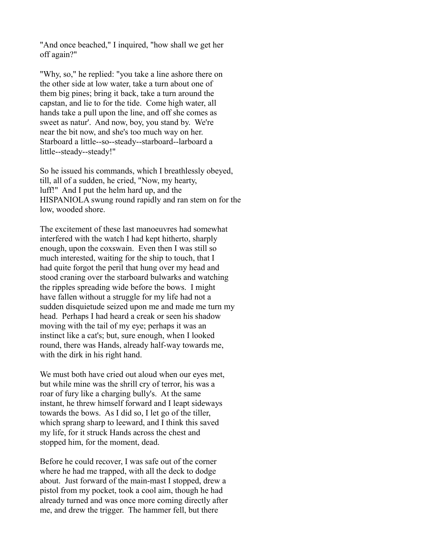"And once beached," I inquired, "how shall we get her off again?"

"Why, so," he replied: "you take a line ashore there on the other side at low water, take a turn about one of them big pines; bring it back, take a turn around the capstan, and lie to for the tide. Come high water, all hands take a pull upon the line, and off she comes as sweet as natur'. And now, boy, you stand by. We're near the bit now, and she's too much way on her. Starboard a little--so--steady--starboard--larboard a little--steady--steady!"

So he issued his commands, which I breathlessly obeyed, till, all of a sudden, he cried, "Now, my hearty, luff!" And I put the helm hard up, and the HISPANIOLA swung round rapidly and ran stem on for the low, wooded shore.

The excitement of these last manoeuvres had somewhat interfered with the watch I had kept hitherto, sharply enough, upon the coxswain. Even then I was still so much interested, waiting for the ship to touch, that I had quite forgot the peril that hung over my head and stood craning over the starboard bulwarks and watching the ripples spreading wide before the bows. I might have fallen without a struggle for my life had not a sudden disquietude seized upon me and made me turn my head. Perhaps I had heard a creak or seen his shadow moving with the tail of my eye; perhaps it was an instinct like a cat's; but, sure enough, when I looked round, there was Hands, already half-way towards me, with the dirk in his right hand.

We must both have cried out aloud when our eyes met, but while mine was the shrill cry of terror, his was a roar of fury like a charging bully's. At the same instant, he threw himself forward and I leapt sideways towards the bows. As I did so, I let go of the tiller, which sprang sharp to leeward, and I think this saved my life, for it struck Hands across the chest and stopped him, for the moment, dead.

Before he could recover, I was safe out of the corner where he had me trapped, with all the deck to dodge about. Just forward of the main-mast I stopped, drew a pistol from my pocket, took a cool aim, though he had already turned and was once more coming directly after me, and drew the trigger. The hammer fell, but there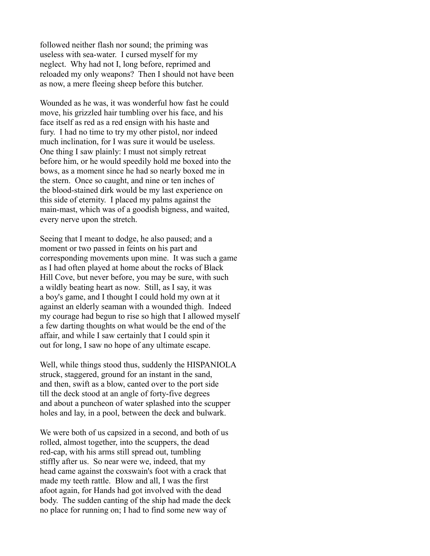followed neither flash nor sound; the priming was useless with sea-water. I cursed myself for my neglect. Why had not I, long before, reprimed and reloaded my only weapons? Then I should not have been as now, a mere fleeing sheep before this butcher.

Wounded as he was, it was wonderful how fast he could move, his grizzled hair tumbling over his face, and his face itself as red as a red ensign with his haste and fury. I had no time to try my other pistol, nor indeed much inclination, for I was sure it would be useless. One thing I saw plainly: I must not simply retreat before him, or he would speedily hold me boxed into the bows, as a moment since he had so nearly boxed me in the stern. Once so caught, and nine or ten inches of the blood-stained dirk would be my last experience on this side of eternity. I placed my palms against the main-mast, which was of a goodish bigness, and waited, every nerve upon the stretch.

Seeing that I meant to dodge, he also paused; and a moment or two passed in feints on his part and corresponding movements upon mine. It was such a game as I had often played at home about the rocks of Black Hill Cove, but never before, you may be sure, with such a wildly beating heart as now. Still, as I say, it was a boy's game, and I thought I could hold my own at it against an elderly seaman with a wounded thigh. Indeed my courage had begun to rise so high that I allowed myself a few darting thoughts on what would be the end of the affair, and while I saw certainly that I could spin it out for long, I saw no hope of any ultimate escape.

Well, while things stood thus, suddenly the HISPANIOLA struck, staggered, ground for an instant in the sand, and then, swift as a blow, canted over to the port side till the deck stood at an angle of forty-five degrees and about a puncheon of water splashed into the scupper holes and lay, in a pool, between the deck and bulwark.

We were both of us capsized in a second, and both of us rolled, almost together, into the scuppers, the dead red-cap, with his arms still spread out, tumbling stiffly after us. So near were we, indeed, that my head came against the coxswain's foot with a crack that made my teeth rattle. Blow and all, I was the first afoot again, for Hands had got involved with the dead body. The sudden canting of the ship had made the deck no place for running on; I had to find some new way of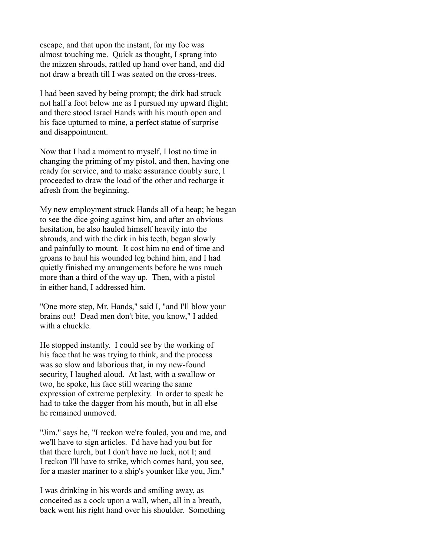escape, and that upon the instant, for my foe was almost touching me. Quick as thought, I sprang into the mizzen shrouds, rattled up hand over hand, and did not draw a breath till I was seated on the cross-trees.

I had been saved by being prompt; the dirk had struck not half a foot below me as I pursued my upward flight; and there stood Israel Hands with his mouth open and his face upturned to mine, a perfect statue of surprise and disappointment.

Now that I had a moment to myself, I lost no time in changing the priming of my pistol, and then, having one ready for service, and to make assurance doubly sure, I proceeded to draw the load of the other and recharge it afresh from the beginning.

My new employment struck Hands all of a heap; he began to see the dice going against him, and after an obvious hesitation, he also hauled himself heavily into the shrouds, and with the dirk in his teeth, began slowly and painfully to mount. It cost him no end of time and groans to haul his wounded leg behind him, and I had quietly finished my arrangements before he was much more than a third of the way up. Then, with a pistol in either hand, I addressed him.

"One more step, Mr. Hands," said I, "and I'll blow your brains out! Dead men don't bite, you know," I added with a chuckle.

He stopped instantly. I could see by the working of his face that he was trying to think, and the process was so slow and laborious that, in my new-found security, I laughed aloud. At last, with a swallow or two, he spoke, his face still wearing the same expression of extreme perplexity. In order to speak he had to take the dagger from his mouth, but in all else he remained unmoved.

"Jim," says he, "I reckon we're fouled, you and me, and we'll have to sign articles. I'd have had you but for that there lurch, but I don't have no luck, not I; and I reckon I'll have to strike, which comes hard, you see, for a master mariner to a ship's younker like you, Jim."

I was drinking in his words and smiling away, as conceited as a cock upon a wall, when, all in a breath, back went his right hand over his shoulder. Something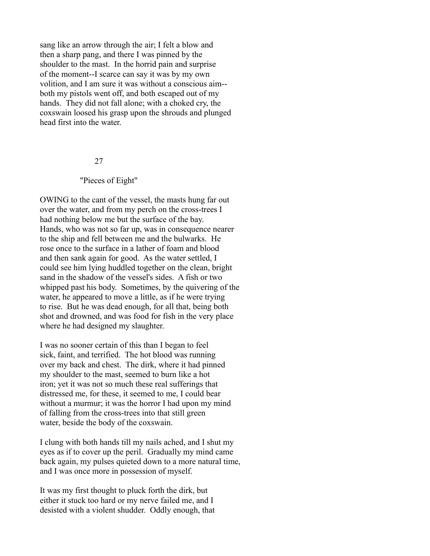sang like an arrow through the air; I felt a blow and then a sharp pang, and there I was pinned by the shoulder to the mast. In the horrid pain and surprise of the moment--I scarce can say it was by my own volition, and I am sure it was without a conscious aim- both my pistols went off, and both escaped out of my hands. They did not fall alone; with a choked cry, the coxswain loosed his grasp upon the shrouds and plunged head first into the water.

#### 27

#### "Pieces of Eight"

OWING to the cant of the vessel, the masts hung far out over the water, and from my perch on the cross-trees I had nothing below me but the surface of the bay. Hands, who was not so far up, was in consequence nearer to the ship and fell between me and the bulwarks. He rose once to the surface in a lather of foam and blood and then sank again for good. As the water settled, I could see him lying huddled together on the clean, bright sand in the shadow of the vessel's sides. A fish or two whipped past his body. Sometimes, by the quivering of the water, he appeared to move a little, as if he were trying to rise. But he was dead enough, for all that, being both shot and drowned, and was food for fish in the very place where he had designed my slaughter.

I was no sooner certain of this than I began to feel sick, faint, and terrified. The hot blood was running over my back and chest. The dirk, where it had pinned my shoulder to the mast, seemed to burn like a hot iron; yet it was not so much these real sufferings that distressed me, for these, it seemed to me, I could bear without a murmur; it was the horror I had upon my mind of falling from the cross-trees into that still green water, beside the body of the coxswain.

I clung with both hands till my nails ached, and I shut my eyes as if to cover up the peril. Gradually my mind came back again, my pulses quieted down to a more natural time, and I was once more in possession of myself.

It was my first thought to pluck forth the dirk, but either it stuck too hard or my nerve failed me, and I desisted with a violent shudder. Oddly enough, that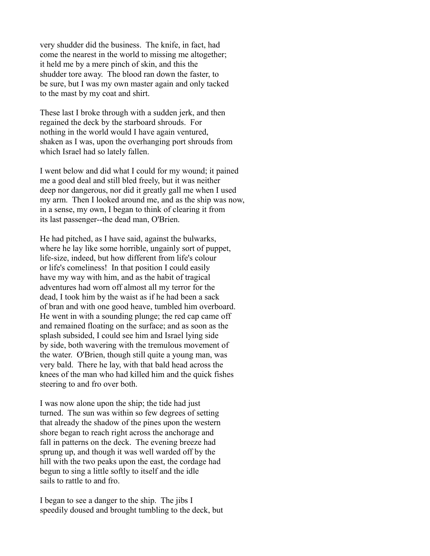very shudder did the business. The knife, in fact, had come the nearest in the world to missing me altogether; it held me by a mere pinch of skin, and this the shudder tore away. The blood ran down the faster, to be sure, but I was my own master again and only tacked to the mast by my coat and shirt.

These last I broke through with a sudden jerk, and then regained the deck by the starboard shrouds. For nothing in the world would I have again ventured, shaken as I was, upon the overhanging port shrouds from which Israel had so lately fallen.

I went below and did what I could for my wound; it pained me a good deal and still bled freely, but it was neither deep nor dangerous, nor did it greatly gall me when I used my arm. Then I looked around me, and as the ship was now, in a sense, my own, I began to think of clearing it from its last passenger--the dead man, O'Brien.

He had pitched, as I have said, against the bulwarks, where he lay like some horrible, ungainly sort of puppet, life-size, indeed, but how different from life's colour or life's comeliness! In that position I could easily have my way with him, and as the habit of tragical adventures had worn off almost all my terror for the dead, I took him by the waist as if he had been a sack of bran and with one good heave, tumbled him overboard. He went in with a sounding plunge; the red cap came off and remained floating on the surface; and as soon as the splash subsided, I could see him and Israel lying side by side, both wavering with the tremulous movement of the water. O'Brien, though still quite a young man, was very bald. There he lay, with that bald head across the knees of the man who had killed him and the quick fishes steering to and fro over both.

I was now alone upon the ship; the tide had just turned. The sun was within so few degrees of setting that already the shadow of the pines upon the western shore began to reach right across the anchorage and fall in patterns on the deck. The evening breeze had sprung up, and though it was well warded off by the hill with the two peaks upon the east, the cordage had begun to sing a little softly to itself and the idle sails to rattle to and fro.

I began to see a danger to the ship. The jibs I speedily doused and brought tumbling to the deck, but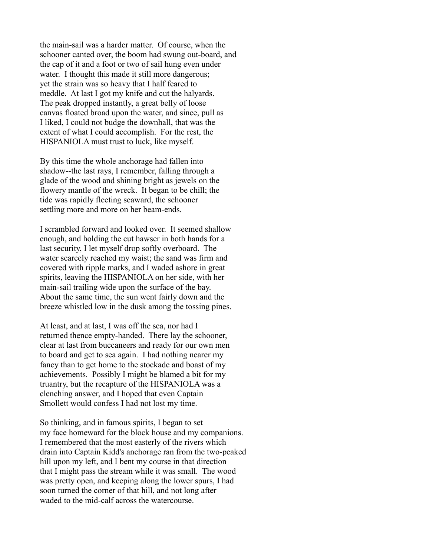the main-sail was a harder matter. Of course, when the schooner canted over, the boom had swung out-board, and the cap of it and a foot or two of sail hung even under water. I thought this made it still more dangerous; yet the strain was so heavy that I half feared to meddle. At last I got my knife and cut the halyards. The peak dropped instantly, a great belly of loose canvas floated broad upon the water, and since, pull as I liked, I could not budge the downhall, that was the extent of what I could accomplish. For the rest, the HISPANIOLA must trust to luck, like myself.

By this time the whole anchorage had fallen into shadow--the last rays, I remember, falling through a glade of the wood and shining bright as jewels on the flowery mantle of the wreck. It began to be chill; the tide was rapidly fleeting seaward, the schooner settling more and more on her beam-ends.

I scrambled forward and looked over. It seemed shallow enough, and holding the cut hawser in both hands for a last security, I let myself drop softly overboard. The water scarcely reached my waist; the sand was firm and covered with ripple marks, and I waded ashore in great spirits, leaving the HISPANIOLA on her side, with her main-sail trailing wide upon the surface of the bay. About the same time, the sun went fairly down and the breeze whistled low in the dusk among the tossing pines.

At least, and at last, I was off the sea, nor had I returned thence empty-handed. There lay the schooner, clear at last from buccaneers and ready for our own men to board and get to sea again. I had nothing nearer my fancy than to get home to the stockade and boast of my achievements. Possibly I might be blamed a bit for my truantry, but the recapture of the HISPANIOLA was a clenching answer, and I hoped that even Captain Smollett would confess I had not lost my time.

So thinking, and in famous spirits, I began to set my face homeward for the block house and my companions. I remembered that the most easterly of the rivers which drain into Captain Kidd's anchorage ran from the two-peaked hill upon my left, and I bent my course in that direction that I might pass the stream while it was small. The wood was pretty open, and keeping along the lower spurs, I had soon turned the corner of that hill, and not long after waded to the mid-calf across the watercourse.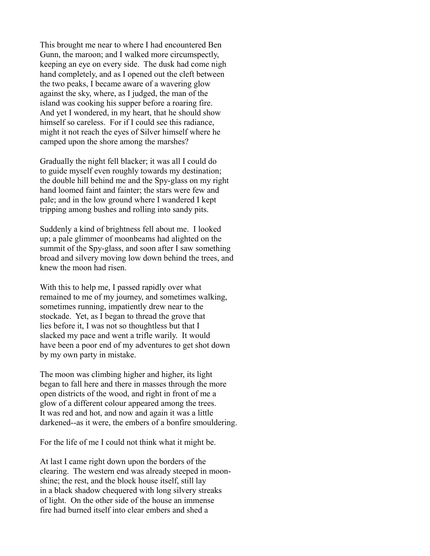This brought me near to where I had encountered Ben Gunn, the maroon; and I walked more circumspectly, keeping an eye on every side. The dusk had come nigh hand completely, and as I opened out the cleft between the two peaks, I became aware of a wavering glow against the sky, where, as I judged, the man of the island was cooking his supper before a roaring fire. And yet I wondered, in my heart, that he should show himself so careless. For if I could see this radiance, might it not reach the eyes of Silver himself where he camped upon the shore among the marshes?

Gradually the night fell blacker; it was all I could do to guide myself even roughly towards my destination; the double hill behind me and the Spy-glass on my right hand loomed faint and fainter; the stars were few and pale; and in the low ground where I wandered I kept tripping among bushes and rolling into sandy pits.

Suddenly a kind of brightness fell about me. I looked up; a pale glimmer of moonbeams had alighted on the summit of the Spy-glass, and soon after I saw something broad and silvery moving low down behind the trees, and knew the moon had risen.

With this to help me, I passed rapidly over what remained to me of my journey, and sometimes walking, sometimes running, impatiently drew near to the stockade. Yet, as I began to thread the grove that lies before it, I was not so thoughtless but that I slacked my pace and went a trifle warily. It would have been a poor end of my adventures to get shot down by my own party in mistake.

The moon was climbing higher and higher, its light began to fall here and there in masses through the more open districts of the wood, and right in front of me a glow of a different colour appeared among the trees. It was red and hot, and now and again it was a little darkened--as it were, the embers of a bonfire smouldering.

For the life of me I could not think what it might be.

At last I came right down upon the borders of the clearing. The western end was already steeped in moonshine; the rest, and the block house itself, still lay in a black shadow chequered with long silvery streaks of light. On the other side of the house an immense fire had burned itself into clear embers and shed a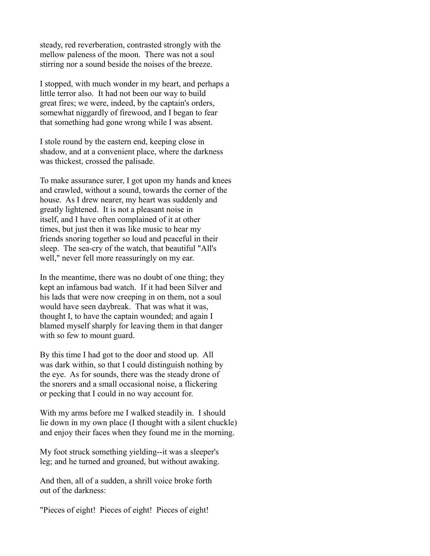steady, red reverberation, contrasted strongly with the mellow paleness of the moon. There was not a soul stirring nor a sound beside the noises of the breeze.

I stopped, with much wonder in my heart, and perhaps a little terror also. It had not been our way to build great fires; we were, indeed, by the captain's orders, somewhat niggardly of firewood, and I began to fear that something had gone wrong while I was absent.

I stole round by the eastern end, keeping close in shadow, and at a convenient place, where the darkness was thickest, crossed the palisade.

To make assurance surer, I got upon my hands and knees and crawled, without a sound, towards the corner of the house. As I drew nearer, my heart was suddenly and greatly lightened. It is not a pleasant noise in itself, and I have often complained of it at other times, but just then it was like music to hear my friends snoring together so loud and peaceful in their sleep. The sea-cry of the watch, that beautiful "All's well," never fell more reassuringly on my ear.

In the meantime, there was no doubt of one thing; they kept an infamous bad watch. If it had been Silver and his lads that were now creeping in on them, not a soul would have seen daybreak. That was what it was, thought I, to have the captain wounded; and again I blamed myself sharply for leaving them in that danger with so few to mount guard.

By this time I had got to the door and stood up. All was dark within, so that I could distinguish nothing by the eye. As for sounds, there was the steady drone of the snorers and a small occasional noise, a flickering or pecking that I could in no way account for.

With my arms before me I walked steadily in. I should lie down in my own place (I thought with a silent chuckle) and enjoy their faces when they found me in the morning.

My foot struck something yielding--it was a sleeper's leg; and he turned and groaned, but without awaking.

And then, all of a sudden, a shrill voice broke forth out of the darkness:

"Pieces of eight! Pieces of eight! Pieces of eight!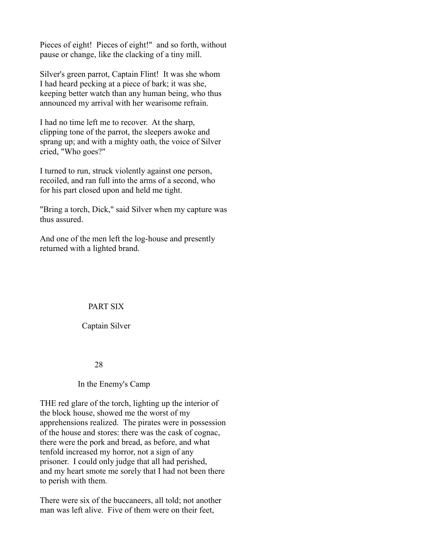Pieces of eight! Pieces of eight!" and so forth, without pause or change, like the clacking of a tiny mill.

Silver's green parrot, Captain Flint! It was she whom I had heard pecking at a piece of bark; it was she, keeping better watch than any human being, who thus announced my arrival with her wearisome refrain.

I had no time left me to recover. At the sharp, clipping tone of the parrot, the sleepers awoke and sprang up; and with a mighty oath, the voice of Silver cried, "Who goes?"

I turned to run, struck violently against one person, recoiled, and ran full into the arms of a second, who for his part closed upon and held me tight.

"Bring a torch, Dick," said Silver when my capture was thus assured.

And one of the men left the log-house and presently returned with a lighted brand.

# PART SIX

# Captain Silver

# 28

# In the Enemy's Camp

THE red glare of the torch, lighting up the interior of the block house, showed me the worst of my apprehensions realized. The pirates were in possession of the house and stores: there was the cask of cognac, there were the pork and bread, as before, and what tenfold increased my horror, not a sign of any prisoner. I could only judge that all had perished, and my heart smote me sorely that I had not been there to perish with them.

There were six of the buccaneers, all told; not another man was left alive. Five of them were on their feet,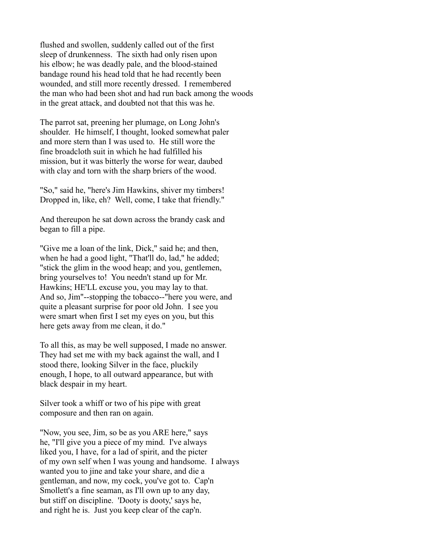flushed and swollen, suddenly called out of the first sleep of drunkenness. The sixth had only risen upon his elbow; he was deadly pale, and the blood-stained bandage round his head told that he had recently been wounded, and still more recently dressed. I remembered the man who had been shot and had run back among the woods in the great attack, and doubted not that this was he.

The parrot sat, preening her plumage, on Long John's shoulder. He himself, I thought, looked somewhat paler and more stern than I was used to. He still wore the fine broadcloth suit in which he had fulfilled his mission, but it was bitterly the worse for wear, daubed with clay and torn with the sharp briers of the wood.

"So," said he, "here's Jim Hawkins, shiver my timbers! Dropped in, like, eh? Well, come, I take that friendly."

And thereupon he sat down across the brandy cask and began to fill a pipe.

"Give me a loan of the link, Dick," said he; and then, when he had a good light, "That'll do, lad," he added; "stick the glim in the wood heap; and you, gentlemen, bring yourselves to! You needn't stand up for Mr. Hawkins; HE'LL excuse you, you may lay to that. And so, Jim"--stopping the tobacco--"here you were, and quite a pleasant surprise for poor old John. I see you were smart when first I set my eyes on you, but this here gets away from me clean, it do."

To all this, as may be well supposed, I made no answer. They had set me with my back against the wall, and I stood there, looking Silver in the face, pluckily enough, I hope, to all outward appearance, but with black despair in my heart.

Silver took a whiff or two of his pipe with great composure and then ran on again.

"Now, you see, Jim, so be as you ARE here," says he, "I'll give you a piece of my mind. I've always liked you, I have, for a lad of spirit, and the picter of my own self when I was young and handsome. I always wanted you to jine and take your share, and die a gentleman, and now, my cock, you've got to. Cap'n Smollett's a fine seaman, as I'll own up to any day, but stiff on discipline. 'Dooty is dooty,' says he, and right he is. Just you keep clear of the cap'n.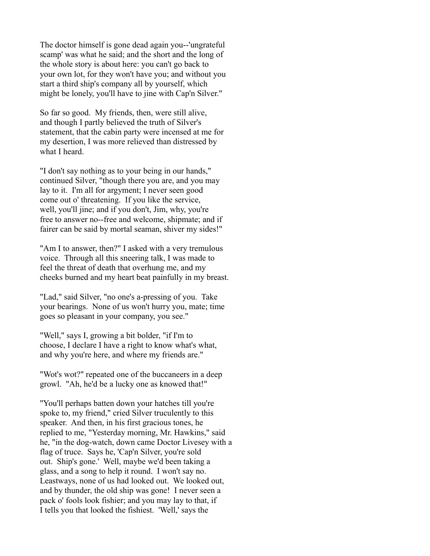The doctor himself is gone dead again you--'ungrateful scamp' was what he said; and the short and the long of the whole story is about here: you can't go back to your own lot, for they won't have you; and without you start a third ship's company all by yourself, which might be lonely, you'll have to jine with Cap'n Silver."

So far so good. My friends, then, were still alive, and though I partly believed the truth of Silver's statement, that the cabin party were incensed at me for my desertion, I was more relieved than distressed by what I heard.

"I don't say nothing as to your being in our hands," continued Silver, "though there you are, and you may lay to it. I'm all for argyment; I never seen good come out o' threatening. If you like the service, well, you'll jine; and if you don't, Jim, why, you're free to answer no--free and welcome, shipmate; and if fairer can be said by mortal seaman, shiver my sides!"

"Am I to answer, then?" I asked with a very tremulous voice. Through all this sneering talk, I was made to feel the threat of death that overhung me, and my cheeks burned and my heart beat painfully in my breast.

"Lad," said Silver, "no one's a-pressing of you. Take your bearings. None of us won't hurry you, mate; time goes so pleasant in your company, you see."

"Well," says I, growing a bit bolder, "if I'm to choose, I declare I have a right to know what's what, and why you're here, and where my friends are."

"Wot's wot?" repeated one of the buccaneers in a deep growl. "Ah, he'd be a lucky one as knowed that!"

"You'll perhaps batten down your hatches till you're spoke to, my friend," cried Silver truculently to this speaker. And then, in his first gracious tones, he replied to me, "Yesterday morning, Mr. Hawkins," said he, "in the dog-watch, down came Doctor Livesey with a flag of truce. Says he, 'Cap'n Silver, you're sold out. Ship's gone.' Well, maybe we'd been taking a glass, and a song to help it round. I won't say no. Leastways, none of us had looked out. We looked out, and by thunder, the old ship was gone! I never seen a pack o' fools look fishier; and you may lay to that, if I tells you that looked the fishiest. 'Well,' says the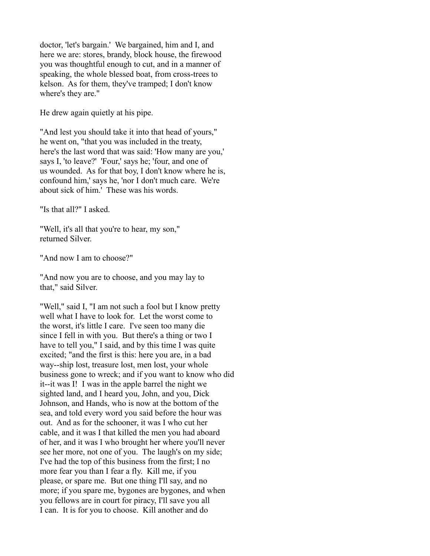doctor, 'let's bargain.' We bargained, him and I, and here we are: stores, brandy, block house, the firewood you was thoughtful enough to cut, and in a manner of speaking, the whole blessed boat, from cross-trees to kelson. As for them, they've tramped; I don't know where's they are."

He drew again quietly at his pipe.

"And lest you should take it into that head of yours," he went on, "that you was included in the treaty, here's the last word that was said: 'How many are you,' says I, 'to leave?' 'Four,' says he; 'four, and one of us wounded. As for that boy, I don't know where he is, confound him,' says he, 'nor I don't much care. We're about sick of him.' These was his words.

"Is that all?" I asked.

"Well, it's all that you're to hear, my son," returned Silver.

"And now I am to choose?"

"And now you are to choose, and you may lay to that," said Silver.

"Well," said I, "I am not such a fool but I know pretty well what I have to look for. Let the worst come to the worst, it's little I care. I've seen too many die since I fell in with you. But there's a thing or two I have to tell you," I said, and by this time I was quite excited; "and the first is this: here you are, in a bad way--ship lost, treasure lost, men lost, your whole business gone to wreck; and if you want to know who did it--it was I! I was in the apple barrel the night we sighted land, and I heard you, John, and you, Dick Johnson, and Hands, who is now at the bottom of the sea, and told every word you said before the hour was out. And as for the schooner, it was I who cut her cable, and it was I that killed the men you had aboard of her, and it was I who brought her where you'll never see her more, not one of you. The laugh's on my side; I've had the top of this business from the first; I no more fear you than I fear a fly. Kill me, if you please, or spare me. But one thing I'll say, and no more; if you spare me, bygones are bygones, and when you fellows are in court for piracy, I'll save you all I can. It is for you to choose. Kill another and do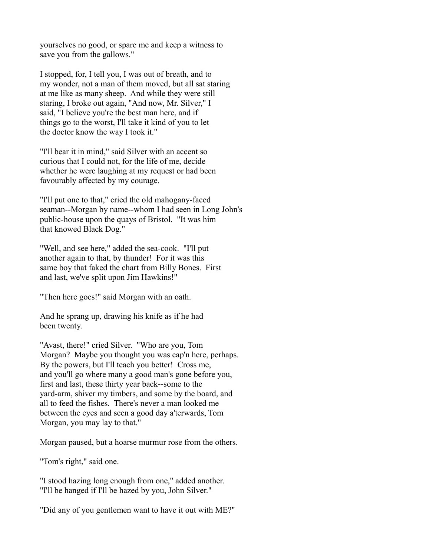yourselves no good, or spare me and keep a witness to save you from the gallows."

I stopped, for, I tell you, I was out of breath, and to my wonder, not a man of them moved, but all sat staring at me like as many sheep. And while they were still staring, I broke out again, "And now, Mr. Silver," I said, "I believe you're the best man here, and if things go to the worst, I'll take it kind of you to let the doctor know the way I took it."

"I'll bear it in mind," said Silver with an accent so curious that I could not, for the life of me, decide whether he were laughing at my request or had been favourably affected by my courage.

"I'll put one to that," cried the old mahogany-faced seaman--Morgan by name--whom I had seen in Long John's public-house upon the quays of Bristol. "It was him that knowed Black Dog."

"Well, and see here," added the sea-cook. "I'll put another again to that, by thunder! For it was this same boy that faked the chart from Billy Bones. First and last, we've split upon Jim Hawkins!"

"Then here goes!" said Morgan with an oath.

And he sprang up, drawing his knife as if he had been twenty.

"Avast, there!" cried Silver. "Who are you, Tom Morgan? Maybe you thought you was cap'n here, perhaps. By the powers, but I'll teach you better! Cross me, and you'll go where many a good man's gone before you, first and last, these thirty year back--some to the yard-arm, shiver my timbers, and some by the board, and all to feed the fishes. There's never a man looked me between the eyes and seen a good day a'terwards, Tom Morgan, you may lay to that."

Morgan paused, but a hoarse murmur rose from the others.

"Tom's right," said one.

"I stood hazing long enough from one," added another. "I'll be hanged if I'll be hazed by you, John Silver."

"Did any of you gentlemen want to have it out with ME?"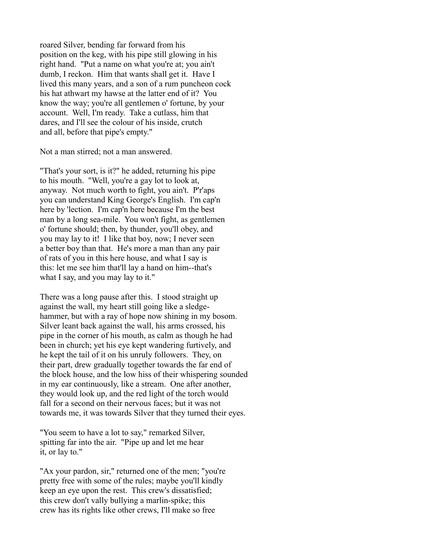roared Silver, bending far forward from his position on the keg, with his pipe still glowing in his right hand. "Put a name on what you're at; you ain't dumb, I reckon. Him that wants shall get it. Have I lived this many years, and a son of a rum puncheon cock his hat athwart my hawse at the latter end of it? You know the way; you're all gentlemen o' fortune, by your account. Well, I'm ready. Take a cutlass, him that dares, and I'll see the colour of his inside, crutch and all, before that pipe's empty."

Not a man stirred; not a man answered.

"That's your sort, is it?" he added, returning his pipe to his mouth. "Well, you're a gay lot to look at, anyway. Not much worth to fight, you ain't. P'r'aps you can understand King George's English. I'm cap'n here by 'lection. I'm cap'n here because I'm the best man by a long sea-mile. You won't fight, as gentlemen o' fortune should; then, by thunder, you'll obey, and you may lay to it! I like that boy, now; I never seen a better boy than that. He's more a man than any pair of rats of you in this here house, and what I say is this: let me see him that'll lay a hand on him--that's what I say, and you may lay to it."

There was a long pause after this. I stood straight up against the wall, my heart still going like a sledgehammer, but with a ray of hope now shining in my bosom. Silver leant back against the wall, his arms crossed, his pipe in the corner of his mouth, as calm as though he had been in church; yet his eye kept wandering furtively, and he kept the tail of it on his unruly followers. They, on their part, drew gradually together towards the far end of the block house, and the low hiss of their whispering sounded in my ear continuously, like a stream. One after another, they would look up, and the red light of the torch would fall for a second on their nervous faces; but it was not towards me, it was towards Silver that they turned their eyes.

"You seem to have a lot to say," remarked Silver, spitting far into the air. "Pipe up and let me hear it, or lay to."

"Ax your pardon, sir," returned one of the men; "you're pretty free with some of the rules; maybe you'll kindly keep an eye upon the rest. This crew's dissatisfied; this crew don't vally bullying a marlin-spike; this crew has its rights like other crews, I'll make so free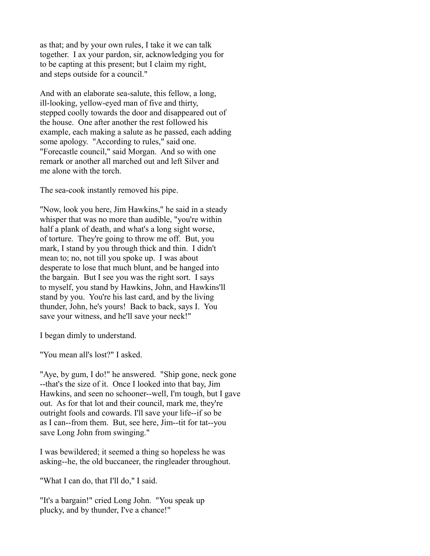as that; and by your own rules, I take it we can talk together. I ax your pardon, sir, acknowledging you for to be capting at this present; but I claim my right, and steps outside for a council."

And with an elaborate sea-salute, this fellow, a long, ill-looking, yellow-eyed man of five and thirty, stepped coolly towards the door and disappeared out of the house. One after another the rest followed his example, each making a salute as he passed, each adding some apology. "According to rules," said one. "Forecastle council," said Morgan. And so with one remark or another all marched out and left Silver and me alone with the torch.

The sea-cook instantly removed his pipe.

"Now, look you here, Jim Hawkins," he said in a steady whisper that was no more than audible, "you're within half a plank of death, and what's a long sight worse, of torture. They're going to throw me off. But, you mark, I stand by you through thick and thin. I didn't mean to; no, not till you spoke up. I was about desperate to lose that much blunt, and be hanged into the bargain. But I see you was the right sort. I says to myself, you stand by Hawkins, John, and Hawkins'll stand by you. You're his last card, and by the living thunder, John, he's yours! Back to back, says I. You save your witness, and he'll save your neck!"

I began dimly to understand.

"You mean all's lost?" I asked.

"Aye, by gum, I do!" he answered. "Ship gone, neck gone --that's the size of it. Once I looked into that bay, Jim Hawkins, and seen no schooner--well, I'm tough, but I gave out. As for that lot and their council, mark me, they're outright fools and cowards. I'll save your life--if so be as I can--from them. But, see here, Jim--tit for tat--you save Long John from swinging."

I was bewildered; it seemed a thing so hopeless he was asking--he, the old buccaneer, the ringleader throughout.

"What I can do, that I'll do," I said.

"It's a bargain!" cried Long John. "You speak up plucky, and by thunder, I've a chance!"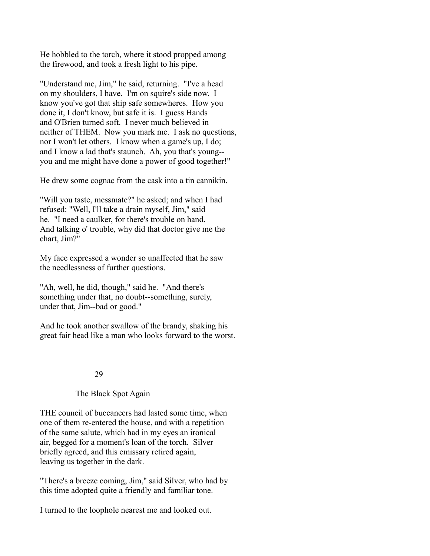He hobbled to the torch, where it stood propped among the firewood, and took a fresh light to his pipe.

"Understand me, Jim," he said, returning. "I've a head on my shoulders, I have. I'm on squire's side now. I know you've got that ship safe somewheres. How you done it, I don't know, but safe it is. I guess Hands and O'Brien turned soft. I never much believed in neither of THEM. Now you mark me. I ask no questions, nor I won't let others. I know when a game's up, I do; and I know a lad that's staunch. Ah, you that's young- you and me might have done a power of good together!"

He drew some cognac from the cask into a tin cannikin.

"Will you taste, messmate?" he asked; and when I had refused: "Well, I'll take a drain myself, Jim," said he. "I need a caulker, for there's trouble on hand. And talking o' trouble, why did that doctor give me the chart, Jim?"

My face expressed a wonder so unaffected that he saw the needlessness of further questions.

"Ah, well, he did, though," said he. "And there's something under that, no doubt--something, surely, under that, Jim--bad or good."

And he took another swallow of the brandy, shaking his great fair head like a man who looks forward to the worst.

# 29

# The Black Spot Again

THE council of buccaneers had lasted some time, when one of them re-entered the house, and with a repetition of the same salute, which had in my eyes an ironical air, begged for a moment's loan of the torch. Silver briefly agreed, and this emissary retired again, leaving us together in the dark.

"There's a breeze coming, Jim," said Silver, who had by this time adopted quite a friendly and familiar tone.

I turned to the loophole nearest me and looked out.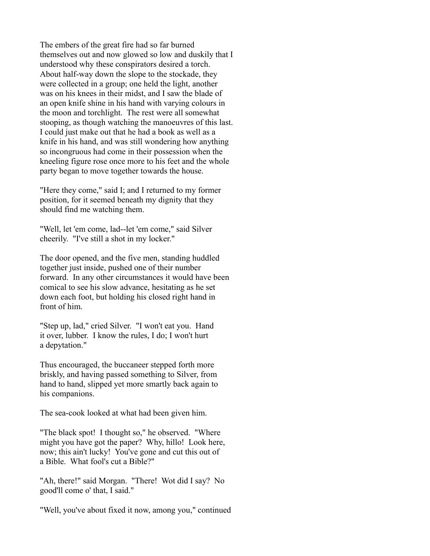The embers of the great fire had so far burned themselves out and now glowed so low and duskily that I understood why these conspirators desired a torch. About half-way down the slope to the stockade, they were collected in a group; one held the light, another was on his knees in their midst, and I saw the blade of an open knife shine in his hand with varying colours in the moon and torchlight. The rest were all somewhat stooping, as though watching the manoeuvres of this last. I could just make out that he had a book as well as a knife in his hand, and was still wondering how anything so incongruous had come in their possession when the kneeling figure rose once more to his feet and the whole party began to move together towards the house.

"Here they come," said I; and I returned to my former position, for it seemed beneath my dignity that they should find me watching them.

"Well, let 'em come, lad--let 'em come," said Silver cheerily. "I've still a shot in my locker."

The door opened, and the five men, standing huddled together just inside, pushed one of their number forward. In any other circumstances it would have been comical to see his slow advance, hesitating as he set down each foot, but holding his closed right hand in front of him.

"Step up, lad," cried Silver. "I won't eat you. Hand it over, lubber. I know the rules, I do; I won't hurt a depytation."

Thus encouraged, the buccaneer stepped forth more briskly, and having passed something to Silver, from hand to hand, slipped yet more smartly back again to his companions.

The sea-cook looked at what had been given him.

"The black spot! I thought so," he observed. "Where might you have got the paper? Why, hillo! Look here, now; this ain't lucky! You've gone and cut this out of a Bible. What fool's cut a Bible?"

"Ah, there!" said Morgan. "There! Wot did I say? No good'll come o' that, I said."

"Well, you've about fixed it now, among you," continued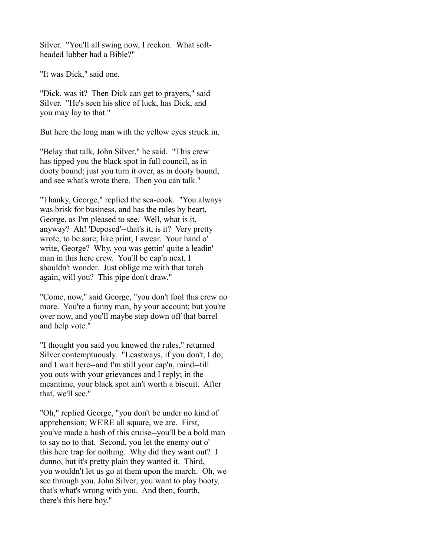Silver. "You'll all swing now, I reckon. What softheaded lubber had a Bible?"

"It was Dick," said one.

"Dick, was it? Then Dick can get to prayers," said Silver. "He's seen his slice of luck, has Dick, and you may lay to that."

But here the long man with the yellow eyes struck in.

"Belay that talk, John Silver," he said. "This crew has tipped you the black spot in full council, as in dooty bound; just you turn it over, as in dooty bound, and see what's wrote there. Then you can talk."

"Thanky, George," replied the sea-cook. "You always was brisk for business, and has the rules by heart, George, as I'm pleased to see. Well, what is it, anyway? Ah! 'Deposed'--that's it, is it? Very pretty wrote, to be sure; like print, I swear. Your hand o' write, George? Why, you was gettin' quite a leadin' man in this here crew. You'll be cap'n next, I shouldn't wonder. Just oblige me with that torch again, will you? This pipe don't draw."

"Come, now," said George, "you don't fool this crew no more. You're a funny man, by your account; but you're over now, and you'll maybe step down off that barrel and help vote."

"I thought you said you knowed the rules," returned Silver contemptuously. "Leastways, if you don't, I do; and I wait here--and I'm still your cap'n, mind--till you outs with your grievances and I reply; in the meantime, your black spot ain't worth a biscuit. After that, we'll see."

"Oh," replied George, "you don't be under no kind of apprehension; WE'RE all square, we are. First, you've made a hash of this cruise--you'll be a bold man to say no to that. Second, you let the enemy out o' this here trap for nothing. Why did they want out? I dunno, but it's pretty plain they wanted it. Third, you wouldn't let us go at them upon the march. Oh, we see through you, John Silver; you want to play booty, that's what's wrong with you. And then, fourth, there's this here boy."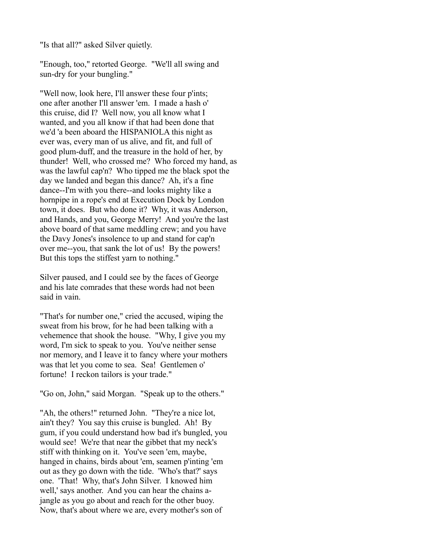"Is that all?" asked Silver quietly.

"Enough, too," retorted George. "We'll all swing and sun-dry for your bungling."

"Well now, look here, I'll answer these four p'ints; one after another I'll answer 'em. I made a hash o' this cruise, did I? Well now, you all know what I wanted, and you all know if that had been done that we'd 'a been aboard the HISPANIOLA this night as ever was, every man of us alive, and fit, and full of good plum-duff, and the treasure in the hold of her, by thunder! Well, who crossed me? Who forced my hand, as was the lawful cap'n? Who tipped me the black spot the day we landed and began this dance? Ah, it's a fine dance--I'm with you there--and looks mighty like a hornpipe in a rope's end at Execution Dock by London town, it does. But who done it? Why, it was Anderson, and Hands, and you, George Merry! And you're the last above board of that same meddling crew; and you have the Davy Jones's insolence to up and stand for cap'n over me--you, that sank the lot of us! By the powers! But this tops the stiffest yarn to nothing."

Silver paused, and I could see by the faces of George and his late comrades that these words had not been said in vain.

"That's for number one," cried the accused, wiping the sweat from his brow, for he had been talking with a vehemence that shook the house. "Why, I give you my word, I'm sick to speak to you. You've neither sense nor memory, and I leave it to fancy where your mothers was that let you come to sea. Sea! Gentlemen o' fortune! I reckon tailors is your trade."

"Go on, John," said Morgan. "Speak up to the others."

"Ah, the others!" returned John. "They're a nice lot, ain't they? You say this cruise is bungled. Ah! By gum, if you could understand how bad it's bungled, you would see! We're that near the gibbet that my neck's stiff with thinking on it. You've seen 'em, maybe, hanged in chains, birds about 'em, seamen p'inting 'em out as they go down with the tide. 'Who's that?' says one. 'That! Why, that's John Silver. I knowed him well,' says another. And you can hear the chains ajangle as you go about and reach for the other buoy. Now, that's about where we are, every mother's son of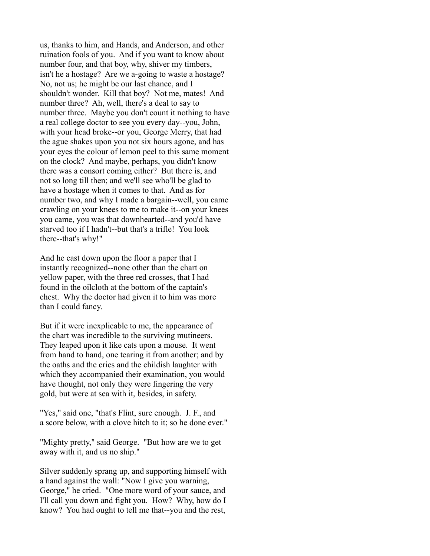us, thanks to him, and Hands, and Anderson, and other ruination fools of you. And if you want to know about number four, and that boy, why, shiver my timbers, isn't he a hostage? Are we a-going to waste a hostage? No, not us; he might be our last chance, and I shouldn't wonder. Kill that boy? Not me, mates! And number three? Ah, well, there's a deal to say to number three. Maybe you don't count it nothing to have a real college doctor to see you every day--you, John, with your head broke--or you, George Merry, that had the ague shakes upon you not six hours agone, and has your eyes the colour of lemon peel to this same moment on the clock? And maybe, perhaps, you didn't know there was a consort coming either? But there is, and not so long till then; and we'll see who'll be glad to have a hostage when it comes to that. And as for number two, and why I made a bargain--well, you came crawling on your knees to me to make it--on your knees you came, you was that downhearted--and you'd have starved too if I hadn't--but that's a trifle! You look there--that's why!"

And he cast down upon the floor a paper that I instantly recognized--none other than the chart on yellow paper, with the three red crosses, that I had found in the oilcloth at the bottom of the captain's chest. Why the doctor had given it to him was more than I could fancy.

But if it were inexplicable to me, the appearance of the chart was incredible to the surviving mutineers. They leaped upon it like cats upon a mouse. It went from hand to hand, one tearing it from another; and by the oaths and the cries and the childish laughter with which they accompanied their examination, you would have thought, not only they were fingering the very gold, but were at sea with it, besides, in safety.

"Yes," said one, "that's Flint, sure enough. J. F., and a score below, with a clove hitch to it; so he done ever."

"Mighty pretty," said George. "But how are we to get away with it, and us no ship."

Silver suddenly sprang up, and supporting himself with a hand against the wall: "Now I give you warning, George," he cried. "One more word of your sauce, and I'll call you down and fight you. How? Why, how do I know? You had ought to tell me that--you and the rest,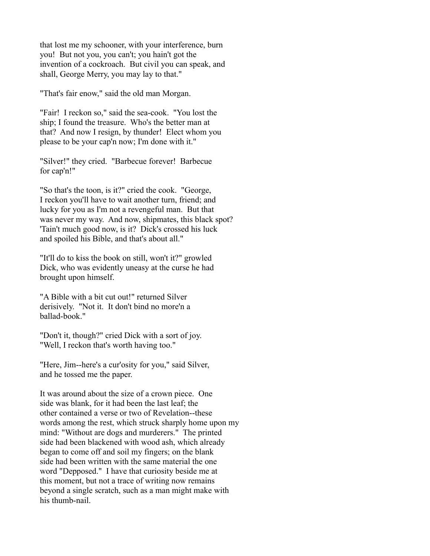that lost me my schooner, with your interference, burn you! But not you, you can't; you hain't got the invention of a cockroach. But civil you can speak, and shall, George Merry, you may lay to that."

"That's fair enow," said the old man Morgan.

"Fair! I reckon so," said the sea-cook. "You lost the ship; I found the treasure. Who's the better man at that? And now I resign, by thunder! Elect whom you please to be your cap'n now; I'm done with it."

"Silver!" they cried. "Barbecue forever! Barbecue for cap'n!"

"So that's the toon, is it?" cried the cook. "George, I reckon you'll have to wait another turn, friend; and lucky for you as I'm not a revengeful man. But that was never my way. And now, shipmates, this black spot? 'Tain't much good now, is it? Dick's crossed his luck and spoiled his Bible, and that's about all."

"It'll do to kiss the book on still, won't it?" growled Dick, who was evidently uneasy at the curse he had brought upon himself.

"A Bible with a bit cut out!" returned Silver derisively. "Not it. It don't bind no more'n a ballad-book."

"Don't it, though?" cried Dick with a sort of joy. "Well, I reckon that's worth having too."

"Here, Jim--here's a cur'osity for you," said Silver, and he tossed me the paper.

It was around about the size of a crown piece. One side was blank, for it had been the last leaf; the other contained a verse or two of Revelation--these words among the rest, which struck sharply home upon my mind: "Without are dogs and murderers." The printed side had been blackened with wood ash, which already began to come off and soil my fingers; on the blank side had been written with the same material the one word "Depposed." I have that curiosity beside me at this moment, but not a trace of writing now remains beyond a single scratch, such as a man might make with his thumb-nail.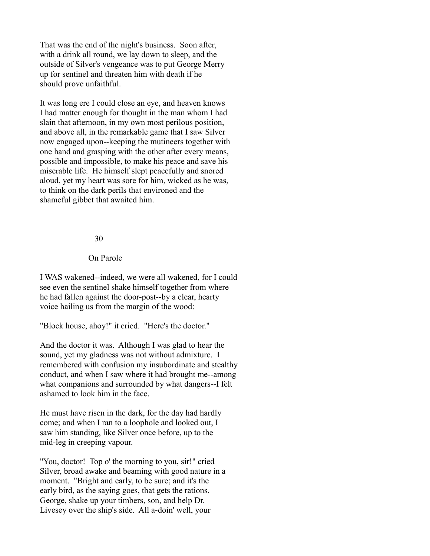That was the end of the night's business. Soon after, with a drink all round, we lay down to sleep, and the outside of Silver's vengeance was to put George Merry up for sentinel and threaten him with death if he should prove unfaithful.

It was long ere I could close an eye, and heaven knows I had matter enough for thought in the man whom I had slain that afternoon, in my own most perilous position, and above all, in the remarkable game that I saw Silver now engaged upon--keeping the mutineers together with one hand and grasping with the other after every means, possible and impossible, to make his peace and save his miserable life. He himself slept peacefully and snored aloud, yet my heart was sore for him, wicked as he was, to think on the dark perils that environed and the shameful gibbet that awaited him.

#### 30

#### On Parole

I WAS wakened--indeed, we were all wakened, for I could see even the sentinel shake himself together from where he had fallen against the door-post--by a clear, hearty voice hailing us from the margin of the wood:

"Block house, ahoy!" it cried. "Here's the doctor."

And the doctor it was. Although I was glad to hear the sound, yet my gladness was not without admixture. I remembered with confusion my insubordinate and stealthy conduct, and when I saw where it had brought me--among what companions and surrounded by what dangers--I felt ashamed to look him in the face.

He must have risen in the dark, for the day had hardly come; and when I ran to a loophole and looked out, I saw him standing, like Silver once before, up to the mid-leg in creeping vapour.

"You, doctor! Top o' the morning to you, sir!" cried Silver, broad awake and beaming with good nature in a moment. "Bright and early, to be sure; and it's the early bird, as the saying goes, that gets the rations. George, shake up your timbers, son, and help Dr. Livesey over the ship's side. All a-doin' well, your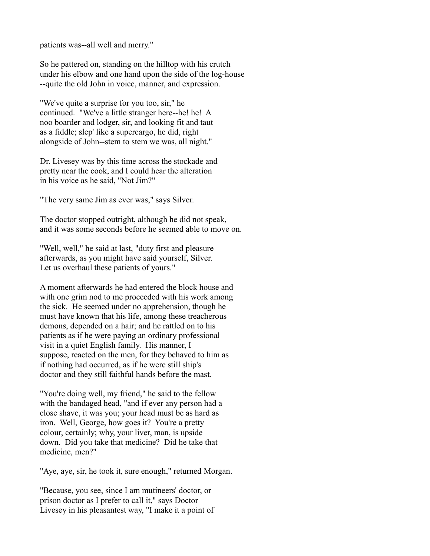patients was--all well and merry."

So he pattered on, standing on the hilltop with his crutch under his elbow and one hand upon the side of the log-house --quite the old John in voice, manner, and expression.

"We've quite a surprise for you too, sir," he continued. "We've a little stranger here--he! he! A noo boarder and lodger, sir, and looking fit and taut as a fiddle; slep' like a supercargo, he did, right alongside of John--stem to stem we was, all night."

Dr. Livesey was by this time across the stockade and pretty near the cook, and I could hear the alteration in his voice as he said, "Not Jim?"

"The very same Jim as ever was," says Silver.

The doctor stopped outright, although he did not speak, and it was some seconds before he seemed able to move on.

"Well, well," he said at last, "duty first and pleasure afterwards, as you might have said yourself, Silver. Let us overhaul these patients of yours."

A moment afterwards he had entered the block house and with one grim nod to me proceeded with his work among the sick. He seemed under no apprehension, though he must have known that his life, among these treacherous demons, depended on a hair; and he rattled on to his patients as if he were paying an ordinary professional visit in a quiet English family. His manner, I suppose, reacted on the men, for they behaved to him as if nothing had occurred, as if he were still ship's doctor and they still faithful hands before the mast.

"You're doing well, my friend," he said to the fellow with the bandaged head, "and if ever any person had a close shave, it was you; your head must be as hard as iron. Well, George, how goes it? You're a pretty colour, certainly; why, your liver, man, is upside down. Did you take that medicine? Did he take that medicine, men?"

"Aye, aye, sir, he took it, sure enough," returned Morgan.

"Because, you see, since I am mutineers' doctor, or prison doctor as I prefer to call it," says Doctor Livesey in his pleasantest way, "I make it a point of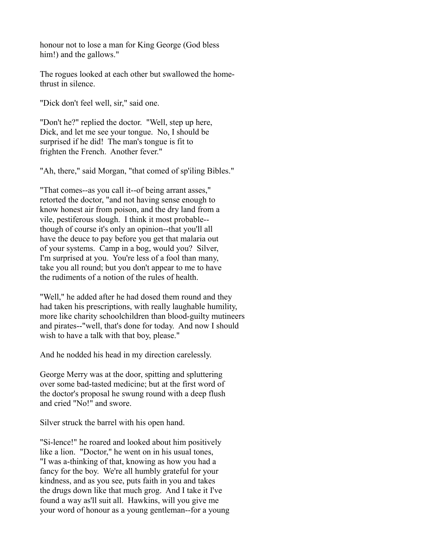honour not to lose a man for King George (God bless him!) and the gallows."

The rogues looked at each other but swallowed the homethrust in silence.

"Dick don't feel well, sir," said one.

"Don't he?" replied the doctor. "Well, step up here, Dick, and let me see your tongue. No, I should be surprised if he did! The man's tongue is fit to frighten the French. Another fever."

"Ah, there," said Morgan, "that comed of sp'iling Bibles."

"That comes--as you call it--of being arrant asses," retorted the doctor, "and not having sense enough to know honest air from poison, and the dry land from a vile, pestiferous slough. I think it most probable- though of course it's only an opinion--that you'll all have the deuce to pay before you get that malaria out of your systems. Camp in a bog, would you? Silver, I'm surprised at you. You're less of a fool than many, take you all round; but you don't appear to me to have the rudiments of a notion of the rules of health.

"Well," he added after he had dosed them round and they had taken his prescriptions, with really laughable humility, more like charity schoolchildren than blood-guilty mutineers and pirates--"well, that's done for today. And now I should wish to have a talk with that boy, please."

And he nodded his head in my direction carelessly.

George Merry was at the door, spitting and spluttering over some bad-tasted medicine; but at the first word of the doctor's proposal he swung round with a deep flush and cried "No!" and swore.

Silver struck the barrel with his open hand.

"Si-lence!" he roared and looked about him positively like a lion. "Doctor," he went on in his usual tones, "I was a-thinking of that, knowing as how you had a fancy for the boy. We're all humbly grateful for your kindness, and as you see, puts faith in you and takes the drugs down like that much grog. And I take it I've found a way as'll suit all. Hawkins, will you give me your word of honour as a young gentleman--for a young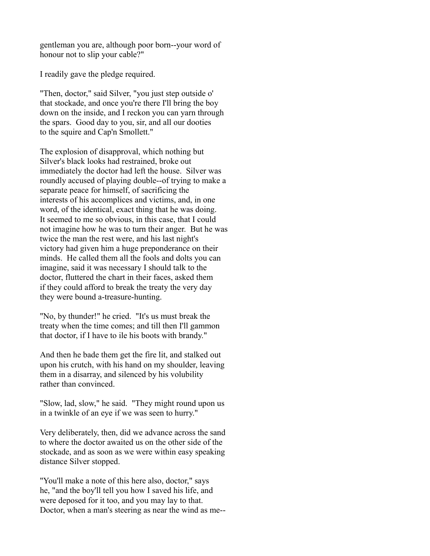gentleman you are, although poor born--your word of honour not to slip your cable?"

I readily gave the pledge required.

"Then, doctor," said Silver, "you just step outside o' that stockade, and once you're there I'll bring the boy down on the inside, and I reckon you can yarn through the spars. Good day to you, sir, and all our dooties to the squire and Cap'n Smollett."

The explosion of disapproval, which nothing but Silver's black looks had restrained, broke out immediately the doctor had left the house. Silver was roundly accused of playing double--of trying to make a separate peace for himself, of sacrificing the interests of his accomplices and victims, and, in one word, of the identical, exact thing that he was doing. It seemed to me so obvious, in this case, that I could not imagine how he was to turn their anger. But he was twice the man the rest were, and his last night's victory had given him a huge preponderance on their minds. He called them all the fools and dolts you can imagine, said it was necessary I should talk to the doctor, fluttered the chart in their faces, asked them if they could afford to break the treaty the very day they were bound a-treasure-hunting.

"No, by thunder!" he cried. "It's us must break the treaty when the time comes; and till then I'll gammon that doctor, if I have to ile his boots with brandy."

And then he bade them get the fire lit, and stalked out upon his crutch, with his hand on my shoulder, leaving them in a disarray, and silenced by his volubility rather than convinced.

"Slow, lad, slow," he said. "They might round upon us in a twinkle of an eye if we was seen to hurry."

Very deliberately, then, did we advance across the sand to where the doctor awaited us on the other side of the stockade, and as soon as we were within easy speaking distance Silver stopped.

"You'll make a note of this here also, doctor," says he, "and the boy'll tell you how I saved his life, and were deposed for it too, and you may lay to that. Doctor, when a man's steering as near the wind as me--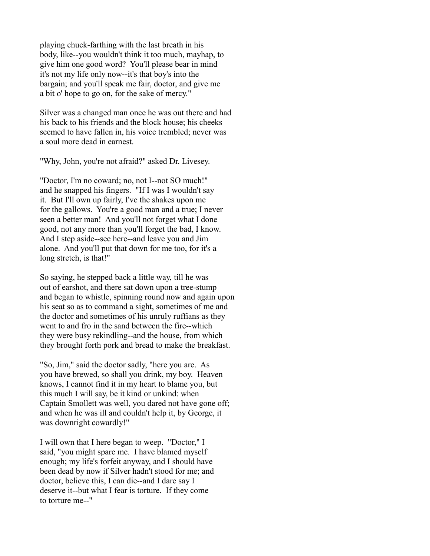playing chuck-farthing with the last breath in his body, like--you wouldn't think it too much, mayhap, to give him one good word? You'll please bear in mind it's not my life only now--it's that boy's into the bargain; and you'll speak me fair, doctor, and give me a bit o' hope to go on, for the sake of mercy."

Silver was a changed man once he was out there and had his back to his friends and the block house; his cheeks seemed to have fallen in, his voice trembled; never was a soul more dead in earnest.

"Why, John, you're not afraid?" asked Dr. Livesey.

"Doctor, I'm no coward; no, not I--not SO much!" and he snapped his fingers. "If I was I wouldn't say it. But I'll own up fairly, I've the shakes upon me for the gallows. You're a good man and a true; I never seen a better man! And you'll not forget what I done good, not any more than you'll forget the bad, I know. And I step aside--see here--and leave you and Jim alone. And you'll put that down for me too, for it's a long stretch, is that!"

So saying, he stepped back a little way, till he was out of earshot, and there sat down upon a tree-stump and began to whistle, spinning round now and again upon his seat so as to command a sight, sometimes of me and the doctor and sometimes of his unruly ruffians as they went to and fro in the sand between the fire--which they were busy rekindling--and the house, from which they brought forth pork and bread to make the breakfast.

"So, Jim," said the doctor sadly, "here you are. As you have brewed, so shall you drink, my boy. Heaven knows, I cannot find it in my heart to blame you, but this much I will say, be it kind or unkind: when Captain Smollett was well, you dared not have gone off; and when he was ill and couldn't help it, by George, it was downright cowardly!"

I will own that I here began to weep. "Doctor," I said, "you might spare me. I have blamed myself enough; my life's forfeit anyway, and I should have been dead by now if Silver hadn't stood for me; and doctor, believe this, I can die--and I dare say I deserve it--but what I fear is torture. If they come to torture me--"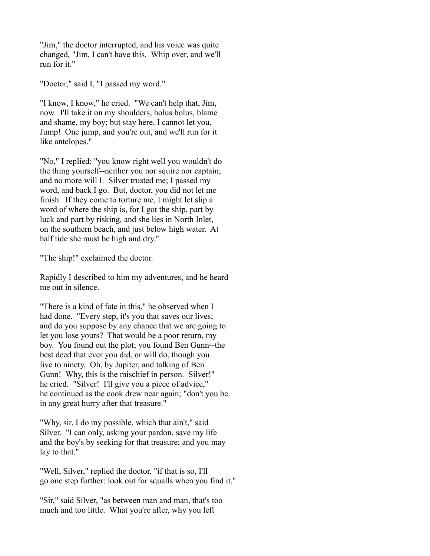"Jim," the doctor interrupted, and his voice was quite changed, "Jim, I can't have this. Whip over, and we'll run for it."

"Doctor," said I, "I passed my word."

"I know, I know," he cried. "We can't help that, Jim, now. I'll take it on my shoulders, holus bolus, blame and shame, my boy; but stay here, I cannot let you. Jump! One jump, and you're out, and we'll run for it like antelopes."

"No," I replied; "you know right well you wouldn't do the thing yourself--neither you nor squire nor captain; and no more will I. Silver trusted me; I passed my word, and back I go. But, doctor, you did not let me finish. If they come to torture me, I might let slip a word of where the ship is, for I got the ship, part by luck and part by risking, and she lies in North Inlet, on the southern beach, and just below high water. At half tide she must be high and dry."

"The ship!" exclaimed the doctor.

Rapidly I described to him my adventures, and he heard me out in silence.

"There is a kind of fate in this," he observed when I had done. "Every step, it's you that saves our lives; and do you suppose by any chance that we are going to let you lose yours? That would be a poor return, my boy. You found out the plot; you found Ben Gunn--the best deed that ever you did, or will do, though you live to ninety. Oh, by Jupiter, and talking of Ben Gunn! Why, this is the mischief in person. Silver!" he cried. "Silver! I'll give you a piece of advice," he continued as the cook drew near again; "don't you be in any great hurry after that treasure."

"Why, sir, I do my possible, which that ain't," said Silver. "I can only, asking your pardon, save my life and the boy's by seeking for that treasure; and you may lay to that."

"Well, Silver," replied the doctor, "if that is so, I'll go one step further: look out for squalls when you find it."

"Sir," said Silver, "as between man and man, that's too much and too little. What you're after, why you left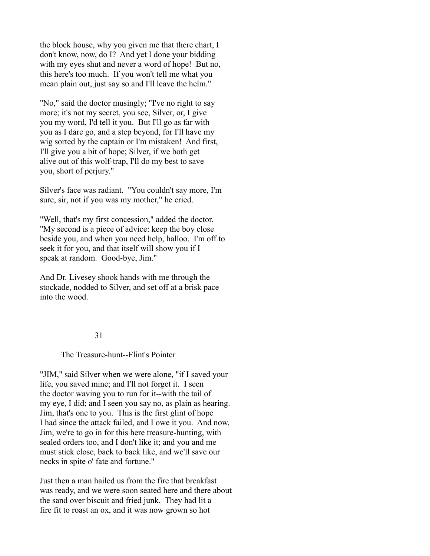the block house, why you given me that there chart, I don't know, now, do I? And yet I done your bidding with my eyes shut and never a word of hope! But no, this here's too much. If you won't tell me what you mean plain out, just say so and I'll leave the helm."

"No," said the doctor musingly; "I've no right to say more; it's not my secret, you see, Silver, or, I give you my word, I'd tell it you. But I'll go as far with you as I dare go, and a step beyond, for I'll have my wig sorted by the captain or I'm mistaken! And first, I'll give you a bit of hope; Silver, if we both get alive out of this wolf-trap, I'll do my best to save you, short of perjury."

Silver's face was radiant. "You couldn't say more, I'm sure, sir, not if you was my mother," he cried.

"Well, that's my first concession," added the doctor. "My second is a piece of advice: keep the boy close beside you, and when you need help, halloo. I'm off to seek it for you, and that itself will show you if I speak at random. Good-bye, Jim."

And Dr. Livesey shook hands with me through the stockade, nodded to Silver, and set off at a brisk pace into the wood.

#### 31

## The Treasure-hunt--Flint's Pointer

"JIM," said Silver when we were alone, "if I saved your life, you saved mine; and I'll not forget it. I seen the doctor waving you to run for it--with the tail of my eye, I did; and I seen you say no, as plain as hearing. Jim, that's one to you. This is the first glint of hope I had since the attack failed, and I owe it you. And now, Jim, we're to go in for this here treasure-hunting, with sealed orders too, and I don't like it; and you and me must stick close, back to back like, and we'll save our necks in spite o' fate and fortune."

Just then a man hailed us from the fire that breakfast was ready, and we were soon seated here and there about the sand over biscuit and fried junk. They had lit a fire fit to roast an ox, and it was now grown so hot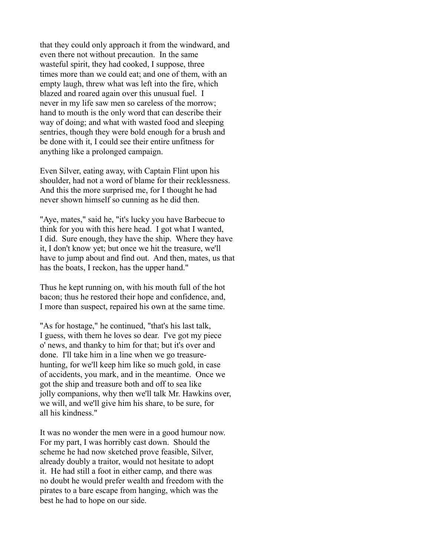that they could only approach it from the windward, and even there not without precaution. In the same wasteful spirit, they had cooked, I suppose, three times more than we could eat; and one of them, with an empty laugh, threw what was left into the fire, which blazed and roared again over this unusual fuel. I never in my life saw men so careless of the morrow; hand to mouth is the only word that can describe their way of doing; and what with wasted food and sleeping sentries, though they were bold enough for a brush and be done with it, I could see their entire unfitness for anything like a prolonged campaign.

Even Silver, eating away, with Captain Flint upon his shoulder, had not a word of blame for their recklessness. And this the more surprised me, for I thought he had never shown himself so cunning as he did then.

"Aye, mates," said he, "it's lucky you have Barbecue to think for you with this here head. I got what I wanted, I did. Sure enough, they have the ship. Where they have it, I don't know yet; but once we hit the treasure, we'll have to jump about and find out. And then, mates, us that has the boats, I reckon, has the upper hand."

Thus he kept running on, with his mouth full of the hot bacon; thus he restored their hope and confidence, and, I more than suspect, repaired his own at the same time.

"As for hostage," he continued, "that's his last talk, I guess, with them he loves so dear. I've got my piece o' news, and thanky to him for that; but it's over and done. I'll take him in a line when we go treasurehunting, for we'll keep him like so much gold, in case of accidents, you mark, and in the meantime. Once we got the ship and treasure both and off to sea like jolly companions, why then we'll talk Mr. Hawkins over, we will, and we'll give him his share, to be sure, for all his kindness."

It was no wonder the men were in a good humour now. For my part, I was horribly cast down. Should the scheme he had now sketched prove feasible, Silver, already doubly a traitor, would not hesitate to adopt it. He had still a foot in either camp, and there was no doubt he would prefer wealth and freedom with the pirates to a bare escape from hanging, which was the best he had to hope on our side.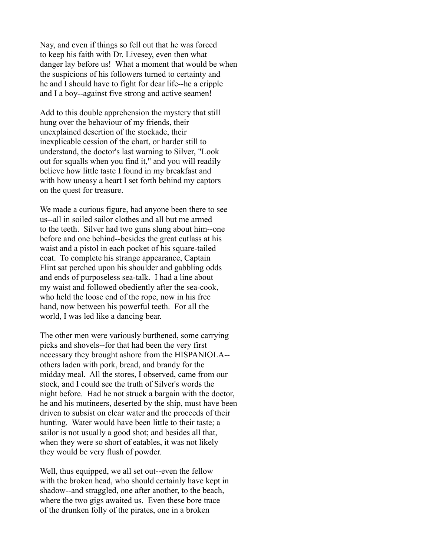Nay, and even if things so fell out that he was forced to keep his faith with Dr. Livesey, even then what danger lay before us! What a moment that would be when the suspicions of his followers turned to certainty and he and I should have to fight for dear life--he a cripple and I a boy--against five strong and active seamen!

Add to this double apprehension the mystery that still hung over the behaviour of my friends, their unexplained desertion of the stockade, their inexplicable cession of the chart, or harder still to understand, the doctor's last warning to Silver, "Look out for squalls when you find it," and you will readily believe how little taste I found in my breakfast and with how uneasy a heart I set forth behind my captors on the quest for treasure.

We made a curious figure, had anyone been there to see us--all in soiled sailor clothes and all but me armed to the teeth. Silver had two guns slung about him--one before and one behind--besides the great cutlass at his waist and a pistol in each pocket of his square-tailed coat. To complete his strange appearance, Captain Flint sat perched upon his shoulder and gabbling odds and ends of purposeless sea-talk. I had a line about my waist and followed obediently after the sea-cook, who held the loose end of the rope, now in his free hand, now between his powerful teeth. For all the world, I was led like a dancing bear.

The other men were variously burthened, some carrying picks and shovels--for that had been the very first necessary they brought ashore from the HISPANIOLA- others laden with pork, bread, and brandy for the midday meal. All the stores, I observed, came from our stock, and I could see the truth of Silver's words the night before. Had he not struck a bargain with the doctor, he and his mutineers, deserted by the ship, must have been driven to subsist on clear water and the proceeds of their hunting. Water would have been little to their taste; a sailor is not usually a good shot; and besides all that, when they were so short of eatables, it was not likely they would be very flush of powder.

Well, thus equipped, we all set out--even the fellow with the broken head, who should certainly have kept in shadow--and straggled, one after another, to the beach, where the two gigs awaited us. Even these bore trace of the drunken folly of the pirates, one in a broken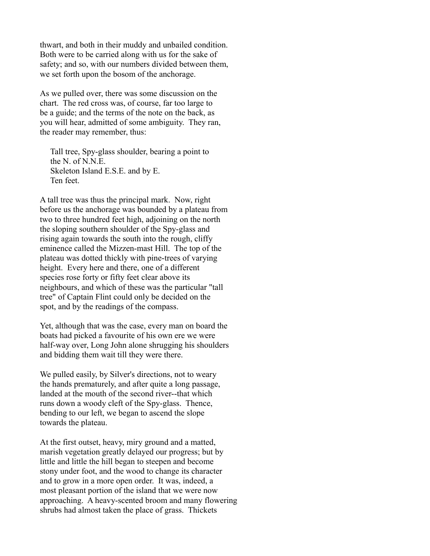thwart, and both in their muddy and unbailed condition. Both were to be carried along with us for the sake of safety; and so, with our numbers divided between them, we set forth upon the bosom of the anchorage.

As we pulled over, there was some discussion on the chart. The red cross was, of course, far too large to be a guide; and the terms of the note on the back, as you will hear, admitted of some ambiguity. They ran, the reader may remember, thus:

 Tall tree, Spy-glass shoulder, bearing a point to the N. of N.N.E. Skeleton Island E.S.E. and by E. Ten feet.

A tall tree was thus the principal mark. Now, right before us the anchorage was bounded by a plateau from two to three hundred feet high, adjoining on the north the sloping southern shoulder of the Spy-glass and rising again towards the south into the rough, cliffy eminence called the Mizzen-mast Hill. The top of the plateau was dotted thickly with pine-trees of varying height. Every here and there, one of a different species rose forty or fifty feet clear above its neighbours, and which of these was the particular "tall tree" of Captain Flint could only be decided on the spot, and by the readings of the compass.

Yet, although that was the case, every man on board the boats had picked a favourite of his own ere we were half-way over, Long John alone shrugging his shoulders and bidding them wait till they were there.

We pulled easily, by Silver's directions, not to weary the hands prematurely, and after quite a long passage, landed at the mouth of the second river--that which runs down a woody cleft of the Spy-glass. Thence, bending to our left, we began to ascend the slope towards the plateau.

At the first outset, heavy, miry ground and a matted, marish vegetation greatly delayed our progress; but by little and little the hill began to steepen and become stony under foot, and the wood to change its character and to grow in a more open order. It was, indeed, a most pleasant portion of the island that we were now approaching. A heavy-scented broom and many flowering shrubs had almost taken the place of grass. Thickets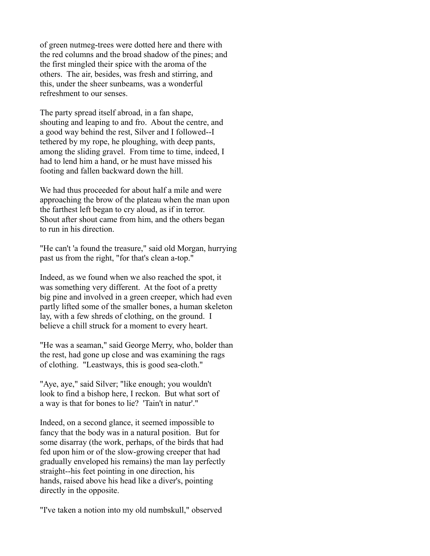of green nutmeg-trees were dotted here and there with the red columns and the broad shadow of the pines; and the first mingled their spice with the aroma of the others. The air, besides, was fresh and stirring, and this, under the sheer sunbeams, was a wonderful refreshment to our senses.

The party spread itself abroad, in a fan shape, shouting and leaping to and fro. About the centre, and a good way behind the rest, Silver and I followed--I tethered by my rope, he ploughing, with deep pants, among the sliding gravel. From time to time, indeed, I had to lend him a hand, or he must have missed his footing and fallen backward down the hill.

We had thus proceeded for about half a mile and were approaching the brow of the plateau when the man upon the farthest left began to cry aloud, as if in terror. Shout after shout came from him, and the others began to run in his direction.

"He can't 'a found the treasure," said old Morgan, hurrying past us from the right, "for that's clean a-top."

Indeed, as we found when we also reached the spot, it was something very different. At the foot of a pretty big pine and involved in a green creeper, which had even partly lifted some of the smaller bones, a human skeleton lay, with a few shreds of clothing, on the ground. I believe a chill struck for a moment to every heart.

"He was a seaman," said George Merry, who, bolder than the rest, had gone up close and was examining the rags of clothing. "Leastways, this is good sea-cloth."

"Aye, aye," said Silver; "like enough; you wouldn't look to find a bishop here, I reckon. But what sort of a way is that for bones to lie? 'Tain't in natur'."

Indeed, on a second glance, it seemed impossible to fancy that the body was in a natural position. But for some disarray (the work, perhaps, of the birds that had fed upon him or of the slow-growing creeper that had gradually enveloped his remains) the man lay perfectly straight--his feet pointing in one direction, his hands, raised above his head like a diver's, pointing directly in the opposite.

"I've taken a notion into my old numbskull," observed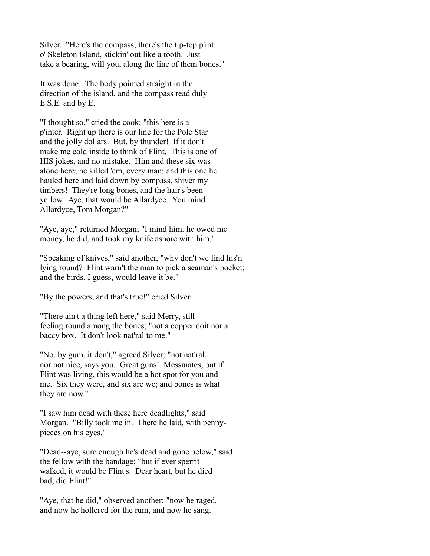Silver. "Here's the compass; there's the tip-top p'int o' Skeleton Island, stickin' out like a tooth. Just take a bearing, will you, along the line of them bones."

It was done. The body pointed straight in the direction of the island, and the compass read duly E.S.E. and by E.

"I thought so," cried the cook; "this here is a p'inter. Right up there is our line for the Pole Star and the jolly dollars. But, by thunder! If it don't make me cold inside to think of Flint. This is one of HIS jokes, and no mistake. Him and these six was alone here; he killed 'em, every man; and this one he hauled here and laid down by compass, shiver my timbers! They're long bones, and the hair's been yellow. Aye, that would be Allardyce. You mind Allardyce, Tom Morgan?"

"Aye, aye," returned Morgan; "I mind him; he owed me money, he did, and took my knife ashore with him."

"Speaking of knives," said another, "why don't we find his'n lying round? Flint warn't the man to pick a seaman's pocket; and the birds, I guess, would leave it be."

"By the powers, and that's true!" cried Silver.

"There ain't a thing left here," said Merry, still feeling round among the bones; "not a copper doit nor a baccy box. It don't look nat'ral to me."

"No, by gum, it don't," agreed Silver; "not nat'ral, nor not nice, says you. Great guns! Messmates, but if Flint was living, this would be a hot spot for you and me. Six they were, and six are we; and bones is what they are now."

"I saw him dead with these here deadlights," said Morgan. "Billy took me in. There he laid, with pennypieces on his eyes."

"Dead--aye, sure enough he's dead and gone below," said the fellow with the bandage; "but if ever sperrit walked, it would be Flint's. Dear heart, but he died bad, did Flint!"

"Aye, that he did," observed another; "now he raged, and now he hollered for the rum, and now he sang.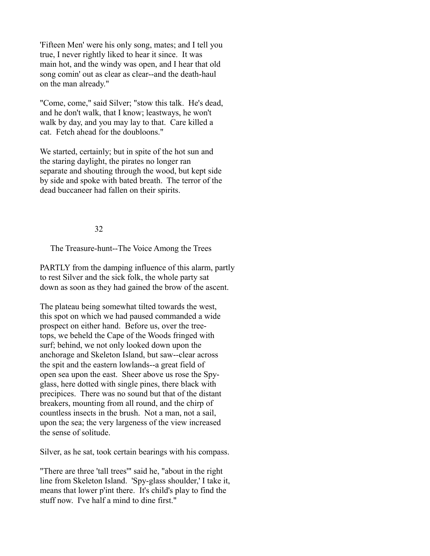'Fifteen Men' were his only song, mates; and I tell you true, I never rightly liked to hear it since. It was main hot, and the windy was open, and I hear that old song comin' out as clear as clear--and the death-haul on the man already."

"Come, come," said Silver; "stow this talk. He's dead, and he don't walk, that I know; leastways, he won't walk by day, and you may lay to that. Care killed a cat. Fetch ahead for the doubloons."

We started, certainly; but in spite of the hot sun and the staring daylight, the pirates no longer ran separate and shouting through the wood, but kept side by side and spoke with bated breath. The terror of the dead buccaneer had fallen on their spirits.

## 32

The Treasure-hunt--The Voice Among the Trees

PARTLY from the damping influence of this alarm, partly to rest Silver and the sick folk, the whole party sat down as soon as they had gained the brow of the ascent.

The plateau being somewhat tilted towards the west, this spot on which we had paused commanded a wide prospect on either hand. Before us, over the treetops, we beheld the Cape of the Woods fringed with surf; behind, we not only looked down upon the anchorage and Skeleton Island, but saw--clear across the spit and the eastern lowlands--a great field of open sea upon the east. Sheer above us rose the Spyglass, here dotted with single pines, there black with precipices. There was no sound but that of the distant breakers, mounting from all round, and the chirp of countless insects in the brush. Not a man, not a sail, upon the sea; the very largeness of the view increased the sense of solitude.

Silver, as he sat, took certain bearings with his compass.

"There are three 'tall trees'" said he, "about in the right line from Skeleton Island. 'Spy-glass shoulder,' I take it, means that lower p'int there. It's child's play to find the stuff now. I've half a mind to dine first."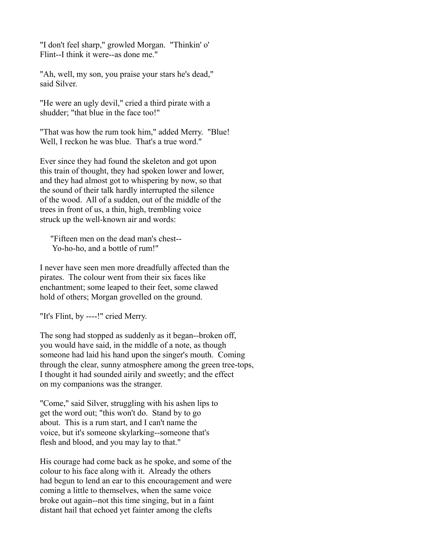"I don't feel sharp," growled Morgan. "Thinkin' o' Flint--I think it were--as done me."

"Ah, well, my son, you praise your stars he's dead," said Silver.

"He were an ugly devil," cried a third pirate with a shudder; "that blue in the face too!"

"That was how the rum took him," added Merry. "Blue! Well, I reckon he was blue. That's a true word."

Ever since they had found the skeleton and got upon this train of thought, they had spoken lower and lower, and they had almost got to whispering by now, so that the sound of their talk hardly interrupted the silence of the wood. All of a sudden, out of the middle of the trees in front of us, a thin, high, trembling voice struck up the well-known air and words:

 "Fifteen men on the dead man's chest-- Yo-ho-ho, and a bottle of rum!"

I never have seen men more dreadfully affected than the pirates. The colour went from their six faces like enchantment; some leaped to their feet, some clawed hold of others; Morgan grovelled on the ground.

"It's Flint, by ----!" cried Merry.

The song had stopped as suddenly as it began--broken off, you would have said, in the middle of a note, as though someone had laid his hand upon the singer's mouth. Coming through the clear, sunny atmosphere among the green tree-tops, I thought it had sounded airily and sweetly; and the effect on my companions was the stranger.

"Come," said Silver, struggling with his ashen lips to get the word out; "this won't do. Stand by to go about. This is a rum start, and I can't name the voice, but it's someone skylarking--someone that's flesh and blood, and you may lay to that."

His courage had come back as he spoke, and some of the colour to his face along with it. Already the others had begun to lend an ear to this encouragement and were coming a little to themselves, when the same voice broke out again--not this time singing, but in a faint distant hail that echoed yet fainter among the clefts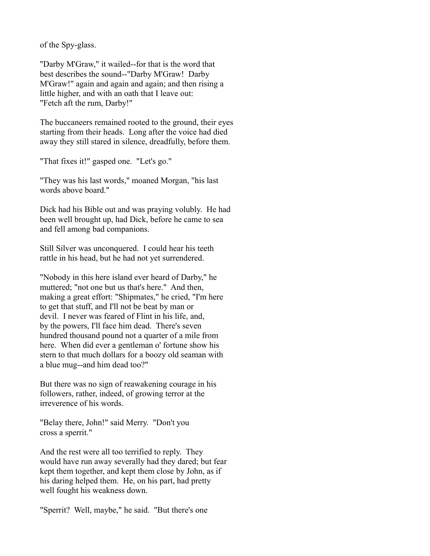of the Spy-glass.

"Darby M'Graw," it wailed--for that is the word that best describes the sound--"Darby M'Graw! Darby M'Graw!" again and again and again; and then rising a little higher, and with an oath that I leave out: "Fetch aft the rum, Darby!"

The buccaneers remained rooted to the ground, their eyes starting from their heads. Long after the voice had died away they still stared in silence, dreadfully, before them.

"That fixes it!" gasped one. "Let's go."

"They was his last words," moaned Morgan, "his last words above board."

Dick had his Bible out and was praying volubly. He had been well brought up, had Dick, before he came to sea and fell among bad companions.

Still Silver was unconquered. I could hear his teeth rattle in his head, but he had not yet surrendered.

"Nobody in this here island ever heard of Darby," he muttered; "not one but us that's here." And then, making a great effort: "Shipmates," he cried, "I'm here to get that stuff, and I'll not be beat by man or devil. I never was feared of Flint in his life, and, by the powers, I'll face him dead. There's seven hundred thousand pound not a quarter of a mile from here. When did ever a gentleman o' fortune show his stern to that much dollars for a boozy old seaman with a blue mug--and him dead too?"

But there was no sign of reawakening courage in his followers, rather, indeed, of growing terror at the irreverence of his words.

"Belay there, John!" said Merry. "Don't you cross a sperrit."

And the rest were all too terrified to reply. They would have run away severally had they dared; but fear kept them together, and kept them close by John, as if his daring helped them. He, on his part, had pretty well fought his weakness down.

"Sperrit? Well, maybe," he said. "But there's one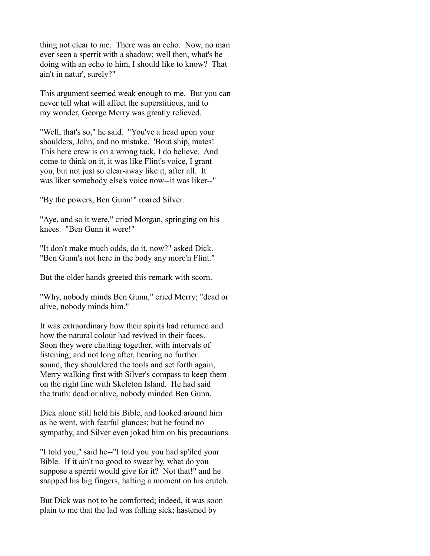thing not clear to me. There was an echo. Now, no man ever seen a sperrit with a shadow; well then, what's he doing with an echo to him, I should like to know? That ain't in natur', surely?"

This argument seemed weak enough to me. But you can never tell what will affect the superstitious, and to my wonder, George Merry was greatly relieved.

"Well, that's so," he said. "You've a head upon your shoulders, John, and no mistake. 'Bout ship, mates! This here crew is on a wrong tack, I do believe. And come to think on it, it was like Flint's voice, I grant you, but not just so clear-away like it, after all. It was liker somebody else's voice now--it was liker--"

"By the powers, Ben Gunn!" roared Silver.

"Aye, and so it were," cried Morgan, springing on his knees. "Ben Gunn it were!"

"It don't make much odds, do it, now?" asked Dick. "Ben Gunn's not here in the body any more'n Flint."

But the older hands greeted this remark with scorn.

"Why, nobody minds Ben Gunn," cried Merry; "dead or alive, nobody minds him."

It was extraordinary how their spirits had returned and how the natural colour had revived in their faces. Soon they were chatting together, with intervals of listening; and not long after, hearing no further sound, they shouldered the tools and set forth again, Merry walking first with Silver's compass to keep them on the right line with Skeleton Island. He had said the truth: dead or alive, nobody minded Ben Gunn.

Dick alone still held his Bible, and looked around him as he went, with fearful glances; but he found no sympathy, and Silver even joked him on his precautions.

"I told you," said he--"I told you you had sp'iled your Bible. If it ain't no good to swear by, what do you suppose a sperrit would give for it? Not that!" and he snapped his big fingers, halting a moment on his crutch.

But Dick was not to be comforted; indeed, it was soon plain to me that the lad was falling sick; hastened by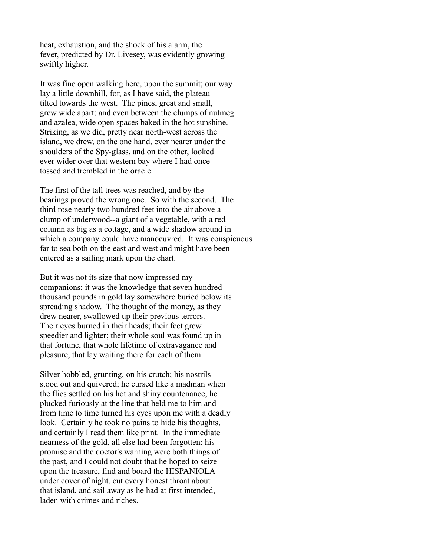heat, exhaustion, and the shock of his alarm, the fever, predicted by Dr. Livesey, was evidently growing swiftly higher.

It was fine open walking here, upon the summit; our way lay a little downhill, for, as I have said, the plateau tilted towards the west. The pines, great and small, grew wide apart; and even between the clumps of nutmeg and azalea, wide open spaces baked in the hot sunshine. Striking, as we did, pretty near north-west across the island, we drew, on the one hand, ever nearer under the shoulders of the Spy-glass, and on the other, looked ever wider over that western bay where I had once tossed and trembled in the oracle.

The first of the tall trees was reached, and by the bearings proved the wrong one. So with the second. The third rose nearly two hundred feet into the air above a clump of underwood--a giant of a vegetable, with a red column as big as a cottage, and a wide shadow around in which a company could have manoeuvred. It was conspicuous far to sea both on the east and west and might have been entered as a sailing mark upon the chart.

But it was not its size that now impressed my companions; it was the knowledge that seven hundred thousand pounds in gold lay somewhere buried below its spreading shadow. The thought of the money, as they drew nearer, swallowed up their previous terrors. Their eyes burned in their heads; their feet grew speedier and lighter; their whole soul was found up in that fortune, that whole lifetime of extravagance and pleasure, that lay waiting there for each of them.

Silver hobbled, grunting, on his crutch; his nostrils stood out and quivered; he cursed like a madman when the flies settled on his hot and shiny countenance; he plucked furiously at the line that held me to him and from time to time turned his eyes upon me with a deadly look. Certainly he took no pains to hide his thoughts, and certainly I read them like print. In the immediate nearness of the gold, all else had been forgotten: his promise and the doctor's warning were both things of the past, and I could not doubt that he hoped to seize upon the treasure, find and board the HISPANIOLA under cover of night, cut every honest throat about that island, and sail away as he had at first intended, laden with crimes and riches.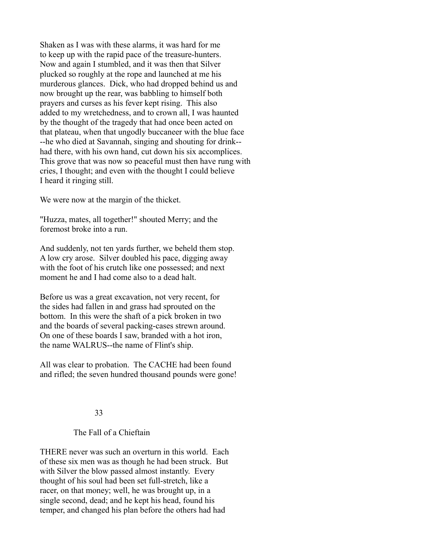Shaken as I was with these alarms, it was hard for me to keep up with the rapid pace of the treasure-hunters. Now and again I stumbled, and it was then that Silver plucked so roughly at the rope and launched at me his murderous glances. Dick, who had dropped behind us and now brought up the rear, was babbling to himself both prayers and curses as his fever kept rising. This also added to my wretchedness, and to crown all, I was haunted by the thought of the tragedy that had once been acted on that plateau, when that ungodly buccaneer with the blue face --he who died at Savannah, singing and shouting for drink- had there, with his own hand, cut down his six accomplices. This grove that was now so peaceful must then have rung with cries, I thought; and even with the thought I could believe I heard it ringing still.

We were now at the margin of the thicket.

"Huzza, mates, all together!" shouted Merry; and the foremost broke into a run.

And suddenly, not ten yards further, we beheld them stop. A low cry arose. Silver doubled his pace, digging away with the foot of his crutch like one possessed; and next moment he and I had come also to a dead halt.

Before us was a great excavation, not very recent, for the sides had fallen in and grass had sprouted on the bottom. In this were the shaft of a pick broken in two and the boards of several packing-cases strewn around. On one of these boards I saw, branded with a hot iron, the name WALRUS--the name of Flint's ship.

All was clear to probation. The CACHE had been found and rifled; the seven hundred thousand pounds were gone!

## 33

## The Fall of a Chieftain

THERE never was such an overturn in this world. Each of these six men was as though he had been struck. But with Silver the blow passed almost instantly. Every thought of his soul had been set full-stretch, like a racer, on that money; well, he was brought up, in a single second, dead; and he kept his head, found his temper, and changed his plan before the others had had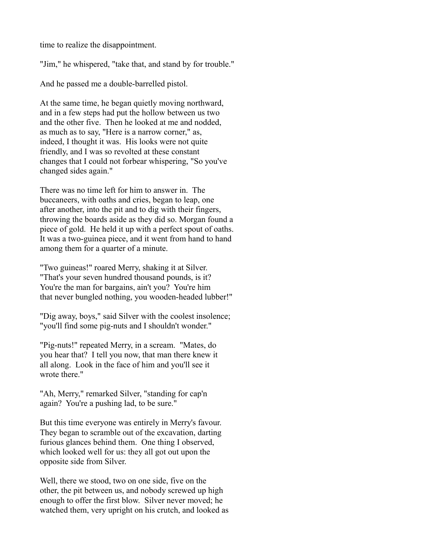time to realize the disappointment.

"Jim," he whispered, "take that, and stand by for trouble."

And he passed me a double-barrelled pistol.

At the same time, he began quietly moving northward, and in a few steps had put the hollow between us two and the other five. Then he looked at me and nodded, as much as to say, "Here is a narrow corner," as, indeed, I thought it was. His looks were not quite friendly, and I was so revolted at these constant changes that I could not forbear whispering, "So you've changed sides again."

There was no time left for him to answer in. The buccaneers, with oaths and cries, began to leap, one after another, into the pit and to dig with their fingers, throwing the boards aside as they did so. Morgan found a piece of gold. He held it up with a perfect spout of oaths. It was a two-guinea piece, and it went from hand to hand among them for a quarter of a minute.

"Two guineas!" roared Merry, shaking it at Silver. "That's your seven hundred thousand pounds, is it? You're the man for bargains, ain't you? You're him that never bungled nothing, you wooden-headed lubber!"

"Dig away, boys," said Silver with the coolest insolence; "you'll find some pig-nuts and I shouldn't wonder."

"Pig-nuts!" repeated Merry, in a scream. "Mates, do you hear that? I tell you now, that man there knew it all along. Look in the face of him and you'll see it wrote there."

"Ah, Merry," remarked Silver, "standing for cap'n again? You're a pushing lad, to be sure."

But this time everyone was entirely in Merry's favour. They began to scramble out of the excavation, darting furious glances behind them. One thing I observed, which looked well for us: they all got out upon the opposite side from Silver.

Well, there we stood, two on one side, five on the other, the pit between us, and nobody screwed up high enough to offer the first blow. Silver never moved; he watched them, very upright on his crutch, and looked as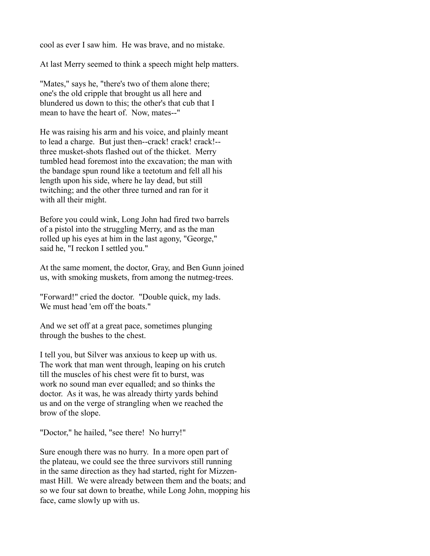cool as ever I saw him. He was brave, and no mistake.

At last Merry seemed to think a speech might help matters.

"Mates," says he, "there's two of them alone there; one's the old cripple that brought us all here and blundered us down to this; the other's that cub that I mean to have the heart of. Now, mates--"

He was raising his arm and his voice, and plainly meant to lead a charge. But just then--crack! crack! crack!- three musket-shots flashed out of the thicket. Merry tumbled head foremost into the excavation; the man with the bandage spun round like a teetotum and fell all his length upon his side, where he lay dead, but still twitching; and the other three turned and ran for it with all their might.

Before you could wink, Long John had fired two barrels of a pistol into the struggling Merry, and as the man rolled up his eyes at him in the last agony, "George," said he, "I reckon I settled you."

At the same moment, the doctor, Gray, and Ben Gunn joined us, with smoking muskets, from among the nutmeg-trees.

"Forward!" cried the doctor. "Double quick, my lads. We must head 'em off the boats."

And we set off at a great pace, sometimes plunging through the bushes to the chest.

I tell you, but Silver was anxious to keep up with us. The work that man went through, leaping on his crutch till the muscles of his chest were fit to burst, was work no sound man ever equalled; and so thinks the doctor. As it was, he was already thirty yards behind us and on the verge of strangling when we reached the brow of the slope.

"Doctor," he hailed, "see there! No hurry!"

Sure enough there was no hurry. In a more open part of the plateau, we could see the three survivors still running in the same direction as they had started, right for Mizzenmast Hill. We were already between them and the boats; and so we four sat down to breathe, while Long John, mopping his face, came slowly up with us.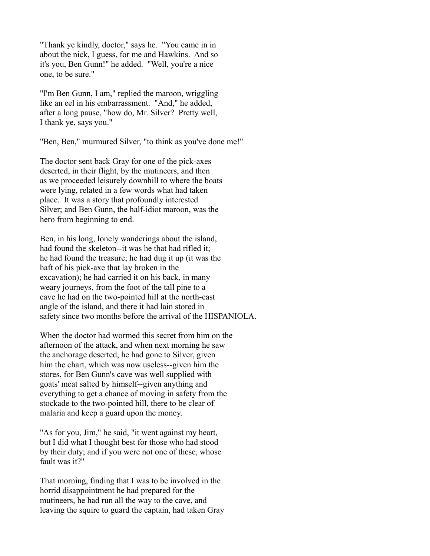"Thank ye kindly, doctor," says he. "You came in in about the nick, I guess, for me and Hawkins. And so it's you, Ben Gunn!" he added. "Well, you're a nice one, to be sure."

"I'm Ben Gunn, I am," replied the maroon, wriggling like an eel in his embarrassment. "And," he added, after a long pause, "how do, Mr. Silver? Pretty well, I thank ye, says you."

"Ben, Ben," murmured Silver, "to think as you've done me!"

The doctor sent back Gray for one of the pick-axes deserted, in their flight, by the mutineers, and then as we proceeded leisurely downhill to where the boats were lying, related in a few words what had taken place. It was a story that profoundly interested Silver; and Ben Gunn, the half-idiot maroon, was the hero from beginning to end.

Ben, in his long, lonely wanderings about the island, had found the skeleton--it was he that had rifled it; he had found the treasure; he had dug it up (it was the haft of his pick-axe that lay broken in the excavation); he had carried it on his back, in many weary journeys, from the foot of the tall pine to a cave he had on the two-pointed hill at the north-east angle of the island, and there it had lain stored in safety since two months before the arrival of the HISPANIOLA.

When the doctor had wormed this secret from him on the afternoon of the attack, and when next morning he saw the anchorage deserted, he had gone to Silver, given him the chart, which was now useless--given him the stores, for Ben Gunn's cave was well supplied with goats' meat salted by himself--given anything and everything to get a chance of moving in safety from the stockade to the two-pointed hill, there to be clear of malaria and keep a guard upon the money.

"As for you, Jim," he said, "it went against my heart, but I did what I thought best for those who had stood by their duty; and if you were not one of these, whose fault was it?"

That morning, finding that I was to be involved in the horrid disappointment he had prepared for the mutineers, he had run all the way to the cave, and leaving the squire to guard the captain, had taken Gray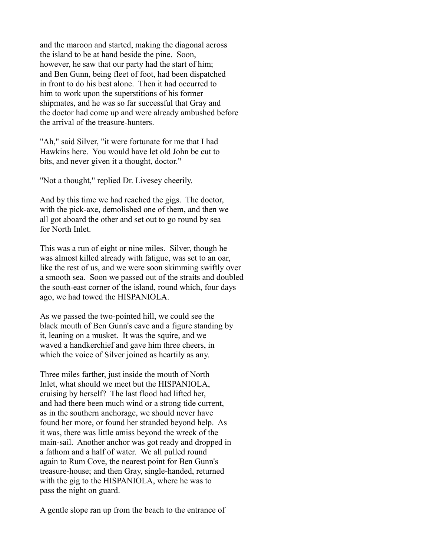and the maroon and started, making the diagonal across the island to be at hand beside the pine. Soon, however, he saw that our party had the start of him; and Ben Gunn, being fleet of foot, had been dispatched in front to do his best alone. Then it had occurred to him to work upon the superstitions of his former shipmates, and he was so far successful that Gray and the doctor had come up and were already ambushed before the arrival of the treasure-hunters.

"Ah," said Silver, "it were fortunate for me that I had Hawkins here. You would have let old John be cut to bits, and never given it a thought, doctor."

"Not a thought," replied Dr. Livesey cheerily.

And by this time we had reached the gigs. The doctor, with the pick-axe, demolished one of them, and then we all got aboard the other and set out to go round by sea for North Inlet.

This was a run of eight or nine miles. Silver, though he was almost killed already with fatigue, was set to an oar, like the rest of us, and we were soon skimming swiftly over a smooth sea. Soon we passed out of the straits and doubled the south-east corner of the island, round which, four days ago, we had towed the HISPANIOLA.

As we passed the two-pointed hill, we could see the black mouth of Ben Gunn's cave and a figure standing by it, leaning on a musket. It was the squire, and we waved a handkerchief and gave him three cheers, in which the voice of Silver joined as heartily as any.

Three miles farther, just inside the mouth of North Inlet, what should we meet but the HISPANIOLA, cruising by herself? The last flood had lifted her, and had there been much wind or a strong tide current, as in the southern anchorage, we should never have found her more, or found her stranded beyond help. As it was, there was little amiss beyond the wreck of the main-sail. Another anchor was got ready and dropped in a fathom and a half of water. We all pulled round again to Rum Cove, the nearest point for Ben Gunn's treasure-house; and then Gray, single-handed, returned with the gig to the HISPANIOLA, where he was to pass the night on guard.

A gentle slope ran up from the beach to the entrance of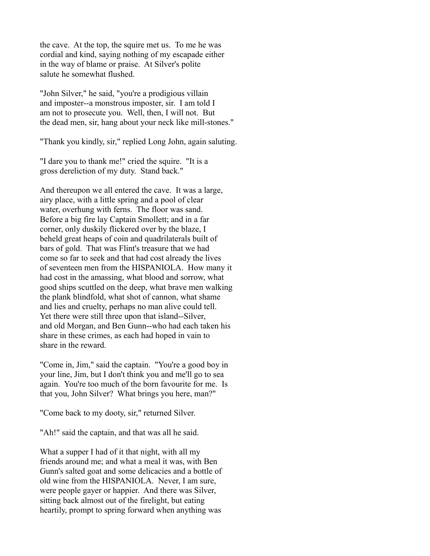the cave. At the top, the squire met us. To me he was cordial and kind, saying nothing of my escapade either in the way of blame or praise. At Silver's polite salute he somewhat flushed.

"John Silver," he said, "you're a prodigious villain and imposter--a monstrous imposter, sir. I am told I am not to prosecute you. Well, then, I will not. But the dead men, sir, hang about your neck like mill-stones."

"Thank you kindly, sir," replied Long John, again saluting.

"I dare you to thank me!" cried the squire. "It is a gross dereliction of my duty. Stand back."

And thereupon we all entered the cave. It was a large, airy place, with a little spring and a pool of clear water, overhung with ferns. The floor was sand. Before a big fire lay Captain Smollett; and in a far corner, only duskily flickered over by the blaze, I beheld great heaps of coin and quadrilaterals built of bars of gold. That was Flint's treasure that we had come so far to seek and that had cost already the lives of seventeen men from the HISPANIOLA. How many it had cost in the amassing, what blood and sorrow, what good ships scuttled on the deep, what brave men walking the plank blindfold, what shot of cannon, what shame and lies and cruelty, perhaps no man alive could tell. Yet there were still three upon that island--Silver, and old Morgan, and Ben Gunn--who had each taken his share in these crimes, as each had hoped in vain to share in the reward.

"Come in, Jim," said the captain. "You're a good boy in your line, Jim, but I don't think you and me'll go to sea again. You're too much of the born favourite for me. Is that you, John Silver? What brings you here, man?"

"Come back to my dooty, sir," returned Silver.

"Ah!" said the captain, and that was all he said.

What a supper I had of it that night, with all my friends around me; and what a meal it was, with Ben Gunn's salted goat and some delicacies and a bottle of old wine from the HISPANIOLA. Never, I am sure, were people gayer or happier. And there was Silver, sitting back almost out of the firelight, but eating heartily, prompt to spring forward when anything was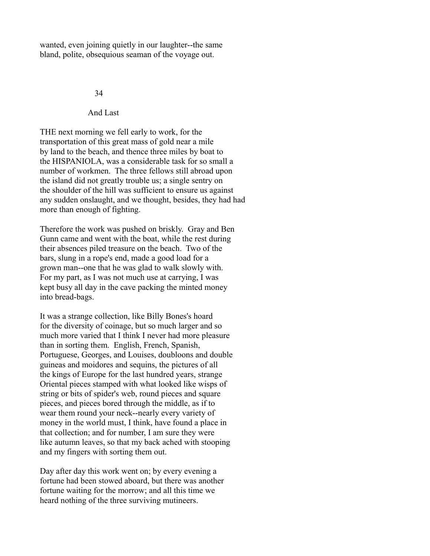wanted, even joining quietly in our laughter--the same bland, polite, obsequious seaman of the voyage out.

#### 34

And Last

THE next morning we fell early to work, for the transportation of this great mass of gold near a mile by land to the beach, and thence three miles by boat to the HISPANIOLA, was a considerable task for so small a number of workmen. The three fellows still abroad upon the island did not greatly trouble us; a single sentry on the shoulder of the hill was sufficient to ensure us against any sudden onslaught, and we thought, besides, they had had more than enough of fighting.

Therefore the work was pushed on briskly. Gray and Ben Gunn came and went with the boat, while the rest during their absences piled treasure on the beach. Two of the bars, slung in a rope's end, made a good load for a grown man--one that he was glad to walk slowly with. For my part, as I was not much use at carrying, I was kept busy all day in the cave packing the minted money into bread-bags.

It was a strange collection, like Billy Bones's hoard for the diversity of coinage, but so much larger and so much more varied that I think I never had more pleasure than in sorting them. English, French, Spanish, Portuguese, Georges, and Louises, doubloons and double guineas and moidores and sequins, the pictures of all the kings of Europe for the last hundred years, strange Oriental pieces stamped with what looked like wisps of string or bits of spider's web, round pieces and square pieces, and pieces bored through the middle, as if to wear them round your neck--nearly every variety of money in the world must, I think, have found a place in that collection; and for number, I am sure they were like autumn leaves, so that my back ached with stooping and my fingers with sorting them out.

Day after day this work went on; by every evening a fortune had been stowed aboard, but there was another fortune waiting for the morrow; and all this time we heard nothing of the three surviving mutineers.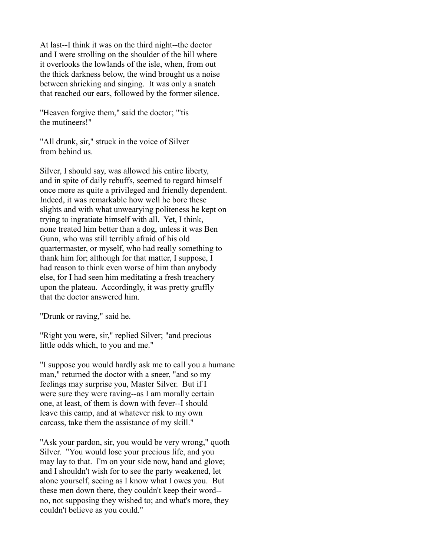At last--I think it was on the third night--the doctor and I were strolling on the shoulder of the hill where it overlooks the lowlands of the isle, when, from out the thick darkness below, the wind brought us a noise between shrieking and singing. It was only a snatch that reached our ears, followed by the former silence.

"Heaven forgive them," said the doctor; "'tis the mutineers!"

"All drunk, sir," struck in the voice of Silver from behind us.

Silver, I should say, was allowed his entire liberty, and in spite of daily rebuffs, seemed to regard himself once more as quite a privileged and friendly dependent. Indeed, it was remarkable how well he bore these slights and with what unwearying politeness he kept on trying to ingratiate himself with all. Yet, I think, none treated him better than a dog, unless it was Ben Gunn, who was still terribly afraid of his old quartermaster, or myself, who had really something to thank him for; although for that matter, I suppose, I had reason to think even worse of him than anybody else, for I had seen him meditating a fresh treachery upon the plateau. Accordingly, it was pretty gruffly that the doctor answered him.

"Drunk or raving," said he.

"Right you were, sir," replied Silver; "and precious little odds which, to you and me."

"I suppose you would hardly ask me to call you a humane man," returned the doctor with a sneer, "and so my feelings may surprise you, Master Silver. But if I were sure they were raving--as I am morally certain one, at least, of them is down with fever--I should leave this camp, and at whatever risk to my own carcass, take them the assistance of my skill."

"Ask your pardon, sir, you would be very wrong," quoth Silver. "You would lose your precious life, and you may lay to that. I'm on your side now, hand and glove; and I shouldn't wish for to see the party weakened, let alone yourself, seeing as I know what I owes you. But these men down there, they couldn't keep their word- no, not supposing they wished to; and what's more, they couldn't believe as you could."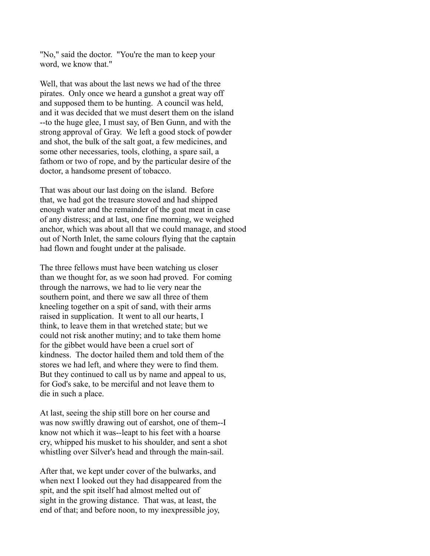"No," said the doctor. "You're the man to keep your word, we know that."

Well, that was about the last news we had of the three pirates. Only once we heard a gunshot a great way off and supposed them to be hunting. A council was held, and it was decided that we must desert them on the island --to the huge glee, I must say, of Ben Gunn, and with the strong approval of Gray. We left a good stock of powder and shot, the bulk of the salt goat, a few medicines, and some other necessaries, tools, clothing, a spare sail, a fathom or two of rope, and by the particular desire of the doctor, a handsome present of tobacco.

That was about our last doing on the island. Before that, we had got the treasure stowed and had shipped enough water and the remainder of the goat meat in case of any distress; and at last, one fine morning, we weighed anchor, which was about all that we could manage, and stood out of North Inlet, the same colours flying that the captain had flown and fought under at the palisade.

The three fellows must have been watching us closer than we thought for, as we soon had proved. For coming through the narrows, we had to lie very near the southern point, and there we saw all three of them kneeling together on a spit of sand, with their arms raised in supplication. It went to all our hearts, I think, to leave them in that wretched state; but we could not risk another mutiny; and to take them home for the gibbet would have been a cruel sort of kindness. The doctor hailed them and told them of the stores we had left, and where they were to find them. But they continued to call us by name and appeal to us, for God's sake, to be merciful and not leave them to die in such a place.

At last, seeing the ship still bore on her course and was now swiftly drawing out of earshot, one of them--I know not which it was--leapt to his feet with a hoarse cry, whipped his musket to his shoulder, and sent a shot whistling over Silver's head and through the main-sail.

After that, we kept under cover of the bulwarks, and when next I looked out they had disappeared from the spit, and the spit itself had almost melted out of sight in the growing distance. That was, at least, the end of that; and before noon, to my inexpressible joy,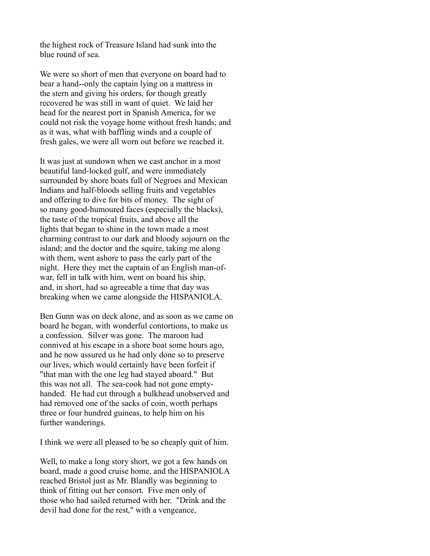the highest rock of Treasure Island had sunk into the blue round of sea.

We were so short of men that everyone on board had to bear a hand--only the captain lying on a mattress in the stern and giving his orders, for though greatly recovered he was still in want of quiet. We laid her head for the nearest port in Spanish America, for we could not risk the voyage home without fresh hands; and as it was, what with baffling winds and a couple of fresh gales, we were all worn out before we reached it.

It was just at sundown when we cast anchor in a most beautiful land-locked gulf, and were immediately surrounded by shore boats full of Negroes and Mexican Indians and half-bloods selling fruits and vegetables and offering to dive for bits of money. The sight of so many good-humoured faces (especially the blacks), the taste of the tropical fruits, and above all the lights that began to shine in the town made a most charming contrast to our dark and bloody sojourn on the island; and the doctor and the squire, taking me along with them, went ashore to pass the early part of the night. Here they met the captain of an English man-ofwar, fell in talk with him, went on board his ship, and, in short, had so agreeable a time that day was breaking when we came alongside the HISPANIOLA.

Ben Gunn was on deck alone, and as soon as we came on board he began, with wonderful contortions, to make us a confession. Silver was gone. The maroon had connived at his escape in a shore boat some hours ago, and he now assured us he had only done so to preserve our lives, which would certainly have been forfeit if "that man with the one leg had stayed aboard." But this was not all. The sea-cook had not gone emptyhanded. He had cut through a bulkhead unobserved and had removed one of the sacks of coin, worth perhaps three or four hundred guineas, to help him on his further wanderings.

I think we were all pleased to be so cheaply quit of him.

Well, to make a long story short, we got a few hands on board, made a good cruise home, and the HISPANIOLA reached Bristol just as Mr. Blandly was beginning to think of fitting out her consort. Five men only of those who had sailed returned with her. "Drink and the devil had done for the rest," with a vengeance,